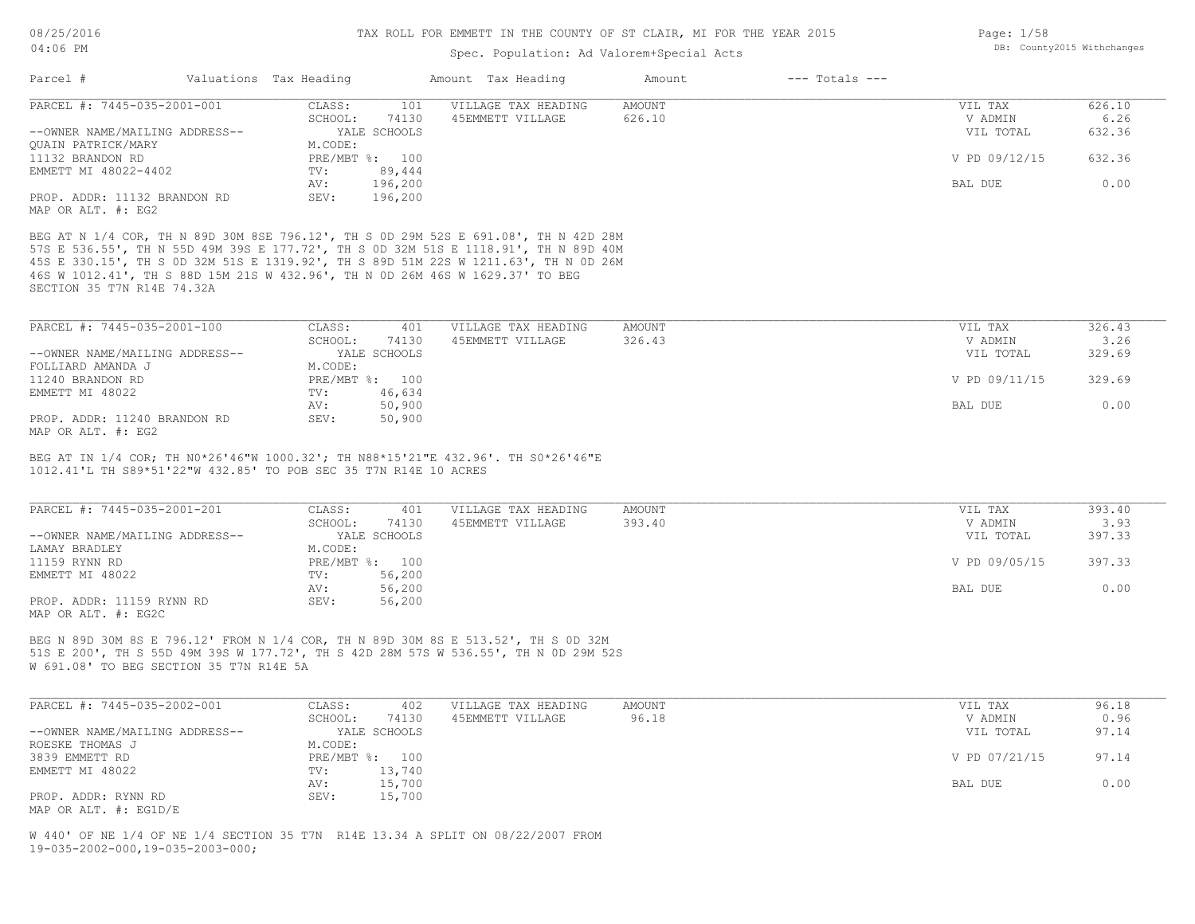### Spec. Population: Ad Valorem+Special Acts

| Parcel #                                             | Valuations Tax Heading |                          | Amount Tax Heading  | Amount | $---$ Totals $---$ |               |        |
|------------------------------------------------------|------------------------|--------------------------|---------------------|--------|--------------------|---------------|--------|
| PARCEL #: 7445-035-2001-001                          | CLASS:                 | 101                      | VILLAGE TAX HEADING | AMOUNT |                    | VIL TAX       | 626.10 |
|                                                      | SCHOOL:                | 74130                    | 45EMMETT VILLAGE    | 626.10 |                    | V ADMIN       | 6.26   |
| --OWNER NAME/MAILING ADDRESS--<br>OUAIN PATRICK/MARY | M.CODE:                | YALE SCHOOLS             |                     |        |                    | VIL TOTAL     | 632.36 |
| 11132 BRANDON RD<br>EMMETT MI 48022-4402             | TV:                    | PRE/MBT %: 100<br>89,444 |                     |        |                    | V PD 09/12/15 | 632.36 |
|                                                      | AV:                    | 196,200                  |                     |        |                    | BAL DUE       | 0.00   |
| PROP. ADDR: 11132 BRANDON RD<br>MAP OR ALT. #: EG2   | SEV:                   | 196,200                  |                     |        |                    |               |        |

SECTION 35 T7N R14E 74.32A 46S W 1012.41', TH S 88D 15M 21S W 432.96', TH N 0D 26M 46S W 1629.37' TO BEG 45S E 330.15', TH S 0D 32M 51S E 1319.92', TH S 89D 51M 22S W 1211.63', TH N 0D 26M 57S E 536.55', TH N 55D 49M 39S E 177.72', TH S 0D 32M 51S E 1118.91', TH N 89D 40M BEG AT N 1/4 COR, TH N 89D 30M 8SE 796.12', TH S 0D 29M 52S E 691.08', TH N 42D 28M

| CLASS:  | 401    | VILLAGE TAX HEADING          | AMOUNT | VIL TAX       | 326.43 |
|---------|--------|------------------------------|--------|---------------|--------|
| SCHOOL: | 74130  | 45EMMETT VILLAGE             | 326.43 | V ADMIN       | 3.26   |
|         |        |                              |        | VIL TOTAL     | 329.69 |
| M.CODE: |        |                              |        |               |        |
|         | 100    |                              |        | V PD 09/11/15 | 329.69 |
| TV:     | 46,634 |                              |        |               |        |
| AV:     | 50,900 |                              |        | BAL DUE       | 0.00   |
| SEV:    | 50,900 |                              |        |               |        |
|         |        | YALE SCHOOLS<br>$PRE/MBT$ %: |        |               |        |

 $\_$  , and the state of the state of the state of the state of the state of the state of the state of the state of the state of the state of the state of the state of the state of the state of the state of the state of the

MAP OR ALT. #: EG2

1012.41'L TH S89\*51'22"W 432.85' TO POB SEC 35 T7N R14E 10 ACRES BEG AT IN 1/4 COR; TH N0\*26'46"W 1000.32'; TH N88\*15'21"E 432.96'. TH S0\*26'46"E

| PARCEL #: 7445-035-2001-201    | CLASS:  | 401            | VILLAGE TAX HEADING | AMOUNT | VIL TAX       | 393.40 |
|--------------------------------|---------|----------------|---------------------|--------|---------------|--------|
|                                | SCHOOL: | 74130          | 45EMMETT VILLAGE    | 393.40 | V ADMIN       | 3.93   |
| --OWNER NAME/MAILING ADDRESS-- |         | YALE SCHOOLS   |                     |        | VIL TOTAL     | 397.33 |
| LAMAY BRADLEY                  | M.CODE: |                |                     |        |               |        |
| 11159 RYNN RD                  |         | PRE/MBT %: 100 |                     |        | V PD 09/05/15 | 397.33 |
| EMMETT MI 48022                | TV:     | 56,200         |                     |        |               |        |
|                                | AV:     | 56,200         |                     |        | BAL DUE       | 0.00   |
| PROP. ADDR: 11159 RYNN RD      | SEV:    | 56,200         |                     |        |               |        |
| MAP OR ALT. #: EG2C            |         |                |                     |        |               |        |

W 691.08' TO BEG SECTION 35 T7N R14E 5A 51S E 200', TH S 55D 49M 39S W 177.72', TH S 42D 28M 57S W 536.55', TH N 0D 29M 52S BEG N 89D 30M 8S E 796.12' FROM N 1/4 COR, TH N 89D 30M 8S E 513.52', TH S 0D 32M

| PARCEL #: 7445-035-2002-001    | CLASS:  | 402            | VILLAGE TAX HEADING | AMOUNT | VIL TAX       | 96.18 |
|--------------------------------|---------|----------------|---------------------|--------|---------------|-------|
|                                | SCHOOL: | 74130          | 45EMMETT VILLAGE    | 96.18  | V ADMIN       | 0.96  |
| --OWNER NAME/MAILING ADDRESS-- |         | YALE SCHOOLS   |                     |        | VIL TOTAL     | 97.14 |
| ROESKE THOMAS J                | M.CODE: |                |                     |        |               |       |
| 3839 EMMETT RD                 |         | PRE/MBT %: 100 |                     |        | V PD 07/21/15 | 97.14 |
| EMMETT MI 48022                | TV:     | 13,740         |                     |        |               |       |
|                                | AV:     | 15,700         |                     |        | BAL DUE       | 0.00  |
| PROP. ADDR: RYNN RD            | SEV:    | 15,700         |                     |        |               |       |
| MAP OR ALT. $\#$ : EG1D/E      |         |                |                     |        |               |       |

19-035-2002-000,19-035-2003-000; W 440' OF NE 1/4 OF NE 1/4 SECTION 35 T7N R14E 13.34 A SPLIT ON 08/22/2007 FROM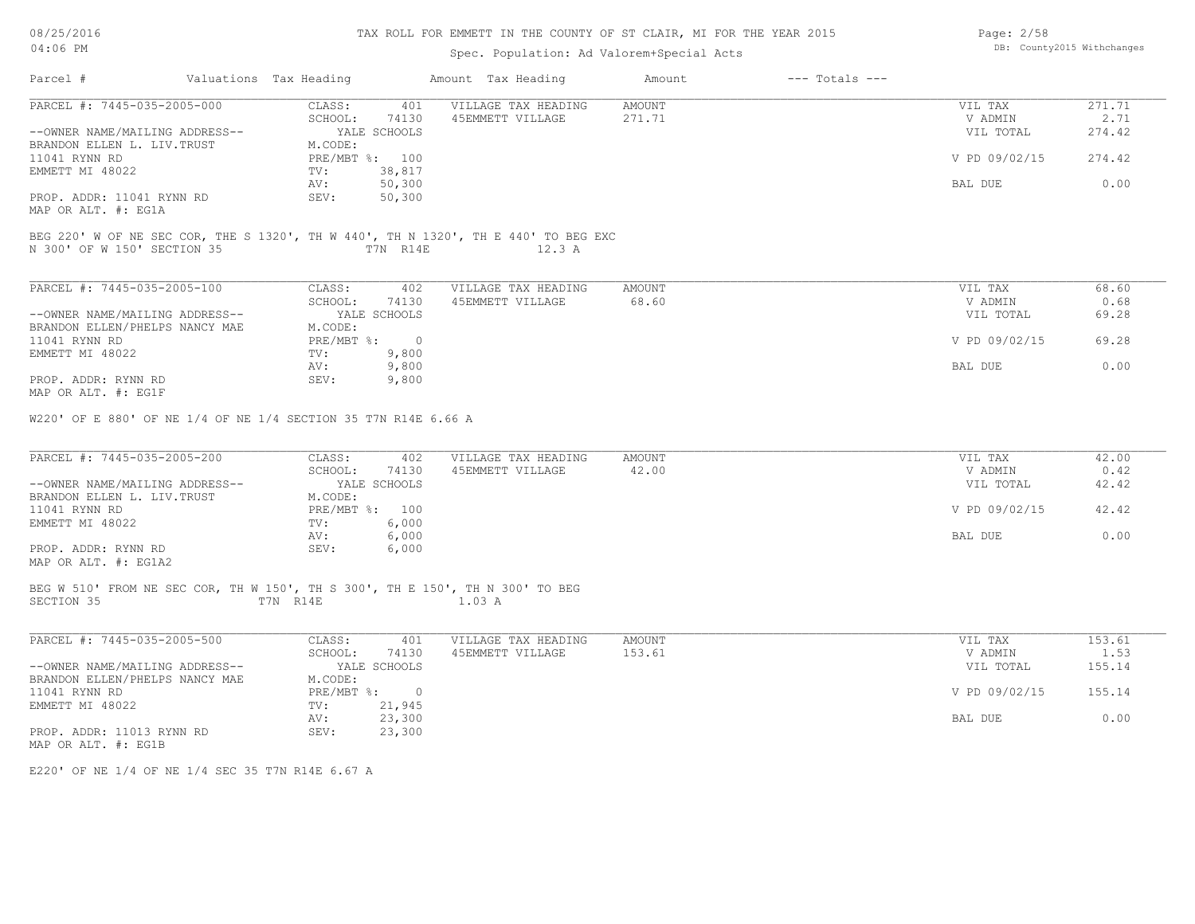# TAX ROLL FOR EMMETT IN THE COUNTY OF ST CLAIR, MI FOR THE YEAR 2015

# Spec. Population: Ad Valorem+Special Acts

| PARCEL #: 7445-035-2005-000                                                                                       | CLASS:                           | 401 VILLAGE TAX HEADING | AMOUNT          | VIL TAX              | 271.71         |
|-------------------------------------------------------------------------------------------------------------------|----------------------------------|-------------------------|-----------------|----------------------|----------------|
| --OWNER NAME/MAILING ADDRESS--                                                                                    | SCHOOL:<br>74130<br>YALE SCHOOLS | 45EMMETT VILLAGE        | 271.71          | V ADMIN<br>VIL TOTAL | 2.71<br>274.42 |
| BRANDON ELLEN L. LIV. TRUST                                                                                       | M.CODE:                          |                         |                 |                      |                |
| 11041 RYNN RD                                                                                                     | PRE/MBT %: 100                   |                         |                 | V PD 09/02/15        | 274.42         |
| EMMETT MI 48022                                                                                                   | TV:<br>38,817                    |                         |                 |                      |                |
|                                                                                                                   | AV: 50,300                       |                         |                 | BAL DUE              | 0.00           |
| PROP. ADDR: 11041 RYNN RD<br>MAP OR ALT. #: EG1A                                                                  | 50, 300<br>$SEV$ :               |                         |                 |                      |                |
| BEG 220' W OF NE SEC COR, THE S 1320', TH W 440', TH N 1320', TH E 440' TO BEG EXC<br>N 300' OF W 150' SECTION 35 | T 7N R14E                        | 12.3 A                  |                 |                      |                |
| PARCEL #: 7445-035-2005-100                                                                                       | CLASS:                           | 402 VILLAGE TAX HEADING | AMOUNT          | VIL TAX              | 68.60          |
|                                                                                                                   | SCHOOL:<br>74130                 | 45EMMETT VILLAGE        | 68.60           | V ADMIN              | 0.68           |
| --OWNER NAME/MAILING ADDRESS--                                                                                    | YALE SCHOOLS                     |                         |                 | VIL TOTAL            | 69.28          |
| BRANDON ELLEN/PHELPS NANCY MAE                                                                                    | M.CODE:                          |                         |                 |                      |                |
| 11041 RYNN RD                                                                                                     | PRE/MBT %: 0                     |                         |                 | V PD 09/02/15        | 69.28          |
| EMMETT MI 48022                                                                                                   | TV:<br>9,800<br>9,800<br>AV:     |                         |                 | BAL DUE              | 0.00           |
| PROP. ADDR: RYNN RD<br>MAP OR ALT. #: EG1F                                                                        | SEV:<br>9,800                    |                         |                 |                      |                |
| W220' OF E 880' OF NE 1/4 OF NE 1/4 SECTION 35 T7N R14E 6.66 A                                                    |                                  |                         |                 |                      |                |
|                                                                                                                   |                                  |                         |                 |                      |                |
| PARCEL #: 7445-035-2005-200                                                                                       | CLASS:<br>SCHOOL:<br>74130       | 402 VILLAGE TAX HEADING | AMOUNT<br>42.00 | VIL TAX<br>V ADMIN   | 42.00<br>0.42  |
| --OWNER NAME/MAILING ADDRESS--                                                                                    | YALE SCHOOLS                     | 45EMMETT VILLAGE        |                 | VIL TOTAL            | 42.42          |
| BRANDON ELLEN L. LIV. TRUST                                                                                       | M.CODE:                          |                         |                 |                      |                |
| 11041 RYNN RD                                                                                                     | PRE/MBT %: 100                   |                         |                 | V PD 09/02/15        | 42.42          |
| EMMETT MI 48022                                                                                                   | TV:<br>6,000                     |                         |                 |                      |                |
| PROP. ADDR: RYNN RD<br>MAP OR ALT. #: EG1A2                                                                       | 6,000<br>AV:<br>SEV:<br>6,000    |                         |                 | BAL DUE              | 0.00           |
| BEG W 510' FROM NE SEC COR, TH W 150', TH S 300', TH E 150', TH N 300' TO BEG<br>SECTION 35                       | T7N R14E 1.03 A                  |                         |                 |                      |                |
|                                                                                                                   |                                  |                         |                 |                      |                |
| PARCEL #: 7445-035-2005-500                                                                                       | CLASS: 401                       | VILLAGE TAX HEADING     | AMOUNT          | VIL TAX              | 153.61         |
|                                                                                                                   | SCHOOL:<br>74130                 | 45EMMETT VILLAGE        | 153.61          | V ADMIN              | 1.53           |
| --OWNER NAME/MAILING ADDRESS--                                                                                    | YALE SCHOOLS                     |                         |                 | VIL TOTAL            | 155.14         |
| BRANDON ELLEN/PHELPS NANCY MAE                                                                                    | M.CODE:                          |                         |                 |                      |                |
| 11041 RYNN RD<br>EMMETT MI 48022                                                                                  | PRE/MBT %: 0<br>TV: 21,945       |                         |                 | V PD 09/02/15        | 155.14         |

E220' OF NE 1/4 OF NE 1/4 SEC 35 T7N R14E 6.67 A

Page: 2/58 DB: County2015 Withchanges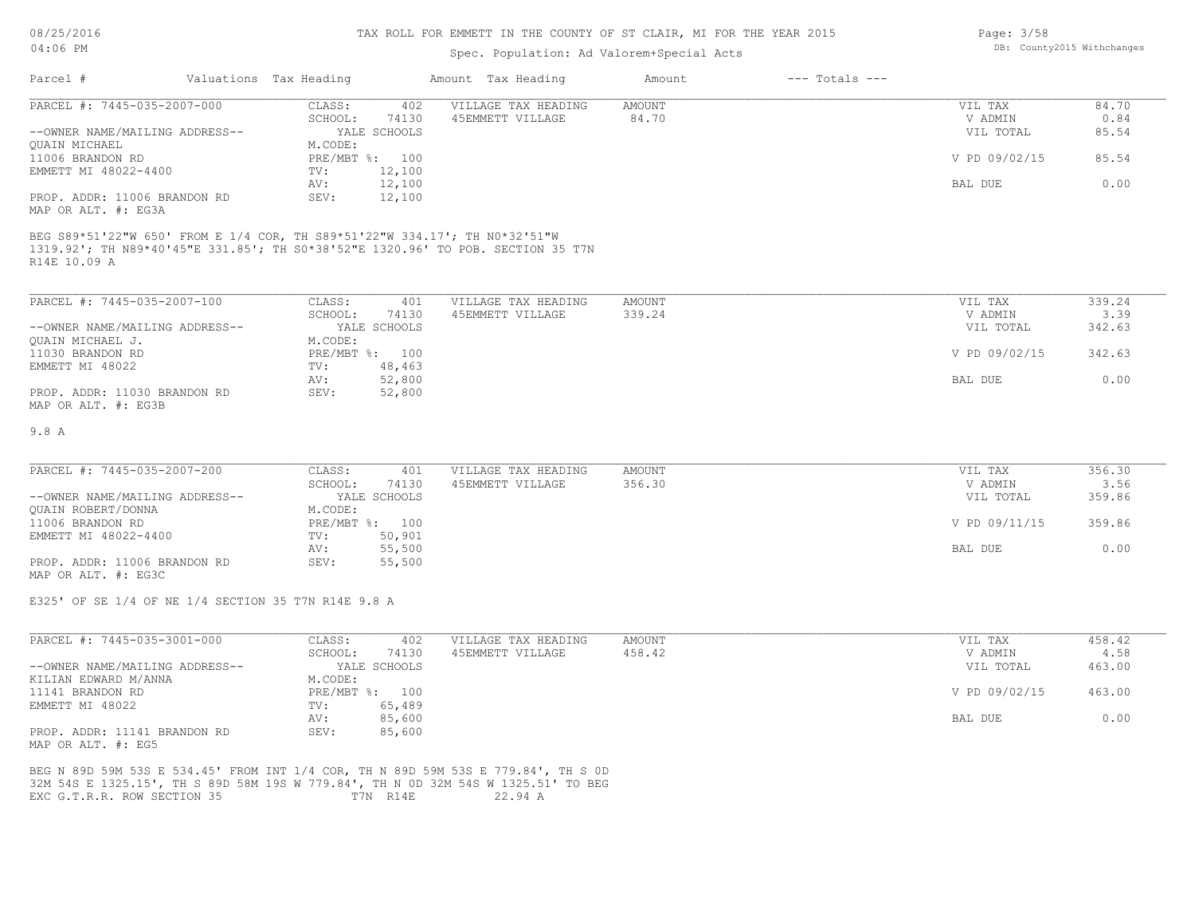#### TAX ROLL FOR EMMETT IN THE COUNTY OF ST CLAIR, MI FOR THE YEAR 2015

# Spec. Population: Ad Valorem+Special Acts

| Parcel #                       | Valuations Tax Heading |                | Amount Tax Heading  | Amount | $---$ Totals $---$ |               |       |
|--------------------------------|------------------------|----------------|---------------------|--------|--------------------|---------------|-------|
| PARCEL #: 7445-035-2007-000    | CLASS:                 | 402            | VILLAGE TAX HEADING | AMOUNT |                    | VIL TAX       | 84.70 |
|                                | SCHOOL:                | 74130          | 45EMMETT VILLAGE    | 84.70  |                    | V ADMIN       | 0.84  |
| --OWNER NAME/MAILING ADDRESS-- |                        | YALE SCHOOLS   |                     |        |                    | VIL TOTAL     | 85.54 |
| QUAIN MICHAEL                  | M.CODE:                |                |                     |        |                    |               |       |
| 11006 BRANDON RD               |                        | PRE/MBT %: 100 |                     |        |                    | V PD 09/02/15 | 85.54 |
| EMMETT MI 48022-4400           | TV:                    | 12,100         |                     |        |                    |               |       |
|                                | AV:                    | 12,100         |                     |        |                    | BAL DUE       | 0.00  |
| PROP. ADDR: 11006 BRANDON RD   | SEV:                   | 12,100         |                     |        |                    |               |       |
| MAP OR ALT. #: EG3A            |                        |                |                     |        |                    |               |       |

R14E 10.09 A 1319.92'; TH N89\*40'45"E 331.85'; TH S0\*38'52"E 1320.96' TO POB. SECTION 35 T7N

| PARCEL #: 7445-035-2007-100    | CLASS:  | 401            | VILLAGE TAX HEADING | AMOUNT | VIL TAX       | 339.24 |
|--------------------------------|---------|----------------|---------------------|--------|---------------|--------|
|                                | SCHOOL: | 74130          | 45EMMETT VILLAGE    | 339.24 | V ADMIN       | 3.39   |
| --OWNER NAME/MAILING ADDRESS-- |         | YALE SCHOOLS   |                     |        | VIL TOTAL     | 342.63 |
| OUAIN MICHAEL J.               | M.CODE: |                |                     |        |               |        |
| 11030 BRANDON RD               |         | PRE/MBT %: 100 |                     |        | V PD 09/02/15 | 342.63 |
| EMMETT MI 48022                | TV:     | 48,463         |                     |        |               |        |
|                                | AV:     | 52,800         |                     |        | BAL DUE       | 0.00   |
| PROP. ADDR: 11030 BRANDON RD   | SEV:    | 52,800         |                     |        |               |        |
| MAP OR ALT. #: EG3B            |         |                |                     |        |               |        |

#### 9.8 A

| PARCEL #: 7445-035-2007-200<br>AMOUNT<br>CLASS:<br>VILLAGE TAX HEADING<br>401 | VIL TAX       | 356.30 |
|-------------------------------------------------------------------------------|---------------|--------|
| 74130<br>356.30<br>45EMMETT VILLAGE<br>SCHOOL:                                | V ADMIN       | 3.56   |
| --OWNER NAME/MAILING ADDRESS--<br>YALE SCHOOLS                                | VIL TOTAL     | 359.86 |
| QUAIN ROBERT/DONNA<br>M.CODE:                                                 |               |        |
| 11006 BRANDON RD<br>PRE/MBT %: 100                                            | V PD 09/11/15 | 359.86 |
| EMMETT MI 48022-4400<br>50,901<br>TV:                                         |               |        |
| 55,500<br>AV:                                                                 | BAL DUE       | 0.00   |
| PROP. ADDR: 11006 BRANDON RD<br>55,500<br>SEV:                                |               |        |

MAP OR ALT. #: EG3C

E325' OF SE 1/4 OF NE 1/4 SECTION 35 T7N R14E 9.8 A

| PARCEL #: 7445-035-3001-000    | CLASS:       | 402          | VILLAGE TAX HEADING | AMOUNT | 458.42<br>VIL TAX       |
|--------------------------------|--------------|--------------|---------------------|--------|-------------------------|
|                                | SCHOOL:      | 74130        | 45EMMETT VILLAGE    | 458.42 | V ADMIN<br>4.58         |
| --OWNER NAME/MAILING ADDRESS-- |              | YALE SCHOOLS |                     |        | 463.00<br>VIL TOTAL     |
| KILIAN EDWARD M/ANNA           | M.CODE:      |              |                     |        |                         |
| 11141 BRANDON RD               | $PRE/MBT$ %: | 100          |                     |        | V PD 09/02/15<br>463.00 |
| EMMETT MI 48022                | TV:          | 65,489       |                     |        |                         |
|                                | AV:          | 85,600       |                     |        | 0.00<br>BAL DUE         |
| PROP. ADDR: 11141 BRANDON RD   | SEV:         | 85,600       |                     |        |                         |
| MAP OR ALT. #: EG5             |              |              |                     |        |                         |

EXC G.T.R.R. ROW SECTION 35 T7N R14E 22.94 A 32M 54S E 1325.15', TH S 89D 58M 19S W 779.84', TH N 0D 32M 54S W 1325.51' TO BEG BEG N 89D 59M 53S E 534.45' FROM INT 1/4 COR, TH N 89D 59M 53S E 779.84', TH S 0D

Page: 3/58 DB: County2015 Withchanges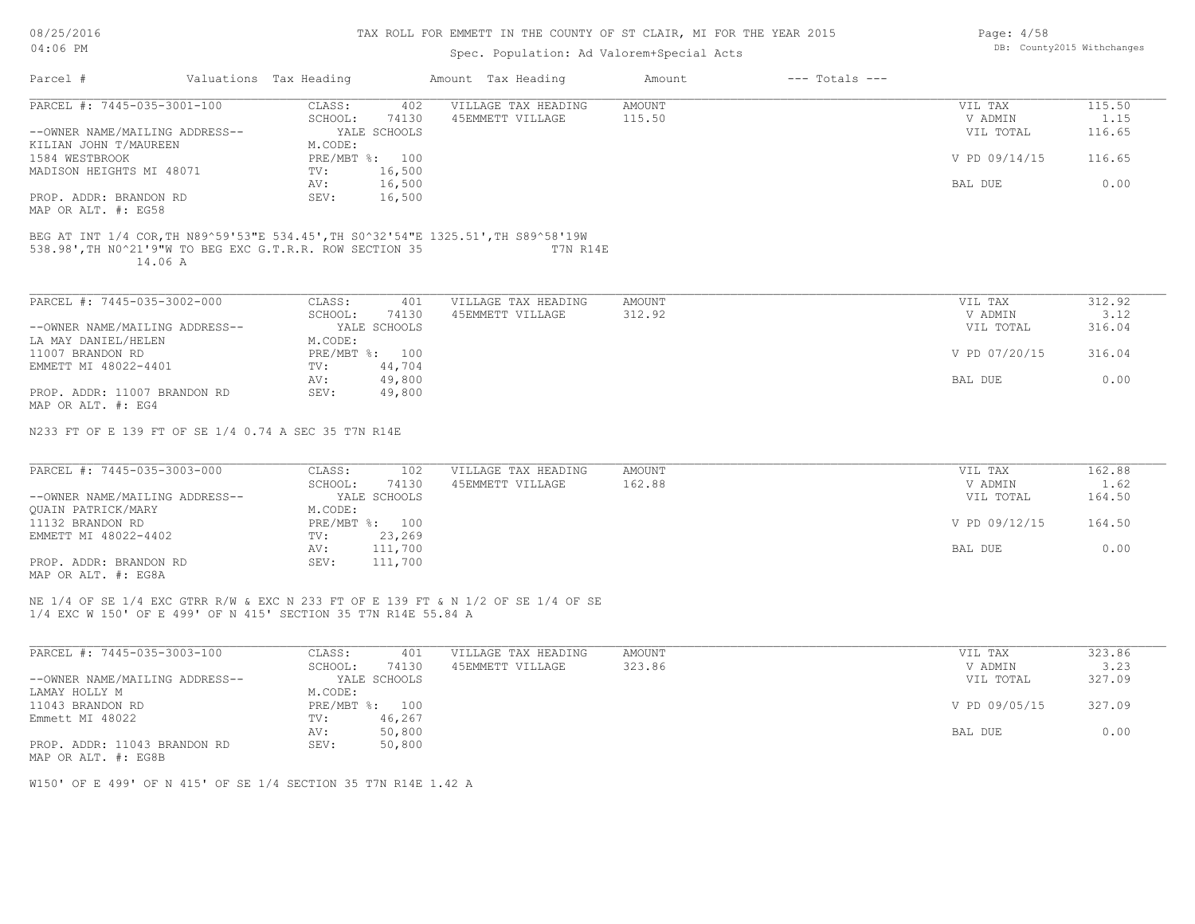### TAX ROLL FOR EMMETT IN THE COUNTY OF ST CLAIR, MI FOR THE YEAR 2015

# Spec. Population: Ad Valorem+Special Acts

| Parcel #                                             | Valuations Tax Heading |              | Amount Tax Heading                       | Amount          | $---$ Totals $---$ |                             |                           |
|------------------------------------------------------|------------------------|--------------|------------------------------------------|-----------------|--------------------|-----------------------------|---------------------------|
| PARCEL #: 7445-035-3001-100                          | CLASS:                 | 402          | VILLAGE TAX HEADING                      | AMOUNT          |                    | VIL TAX                     | 115.50                    |
|                                                      | SCHOOL:                | 74130        | 45EMMETT VILLAGE                         | 115.50          |                    | V ADMIN                     | 1.15                      |
| --OWNER NAME/MAILING ADDRESS--                       |                        | YALE SCHOOLS |                                          |                 |                    | VIL TOTAL                   | 116.65                    |
| KILIAN JOHN T/MAUREEN                                | M.CODE:                |              |                                          |                 |                    |                             |                           |
| 1584 WESTBROOK                                       | PRE/MBT %: 100         |              |                                          |                 |                    | V PD 09/14/15               | 116.65                    |
| MADISON HEIGHTS MI 48071                             | TV:                    | 16,500       |                                          |                 |                    |                             |                           |
|                                                      | AV:                    | 16,500       |                                          |                 |                    | BAL DUE                     | 0.00                      |
| PROP. ADDR: BRANDON RD                               | SEV:                   | 16,500       |                                          |                 |                    |                             |                           |
| MAP OR ALT. #: EG58                                  |                        |              |                                          |                 |                    |                             |                           |
| PARCEL #: 7445-035-3002-000                          | CLASS:                 | 401          | VILLAGE TAX HEADING                      | AMOUNT          |                    | VIL TAX                     | 312.92                    |
| --OWNER NAME/MAILING ADDRESS--                       | SCHOOL:                | 74130        | 45EMMETT VILLAGE                         | 312.92          |                    | V ADMIN                     | 3.12<br>316.04            |
| LA MAY DANIEL/HELEN                                  | M.CODE:                | YALE SCHOOLS |                                          |                 |                    | VIL TOTAL                   |                           |
| 11007 BRANDON RD                                     | PRE/MBT %: 100         |              |                                          |                 |                    | V PD 07/20/15               | 316.04                    |
| EMMETT MI 48022-4401                                 | TV:                    | 44,704       |                                          |                 |                    |                             |                           |
|                                                      | AV:                    | 49,800       |                                          |                 |                    | BAL DUE                     | 0.00                      |
| PROP. ADDR: 11007 BRANDON RD                         | SEV:                   | 49,800       |                                          |                 |                    |                             |                           |
| MAP OR ALT. #: EG4                                   |                        |              |                                          |                 |                    |                             |                           |
| N233 FT OF E 139 FT OF SE 1/4 0.74 A SEC 35 T7N R14E |                        |              |                                          |                 |                    |                             |                           |
|                                                      |                        |              |                                          |                 |                    |                             |                           |
| PARCEL #: 7445-035-3003-000                          | CLASS:<br>COUOQI .     | 102<br>71120 | VILLAGE TAX HEADING<br>A SEMMETT ITTIJCE | AMOUNT<br>16200 |                    | VIL TAX<br><b>IZ ADMINI</b> | 162.88<br>1 <sub>62</sub> |

|                                | SCHOOL:        | 74130   | 45EMMETT VILLAGE | 162.88 | V ADMIN       | 1.62   |
|--------------------------------|----------------|---------|------------------|--------|---------------|--------|
| --OWNER NAME/MAILING ADDRESS-- | YALE SCHOOLS   |         |                  |        | VIL TOTAL     | 164.50 |
| OUAIN PATRICK/MARY             | M.CODE:        |         |                  |        |               |        |
| 11132 BRANDON RD               | PRE/MBT %: 100 |         |                  |        | V PD 09/12/15 | 164.50 |
| EMMETT MI 48022-4402           | TV:            | 23,269  |                  |        |               |        |
|                                | AV:            | 111,700 |                  |        | BAL DUE       | 0.00   |
| PROP. ADDR: BRANDON RD         | SEV:           | 111,700 |                  |        |               |        |
| MAP OR ALT. #: EG8A            |                |         |                  |        |               |        |

NE 1/4 OF SE 1/4 EXC GTRR R/W & EXC N 233 FT OF E 139 FT & N 1/2 OF SE 1/4 OF SE

1/4 EXC W 150' OF E 499' OF N 415' SECTION 35 T7N R14E 55.84 A

| PARCEL #: 7445-035-3003-100    | CLASS:  | 401            | VILLAGE TAX HEADING | AMOUNT | VIL TAX       | 323.86 |
|--------------------------------|---------|----------------|---------------------|--------|---------------|--------|
|                                | SCHOOL: | 74130          | 45EMMETT VILLAGE    | 323.86 | V ADMIN       | 3.23   |
| --OWNER NAME/MAILING ADDRESS-- |         | YALE SCHOOLS   |                     |        | VIL TOTAL     | 327.09 |
| LAMAY HOLLY M                  | M.CODE: |                |                     |        |               |        |
| 11043 BRANDON RD               |         | PRE/MBT %: 100 |                     |        | V PD 09/05/15 | 327.09 |
| Emmett MI 48022                | TV:     | 46,267         |                     |        |               |        |
|                                | AV:     | 50,800         |                     |        | BAL DUE       | 0.00   |
| PROP. ADDR: 11043 BRANDON RD   | SEV:    | 50,800         |                     |        |               |        |
| MAP OR ALT. #: EG8B            |         |                |                     |        |               |        |

W150' OF E 499' OF N 415' OF SE 1/4 SECTION 35 T7N R14E 1.42 A

Page: 4/58 DB: County2015 Withchanges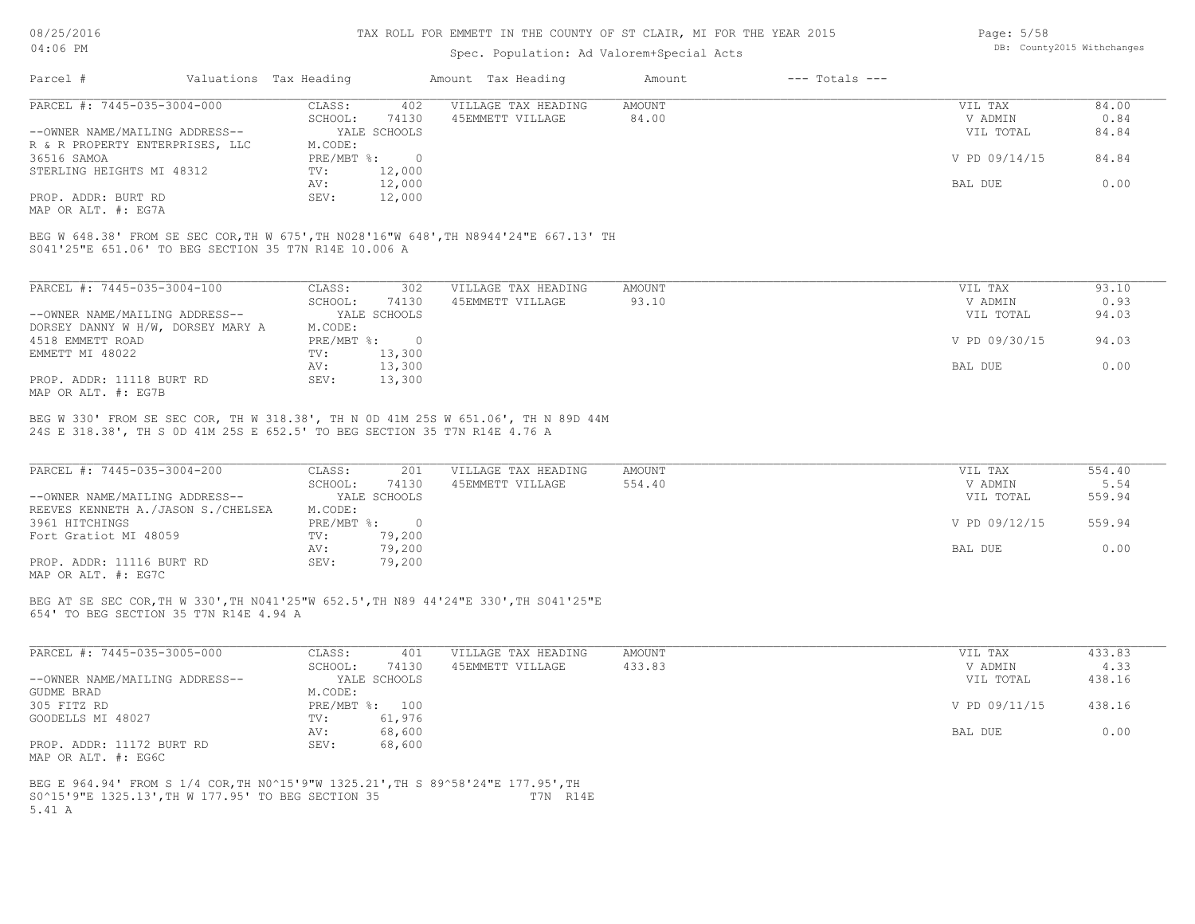#### TAX ROLL FOR EMMETT IN THE COUNTY OF ST CLAIR, MI FOR THE YEAR 2015

### Spec. Population: Ad Valorem+Special Acts

| Parcel #                        | Valuations Tax Heading |              | Amount Tax Heading  | Amount | $---$ Totals $---$ |               |       |
|---------------------------------|------------------------|--------------|---------------------|--------|--------------------|---------------|-------|
| PARCEL #: 7445-035-3004-000     | CLASS:                 | 402          | VILLAGE TAX HEADING | AMOUNT |                    | VIL TAX       | 84.00 |
|                                 | SCHOOL:                | 74130        | 45EMMETT VILLAGE    | 84.00  |                    | V ADMIN       | 0.84  |
| --OWNER NAME/MAILING ADDRESS--  |                        | YALE SCHOOLS |                     |        |                    | VIL TOTAL     | 84.84 |
| R & R PROPERTY ENTERPRISES, LLC | M.CODE:                |              |                     |        |                    |               |       |
| 36516 SAMOA                     | PRE/MBT %:             |              |                     |        |                    | V PD 09/14/15 | 84.84 |
| STERLING HEIGHTS MI 48312       | TV:                    | 12,000       |                     |        |                    |               |       |
|                                 | AV:                    | 12,000       |                     |        |                    | BAL DUE       | 0.00  |
| PROP. ADDR: BURT RD             | SEV:                   | 12,000       |                     |        |                    |               |       |

MAP OR ALT. #: EG7A

S041'25"E 651.06' TO BEG SECTION 35 T7N R14E 10.006 A BEG W 648.38' FROM SE SEC COR,TH W 675',TH N028'16"W 648',TH N8944'24"E 667.13' TH

| PARCEL #: 7445-035-3004-100       | CLASS:       | 302          | VILLAGE TAX HEADING | AMOUNT | 93.10<br>VIL TAX       |
|-----------------------------------|--------------|--------------|---------------------|--------|------------------------|
|                                   | SCHOOL:      | 74130        | 45EMMETT VILLAGE    | 93.10  | 0.93<br>V ADMIN        |
| --OWNER NAME/MAILING ADDRESS--    |              | YALE SCHOOLS |                     |        | 94.03<br>VIL TOTAL     |
| DORSEY DANNY W H/W, DORSEY MARY A | M.CODE:      |              |                     |        |                        |
| 4518 EMMETT ROAD                  | $PRE/MBT$ %: | $\Omega$     |                     |        | V PD 09/30/15<br>94.03 |
| EMMETT MI 48022                   | TV:          | 13,300       |                     |        |                        |
|                                   | AV:          | 13,300       |                     |        | 0.00<br>BAL DUE        |
| PROP. ADDR: 11118 BURT RD         | SEV:         | 13,300       |                     |        |                        |
| MAP OR ALT. #: EG7B               |              |              |                     |        |                        |

24S E 318.38', TH S 0D 41M 25S E 652.5' TO BEG SECTION 35 T7N R14E 4.76 A BEG W 330' FROM SE SEC COR, TH W 318.38', TH N 0D 41M 25S W 651.06', TH N 89D 44M

| PARCEL #: 7445-035-3004-200            | CLASS:       | 201          | VILLAGE TAX HEADING | AMOUNT | VIL TAX       | 554.40 |
|----------------------------------------|--------------|--------------|---------------------|--------|---------------|--------|
|                                        | SCHOOL:      | 74130        | 45EMMETT VILLAGE    | 554.40 | V ADMIN       | 5.54   |
| --OWNER NAME/MAILING ADDRESS--         |              | YALE SCHOOLS |                     |        | VIL TOTAL     | 559.94 |
| REEVES KENNETH A. / JASON S. / CHELSEA | M.CODE:      |              |                     |        |               |        |
| 3961 HITCHINGS                         | $PRE/MBT$ %: |              |                     |        | V PD 09/12/15 | 559.94 |
| Fort Gratiot MI 48059                  | TV:          | 79,200       |                     |        |               |        |
|                                        | AV:          | 79,200       |                     |        | BAL DUE       | 0.00   |
| PROP. ADDR: 11116 BURT RD              | SEV:         | 79,200       |                     |        |               |        |
| MAP OR ALT. #: EG7C                    |              |              |                     |        |               |        |

BEG AT SE SEC COR,TH W 330',TH N041'25"W 652.5',TH N89 44'24"E 330',TH S041'25"E

654' TO BEG SECTION 35 T7N R14E 4.94 A

| PARCEL #: 7445-035-3005-000    | CLASS:  | 401            | VILLAGE TAX HEADING | AMOUNT | VIL TAX       | 433.83 |
|--------------------------------|---------|----------------|---------------------|--------|---------------|--------|
|                                | SCHOOL: | 74130          | 45EMMETT VILLAGE    | 433.83 | V ADMIN       | 4.33   |
| --OWNER NAME/MAILING ADDRESS-- |         | YALE SCHOOLS   |                     |        | VIL TOTAL     | 438.16 |
| GUDME BRAD                     | M.CODE: |                |                     |        |               |        |
| 305 FITZ RD                    |         | PRE/MBT %: 100 |                     |        | V PD 09/11/15 | 438.16 |
| GOODELLS MI 48027              | TV:     | 61,976         |                     |        |               |        |
|                                | AV:     | 68,600         |                     |        | BAL DUE       | 0.00   |
| PROP. ADDR: 11172 BURT RD      | SEV:    | 68,600         |                     |        |               |        |
| MAP OR ALT. #: EG6C            |         |                |                     |        |               |        |

5.41 A S0^15'9"E 1325.13',TH W 177.95' TO BEG SECTION 35 T7N R14E BEG E 964.94' FROM S 1/4 COR,TH N0^15'9"W 1325.21',TH S 89^58'24"E 177.95',TH

Page: 5/58 DB: County2015 Withchanges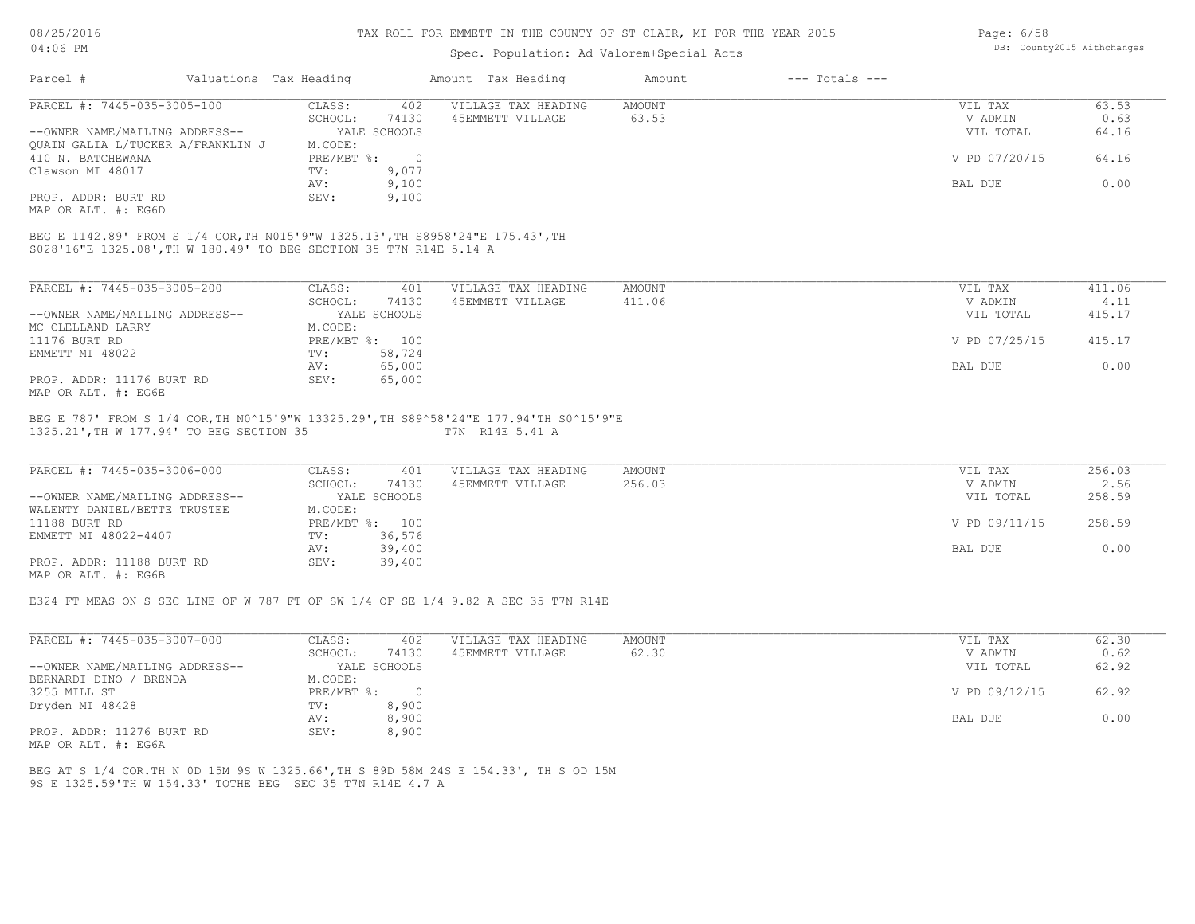#### TAX ROLL FOR EMMETT IN THE COUNTY OF ST CLAIR, MI FOR THE YEAR 2015

## Spec. Population: Ad Valorem+Special Acts

| Valuations Tax Heading<br>Parcel #                                                                                                                   | Amount Tax Heading                    |                     |               |               |        |
|------------------------------------------------------------------------------------------------------------------------------------------------------|---------------------------------------|---------------------|---------------|---------------|--------|
| PARCEL #: 7445-035-3005-100                                                                                                                          | 402<br>CLASS:                         | VILLAGE TAX HEADING | <b>AMOUNT</b> | VIL TAX       | 63.53  |
|                                                                                                                                                      | 74130<br>SCHOOL:                      | 45EMMETT VILLAGE    | 63.53         | V ADMIN       | 0.63   |
| --OWNER NAME/MAILING ADDRESS--                                                                                                                       | YALE SCHOOLS                          |                     |               | VIL TOTAL     | 64.16  |
| OUAIN GALIA L/TUCKER A/FRANKLIN J                                                                                                                    | M.CODE:                               |                     |               |               |        |
| 410 N. BATCHEWANA                                                                                                                                    | $PRE/MBT$ $\frac{1}{6}$ :<br>$\sim$ 0 |                     |               | V PD 07/20/15 | 64.16  |
| Clawson MI 48017                                                                                                                                     | 9,077<br>TV:                          |                     |               |               |        |
|                                                                                                                                                      | 9,100<br>AV:                          |                     |               | BAL DUE       | 0.00   |
| PROP. ADDR: BURT RD                                                                                                                                  | 9,100<br>SEV:                         |                     |               |               |        |
| MAP OR ALT. #: EG6D                                                                                                                                  |                                       |                     |               |               |        |
| BEG E 1142.89' FROM S 1/4 COR, TH N015'9"W 1325.13', TH S8958'24"E 175.43', TH<br>S028'16"E 1325.08', TH W 180.49' TO BEG SECTION 35 T7N R14E 5.14 A |                                       |                     |               |               |        |
| PARCEL #: 7445-035-3005-200                                                                                                                          | 401<br>CLASS:                         | VILLAGE TAX HEADING | AMOUNT        | VIL TAX       | 411.06 |
|                                                                                                                                                      | SCHOOL:<br>74130                      | 45EMMETT VILLAGE    | 411.06        | V ADMIN       | 4.11   |
| --OWNER NAME/MAILING ADDRESS--                                                                                                                       | YALE SCHOOLS                          |                     |               | VIL TOTAL     | 415.17 |
| MC CLELLAND LARRY                                                                                                                                    | M.CODE:                               |                     |               |               |        |
| 11176 BURT RD                                                                                                                                        | PRE/MBT %: 100                        |                     |               | V PD 07/25/15 | 415.17 |
| EMMETT MI 48022                                                                                                                                      | 58,724<br>TV:                         |                     |               |               |        |
|                                                                                                                                                      | 65,000<br>AV:                         |                     |               | BAL DUE       | 0.00   |
| PROP. ADDR: 11176 BURT RD<br>MAP OR ALT. #: EG6E                                                                                                     | 65,000<br>SEV:                        |                     |               |               |        |

### 1325.21',TH W 177.94' TO BEG SECTION 35 T7N R14E 5.41 A BEG E 787' FROM S 1/4 COR,TH N0^15'9"W 13325.29',TH S89^58'24"E 177.94'TH S0^15'9"E

| PARCEL #: 7445-035-3006-000    | CLASS:  | 401            | VILLAGE TAX HEADING | AMOUNT | VIL TAX       | 256.03 |
|--------------------------------|---------|----------------|---------------------|--------|---------------|--------|
|                                | SCHOOL: | 74130          | 45EMMETT VILLAGE    | 256.03 | V ADMIN       | 2.56   |
| --OWNER NAME/MAILING ADDRESS-- |         | YALE SCHOOLS   |                     |        | VIL TOTAL     | 258.59 |
| WALENTY DANIEL/BETTE TRUSTEE   | M.CODE: |                |                     |        |               |        |
| 11188 BURT RD                  |         | PRE/MBT %: 100 |                     |        | V PD 09/11/15 | 258.59 |
| EMMETT MI 48022-4407           | TV:     | 36,576         |                     |        |               |        |
|                                | AV:     | 39,400         |                     |        | BAL DUE       | 0.00   |
| PROP. ADDR: 11188 BURT RD      | SEV:    | 39,400         |                     |        |               |        |
| MAP OR ALT. #: EG6B            |         |                |                     |        |               |        |

#### E324 FT MEAS ON S SEC LINE OF W 787 FT OF SW 1/4 OF SE 1/4 9.82 A SEC 35 T7N R14E

| PARCEL #: 7445-035-3007-000    | CLASS:       | 402          | VILLAGE TAX HEADING | AMOUNT | VIL TAX       | 62.30 |
|--------------------------------|--------------|--------------|---------------------|--------|---------------|-------|
|                                | SCHOOL:      | 74130        | 45EMMETT VILLAGE    | 62.30  | V ADMIN       | 0.62  |
| --OWNER NAME/MAILING ADDRESS-- |              | YALE SCHOOLS |                     |        | VIL TOTAL     | 62.92 |
| BERNARDI DINO /<br>/ BRENDA    | M.CODE:      |              |                     |        |               |       |
| 3255 MILL ST                   | $PRE/MBT$ %: | $\Box$       |                     |        | V PD 09/12/15 | 62.92 |
| Dryden MI 48428                | TV:          | 8,900        |                     |        |               |       |
|                                | AV:          | 8,900        |                     |        | BAL DUE       | 0.00  |
| PROP. ADDR: 11276 BURT RD      | SEV:         | 8,900        |                     |        |               |       |

MAP OR ALT. #: EG6A

9S E 1325.59'TH W 154.33' TOTHE BEG SEC 35 T7N R14E 4.7 A BEG AT S 1/4 COR.TH N 0D 15M 9S W 1325.66',TH S 89D 58M 24S E 154.33', TH S OD 15M Page: 6/58 DB: County2015 Withchanges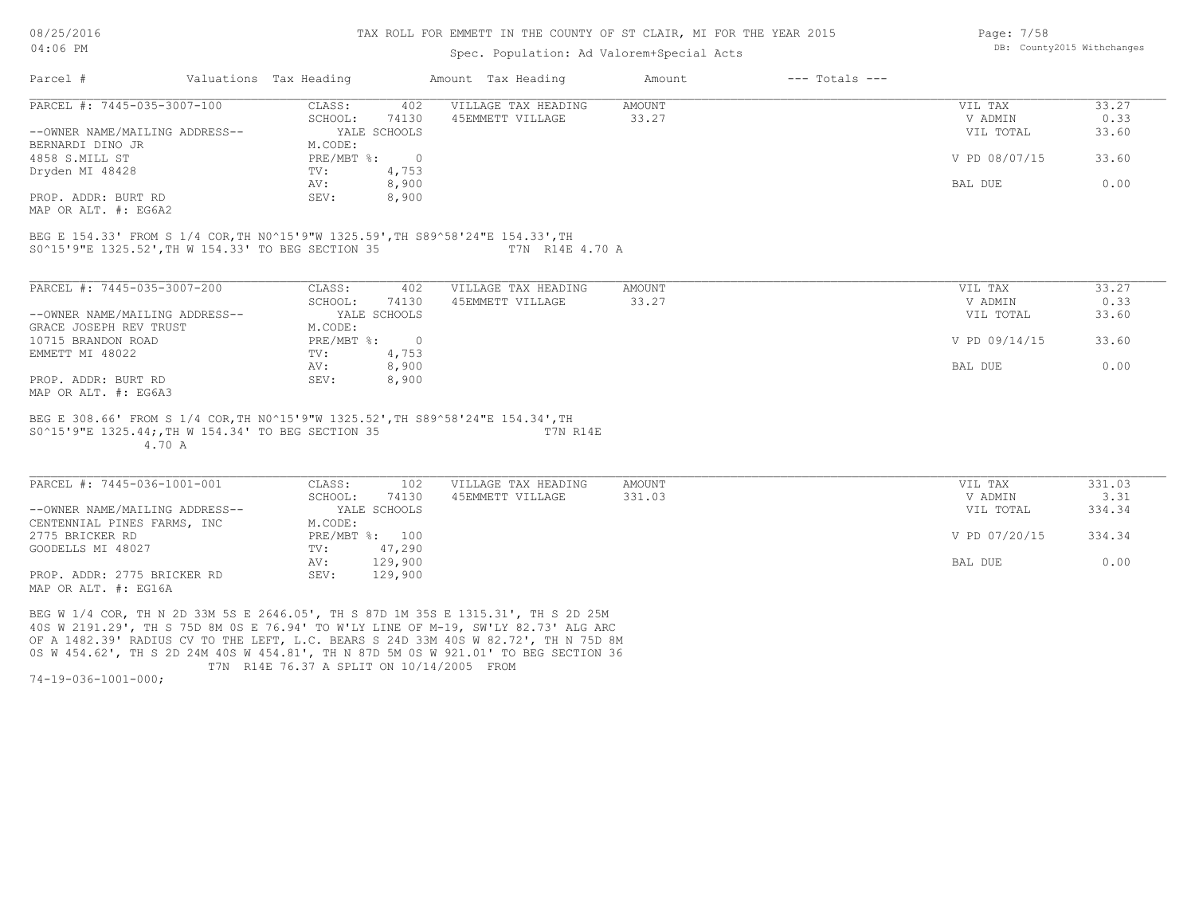#### TAX ROLL FOR EMMETT IN THE COUNTY OF ST CLAIR, MI FOR THE YEAR 2015

### Spec. Population: Ad Valorem+Special Acts

| Page: 7/58 |                            |
|------------|----------------------------|
|            | DB: County2015 Withchanges |

| Parcel #                       | Valuations Tax Heading |              | Amount Tax Heading  | Amount | $---$ Totals $---$ |               |       |
|--------------------------------|------------------------|--------------|---------------------|--------|--------------------|---------------|-------|
| PARCEL #: 7445-035-3007-100    | CLASS:                 | 402          | VILLAGE TAX HEADING | AMOUNT |                    | VIL TAX       | 33.27 |
|                                | SCHOOL:                | 74130        | 45EMMETT VILLAGE    | 33.27  |                    | V ADMIN       | 0.33  |
| --OWNER NAME/MAILING ADDRESS-- |                        | YALE SCHOOLS |                     |        |                    | VIL TOTAL     | 33.60 |
| BERNARDI DINO JR               | M.CODE:                |              |                     |        |                    |               |       |
| 4858 S.MILL ST                 | PRE/MBT %:             | $\Omega$     |                     |        |                    | V PD 08/07/15 | 33.60 |
| Dryden MI 48428                | TV:                    | 4,753        |                     |        |                    |               |       |
|                                | AV:                    | 8,900        |                     |        |                    | BAL DUE       | 0.00  |
| PROP. ADDR: BURT RD            | SEV:                   | 8,900        |                     |        |                    |               |       |
| MAP OR ALT. #: EG6A2           |                        |              |                     |        |                    |               |       |

S0^15'9"E 1325.52',TH W 154.33' TO BEG SECTION 35 T7N R14E 4.70 A BEG E 154.33' FROM S 1/4 COR,TH N0^15'9"W 1325.59',TH S89^58'24"E 154.33',TH

| PARCEL #: 7445-035-3007-200    | CLASS:     | 402          | VILLAGE TAX HEADING | AMOUNT | 33.27<br>VIL TAX       |
|--------------------------------|------------|--------------|---------------------|--------|------------------------|
|                                | SCHOOL:    | 74130        | 45EMMETT VILLAGE    | 33.27  | 0.33<br>V ADMIN        |
| --OWNER NAME/MAILING ADDRESS-- |            | YALE SCHOOLS |                     |        | 33.60<br>VIL TOTAL     |
| GRACE JOSEPH REV TRUST         | M.CODE:    |              |                     |        |                        |
| 10715 BRANDON ROAD             | PRE/MBT %: |              |                     |        | V PD 09/14/15<br>33.60 |
| EMMETT MI 48022                | TV:        | 4,753        |                     |        |                        |
|                                | AV:        | 8,900        |                     |        | 0.00<br>BAL DUE        |
| PROP. ADDR: BURT RD            | SEV:       | 8,900        |                     |        |                        |
| MAP OR ALT. #: EG6A3           |            |              |                     |        |                        |

 4.70 A S0^15'9"E 1325.44;,TH W 154.34' TO BEG SECTION 35 T7N R14E BEG E 308.66' FROM S 1/4 COR,TH N0^15'9"W 1325.52',TH S89^58'24"E 154.34',TH

| PARCEL #: 7445-036-1001-001    | CLASS:  | 102            | VILLAGE TAX HEADING | AMOUNT | VIL TAX       | 331.03 |
|--------------------------------|---------|----------------|---------------------|--------|---------------|--------|
|                                | SCHOOL: | 74130          | 45EMMETT VILLAGE    | 331.03 | V ADMIN       | 3.31   |
| --OWNER NAME/MAILING ADDRESS-- |         | YALE SCHOOLS   |                     |        | VIL TOTAL     | 334.34 |
| CENTENNIAL PINES FARMS, INC    | M.CODE: |                |                     |        |               |        |
| 2775 BRICKER RD                |         | PRE/MBT %: 100 |                     |        | V PD 07/20/15 | 334.34 |
| GOODELLS MI 48027              | TV:     | 47,290         |                     |        |               |        |
|                                | AV:     | 129,900        |                     |        | BAL DUE       | 0.00   |
| PROP. ADDR: 2775 BRICKER RD    | SEV:    | 129,900        |                     |        |               |        |
| MAP OR ALT. #: EG16A           |         |                |                     |        |               |        |

 $\_$  , and the state of the state of the state of the state of the state of the state of the state of the state of the state of the state of the state of the state of the state of the state of the state of the state of the

 T7N R14E 76.37 A SPLIT ON 10/14/2005 FROM 0S W 454.62', TH S 2D 24M 40S W 454.81', TH N 87D 5M 0S W 921.01' TO BEG SECTION 36 OF A 1482.39' RADIUS CV TO THE LEFT, L.C. BEARS S 24D 33M 40S W 82.72', TH N 75D 8M 40S W 2191.29', TH S 75D 8M 0S E 76.94' TO W'LY LINE OF M-19, SW'LY 82.73' ALG ARC BEG W 1/4 COR, TH N 2D 33M 5S E 2646.05', TH S 87D 1M 35S E 1315.31', TH S 2D 25M

74-19-036-1001-000;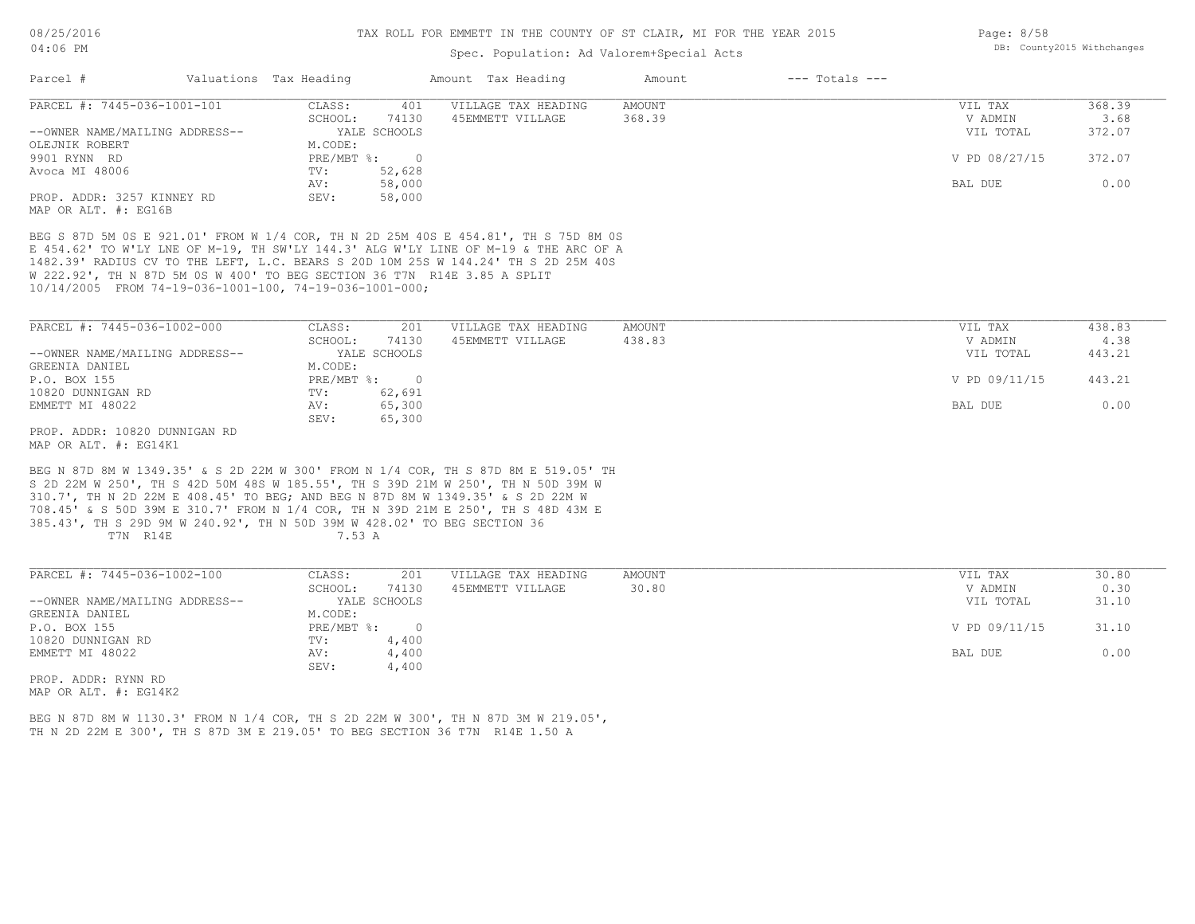### Spec. Population: Ad Valorem+Special Acts

| Parcel #                                           | Valuations Tax Heading |              | Amount Tax Heading  | Amount | $---$ Totals $---$ |               |        |
|----------------------------------------------------|------------------------|--------------|---------------------|--------|--------------------|---------------|--------|
| PARCEL #: 7445-036-1001-101                        | CLASS:                 | 401          | VILLAGE TAX HEADING | AMOUNT |                    | VIL TAX       | 368.39 |
|                                                    | SCHOOL:                | 74130        | 45EMMETT VILLAGE    | 368.39 |                    | V ADMIN       | 3.68   |
| --OWNER NAME/MAILING ADDRESS--                     |                        | YALE SCHOOLS |                     |        |                    | VIL TOTAL     | 372.07 |
| OLEJNIK ROBERT                                     | M.CODE:                |              |                     |        |                    |               |        |
| 9901 RYNN RD                                       | $PRE/MBT$ %:           |              |                     |        |                    | V PD 08/27/15 | 372.07 |
| Avoca MI 48006                                     | TV:                    | 52,628       |                     |        |                    |               |        |
|                                                    | AV:                    | 58,000       |                     |        |                    | BAL DUE       | 0.00   |
| PROP. ADDR: 3257 KINNEY RD<br>MAP OR ALT. #: EG16B | SEV:                   | 58,000       |                     |        |                    |               |        |

10/14/2005 FROM 74-19-036-1001-100, 74-19-036-1001-000; W 222.92', TH N 87D 5M 0S W 400' TO BEG SECTION 36 T7N R14E 3.85 A SPLIT 1482.39' RADIUS CV TO THE LEFT, L.C. BEARS S 20D 10M 25S W 144.24' TH S 2D 25M 40S E 454.62' TO W'LY LNE OF M-19, TH SW'LY 144.3' ALG W'LY LINE OF M-19 & THE ARC OF A BEG S 87D 5M 0S E 921.01' FROM W 1/4 COR, TH N 2D 25M 40S E 454.81', TH S 75D 8M 0S

| PARCEL #: 7445-036-1002-000    | CLASS:       | 201          | VILLAGE TAX HEADING | AMOUNT | VIL TAX       | 438.83 |
|--------------------------------|--------------|--------------|---------------------|--------|---------------|--------|
|                                | SCHOOL:      | 74130        | 45EMMETT VILLAGE    | 438.83 | V ADMIN       | 4.38   |
| --OWNER NAME/MAILING ADDRESS-- |              | YALE SCHOOLS |                     |        | VIL TOTAL     | 443.21 |
| GREENIA DANIEL                 | M.CODE:      |              |                     |        |               |        |
| P.O. BOX 155                   | $PRE/MBT$ %: |              |                     |        | V PD 09/11/15 | 443.21 |
| 10820 DUNNIGAN RD              | TV:          | 62,691       |                     |        |               |        |
| EMMETT MI 48022                | AV:          | 65,300       |                     |        | BAL DUE       | 0.00   |
|                                | SEV:         | 65,300       |                     |        |               |        |
| PROP. ADDR: 10820 DUNNIGAN RD  |              |              |                     |        |               |        |

MAP OR ALT. #: EG14K1

T7N R14E 7.53 A 385.43', TH S 29D 9M W 240.92', TH N 50D 39M W 428.02' TO BEG SECTION 36 708.45' & S 50D 39M E 310.7' FROM N 1/4 COR, TH N 39D 21M E 250', TH S 48D 43M E 310.7', TH N 2D 22M E 408.45' TO BEG; AND BEG N 87D 8M W 1349.35' & S 2D 22M W S 2D 22M W 250', TH S 42D 50M 48S W 185.55', TH S 39D 21M W 250', TH N 50D 39M W BEG N 87D 8M W 1349.35' & S 2D 22M W 300' FROM N 1/4 COR, TH S 87D 8M E 519.05' TH

| PARCEL #: 7445-036-1002-100    | CLASS:       | 201          | VILLAGE TAX HEADING | AMOUNT | VIL TAX       | 30.80 |
|--------------------------------|--------------|--------------|---------------------|--------|---------------|-------|
|                                | SCHOOL:      | 74130        | 45EMMETT VILLAGE    | 30.80  | V ADMIN       | 0.30  |
| --OWNER NAME/MAILING ADDRESS-- |              | YALE SCHOOLS |                     |        | VIL TOTAL     | 31.10 |
| GREENIA DANIEL                 | M.CODE:      |              |                     |        |               |       |
| P.O. BOX 155                   | $PRE/MBT$ %: |              |                     |        | V PD 09/11/15 | 31.10 |
| 10820 DUNNIGAN RD              | TV:          | 4,400        |                     |        |               |       |
| EMMETT MI 48022                | AV:          | 4,400        |                     |        | BAL DUE       | 0.00  |
|                                | SEV:         | 4,400        |                     |        |               |       |
| PROP. ADDR: RYNN RD            |              |              |                     |        |               |       |

MAP OR ALT. #: EG14K2

TH N 2D 22M E 300', TH S 87D 3M E 219.05' TO BEG SECTION 36 T7N R14E 1.50 A BEG N 87D 8M W 1130.3' FROM N 1/4 COR, TH S 2D 22M W 300', TH N 87D 3M W 219.05', Page: 8/58 DB: County2015 Withchanges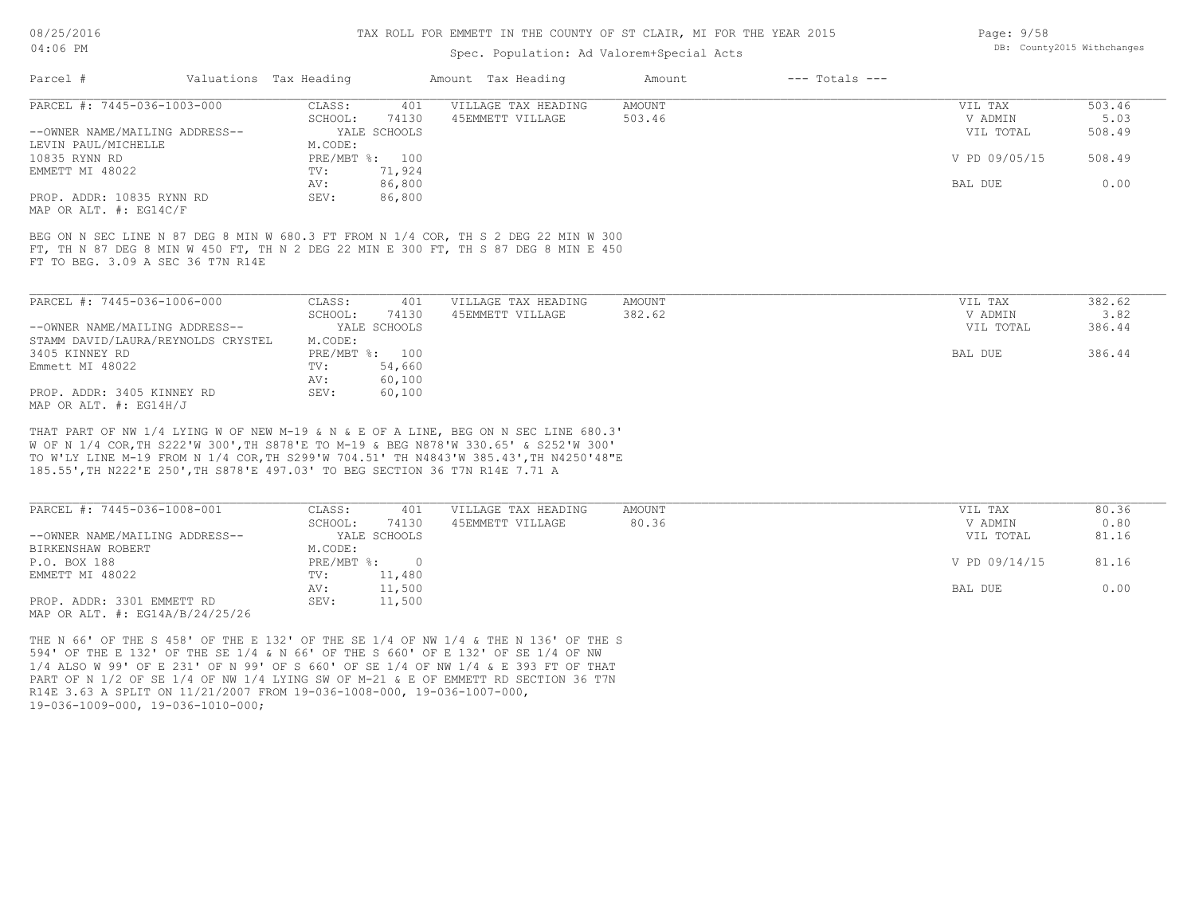#### TAX ROLL FOR EMMETT IN THE COUNTY OF ST CLAIR, MI FOR THE YEAR 2015

### Spec. Population: Ad Valorem+Special Acts

| Parcel #                          | Valuations Tax Heading |                | Amount Tax Heading                                                                  | Amount | $---$ Totals $---$ |               |        |
|-----------------------------------|------------------------|----------------|-------------------------------------------------------------------------------------|--------|--------------------|---------------|--------|
| PARCEL #: 7445-036-1003-000       | CLASS:                 | 401            | VILLAGE TAX HEADING                                                                 | AMOUNT |                    | VIL TAX       | 503.46 |
|                                   | SCHOOL:                | 74130          | 45EMMETT VILLAGE                                                                    | 503.46 |                    | V ADMIN       | 5.03   |
| --OWNER NAME/MAILING ADDRESS--    |                        | YALE SCHOOLS   |                                                                                     |        |                    | VIL TOTAL     | 508.49 |
| LEVIN PAUL/MICHELLE               | M.CODE:                |                |                                                                                     |        |                    |               |        |
| 10835 RYNN RD                     |                        | PRE/MBT %: 100 |                                                                                     |        |                    | V PD 09/05/15 | 508.49 |
| EMMETT MI 48022                   | TV:                    | 71,924         |                                                                                     |        |                    |               |        |
|                                   | AV:                    | 86,800         |                                                                                     |        |                    | BAL DUE       | 0.00   |
| PROP. ADDR: 10835 RYNN RD         | SEV:                   | 86,800         |                                                                                     |        |                    |               |        |
| MAP OR ALT. #: EG14C/F            |                        |                |                                                                                     |        |                    |               |        |
|                                   |                        |                |                                                                                     |        |                    |               |        |
|                                   |                        |                | BEG ON N SEC LINE N 87 DEG 8 MIN W 680.3 FT FROM N 1/4 COR, TH S 2 DEG 22 MIN W 300 |        |                    |               |        |
|                                   |                        |                | FT, TH N 87 DEG 8 MIN W 450 FT, TH N 2 DEG 22 MIN E 300 FT, TH S 87 DEG 8 MIN E 450 |        |                    |               |        |
| FT TO BEG. 3.09 A SEC 36 T7N R14E |                        |                |                                                                                     |        |                    |               |        |
|                                   |                        |                |                                                                                     |        |                    |               |        |
| PARCEL #: 7445-036-1006-000       | CLASS:                 | 401            | VILLAGE TAX HEADING                                                                 | AMOUNT |                    | VIL TAX       | 382.62 |

| LANGLII T. 1770 UJU IUUU UUU       | - טטמעט    | ᆂᅛᆂ          | VIILAGE IAA HEADING | APIOUN 1 | VII IAA   | JUZ . UZ |
|------------------------------------|------------|--------------|---------------------|----------|-----------|----------|
|                                    | SCHOOL:    | 74130        | 45EMMETT VILLAGE    | 382.62   | V ADMIN   | 3.82     |
| --OWNER NAME/MAILING ADDRESS--     |            | YALE SCHOOLS |                     |          | VIL TOTAL | 386.44   |
| STAMM DAVID/LAURA/REYNOLDS CRYSTEL | M.CODE:    |              |                     |          |           |          |
| 3405 KINNEY RD                     | PRE/MBT %: | 100          |                     |          | BAL DUE   | 386.44   |
| Emmett MI 48022                    | TV:        | 54,660       |                     |          |           |          |
|                                    | AV:        | 60,100       |                     |          |           |          |
| PROP. ADDR: 3405 KINNEY RD         | SEV:       | 60,100       |                     |          |           |          |
| MAP OR ALT. $\#$ : EG14H/J         |            |              |                     |          |           |          |

185.55',TH N222'E 250',TH S878'E 497.03' TO BEG SECTION 36 T7N R14E 7.71 A TO W'LY LINE M-19 FROM N 1/4 COR,TH S299'W 704.51' TH N4843'W 385.43',TH N4250'48"E W OF N 1/4 COR,TH S222'W 300',TH S878'E TO M-19 & BEG N878'W 330.65' & S252'W 300' THAT PART OF NW 1/4 LYING W OF NEW M-19 & N & E OF A LINE, BEG ON N SEC LINE 680.3'

| PARCEL #: 7445-036-1008-001         | CLASS:     | 401          | VILLAGE TAX HEADING | AMOUNT | VIL TAX       | 80.36 |
|-------------------------------------|------------|--------------|---------------------|--------|---------------|-------|
|                                     | SCHOOL:    | 74130        | 45EMMETT VILLAGE    | 80.36  | V ADMIN       | 0.80  |
| --OWNER NAME/MAILING ADDRESS--      |            | YALE SCHOOLS |                     |        | VIL TOTAL     | 81.16 |
| BIRKENSHAW ROBERT                   | M.CODE:    |              |                     |        |               |       |
| P.O. BOX 188                        | PRE/MBT %: |              |                     |        | V PD 09/14/15 | 81.16 |
| EMMETT MI 48022                     | TV:        | 11,480       |                     |        |               |       |
|                                     | AV:        | 11,500       |                     |        | BAL DUE       | 0.00  |
| PROP. ADDR: 3301 EMMETT RD          | SEV:       | 11,500       |                     |        |               |       |
| MAP OR ALT. $\#$ : EG14A/B/24/25/26 |            |              |                     |        |               |       |

19-036-1009-000, 19-036-1010-000; R14E 3.63 A SPLIT ON 11/21/2007 FROM 19-036-1008-000, 19-036-1007-000, PART OF N 1/2 OF SE 1/4 OF NW 1/4 LYING SW OF M-21 & E OF EMMETT RD SECTION 36 T7N 1/4 ALSO W 99' OF E 231' OF N 99' OF S 660' OF SE 1/4 OF NW 1/4 & E 393 FT OF THAT 594' OF THE E 132' OF THE SE 1/4 & N 66' OF THE S 660' OF E 132' OF SE 1/4 OF NW THE N 66' OF THE S 458' OF THE E 132' OF THE SE 1/4 OF NW 1/4 & THE N 136' OF THE S Page: 9/58 DB: County2015 Withchanges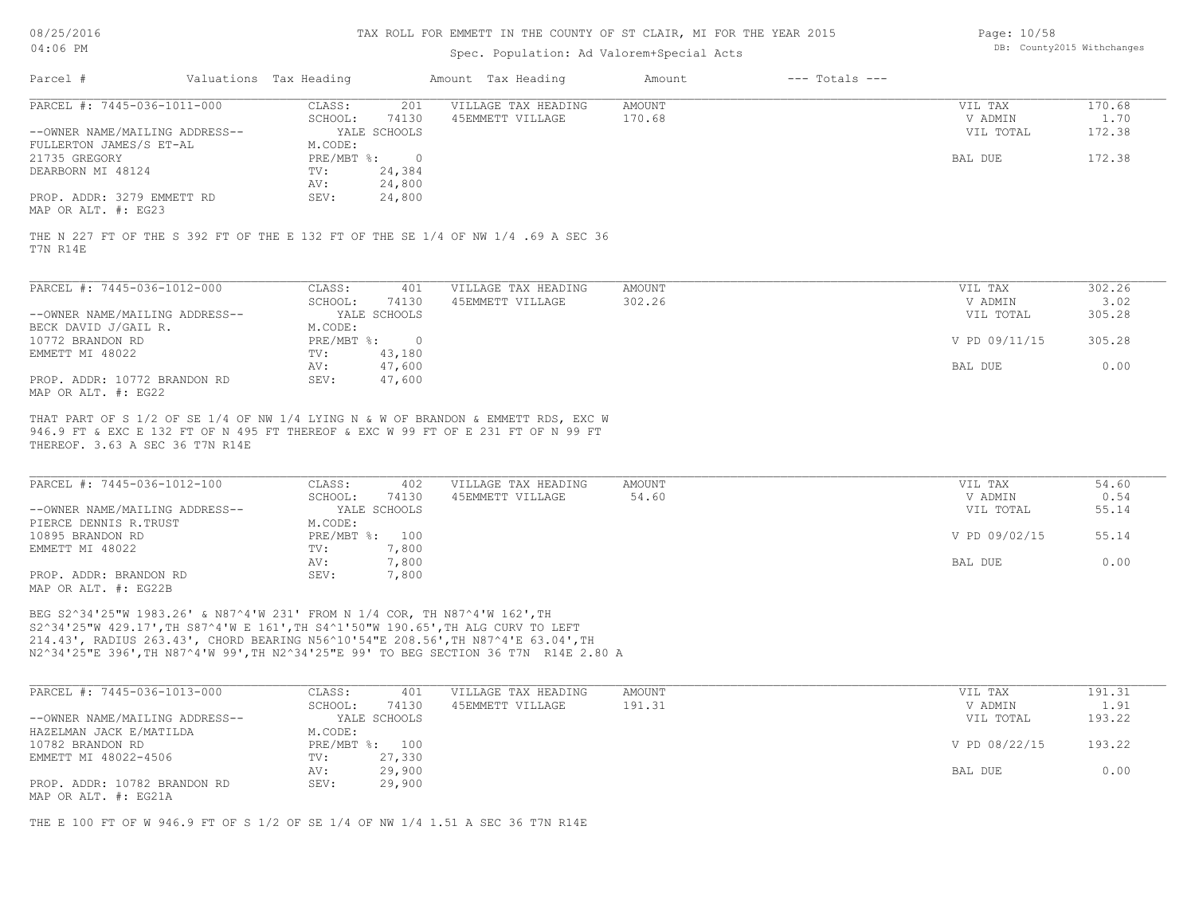#### TAX ROLL FOR EMMETT IN THE COUNTY OF ST CLAIR, MI FOR THE YEAR 2015

### Spec. Population: Ad Valorem+Special Acts

| Page: 10/58 |                            |
|-------------|----------------------------|
|             | DB: County2015 Withchanges |

| Parcel #                       | Valuations Tax Heading |              | Amount Tax Heading  | Amount | $---$ Totals $---$ |           |        |
|--------------------------------|------------------------|--------------|---------------------|--------|--------------------|-----------|--------|
| PARCEL #: 7445-036-1011-000    | CLASS:                 | 201          | VILLAGE TAX HEADING | AMOUNT |                    | VIL TAX   | 170.68 |
|                                | SCHOOL:                | 74130        | 45EMMETT VILLAGE    | 170.68 |                    | V ADMIN   | 1.70   |
| --OWNER NAME/MAILING ADDRESS-- |                        | YALE SCHOOLS |                     |        |                    | VIL TOTAL | 172.38 |
| FULLERTON JAMES/S ET-AL        | M.CODE:                |              |                     |        |                    |           |        |
| 21735 GREGORY                  | PRE/MBT %:             |              |                     |        |                    | BAL DUE   | 172.38 |
| DEARBORN MI 48124              | TV:                    | 24,384       |                     |        |                    |           |        |
|                                | AV:                    | 24,800       |                     |        |                    |           |        |
| PROP. ADDR: 3279 EMMETT RD     | SEV:                   | 24,800       |                     |        |                    |           |        |
| MAP OR ALT. #: EG23            |                        |              |                     |        |                    |           |        |

T7N R14E THE N 227 FT OF THE S 392 FT OF THE E 132 FT OF THE SE 1/4 OF NW 1/4 .69 A SEC 36

| PARCEL #: 7445-036-1012-000    | CLASS:     | 401          | VILLAGE TAX HEADING | AMOUNT | VIL TAX       | 302.26 |
|--------------------------------|------------|--------------|---------------------|--------|---------------|--------|
|                                | SCHOOL:    | 74130        | 45EMMETT VILLAGE    | 302.26 | V ADMIN       | 3.02   |
| --OWNER NAME/MAILING ADDRESS-- |            | YALE SCHOOLS |                     |        | VIL TOTAL     | 305.28 |
| BECK DAVID J/GAIL R.           | M.CODE:    |              |                     |        |               |        |
| 10772 BRANDON RD               | PRE/MBT %: |              |                     |        | V PD 09/11/15 | 305.28 |
| EMMETT MI 48022                | TV:        | 43,180       |                     |        |               |        |
|                                | AV:        | 47,600       |                     |        | BAL DUE       | 0.00   |
| PROP. ADDR: 10772 BRANDON RD   | SEV:       | 47,600       |                     |        |               |        |
| MAP OR ALT. #: EG22            |            |              |                     |        |               |        |

THEREOF. 3.63 A SEC 36 T7N R14E 946.9 FT & EXC E 132 FT OF N 495 FT THEREOF & EXC W 99 FT OF E 231 FT OF N 99 FT THAT PART OF S 1/2 OF SE 1/4 OF NW 1/4 LYING N & W OF BRANDON & EMMETT RDS, EXC W

| PARCEL #: 7445-036-1012-100    | CLASS:  | 402            | VILLAGE TAX HEADING | AMOUNT | VIL TAX       | 54.60 |
|--------------------------------|---------|----------------|---------------------|--------|---------------|-------|
|                                | SCHOOL: | 74130          | 45EMMETT VILLAGE    | 54.60  | V ADMIN       | 0.54  |
| --OWNER NAME/MAILING ADDRESS-- |         | YALE SCHOOLS   |                     |        | VIL TOTAL     | 55.14 |
| PIERCE DENNIS R.TRUST          | M.CODE: |                |                     |        |               |       |
| 10895 BRANDON RD               |         | PRE/MBT %: 100 |                     |        | V PD 09/02/15 | 55.14 |
| EMMETT MI 48022                | TV:     | 7,800          |                     |        |               |       |
|                                | AV:     | 7,800          |                     |        | BAL DUE       | 0.00  |
| PROP. ADDR: BRANDON RD         | SEV:    | 7,800          |                     |        |               |       |
| MAP OR ALT. #: EG22B           |         |                |                     |        |               |       |

N2^34'25"E 396',TH N87^4'W 99',TH N2^34'25"E 99' TO BEG SECTION 36 T7N R14E 2.80 A 214.43', RADIUS 263.43', CHORD BEARING N56^10'54"E 208.56',TH N87^4'E 63.04',TH S2^34'25"W 429.17',TH S87^4'W E 161',TH S4^1'50"W 190.65',TH ALG CURV TO LEFT BEG S2^34'25"W 1983.26' & N87^4'W 231' FROM N 1/4 COR, TH N87^4'W 162',TH

| PARCEL #: 7445-036-1013-000    | CLASS:  | 401            | VILLAGE TAX HEADING | AMOUNT | VIL TAX       | 191.31 |
|--------------------------------|---------|----------------|---------------------|--------|---------------|--------|
|                                | SCHOOL: | 74130          | 45EMMETT VILLAGE    | 191.31 | V ADMIN       | 1.91   |
| --OWNER NAME/MAILING ADDRESS-- |         | YALE SCHOOLS   |                     |        | VIL TOTAL     | 193.22 |
| HAZELMAN JACK E/MATILDA        | M.CODE: |                |                     |        |               |        |
| 10782 BRANDON RD               |         | PRE/MBT %: 100 |                     |        | V PD 08/22/15 | 193.22 |
| EMMETT MI 48022-4506           | TV:     | 27,330         |                     |        |               |        |
|                                | AV:     | 29,900         |                     |        | BAL DUE       | 0.00   |
| PROP. ADDR: 10782 BRANDON RD   | SEV:    | 29,900         |                     |        |               |        |
| MAP OR ALT. #: EG21A           |         |                |                     |        |               |        |

THE E 100 FT OF W 946.9 FT OF S 1/2 OF SE 1/4 OF NW 1/4 1.51 A SEC 36 T7N R14E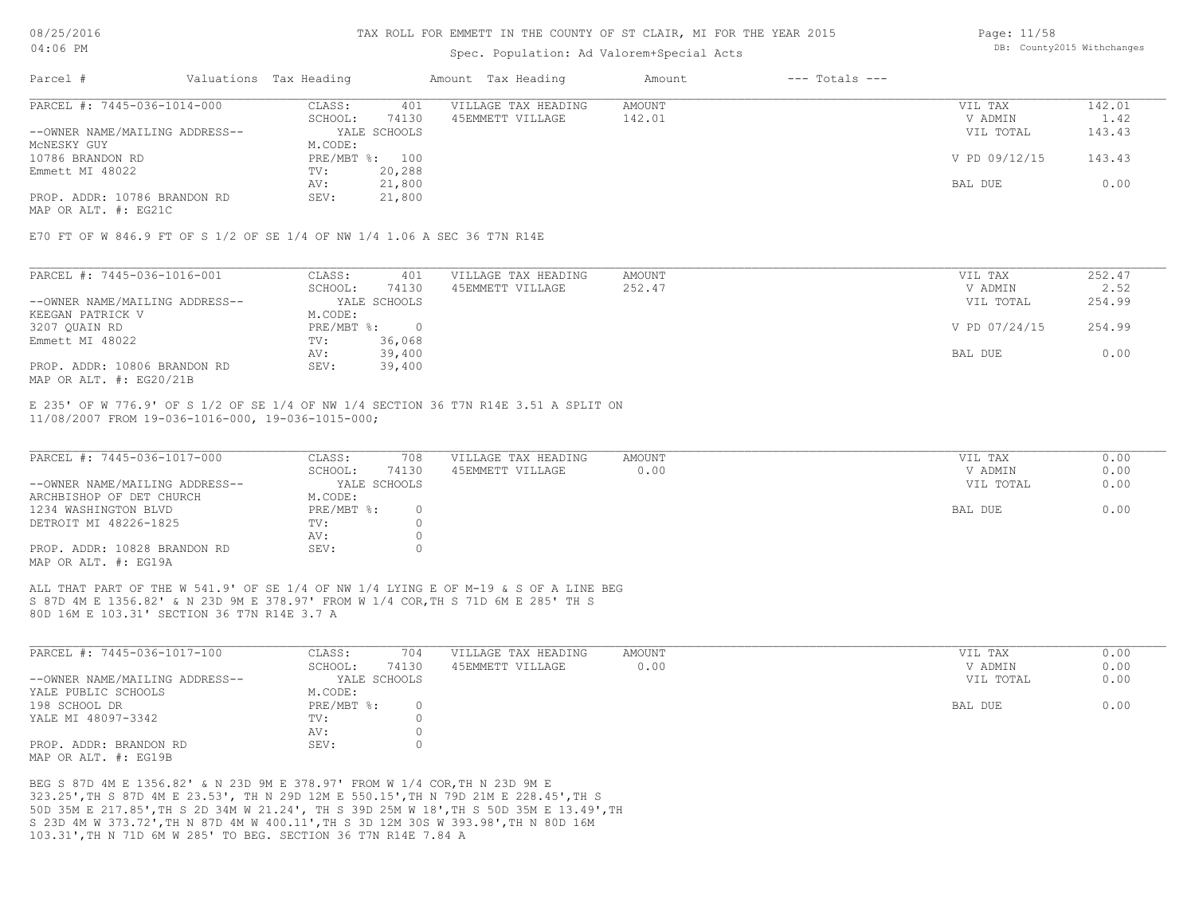#### TAX ROLL FOR EMMETT IN THE COUNTY OF ST CLAIR, MI FOR THE YEAR 2015

### Spec. Population: Ad Valorem+Special Acts

Page: 11/58 DB: County2015 Withchanges

| Parcel #                       | Valuations Tax Heading |                | Amount Tax Heading  | Amount | $---$ Totals $---$ |               |        |
|--------------------------------|------------------------|----------------|---------------------|--------|--------------------|---------------|--------|
| PARCEL #: 7445-036-1014-000    | CLASS:                 | 401            | VILLAGE TAX HEADING | AMOUNT |                    | VIL TAX       | 142.01 |
|                                | SCHOOL:                | 74130          | 45EMMETT VILLAGE    | 142.01 |                    | V ADMIN       | 1.42   |
| --OWNER NAME/MAILING ADDRESS-- |                        | YALE SCHOOLS   |                     |        |                    | VIL TOTAL     | 143.43 |
| MCNESKY GUY                    | M.CODE:                |                |                     |        |                    |               |        |
| 10786 BRANDON RD               |                        | PRE/MBT %: 100 |                     |        |                    | V PD 09/12/15 | 143.43 |
| Emmett MI 48022                | TV:                    | 20,288         |                     |        |                    |               |        |
|                                | AV:                    | 21,800         |                     |        |                    | BAL DUE       | 0.00   |
| PROP. ADDR: 10786 BRANDON RD   | SEV:                   | 21,800         |                     |        |                    |               |        |
| MAP OR ALT. #: EG21C           |                        |                |                     |        |                    |               |        |

E70 FT OF W 846.9 FT OF S 1/2 OF SE 1/4 OF NW 1/4 1.06 A SEC 36 T7N R14E

| PARCEL #: 7445-036-1016-001    | CLASS:       | 401          | VILLAGE TAX HEADING | AMOUNT | VIL TAX       | 252.47 |
|--------------------------------|--------------|--------------|---------------------|--------|---------------|--------|
|                                | SCHOOL:      | 74130        | 45EMMETT VILLAGE    | 252.47 | V ADMIN       | 2.52   |
| --OWNER NAME/MAILING ADDRESS-- |              | YALE SCHOOLS |                     |        | VIL TOTAL     | 254.99 |
| KEEGAN PATRICK V               | M.CODE:      |              |                     |        |               |        |
| 3207 QUAIN RD                  | $PRE/MBT$ %: |              |                     |        | V PD 07/24/15 | 254.99 |
| Emmett MI 48022                | TV:          | 36,068       |                     |        |               |        |
|                                | AV:          | 39,400       |                     |        | BAL DUE       | 0.00   |
| PROP. ADDR: 10806 BRANDON RD   | SEV:         | 39,400       |                     |        |               |        |
| MAP OR ALT. #: EG20/21B        |              |              |                     |        |               |        |

11/08/2007 FROM 19-036-1016-000, 19-036-1015-000; E 235' OF W 776.9' OF S 1/2 OF SE 1/4 OF NW 1/4 SECTION 36 T7N R14E 3.51 A SPLIT ON

| PARCEL #: 7445-036-1017-000    | CLASS:     | 708          | VILLAGE TAX HEADING | AMOUNT | VIL TAX   | 0.00 |
|--------------------------------|------------|--------------|---------------------|--------|-----------|------|
|                                | SCHOOL:    | 74130        | 45EMMETT VILLAGE    | 0.00   | V ADMIN   | 0.00 |
| --OWNER NAME/MAILING ADDRESS-- |            | YALE SCHOOLS |                     |        | VIL TOTAL | 0.00 |
| ARCHBISHOP OF DET CHURCH       | M.CODE:    |              |                     |        |           |      |
| 1234 WASHINGTON BLVD           | PRE/MBT %: |              |                     |        | BAL DUE   | 0.00 |
| DETROIT MI 48226-1825          | TV:        |              |                     |        |           |      |
|                                | AV:        |              |                     |        |           |      |
| PROP. ADDR: 10828 BRANDON RD   | SEV:       |              |                     |        |           |      |
| MAP OR ALT. #: EG19A           |            |              |                     |        |           |      |

80D 16M E 103.31' SECTION 36 T7N R14E 3.7 A S 87D 4M E 1356.82' & N 23D 9M E 378.97' FROM W 1/4 COR,TH S 71D 6M E 285' TH S ALL THAT PART OF THE W 541.9' OF SE 1/4 OF NW 1/4 LYING E OF M-19 & S OF A LINE BEG

| PARCEL #: 7445-036-1017-100    | CLASS:       | 704    | VILLAGE TAX HEADING | AMOUNT | VIL TAX   | 0.00 |
|--------------------------------|--------------|--------|---------------------|--------|-----------|------|
|                                | SCHOOL:      | 74130  | 45EMMETT VILLAGE    | 0.00   | V ADMIN   | 0.00 |
| --OWNER NAME/MAILING ADDRESS-- | YALE SCHOOLS |        |                     |        | VIL TOTAL | 0.00 |
| YALE PUBLIC SCHOOLS            | M.CODE:      |        |                     |        |           |      |
| 198 SCHOOL DR                  | PRE/MBT %:   | $\cap$ |                     |        | BAL DUE   | 0.00 |
| YALE MI 48097-3342             | TV:          |        |                     |        |           |      |
|                                | AV:          |        |                     |        |           |      |
| PROP. ADDR: BRANDON RD         | SEV:         |        |                     |        |           |      |
| MAP OR ALT. #: EG19B           |              |        |                     |        |           |      |

 $\_$  , and the state of the state of the state of the state of the state of the state of the state of the state of the state of the state of the state of the state of the state of the state of the state of the state of the

103.31',TH N 71D 6M W 285' TO BEG. SECTION 36 T7N R14E 7.84 A S 23D 4M W 373.72',TH N 87D 4M W 400.11',TH S 3D 12M 30S W 393.98',TH N 80D 16M 50D 35M E 217.85',TH S 2D 34M W 21.24', TH S 39D 25M W 18',TH S 50D 35M E 13.49',TH 323.25',TH S 87D 4M E 23.53', TH N 29D 12M E 550.15',TH N 79D 21M E 228.45',TH S BEG S 87D 4M E 1356.82' & N 23D 9M E 378.97' FROM W 1/4 COR,TH N 23D 9M E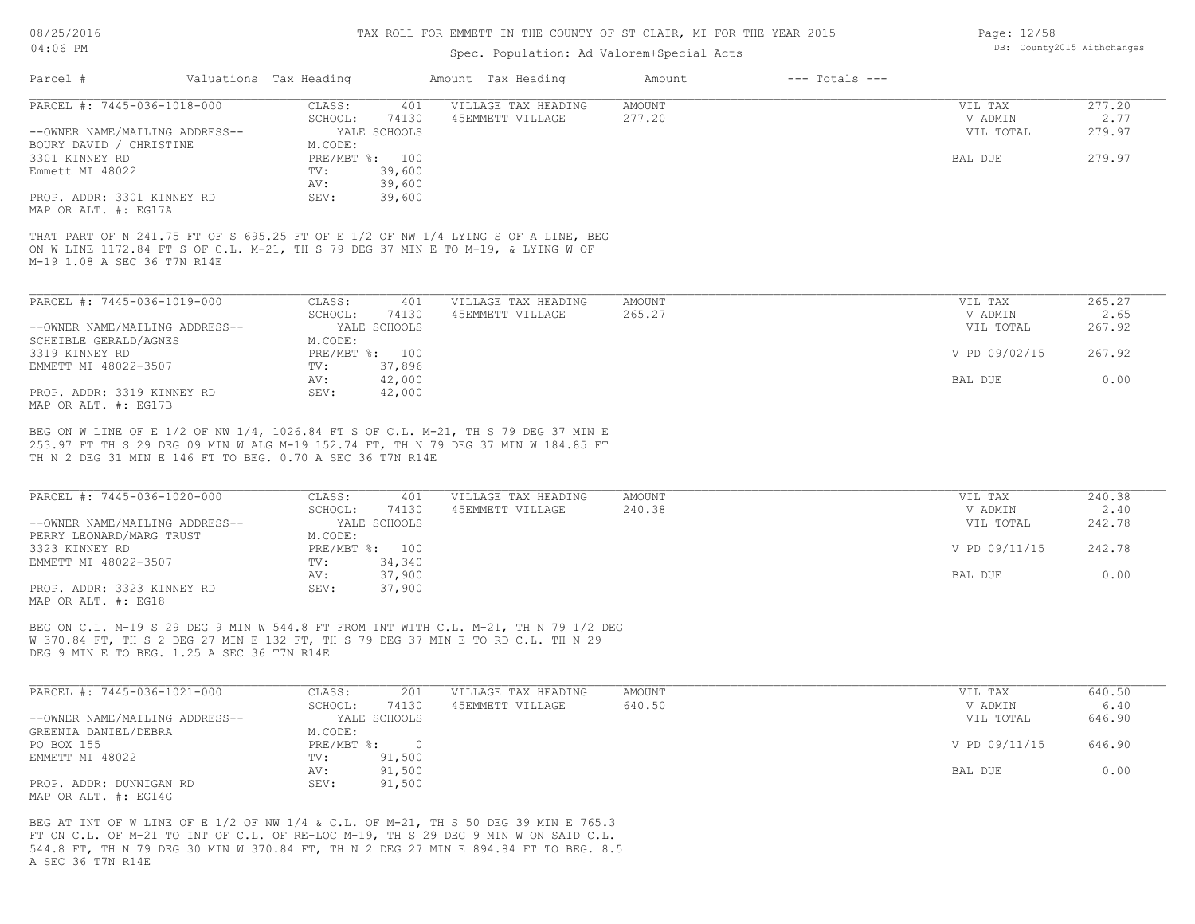#### TAX ROLL FOR EMMETT IN THE COUNTY OF ST CLAIR, MI FOR THE YEAR 2015

### Spec. Population: Ad Valorem+Special Acts

| Parcel #                       | Valuations Tax Heading |                | Amount Tax Heading                                                              | Amount        | $---$ Totals $---$ |               |        |
|--------------------------------|------------------------|----------------|---------------------------------------------------------------------------------|---------------|--------------------|---------------|--------|
| PARCEL #: 7445-036-1018-000    | CLASS:                 | 401            | VILLAGE TAX HEADING                                                             | <b>AMOUNT</b> |                    | VIL TAX       | 277.20 |
|                                | SCHOOL:                | 74130          | 45EMMETT VILLAGE                                                                | 277.20        |                    | V ADMIN       | 2.77   |
| --OWNER NAME/MAILING ADDRESS-- |                        | YALE SCHOOLS   |                                                                                 |               |                    | VIL TOTAL     | 279.97 |
| BOURY DAVID / CHRISTINE        | M.CODE:                |                |                                                                                 |               |                    |               |        |
| 3301 KINNEY RD                 |                        | PRE/MBT %: 100 |                                                                                 |               |                    | BAL DUE       | 279.97 |
| Emmett MI 48022                | TV:                    | 39,600         |                                                                                 |               |                    |               |        |
|                                | AV:                    | 39,600         |                                                                                 |               |                    |               |        |
| PROP. ADDR: 3301 KINNEY RD     | SEV:                   | 39,600         |                                                                                 |               |                    |               |        |
| MAP OR ALT. #: EG17A           |                        |                |                                                                                 |               |                    |               |        |
| M-19 1.08 A SEC 36 T7N R14E    |                        |                | ON W LINE 1172.84 FT S OF C.L. M-21, TH S 79 DEG 37 MIN E TO M-19, & LYING W OF |               |                    |               |        |
| PARCEL #: 7445-036-1019-000    | CLASS:                 | 401            | VILLAGE TAX HEADING                                                             | AMOUNT        |                    | VIL TAX       | 265.27 |
|                                | SCHOOL:                | 74130          | 45EMMETT VILLAGE                                                                | 265.27        |                    | V ADMIN       | 2.65   |
| --OWNER NAME/MAILING ADDRESS-- |                        | YALE SCHOOLS   |                                                                                 |               |                    | VIL TOTAL     | 267.92 |
| SCHEIBLE GERALD/AGNES          | M.CODE:                |                |                                                                                 |               |                    |               |        |
| 3319 KINNEY RD                 |                        | PRE/MBT %: 100 |                                                                                 |               |                    | V PD 09/02/15 | 267.92 |
|                                |                        |                |                                                                                 |               |                    |               |        |
| EMMETT MI 48022-3507           | TV:                    | 37,896         |                                                                                 |               |                    |               |        |
|                                | AV:                    | 42,000         |                                                                                 |               |                    | BAL DUE       | 0.00   |

MAP OR ALT. #: EG17B

TH N 2 DEG 31 MIN E 146 FT TO BEG. 0.70 A SEC 36 T7N R14E 253.97 FT TH S 29 DEG 09 MIN W ALG M-19 152.74 FT, TH N 79 DEG 37 MIN W 184.85 FT BEG ON W LINE OF E 1/2 OF NW 1/4, 1026.84 FT S OF C.L. M-21, TH S 79 DEG 37 MIN E

| PARCEL #: 7445-036-1020-000    | CLASS:  | 401            | VILLAGE TAX HEADING | AMOUNT | VIL TAX       | 240.38 |
|--------------------------------|---------|----------------|---------------------|--------|---------------|--------|
|                                | SCHOOL: | 74130          | 45EMMETT VILLAGE    | 240.38 | V ADMIN       | 2.40   |
| --OWNER NAME/MAILING ADDRESS-- |         | YALE SCHOOLS   |                     |        | VIL TOTAL     | 242.78 |
| PERRY LEONARD/MARG TRUST       | M.CODE: |                |                     |        |               |        |
| 3323 KINNEY RD                 |         | PRE/MBT %: 100 |                     |        | V PD 09/11/15 | 242.78 |
| EMMETT MI 48022-3507           | TV:     | 34,340         |                     |        |               |        |
|                                | AV:     | 37,900         |                     |        | BAL DUE       | 0.00   |
| PROP. ADDR: 3323 KINNEY RD     | SEV:    | 37,900         |                     |        |               |        |
| MAP OR ALT. #: EG18            |         |                |                     |        |               |        |

 $\_$  , and the state of the state of the state of the state of the state of the state of the state of the state of the state of the state of the state of the state of the state of the state of the state of the state of the

DEG 9 MIN E TO BEG. 1.25 A SEC 36 T7N R14E W 370.84 FT, TH S 2 DEG 27 MIN E 132 FT, TH S 79 DEG 37 MIN E TO RD C.L. TH N 29 BEG ON C.L. M-19 S 29 DEG 9 MIN W 544.8 FT FROM INT WITH C.L. M-21, TH N 79 1/2 DEG

| PARCEL #: 7445-036-1021-000    | CLASS:       | 201          | VILLAGE TAX HEADING | AMOUNT | VIL TAX       | 640.50 |
|--------------------------------|--------------|--------------|---------------------|--------|---------------|--------|
|                                | SCHOOL:      | 74130        | 45EMMETT VILLAGE    | 640.50 | V ADMIN       | 6.40   |
| --OWNER NAME/MAILING ADDRESS-- |              | YALE SCHOOLS |                     |        | VIL TOTAL     | 646.90 |
| GREENIA DANIEL/DEBRA           | M.CODE:      |              |                     |        |               |        |
| PO BOX 155                     | $PRE/MBT$ %: |              |                     |        | V PD 09/11/15 | 646.90 |
| EMMETT MI 48022                | TV:          | 91,500       |                     |        |               |        |
|                                | AV:          | 91,500       |                     |        | BAL DUE       | 0.00   |
| PROP. ADDR: DUNNIGAN RD        | SEV:         | 91,500       |                     |        |               |        |
| MAP OR ALT. #: EG14G           |              |              |                     |        |               |        |

A SEC 36 T7N R14E 544.8 FT, TH N 79 DEG 30 MIN W 370.84 FT, TH N 2 DEG 27 MIN E 894.84 FT TO BEG. 8.5 FT ON C.L. OF M-21 TO INT OF C.L. OF RE-LOC M-19, TH S 29 DEG 9 MIN W ON SAID C.L. BEG AT INT OF W LINE OF E 1/2 OF NW 1/4 & C.L. OF M-21, TH S 50 DEG 39 MIN E 765.3

Page: 12/58 DB: County2015 Withchanges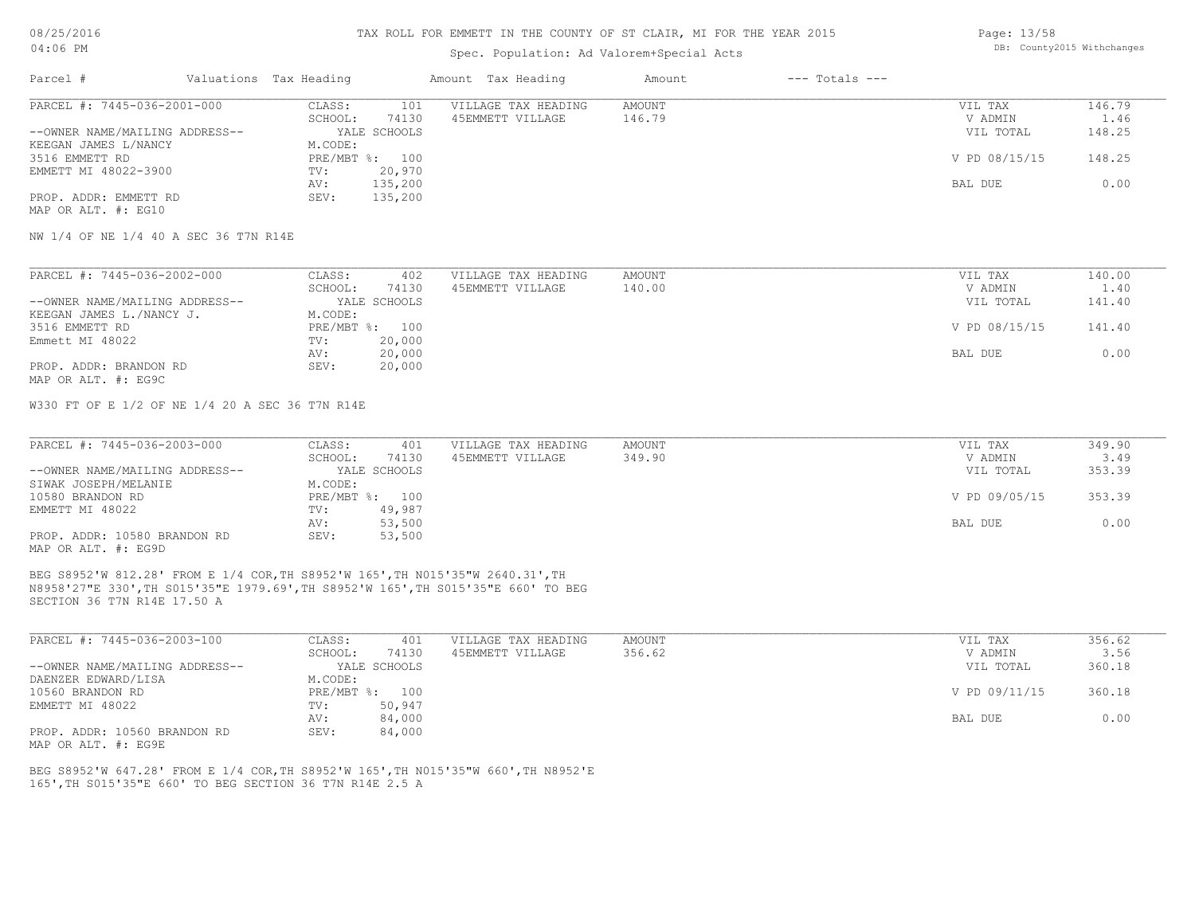#### TAX ROLL FOR EMMETT IN THE COUNTY OF ST CLAIR, MI FOR THE YEAR 2015

# Spec. Population: Ad Valorem+Special Acts

Page: 13/58 DB: County2015 Withchanges

| Parcel #                       | Valuations Tax Heading |                | Amount Tax Heading  | Amount | $---$ Totals $---$ |               |        |
|--------------------------------|------------------------|----------------|---------------------|--------|--------------------|---------------|--------|
| PARCEL #: 7445-036-2001-000    | CLASS:                 | 101            | VILLAGE TAX HEADING | AMOUNT |                    | VIL TAX       | 146.79 |
|                                | SCHOOL:                | 74130          | 45EMMETT VILLAGE    | 146.79 |                    | V ADMIN       | 1.46   |
| --OWNER NAME/MAILING ADDRESS-- |                        | YALE SCHOOLS   |                     |        |                    | VIL TOTAL     | 148.25 |
| KEEGAN JAMES L/NANCY           | M.CODE:                |                |                     |        |                    |               |        |
| 3516 EMMETT RD                 |                        | PRE/MBT %: 100 |                     |        |                    | V PD 08/15/15 | 148.25 |
| EMMETT MI 48022-3900           | TV:                    | 20,970         |                     |        |                    |               |        |
|                                | AV:                    | 135,200        |                     |        |                    | BAL DUE       | 0.00   |
| PROP. ADDR: EMMETT RD          | SEV:                   | 135,200        |                     |        |                    |               |        |
| MAP OR ALT. #: EG10            |                        |                |                     |        |                    |               |        |

NW 1/4 OF NE 1/4 40 A SEC 36 T7N R14E

| PARCEL #: 7445-036-2002-000    | CLASS:  | 402            | VILLAGE TAX HEADING | AMOUNT | VIL TAX       | 140.00 |
|--------------------------------|---------|----------------|---------------------|--------|---------------|--------|
|                                | SCHOOL: | 74130          | 45EMMETT VILLAGE    | 140.00 | V ADMIN       | 1.40   |
| --OWNER NAME/MAILING ADDRESS-- |         | YALE SCHOOLS   |                     |        | VIL TOTAL     | 141.40 |
| KEEGAN JAMES L./NANCY J.       | M.CODE: |                |                     |        |               |        |
| 3516 EMMETT RD                 |         | PRE/MBT %: 100 |                     |        | V PD 08/15/15 | 141.40 |
| Emmett MI 48022                | TV:     | 20,000         |                     |        |               |        |
|                                | AV:     | 20,000         |                     |        | BAL DUE       | 0.00   |
| PROP. ADDR: BRANDON RD         | SEV:    | 20,000         |                     |        |               |        |
| MAP OR ALT. #: EG9C            |         |                |                     |        |               |        |

W330 FT OF E 1/2 OF NE 1/4 20 A SEC 36 T7N R14E

| PARCEL #: 7445-036-2003-000    | CLASS:  | 401            | VILLAGE TAX HEADING | AMOUNT | VIL TAX       | 349.90 |
|--------------------------------|---------|----------------|---------------------|--------|---------------|--------|
|                                | SCHOOL: | 74130          | 45EMMETT VILLAGE    | 349.90 | V ADMIN       | 3.49   |
| --OWNER NAME/MAILING ADDRESS-- |         | YALE SCHOOLS   |                     |        | VIL TOTAL     | 353.39 |
| SIWAK JOSEPH/MELANIE           | M.CODE: |                |                     |        |               |        |
| 10580 BRANDON RD               |         | PRE/MBT %: 100 |                     |        | V PD 09/05/15 | 353.39 |
| EMMETT MI 48022                | TV:     | 49,987         |                     |        |               |        |
|                                | AV:     | 53,500         |                     |        | BAL DUE       | 0.00   |
| PROP. ADDR: 10580 BRANDON RD   | SEV:    | 53,500         |                     |        |               |        |
| MAP OR ALT. #: EG9D            |         |                |                     |        |               |        |

SECTION 36 T7N R14E 17.50 A N8958'27"E 330',TH S015'35"E 1979.69',TH S8952'W 165',TH S015'35"E 660' TO BEG BEG S8952'W 812.28' FROM E 1/4 COR,TH S8952'W 165',TH N015'35"W 2640.31',TH

| PARCEL #: 7445-036-2003-100    | CLASS:       | 401          | VILLAGE TAX HEADING | AMOUNT | VIL TAX       | 356.62 |
|--------------------------------|--------------|--------------|---------------------|--------|---------------|--------|
|                                | SCHOOL:      | 74130        | 45EMMETT VILLAGE    | 356.62 | V ADMIN       | 3.56   |
| --OWNER NAME/MAILING ADDRESS-- |              | YALE SCHOOLS |                     |        | VIL TOTAL     | 360.18 |
| DAENZER EDWARD/LISA            | M.CODE:      |              |                     |        |               |        |
| 10560 BRANDON RD               | $PRE/MBT$ %: | 100          |                     |        | V PD 09/11/15 | 360.18 |
| EMMETT MI 48022                | TV:          | 50,947       |                     |        |               |        |
|                                | AV:          | 84,000       |                     |        | BAL DUE       | 0.00   |
| PROP. ADDR: 10560 BRANDON RD   | SEV:         | 84,000       |                     |        |               |        |

MAP OR ALT. #: EG9E

165',TH S015'35"E 660' TO BEG SECTION 36 T7N R14E 2.5 A BEG S8952'W 647.28' FROM E 1/4 COR,TH S8952'W 165',TH N015'35"W 660',TH N8952'E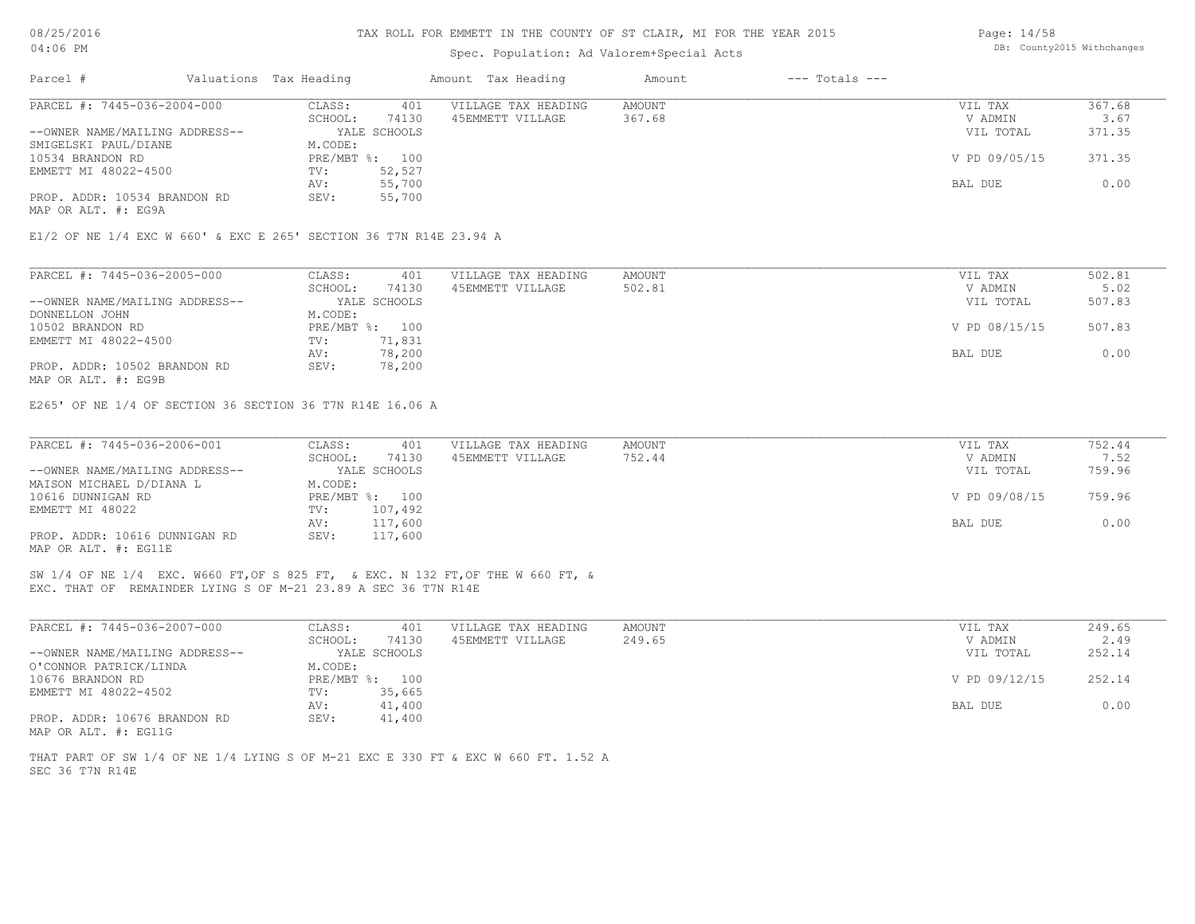#### TAX ROLL FOR EMMETT IN THE COUNTY OF ST CLAIR, MI FOR THE YEAR 2015

### Spec. Population: Ad Valorem+Special Acts

Page: 14/58 DB: County2015 Withchanges

| Parcel #                       | Valuations Tax Heading |                | Amount Tax Heading  | Amount | $---$ Totals $---$ |               |        |
|--------------------------------|------------------------|----------------|---------------------|--------|--------------------|---------------|--------|
| PARCEL #: 7445-036-2004-000    | CLASS:                 | 401            | VILLAGE TAX HEADING | AMOUNT |                    | VIL TAX       | 367.68 |
|                                | SCHOOL:                | 74130          | 45EMMETT VILLAGE    | 367.68 |                    | V ADMIN       | 3.67   |
| --OWNER NAME/MAILING ADDRESS-- |                        | YALE SCHOOLS   |                     |        |                    | VIL TOTAL     | 371.35 |
| SMIGELSKI PAUL/DIANE           | M.CODE:                |                |                     |        |                    |               |        |
| 10534 BRANDON RD               |                        | PRE/MBT %: 100 |                     |        |                    | V PD 09/05/15 | 371.35 |
| EMMETT MI 48022-4500           | TV:                    | 52,527         |                     |        |                    |               |        |
|                                | AV:                    | 55,700         |                     |        |                    | BAL DUE       | 0.00   |
| PROP. ADDR: 10534 BRANDON RD   | SEV:                   | 55,700         |                     |        |                    |               |        |
|                                |                        |                |                     |        |                    |               |        |

MAP OR ALT. #: EG9A

E1/2 OF NE 1/4 EXC W 660' & EXC E 265' SECTION 36 T7N R14E 23.94 A

| PARCEL #: 7445-036-2005-000    | CLASS:  | 401            | VILLAGE TAX HEADING | AMOUNT | VIL TAX       | 502.81 |
|--------------------------------|---------|----------------|---------------------|--------|---------------|--------|
|                                | SCHOOL: | 74130          | 45EMMETT VILLAGE    | 502.81 | V ADMIN       | 5.02   |
| --OWNER NAME/MAILING ADDRESS-- |         | YALE SCHOOLS   |                     |        | VIL TOTAL     | 507.83 |
| DONNELLON JOHN                 | M.CODE: |                |                     |        |               |        |
| 10502 BRANDON RD               |         | PRE/MBT %: 100 |                     |        | V PD 08/15/15 | 507.83 |
| EMMETT MI 48022-4500           | TV:     | 71,831         |                     |        |               |        |
|                                | AV:     | 78,200         |                     |        | BAL DUE       | 0.00   |
| PROP. ADDR: 10502 BRANDON RD   | SEV:    | 78,200         |                     |        |               |        |
| MAP OR ALT. #: EG9B            |         |                |                     |        |               |        |

E265' OF NE 1/4 OF SECTION 36 SECTION 36 T7N R14E 16.06 A

| PARCEL #: 7445-036-2006-001    | CLASS:  | 401            | VILLAGE TAX HEADING | AMOUNT | VIL TAX       | 752.44 |
|--------------------------------|---------|----------------|---------------------|--------|---------------|--------|
|                                | SCHOOL: | 74130          | 45EMMETT VILLAGE    | 752.44 | V ADMIN       | 7.52   |
| --OWNER NAME/MAILING ADDRESS-- |         | YALE SCHOOLS   |                     |        | VIL TOTAL     | 759.96 |
| MAISON MICHAEL D/DIANA L       | M.CODE: |                |                     |        |               |        |
| 10616 DUNNIGAN RD              |         | PRE/MBT %: 100 |                     |        | V PD 09/08/15 | 759.96 |
| EMMETT MI 48022                | TV:     | 107,492        |                     |        |               |        |
|                                | AV:     | 117,600        |                     |        | BAL DUE       | 0.00   |
| PROP. ADDR: 10616 DUNNIGAN RD  | SEV:    | 117,600        |                     |        |               |        |
| MAP OR ALT. #: EG11E           |         |                |                     |        |               |        |

EXC. THAT OF REMAINDER LYING S OF M-21 23.89 A SEC 36 T7N R14E SW 1/4 OF NE 1/4 EXC. W660 FT,OF S 825 FT, & EXC. N 132 FT,OF THE W 660 FT, &

| PARCEL #: 7445-036-2007-000    | CLASS:           | VILLAGE TAX HEADING<br>401 | AMOUNT | VIL TAX       | 249.65 |
|--------------------------------|------------------|----------------------------|--------|---------------|--------|
|                                | 74130<br>SCHOOL: | 45EMMETT VILLAGE           | 249.65 | V ADMIN       | 2.49   |
| --OWNER NAME/MAILING ADDRESS-- | YALE SCHOOLS     |                            |        | VIL TOTAL     | 252.14 |
| O'CONNOR PATRICK/LINDA         | M.CODE:          |                            |        |               |        |
| 10676 BRANDON RD               | PRE/MBT %: 100   |                            |        | V PD 09/12/15 | 252.14 |
| EMMETT MI 48022-4502           | 35,665<br>TV:    |                            |        |               |        |
|                                | 41,400<br>AV:    |                            |        | BAL DUE       | 0.00   |
| PROP. ADDR: 10676 BRANDON RD   | 41,400<br>SEV:   |                            |        |               |        |
| MAP OR ALT. #: EG11G           |                  |                            |        |               |        |

SEC 36 T7N R14E THAT PART OF SW 1/4 OF NE 1/4 LYING S OF M-21 EXC E 330 FT & EXC W 660 FT. 1.52 A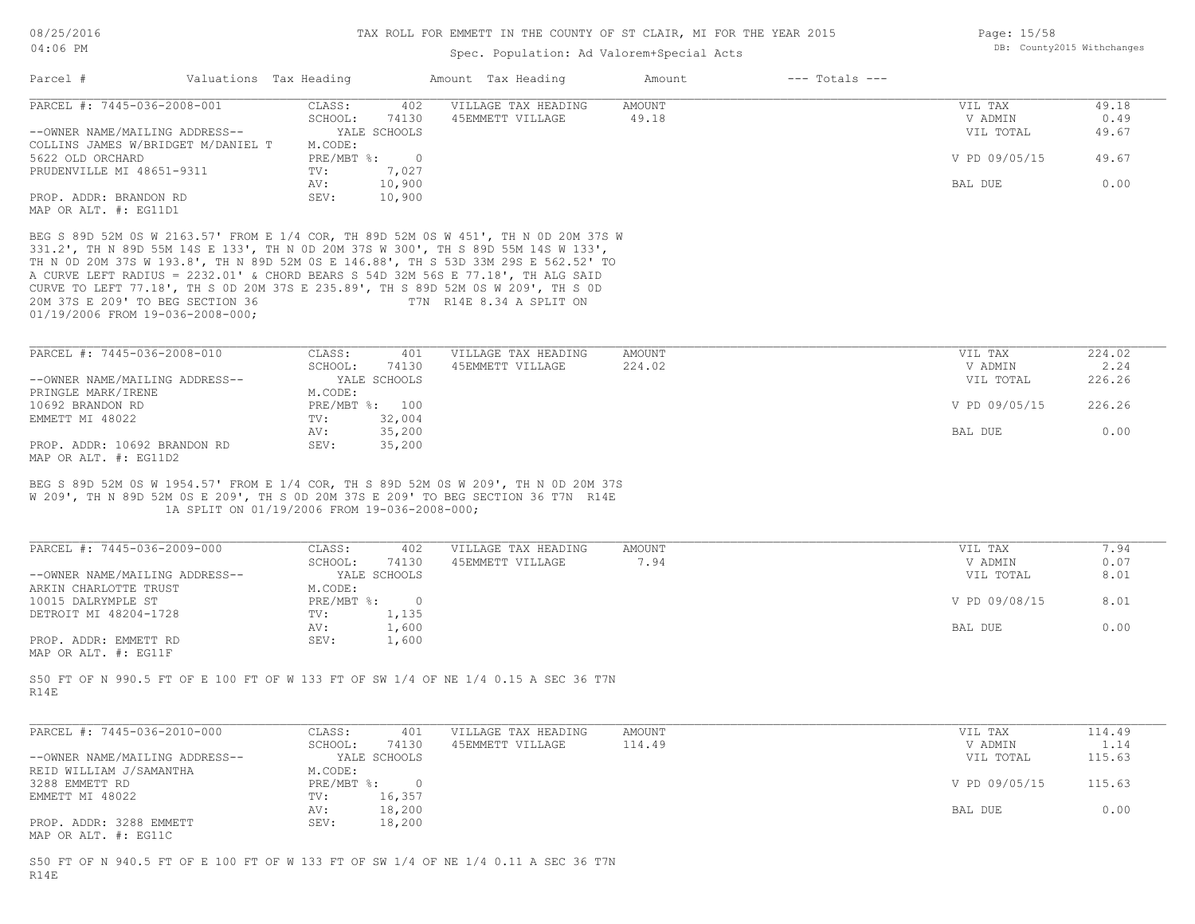#### TAX ROLL FOR EMMETT IN THE COUNTY OF ST CLAIR, MI FOR THE YEAR 2015

| 08/25/2016<br>04:06 PM             |                        | TAX ROLL FOR EMMETT IN THE COUNTY OF ST CLAIR, MI FOR THE YEAR 2015 | Page: 15/58<br>DB: County2015 Withchanges |        |                    |               |       |
|------------------------------------|------------------------|---------------------------------------------------------------------|-------------------------------------------|--------|--------------------|---------------|-------|
|                                    |                        |                                                                     |                                           |        |                    |               |       |
| Parcel #                           | Valuations Tax Heading |                                                                     | Amount Tax Heading                        | Amount | $---$ Totals $---$ |               |       |
| PARCEL #: 7445-036-2008-001        | CLASS:                 | 402                                                                 | VILLAGE TAX HEADING                       | AMOUNT |                    | VIL TAX       | 49.18 |
|                                    | SCHOOL:                | 74130                                                               | 45EMMETT VILLAGE                          | 49.18  |                    | V ADMIN       | 0.49  |
| --OWNER NAME/MAILING ADDRESS--     |                        | YALE SCHOOLS                                                        |                                           |        |                    | VIL TOTAL     | 49.67 |
| COLLINS JAMES W/BRIDGET M/DANIEL T | M.CODE:                |                                                                     |                                           |        |                    |               |       |
| 5622 OLD ORCHARD                   | PRE/MBT %:             | $\bigcirc$                                                          |                                           |        |                    | V PD 09/05/15 | 49.67 |
| PRUDENVILLE MI 48651-9311          | TV:                    | 7,027                                                               |                                           |        |                    |               |       |
|                                    | AV:                    | 10,900                                                              |                                           |        |                    | BAL DUE       | 0.00  |
| PROP. ADDR: BRANDON RD             | SEV:                   | 10,900                                                              |                                           |        |                    |               |       |
| MAP OR ALT. #: EG11D1              |                        |                                                                     |                                           |        |                    |               |       |

01/19/2006 FROM 19-036-2008-000; 20M 37S E 209' TO BEG SECTION 36 T7N R14E 8.34 A SPLIT ON CURVE TO LEFT 77.18', TH S 0D 20M 37S E 235.89', TH S 89D 52M 0S W 209', TH S 0D A CURVE LEFT RADIUS = 2232.01' & CHORD BEARS S 54D 32M 56S E 77.18', TH ALG SAID TH N 0D 20M 37S W 193.8', TH N 89D 52M 0S E 146.88', TH S 53D 33M 29S E 562.52' TO 331.2', TH N 89D 55M 14S E 133', TH N 0D 20M 37S W 300', TH S 89D 55M 14S W 133', BEG S 89D 52M 0S W 2163.57' FROM E 1/4 COR, TH 89D 52M

| PARCEL #: 7445-036-2008-010    | CLASS:  | 401            | VILLAGE TAX HEADING | AMOUNT | VIL TAX       | 224.02 |
|--------------------------------|---------|----------------|---------------------|--------|---------------|--------|
|                                | SCHOOL: | 74130          | 45EMMETT VILLAGE    | 224.02 | V ADMIN       | 2.24   |
| --OWNER NAME/MAILING ADDRESS-- |         | YALE SCHOOLS   |                     |        | VIL TOTAL     | 226.26 |
| PRINGLE MARK/IRENE             | M.CODE: |                |                     |        |               |        |
| 10692 BRANDON RD               |         | PRE/MBT %: 100 |                     |        | V PD 09/05/15 | 226.26 |
| EMMETT MI 48022                | TV:     | 32,004         |                     |        |               |        |
|                                | AV:     | 35,200         |                     |        | BAL DUE       | 0.00   |
| PROP. ADDR: 10692 BRANDON RD   | SEV:    | 35,200         |                     |        |               |        |
| MAP OR ALT. #: EG11D2          |         |                |                     |        |               |        |

 1A SPLIT ON 01/19/2006 FROM 19-036-2008-000; W 209', TH N 89D 52M 0S E 209', TH S 0D 20M 37S E 209' TO BEG SECTION 36 T7N R14E BEG S 89D 52M 0S W 1954.57' FROM E 1/4 COR, TH S 89D 52M 0S W 209', TH N 0D 20M 37S

| PARCEL #: 7445-036-2009-000    | CLASS:           | 402<br>VILLAGE TAX HEADING | AMOUNT | VIL TAX       | 1.94 |
|--------------------------------|------------------|----------------------------|--------|---------------|------|
|                                | 74130<br>SCHOOL: | 45EMMETT VILLAGE           | 7.94   | V ADMIN       | 0.07 |
| --OWNER NAME/MAILING ADDRESS-- | YALE SCHOOLS     |                            |        | VIL TOTAL     | 8.01 |
| ARKIN CHARLOTTE TRUST          | M.CODE:          |                            |        |               |      |
| 10015 DALRYMPLE ST             | PRE/MBT %:       |                            |        | V PD 09/08/15 | 8.01 |
| DETROIT MI 48204-1728          | 1,135<br>TV:     |                            |        |               |      |
|                                | 1,600<br>AV:     |                            |        | BAL DUE       | 0.00 |
| PROP. ADDR: EMMETT RD          | 1,600<br>SEV:    |                            |        |               |      |
| MAP OR ALT. #: EG11F           |                  |                            |        |               |      |

R14E S50 FT OF N 990.5 FT OF E 100 FT OF W 133 FT OF SW 1/4 OF NE 1/4 0.15 A SEC 36 T7N

| PARCEL #: 7445-036-2010-000                     | CLASS:       | 401          | VILLAGE TAX HEADING | AMOUNT | VIL TAX       | 114.49 |
|-------------------------------------------------|--------------|--------------|---------------------|--------|---------------|--------|
|                                                 | SCHOOL:      | 74130        | 45EMMETT VILLAGE    | 114.49 | V ADMIN       | 1.14   |
| --OWNER NAME/MAILING ADDRESS--                  |              | YALE SCHOOLS |                     |        | VIL TOTAL     | 115.63 |
| REID WILLIAM J/SAMANTHA                         | M.CODE:      |              |                     |        |               |        |
| 3288 EMMETT RD                                  | $PRE/MBT$ %: |              |                     |        | V PD 09/05/15 | 115.63 |
| EMMETT MI 48022                                 | TV:          | 16,357       |                     |        |               |        |
|                                                 | AV:          | 18,200       |                     |        | BAL DUE       | 0.00   |
| PROP. ADDR: 3288 EMMETT<br>MAP OR ALT. #: EG11C | SEV:         | 18,200       |                     |        |               |        |

R14E S50 FT OF N 940.5 FT OF E 100 FT OF W 133 FT OF SW 1/4 OF NE 1/4 0.11 A SEC 36 T7N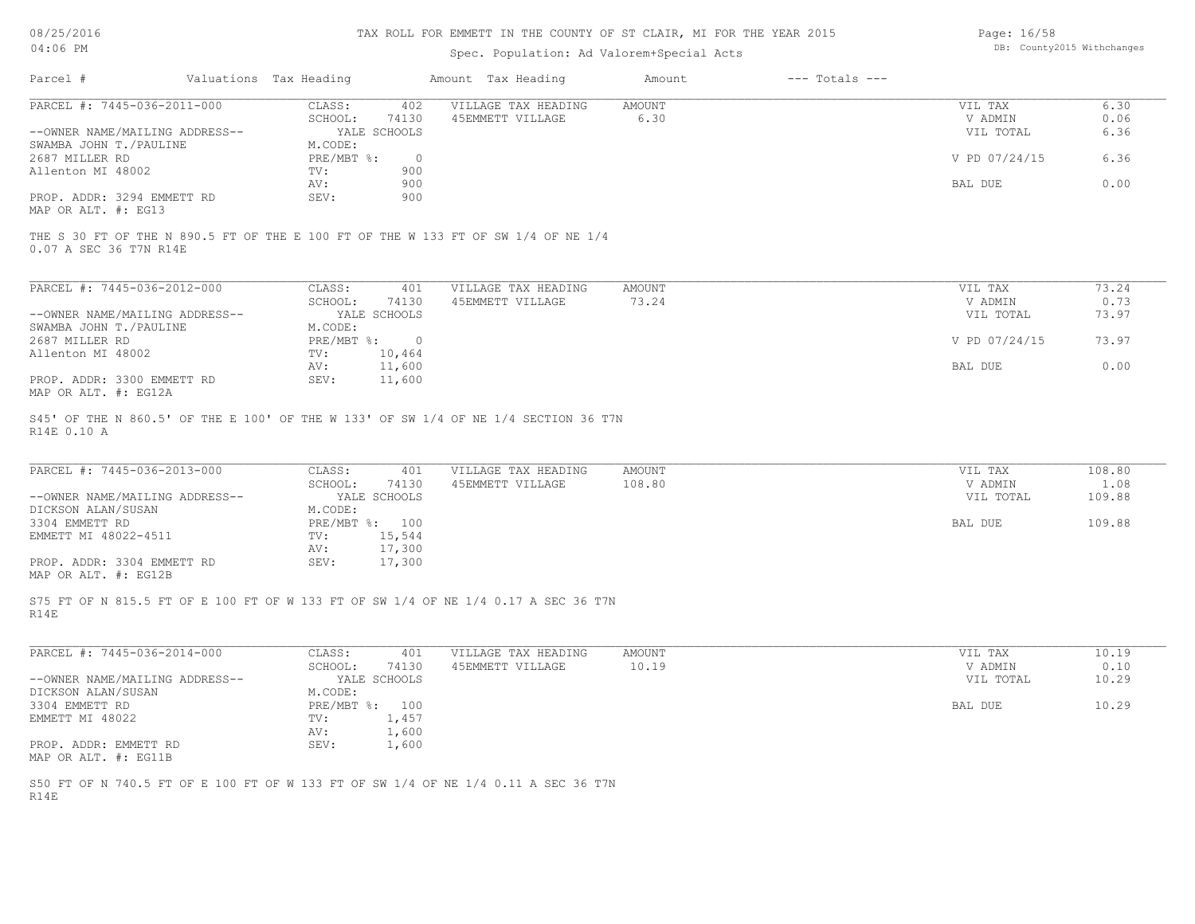#### TAX ROLL FOR EMMETT IN THE COUNTY OF ST CLAIR, MI FOR THE YEAR 2015

# Spec. Population: Ad Valorem+Special Acts

Page: 16/58 DB: County2015 Withchanges

| Parcel #                       | Valuations Tax Heading |              | Amount Tax Heading  | Amount | $---$ Totals $---$ |               |      |
|--------------------------------|------------------------|--------------|---------------------|--------|--------------------|---------------|------|
| PARCEL #: 7445-036-2011-000    | CLASS:                 | 402          | VILLAGE TAX HEADING | AMOUNT |                    | VIL TAX       | 6.30 |
|                                | SCHOOL:                | 74130        | 45EMMETT VILLAGE    | 6.30   |                    | V ADMIN       | 0.06 |
| --OWNER NAME/MAILING ADDRESS-- |                        | YALE SCHOOLS |                     |        |                    | VIL TOTAL     | 6.36 |
| SWAMBA JOHN T./PAULINE         | M.CODE:                |              |                     |        |                    |               |      |
| 2687 MILLER RD                 | PRE/MBT %:             |              |                     |        |                    | V PD 07/24/15 | 6.36 |
| Allenton MI 48002              | TV:                    | 900          |                     |        |                    |               |      |
|                                | AV:                    | 900          |                     |        |                    | BAL DUE       | 0.00 |
| PROP. ADDR: 3294 EMMETT RD     | SEV:                   | 900          |                     |        |                    |               |      |
| MAP OR ALT. #: EG13            |                        |              |                     |        |                    |               |      |

0.07 A SEC 36 T7N R14E THE S 30 FT OF THE N 890.5 FT OF THE E 100 FT OF THE W 133 FT OF SW 1/4 OF NE 1/4

| PARCEL #: 7445-036-2012-000    | CLASS:       | 401          | VILLAGE TAX HEADING | AMOUNT | VIL TAX       | 73.24 |
|--------------------------------|--------------|--------------|---------------------|--------|---------------|-------|
|                                | SCHOOL:      | 74130        | 45EMMETT VILLAGE    | 73.24  | V ADMIN       | 0.73  |
| --OWNER NAME/MAILING ADDRESS-- |              | YALE SCHOOLS |                     |        | VIL TOTAL     | 73.97 |
| SWAMBA JOHN T./PAULINE         | M.CODE:      |              |                     |        |               |       |
| 2687 MILLER RD                 | $PRE/MBT$ %: |              |                     |        | V PD 07/24/15 | 73.97 |
| Allenton MI 48002              | TV:          | 10,464       |                     |        |               |       |
|                                | AV:          | 11,600       |                     |        | BAL DUE       | 0.00  |
| PROP. ADDR: 3300 EMMETT RD     | SEV:         | 11,600       |                     |        |               |       |
| MAP OR ALT. #: EG12A           |              |              |                     |        |               |       |

R14E 0.10 A S45' OF THE N 860.5' OF THE E 100' OF THE W 133' OF SW 1/4 OF NE 1/4 SECTION 36 T7N

| PARCEL #: 7445-036-2013-000    | CLASS:  | 401            | VILLAGE TAX HEADING | AMOUNT    | VIL TAX | 108.80 |
|--------------------------------|---------|----------------|---------------------|-----------|---------|--------|
|                                | SCHOOL: | 74130          | 45EMMETT VILLAGE    | 108.80    | V ADMIN | 1.08   |
| --OWNER NAME/MAILING ADDRESS-- |         | YALE SCHOOLS   |                     | VIL TOTAL | 109.88  |        |
| DICKSON ALAN/SUSAN             | M.CODE: |                |                     |           |         |        |
| 3304 EMMETT RD                 |         | PRE/MBT %: 100 |                     |           | BAL DUE | 109.88 |
| EMMETT MI 48022-4511           | TV:     | 15,544         |                     |           |         |        |
|                                | AV:     | 17,300         |                     |           |         |        |
| PROP. ADDR: 3304 EMMETT RD     | SEV:    | 17,300         |                     |           |         |        |
| MAP OR ALT. #: EG12B           |         |                |                     |           |         |        |

R14E S75 FT OF N 815.5 FT OF E 100 FT OF W 133 FT OF SW 1/4 OF NE 1/4 0.17 A SEC 36 T7N

| PARCEL #: 7445-036-2014-000    | CLASS:       | 401          | VILLAGE TAX HEADING | AMOUNT | VIL TAX   | 10.19 |
|--------------------------------|--------------|--------------|---------------------|--------|-----------|-------|
|                                | SCHOOL:      | 74130        | 45EMMETT VILLAGE    | 10.19  | V ADMIN   | 0.10  |
| --OWNER NAME/MAILING ADDRESS-- |              | YALE SCHOOLS |                     |        | VIL TOTAL | 10.29 |
| DICKSON ALAN/SUSAN             | M.CODE:      |              |                     |        |           |       |
| 3304 EMMETT RD                 | $PRE/MBT$ %: | 100          |                     |        | BAL DUE   | 10.29 |
| EMMETT MI 48022                | TV:          | 1,457        |                     |        |           |       |
|                                | AV:          | 1,600        |                     |        |           |       |
| PROP. ADDR: EMMETT RD          | SEV:         | 1,600        |                     |        |           |       |
| MAP OR ALT. #: EG11B           |              |              |                     |        |           |       |

R14E S50 FT OF N 740.5 FT OF E 100 FT OF W 133 FT OF SW 1/4 OF NE 1/4 0.11 A SEC 36 T7N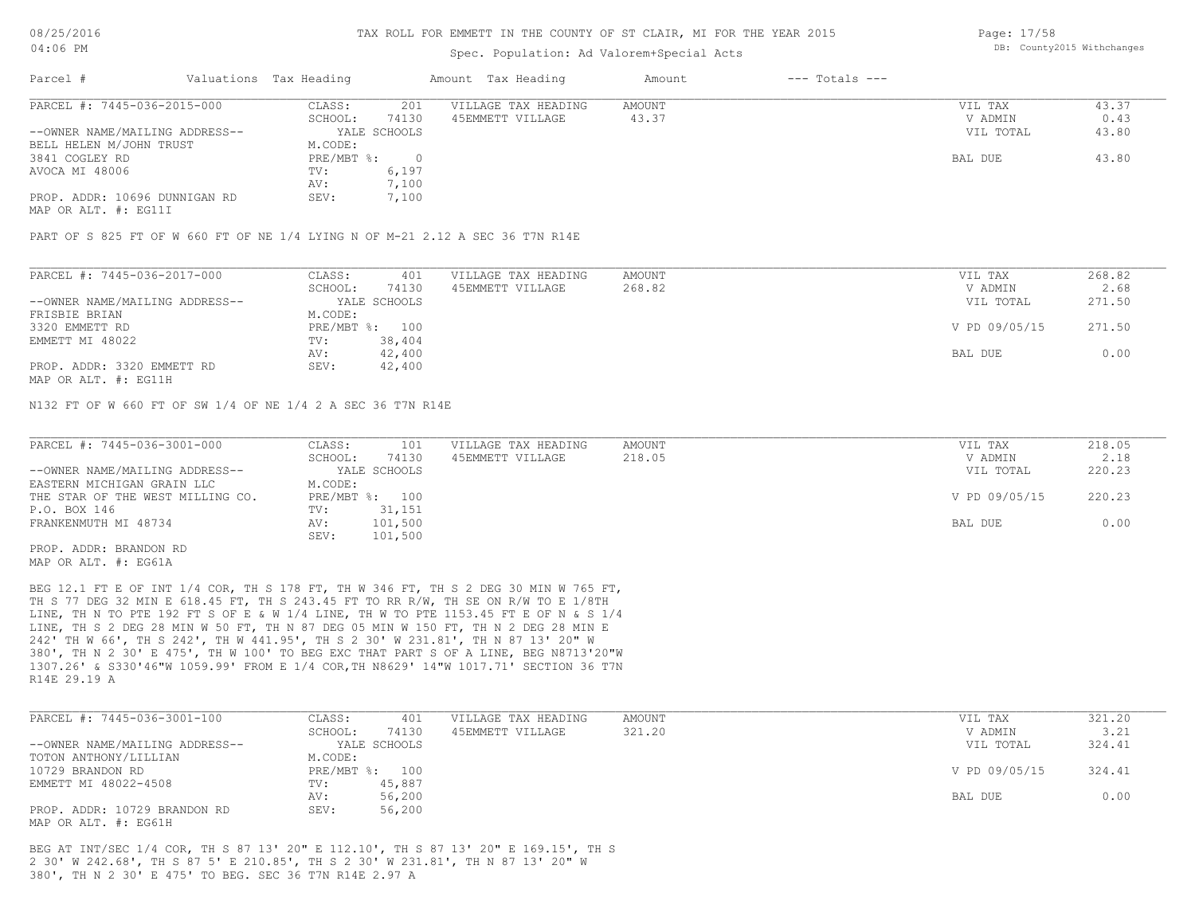### Spec. Population: Ad Valorem+Special Acts

Page: 17/58 DB: County2015 Withchanges

| Parcel #                       |         | Valuations Tax Heading |                  | Amount Tax Heading  | Amount | $---$ Totals $---$ |           |       |
|--------------------------------|---------|------------------------|------------------|---------------------|--------|--------------------|-----------|-------|
| PARCEL #: 7445-036-2015-000    |         | CLASS:                 | 201              | VILLAGE TAX HEADING | AMOUNT |                    | VIL TAX   | 43.37 |
|                                | SCHOOL: | 74130                  | 45EMMETT VILLAGE | 43.37               |        | V ADMIN            | 0.43      |       |
| --OWNER NAME/MAILING ADDRESS-- |         |                        | YALE SCHOOLS     |                     |        |                    | VIL TOTAL | 43.80 |
| BELL HELEN M/JOHN TRUST        |         | M.CODE:                |                  |                     |        |                    |           |       |
| 3841 COGLEY RD                 |         | PRE/MBT %:             |                  |                     |        |                    | BAL DUE   | 43.80 |
| AVOCA MI 48006                 |         | TV:                    | 6,197            |                     |        |                    |           |       |
|                                |         | AV:                    | 7,100            |                     |        |                    |           |       |
| PROP. ADDR: 10696 DUNNIGAN RD  |         | SEV:                   | 7,100            |                     |        |                    |           |       |
|                                |         |                        |                  |                     |        |                    |           |       |

MAP OR ALT. #: EG11I

PART OF S 825 FT OF W 660 FT OF NE 1/4 LYING N OF M-21 2.12 A SEC 36 T7N R14E

| PARCEL #: 7445-036-2017-000    | CLASS:  | 401            | VILLAGE TAX HEADING | AMOUNT | VIL TAX       | 268.82 |
|--------------------------------|---------|----------------|---------------------|--------|---------------|--------|
|                                | SCHOOL: | 74130          | 45EMMETT VILLAGE    | 268.82 | V ADMIN       | 2.68   |
| --OWNER NAME/MAILING ADDRESS-- |         | YALE SCHOOLS   |                     |        | VIL TOTAL     | 271.50 |
| FRISBIE BRIAN                  | M.CODE: |                |                     |        |               |        |
| 3320 EMMETT RD                 |         | PRE/MBT %: 100 |                     |        | V PD 09/05/15 | 271.50 |
| EMMETT MI 48022                | TV:     | 38,404         |                     |        |               |        |
|                                | AV:     | 42,400         |                     |        | BAL DUE       | 0.00   |
| PROP. ADDR: 3320 EMMETT RD     | SEV:    | 42,400         |                     |        |               |        |
|                                |         |                |                     |        |               |        |

MAP OR ALT. #: EG11H

N132 FT OF W 660 FT OF SW 1/4 OF NE 1/4 2 A SEC 36 T7N R14E

| PARCEL #: 7445-036-3001-000      | CLASS:           | VILLAGE TAX HEADING<br>101 | AMOUNT | VIL TAX       | 218.05 |
|----------------------------------|------------------|----------------------------|--------|---------------|--------|
|                                  | 74130<br>SCHOOL: | 45EMMETT VILLAGE           | 218.05 | V ADMIN       | 2.18   |
| --OWNER NAME/MAILING ADDRESS--   | YALE SCHOOLS     |                            |        | VIL TOTAL     | 220.23 |
| EASTERN MICHIGAN GRAIN LLC       | M.CODE:          |                            |        |               |        |
| THE STAR OF THE WEST MILLING CO. | PRE/MBT %: 100   |                            |        | V PD 09/05/15 | 220.23 |
| P.O. BOX 146                     | 31,151<br>TV:    |                            |        |               |        |
| FRANKENMUTH MI 48734             | 101,500<br>AV:   |                            |        | BAL DUE       | 0.00   |
|                                  | 101,500<br>SEV:  |                            |        |               |        |
| PROP. ADDR: BRANDON RD           |                  |                            |        |               |        |

MAP OR ALT. #: EG61A

R14E 29.19 A 1307.26' & S330'46"W 1059.99' FROM E 1/4 COR,TH N8629' 14"W 1017.71' SECTION 36 T7N 380', TH N 2 30' E 475', TH W 100' TO BEG EXC THAT PART S OF A LINE, BEG N8713'20"W 242' TH W 66', TH S 242', TH W 441.95', TH S 2 30' W 231.81', TH N 87 13' 20" W LINE, TH S 2 DEG 28 MIN W 50 FT, TH N 87 DEG 05 MIN W 150 FT, TH N 2 DEG 28 MIN E LINE, TH N TO PTE 192 FT S OF E & W 1/4 LINE, TH W TO PTE 1153.45 FT E OF N & S 1/4 TH S 77 DEG 32 MIN E 618.45 FT, TH S 243.45 FT TO RR R/W, TH SE ON R/W TO E 1/8TH BEG 12.1 FT E OF INT 1/4 COR, TH S 178 FT, TH W 346 FT, TH S 2 DEG 30 MIN W 765 FT,

| PARCEL #: 7445-036-3001-100    | CLASS:  | 401            | VILLAGE TAX HEADING | AMOUNT | VIL TAX       | 321.20 |
|--------------------------------|---------|----------------|---------------------|--------|---------------|--------|
|                                | SCHOOL: | 74130          | 45EMMETT VILLAGE    | 321.20 | V ADMIN       | 3.21   |
| --OWNER NAME/MAILING ADDRESS-- |         | YALE SCHOOLS   |                     |        | VIL TOTAL     | 324.41 |
| TOTON ANTHONY/LILLIAN          | M.CODE: |                |                     |        |               |        |
| 10729 BRANDON RD               |         | PRE/MBT %: 100 |                     |        | V PD 09/05/15 | 324.41 |
| EMMETT MI 48022-4508           | TV:     | 45,887         |                     |        |               |        |
|                                | AV:     | 56,200         |                     |        | BAL DUE       | 0.00   |
| PROP. ADDR: 10729 BRANDON RD   | SEV:    | 56,200         |                     |        |               |        |
| MAP OR ALT. #: EG61H           |         |                |                     |        |               |        |

380', TH N 2 30' E 475' TO BEG. SEC 36 T7N R14E 2.97 A 2 30' W 242.68', TH S 87 5' E 210.85', TH S 2 30' W 231.81', TH N 87 13' 20" W BEG AT INT/SEC 1/4 COR, TH S 87 13' 20" E 112.10', TH S 87 13' 20" E 169.15', TH S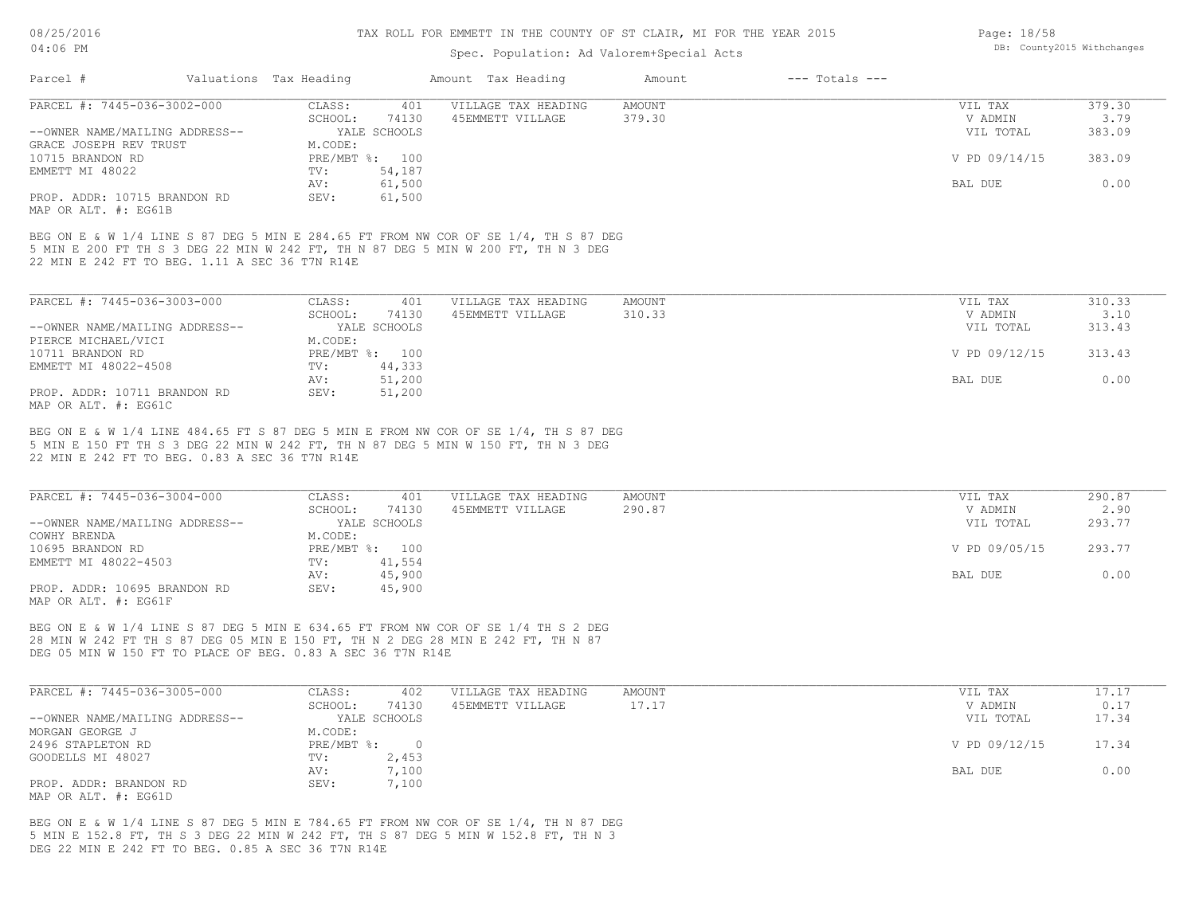08/25/2016  $04:$ 

### TAX ROLL FOR EMMETT IN THE COUNTY OF ST CLAIR, MI FOR THE YEAR 2015

| 08/25/2016                                                                                                                                                                                                                           |                        | TAX ROLL FOR EMMETT IN THE COUNTY OF ST CLAIR, MI FOR THE YEAR 2015 | Page: 18/58   |                    |               |                            |
|--------------------------------------------------------------------------------------------------------------------------------------------------------------------------------------------------------------------------------------|------------------------|---------------------------------------------------------------------|---------------|--------------------|---------------|----------------------------|
| 04:06 PM                                                                                                                                                                                                                             |                        | Spec. Population: Ad Valorem+Special Acts                           |               |                    |               | DB: County2015 Withchanges |
| Parcel #                                                                                                                                                                                                                             | Valuations Tax Heading | Amount Tax Heading                                                  | Amount        | $---$ Totals $---$ |               |                            |
|                                                                                                                                                                                                                                      |                        |                                                                     |               |                    |               |                            |
| PARCEL #: 7445-036-3002-000                                                                                                                                                                                                          | CLASS:<br>401          | VILLAGE TAX HEADING                                                 | <b>AMOUNT</b> |                    | VIL TAX       | 379.30                     |
|                                                                                                                                                                                                                                      | SCHOOL:<br>74130       | 45EMMETT VILLAGE                                                    | 379.30        |                    | V ADMIN       | 3.79                       |
| --OWNER NAME/MAILING ADDRESS--                                                                                                                                                                                                       | YALE SCHOOLS           |                                                                     |               |                    | VIL TOTAL     | 383.09                     |
| GRACE JOSEPH REV TRUST                                                                                                                                                                                                               | M.CODE:                |                                                                     |               |                    |               |                            |
| 10715 BRANDON RD                                                                                                                                                                                                                     | PRE/MBT %: 100         |                                                                     |               |                    | V PD 09/14/15 | 383.09                     |
| EMMETT MI 48022                                                                                                                                                                                                                      | 54,187<br>TV:          |                                                                     |               |                    |               |                            |
|                                                                                                                                                                                                                                      | 61,500<br>AV:          |                                                                     |               |                    | BAL DUE       | 0.00                       |
| PROP. ADDR: 10715 BRANDON RD<br>MAP OR ALT. #: EG61B                                                                                                                                                                                 | SEV:<br>61,500         |                                                                     |               |                    |               |                            |
| BEG ON E & W 1/4 LINE S 87 DEG 5 MIN E 284.65 FT FROM NW COR OF SE 1/4, TH S 87 DEG<br>5 MIN E 200 FT TH S 3 DEG 22 MIN W 242 FT, TH N 87 DEG 5 MIN W 200 FT, TH N 3 DEG<br>22 MIN E 242 FT TO BEG. 1.11 A SEC 36 T7N R14E           |                        |                                                                     |               |                    |               |                            |
|                                                                                                                                                                                                                                      |                        |                                                                     |               |                    |               |                            |
| PARCEL #: 7445-036-3003-000                                                                                                                                                                                                          | CLASS:<br>401          | VILLAGE TAX HEADING                                                 | AMOUNT        |                    | VIL TAX       | 310.33                     |
|                                                                                                                                                                                                                                      | SCHOOL:<br>74130       | 45EMMETT VILLAGE                                                    | 310.33        |                    | V ADMIN       | 3.10                       |
| --OWNER NAME/MAILING ADDRESS--                                                                                                                                                                                                       | YALE SCHOOLS           |                                                                     |               |                    | VIL TOTAL     | 313.43                     |
| PIERCE MICHAEL/VICI                                                                                                                                                                                                                  | M.CODE:                |                                                                     |               |                    |               |                            |
| 10711 BRANDON RD                                                                                                                                                                                                                     | PRE/MBT %: 100         |                                                                     |               |                    | V PD 09/12/15 | 313.43                     |
| EMMETT MI 48022-4508                                                                                                                                                                                                                 | TV:<br>44,333          |                                                                     |               |                    |               |                            |
|                                                                                                                                                                                                                                      | 51,200<br>AV:          |                                                                     |               |                    | BAL DUE       | 0.00                       |
| PROP. ADDR: 10711 BRANDON RD<br>MAP OR ALT. #: EG61C                                                                                                                                                                                 | SEV:<br>51,200         |                                                                     |               |                    |               |                            |
| 22 MIN E 242 FT TO BEG. 0.83 A SEC 36 T7N R14E                                                                                                                                                                                       |                        |                                                                     |               |                    |               |                            |
| PARCEL #: 7445-036-3004-000                                                                                                                                                                                                          | CLASS:<br>401          | VILLAGE TAX HEADING                                                 | AMOUNT        |                    | VIL TAX       | 290.87                     |
|                                                                                                                                                                                                                                      | SCHOOL:<br>74130       | 45EMMETT VILLAGE                                                    | 290.87        |                    | V ADMIN       | 2.90                       |
| --OWNER NAME/MAILING ADDRESS--                                                                                                                                                                                                       | YALE SCHOOLS           |                                                                     |               |                    | VIL TOTAL     | 293.77                     |
| COWHY BRENDA                                                                                                                                                                                                                         | M.CODE:                |                                                                     |               |                    |               |                            |
| 10695 BRANDON RD                                                                                                                                                                                                                     | PRE/MBT %: 100         |                                                                     |               |                    | V PD 09/05/15 | 293.77                     |
| EMMETT MI 48022-4503                                                                                                                                                                                                                 | 41,554<br>TV:          |                                                                     |               |                    |               |                            |
|                                                                                                                                                                                                                                      | AV:<br>45,900          |                                                                     |               |                    | BAL DUE       | 0.00                       |
| PROP. ADDR: 10695 BRANDON RD<br>MAP OR ALT. #: EG61F                                                                                                                                                                                 | SEV:<br>45,900         |                                                                     |               |                    |               |                            |
| BEG ON E & W 1/4 LINE S 87 DEG 5 MIN E 634.65 FT FROM NW COR OF SE 1/4 TH S 2 DEG<br>28 MIN W 242 FT TH S 87 DEG 05 MIN E 150 FT, TH N 2 DEG 28 MIN E 242 FT, TH N 87<br>DEG 05 MIN W 150 FT TO PLACE OF BEG. 0.83 A SEC 36 T7N R14E |                        |                                                                     |               |                    |               |                            |
| PARCEL #: 7445-036-3005-000                                                                                                                                                                                                          | CLASS:<br>402          | VILLAGE TAX HEADING                                                 | AMOUNT        |                    | VIL TAX       | 17.17                      |
|                                                                                                                                                                                                                                      | SCHOOL: 74130          | 45EMMETT VILLAGE                                                    | 17.17         |                    | V ADMIN       | 0.17                       |
| --OWNER NAME/MAILING ADDRESS--                                                                                                                                                                                                       | YALE SCHOOLS           |                                                                     |               |                    | VIL TOTAL     | 17.34                      |
| MORGAN GEORGE J                                                                                                                                                                                                                      | M.CODE:                |                                                                     |               |                    |               |                            |
| 2496 STAPLETON RD                                                                                                                                                                                                                    | $PRE/MBT$ $\div$ 0     |                                                                     |               |                    | V PD 09/12/15 | 17.34                      |
| GOODELLS MI 48027                                                                                                                                                                                                                    | 2,453<br>TV:           |                                                                     |               |                    |               |                            |
|                                                                                                                                                                                                                                      | 7,100<br>AV:           |                                                                     |               |                    | BAL DUE       | 0.00                       |
| PROP. ADDR: BRANDON RD                                                                                                                                                                                                               | SEV:<br>7,100          |                                                                     |               |                    |               |                            |
| MAP OR ALT. #: EG61D                                                                                                                                                                                                                 |                        |                                                                     |               |                    |               |                            |
| BEG ON E & W 1/4 LINE S 87 DEG 5 MIN E 784.65 FT FROM NW COR OF SE 1/4, TH N 87 DEG                                                                                                                                                  |                        |                                                                     |               |                    |               |                            |
| 5 MIN E 152.8 FT, TH S 3 DEG 22 MIN W 242 FT, TH S 87 DEG 5 MIN W 152.8 FT, TH N 3<br>DEG 22 MIN E 242 FT TO BEG. 0.85 A SEC 36 T7N R14E                                                                                             |                        |                                                                     |               |                    |               |                            |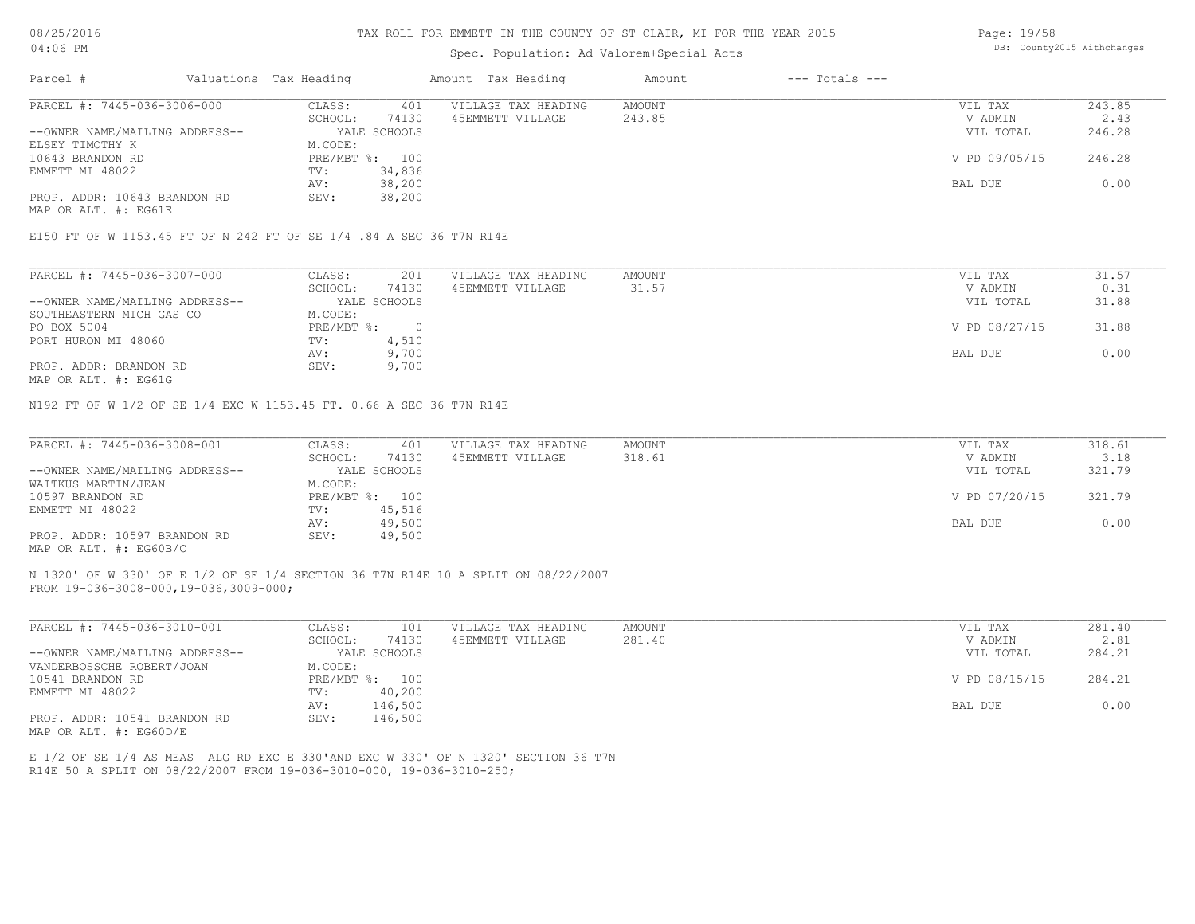#### TAX ROLL FOR EMMETT IN THE COUNTY OF ST CLAIR, MI FOR THE YEAR 2015

### Spec. Population: Ad Valorem+Special Acts

Page: 19/58 DB: County2015 Withchanges

| Parcel #                       | Valuations Tax Heading |                | Amount Tax Heading  | Amount | $---$ Totals $---$ |               |        |
|--------------------------------|------------------------|----------------|---------------------|--------|--------------------|---------------|--------|
| PARCEL #: 7445-036-3006-000    | CLASS:                 | 401            | VILLAGE TAX HEADING | AMOUNT |                    | VIL TAX       | 243.85 |
|                                | SCHOOL:                | 74130          | 45EMMETT VILLAGE    | 243.85 |                    | V ADMIN       | 2.43   |
| --OWNER NAME/MAILING ADDRESS-- |                        | YALE SCHOOLS   |                     |        |                    | VIL TOTAL     | 246.28 |
| ELSEY TIMOTHY K                | M.CODE:                |                |                     |        |                    |               |        |
| 10643 BRANDON RD               |                        | PRE/MBT %: 100 |                     |        |                    | V PD 09/05/15 | 246.28 |
| EMMETT MI 48022                | TV:                    | 34,836         |                     |        |                    |               |        |
|                                | AV:                    | 38,200         |                     |        |                    | BAL DUE       | 0.00   |
| PROP. ADDR: 10643 BRANDON RD   | SEV:                   | 38,200         |                     |        |                    |               |        |
| MAP OR ALT. #: EG61E           |                        |                |                     |        |                    |               |        |

E150 FT OF W 1153.45 FT OF N 242 FT OF SE 1/4 .84 A SEC 36 T7N R14E

| PARCEL #: 7445-036-3007-000    | CLASS:     | 201          | VILLAGE TAX HEADING | AMOUNT | VIL TAX       | 31.57 |
|--------------------------------|------------|--------------|---------------------|--------|---------------|-------|
|                                | SCHOOL:    | 74130        | 45EMMETT VILLAGE    | 31.57  | V ADMIN       | 0.31  |
| --OWNER NAME/MAILING ADDRESS-- |            | YALE SCHOOLS |                     |        | VIL TOTAL     | 31.88 |
| SOUTHEASTERN MICH GAS CO       | M.CODE:    |              |                     |        |               |       |
| PO BOX 5004                    | PRE/MBT %: |              |                     |        | V PD 08/27/15 | 31.88 |
| PORT HURON MI 48060            | TV:        | 4,510        |                     |        |               |       |
|                                | AV:        | 9,700        |                     |        | BAL DUE       | 0.00  |
| PROP. ADDR: BRANDON RD         | SEV:       | 9,700        |                     |        |               |       |
|                                |            |              |                     |        |               |       |

MAP OR ALT. #: EG61G

N192 FT OF W 1/2 OF SE 1/4 EXC W 1153.45 FT. 0.66 A SEC 36 T7N R14E

| PARCEL #: 7445-036-3008-001    | CLASS:  | 401            | VILLAGE TAX HEADING | AMOUNT | VIL TAX       | 318.61 |
|--------------------------------|---------|----------------|---------------------|--------|---------------|--------|
|                                | SCHOOL: | 74130          | 45EMMETT VILLAGE    | 318.61 | V ADMIN       | 3.18   |
| --OWNER NAME/MAILING ADDRESS-- |         | YALE SCHOOLS   |                     |        | VIL TOTAL     | 321.79 |
| WAITKUS MARTIN/JEAN            | M.CODE: |                |                     |        |               |        |
| 10597 BRANDON RD               |         | PRE/MBT %: 100 |                     |        | V PD 07/20/15 | 321.79 |
| EMMETT MI 48022                | TV:     | 45,516         |                     |        |               |        |
|                                | AV:     | 49,500         |                     |        | BAL DUE       | 0.00   |
| PROP. ADDR: 10597 BRANDON RD   | SEV:    | 49,500         |                     |        |               |        |
| MAP OR ALT. #: EG60B/C         |         |                |                     |        |               |        |

FROM 19-036-3008-000,19-036,3009-000; N 1320' OF W 330' OF E 1/2 OF SE 1/4 SECTION 36 T7N R14E 10 A SPLIT ON 08/22/2007

| PARCEL #: 7445-036-3010-001    | 101<br>CLASS:    | VILLAGE TAX HEADING | AMOUNT | VIL TAX       | 281.40 |
|--------------------------------|------------------|---------------------|--------|---------------|--------|
|                                | 74130<br>SCHOOL: | 45EMMETT VILLAGE    | 281.40 | V ADMIN       | 2.81   |
| --OWNER NAME/MAILING ADDRESS-- | YALE SCHOOLS     |                     |        | VIL TOTAL     | 284.21 |
| VANDERBOSSCHE ROBERT/JOAN      | M.CODE:          |                     |        |               |        |
| 10541 BRANDON RD               | PRE/MBT %: 100   |                     |        | V PD 08/15/15 | 284.21 |
| EMMETT MI 48022                | 40,200<br>TV:    |                     |        |               |        |
|                                | 146,500<br>AV:   |                     |        | BAL DUE       | 0.00   |
| PROP. ADDR: 10541 BRANDON RD   | 146,500<br>SEV:  |                     |        |               |        |
| MAP OR ALT. $\#$ : EG60D/E     |                  |                     |        |               |        |

R14E 50 A SPLIT ON 08/22/2007 FROM 19-036-3010-000, 19-036-3010-250; E 1/2 OF SE 1/4 AS MEAS ALG RD EXC E 330'AND EXC W 330' OF N 1320' SECTION 36 T7N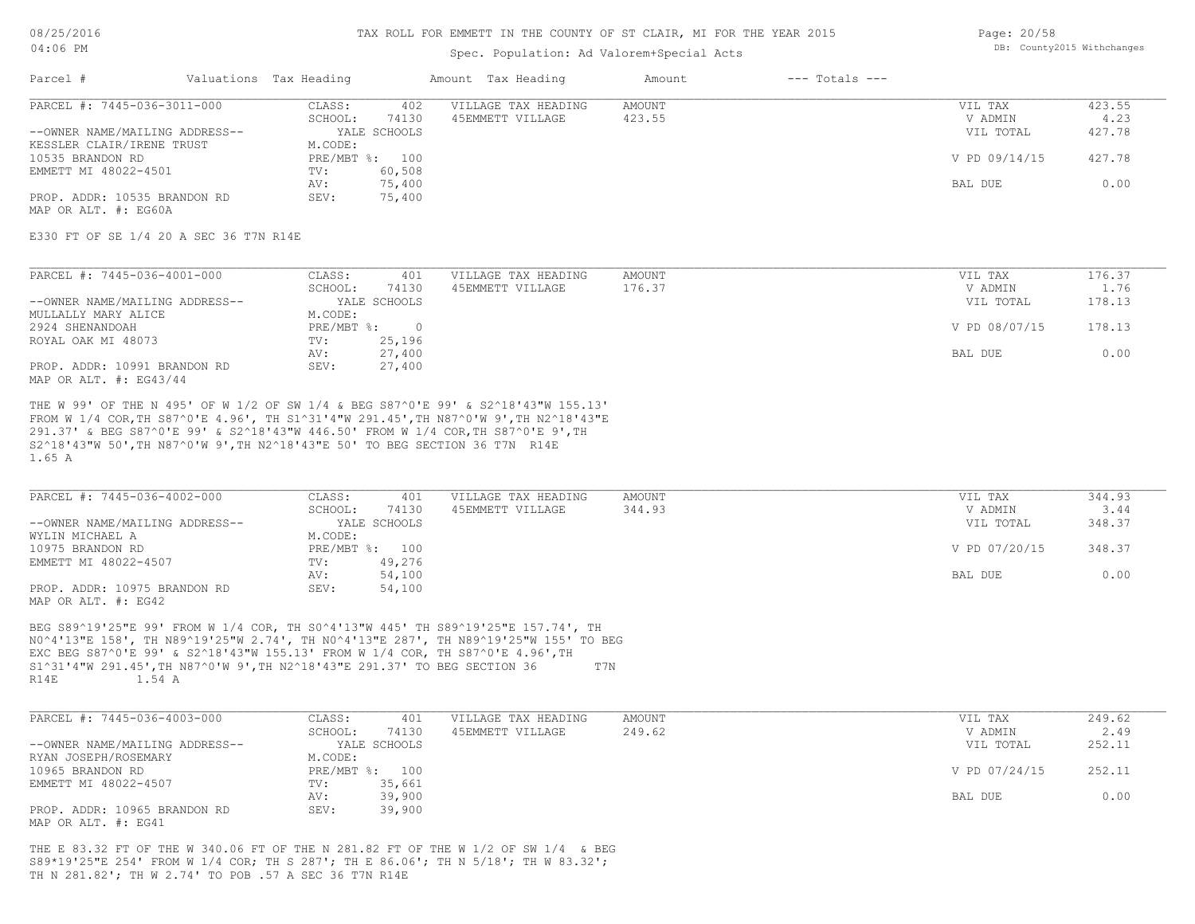### Spec. Population: Ad Valorem+Special Acts

Page: 20/58 DB: County2015 Withchanges

| Parcel #                       | Valuations Tax Heading |                | Amount Tax Heading  | Amount | $---$ Totals $---$ |               |        |
|--------------------------------|------------------------|----------------|---------------------|--------|--------------------|---------------|--------|
| PARCEL #: 7445-036-3011-000    | CLASS:                 | 402            | VILLAGE TAX HEADING | AMOUNT |                    | VIL TAX       | 423.55 |
|                                | SCHOOL:                | 74130          | 45EMMETT VILLAGE    | 423.55 |                    | V ADMIN       | 4.23   |
| --OWNER NAME/MAILING ADDRESS-- |                        | YALE SCHOOLS   |                     |        |                    | VIL TOTAL     | 427.78 |
| KESSLER CLAIR/IRENE TRUST      | M.CODE:                |                |                     |        |                    |               |        |
| 10535 BRANDON RD               |                        | PRE/MBT %: 100 |                     |        |                    | V PD 09/14/15 | 427.78 |
| EMMETT MI 48022-4501           | TV:                    | 60,508         |                     |        |                    |               |        |
|                                | AV:                    | 75,400         |                     |        |                    | BAL DUE       | 0.00   |
| PROP. ADDR: 10535 BRANDON RD   | SEV:                   | 75,400         |                     |        |                    |               |        |
| MAP OR ALT, #: EG60A           |                        |                |                     |        |                    |               |        |

E330 FT OF SE 1/4 20 A SEC 36 T7N R14E

| PARCEL #: 7445-036-4001-000    | CLASS:     | 401          | VILLAGE TAX HEADING | AMOUNT | VIL TAX | 176.37                  |  |
|--------------------------------|------------|--------------|---------------------|--------|---------|-------------------------|--|
|                                | SCHOOL:    | 74130        | 45EMMETT VILLAGE    | 176.37 | V ADMIN | 1.76                    |  |
| --OWNER NAME/MAILING ADDRESS-- |            | YALE SCHOOLS |                     |        |         | 178.13<br>VIL TOTAL     |  |
| MULLALLY MARY ALICE            | M.CODE:    |              |                     |        |         |                         |  |
| 2924 SHENANDOAH                | PRE/MBT %: |              |                     |        |         | 178.13<br>V PD 08/07/15 |  |
| ROYAL OAK MI 48073             | TV:        | 25,196       |                     |        |         |                         |  |
|                                | AV:        | 27,400       |                     |        | BAL DUE | 0.00                    |  |
| PROP. ADDR: 10991 BRANDON RD   | SEV:       | 27,400       |                     |        |         |                         |  |
| MAP OR ALT. #: EG43/44         |            |              |                     |        |         |                         |  |

1.65 A S2^18'43"W 50',TH N87^0'W 9',TH N2^18'43"E 50' TO BEG SECTION 36 T7N R14E 291.37' & BEG S87^0'E 99' & S2^18'43"W 446.50' FROM W 1/4 COR,TH S87^0'E 9',TH FROM W 1/4 COR,TH S87^0'E 4.96', TH S1^31'4"W 291.45',TH N87^0'W 9',TH N2^18'43"E THE W 99' OF THE N 495' OF W 1/2 OF SW 1/4 & BEG S87^0'E 99' & S2^18'43"W 155.13'

| PARCEL #: 7445-036-4002-000    | CLASS:  | 401            | VILLAGE TAX HEADING | AMOUNT | VIL TAX       | 344.93 |
|--------------------------------|---------|----------------|---------------------|--------|---------------|--------|
|                                | SCHOOL: | 74130          | 45EMMETT VILLAGE    | 344.93 | V ADMIN       | 3.44   |
| --OWNER NAME/MAILING ADDRESS-- |         | YALE SCHOOLS   |                     |        | VIL TOTAL     | 348.37 |
| WYLIN MICHAEL A                | M.CODE: |                |                     |        |               |        |
| 10975 BRANDON RD               |         | PRE/MBT %: 100 |                     |        | V PD 07/20/15 | 348.37 |
| EMMETT MI 48022-4507           | TV:     | 49,276         |                     |        |               |        |
|                                | AV:     | 54,100         |                     |        | BAL DUE       | 0.00   |
| PROP. ADDR: 10975 BRANDON RD   | SEV:    | 54,100         |                     |        |               |        |
| MAP OR ALT. #: EG42            |         |                |                     |        |               |        |

R14E 1.54 A S1^31'4"W 291.45',TH N87^0'W 9',TH N2^18'43"E 291.37' TO BEG SECTION 36 T7N EXC BEG S87^0'E 99' & S2^18'43"W 155.13' FROM W 1/4 COR, TH S87^0'E 4.96',TH N0^4'13"E 158', TH N89^19'25"W 2.74', TH N0^4'13"E 287', TH N89^19'25"W 155' TO BEG BEG S89^19'25"E 99' FROM W 1/4 COR, TH S0^4'13"W 445' TH S89^19'25"E 157.74', TH

| PARCEL #: 7445-036-4003-000    | CLASS:  | 401            | VILLAGE TAX HEADING | AMOUNT | VIL TAX       | 249.62 |
|--------------------------------|---------|----------------|---------------------|--------|---------------|--------|
|                                | SCHOOL: | 74130          | 45EMMETT VILLAGE    | 249.62 | V ADMIN       | 2.49   |
| --OWNER NAME/MAILING ADDRESS-- |         | YALE SCHOOLS   |                     |        | VIL TOTAL     | 252.11 |
| RYAN JOSEPH/ROSEMARY           | M.CODE: |                |                     |        |               |        |
| 10965 BRANDON RD               |         | PRE/MBT %: 100 |                     |        | V PD 07/24/15 | 252.11 |
| EMMETT MI 48022-4507           | TV:     | 35,661         |                     |        |               |        |
|                                | AV:     | 39,900         |                     |        | BAL DUE       | 0.00   |
| PROP. ADDR: 10965 BRANDON RD   | SEV:    | 39,900         |                     |        |               |        |
| MAP OR ALT. #: EG41            |         |                |                     |        |               |        |

TH N 281.82'; TH W 2.74' TO POB .57 A SEC 36 T7N R14E S89\*19'25"E 254' FROM W 1/4 COR; TH S 287'; TH E 86.06'; TH N 5/18'; TH W 83.32'; THE E 83.32 FT OF THE W 340.06 FT OF THE N 281.82 FT OF THE W 1/2 OF SW 1/4 & BEG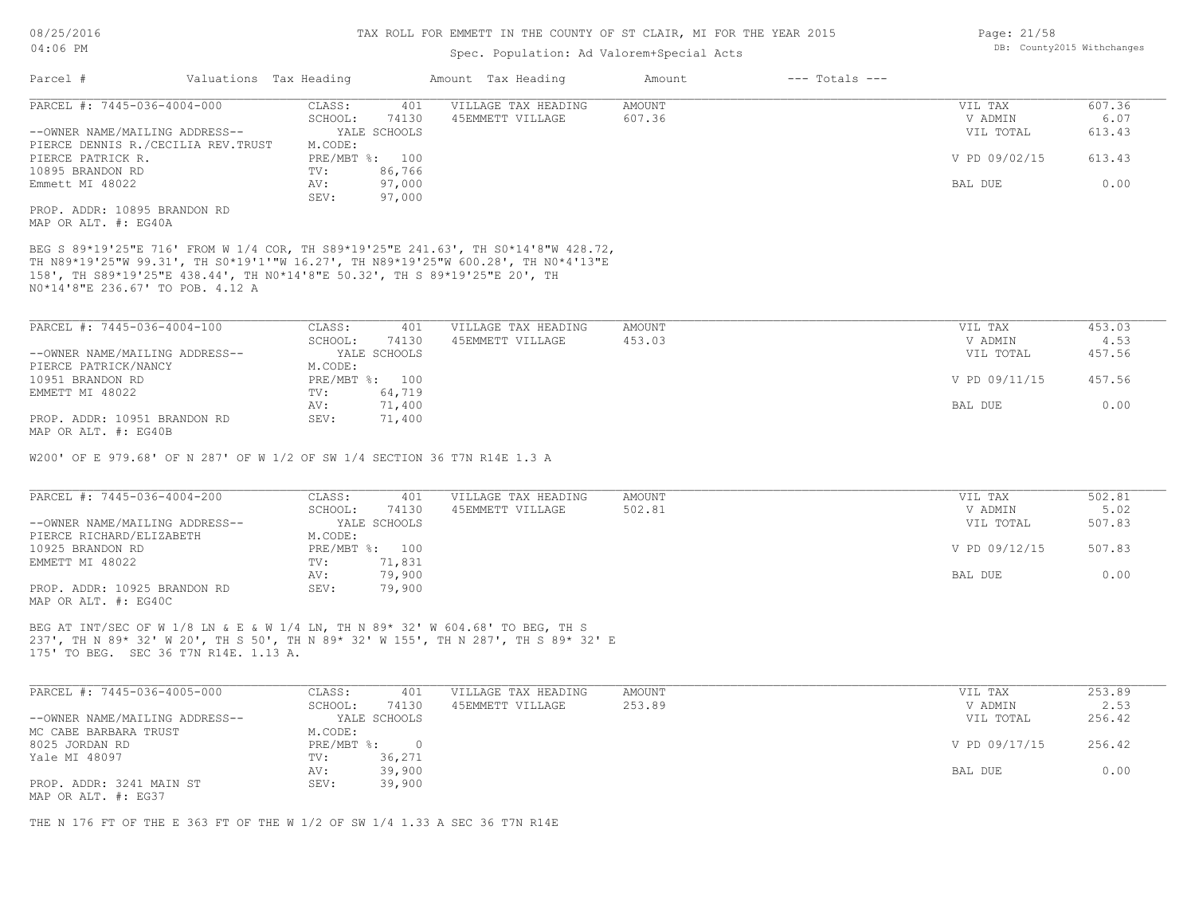### Spec. Population: Ad Valorem+Special Acts

| Parcel #                           | Valuations Tax Heading |                | Amount Tax Heading  | Amount | $---$ Totals $---$ |               |        |
|------------------------------------|------------------------|----------------|---------------------|--------|--------------------|---------------|--------|
| PARCEL #: 7445-036-4004-000        | CLASS:                 | 401            | VILLAGE TAX HEADING | AMOUNT |                    | VIL TAX       | 607.36 |
|                                    | SCHOOL:                | 74130          | 45EMMETT VILLAGE    | 607.36 |                    | V ADMIN       | 6.07   |
| --OWNER NAME/MAILING ADDRESS--     |                        | YALE SCHOOLS   |                     |        |                    | VIL TOTAL     | 613.43 |
| PIERCE DENNIS R./CECILIA REV.TRUST | M.CODE:                |                |                     |        |                    |               |        |
| PIERCE PATRICK R.                  |                        | PRE/MBT %: 100 |                     |        |                    | V PD 09/02/15 | 613.43 |
| 10895 BRANDON RD                   | TV:                    | 86,766         |                     |        |                    |               |        |
| Emmett MI 48022                    | AV:                    | 97,000         |                     |        |                    | BAL DUE       | 0.00   |
|                                    | SEV:                   | 97,000         |                     |        |                    |               |        |
| PROP. ADDR: 10895 BRANDON RD       |                        |                |                     |        |                    |               |        |
| MAP OR ALT. #: EG40A               |                        |                |                     |        |                    |               |        |

N0\*14'8"E 236.67' TO POB. 4.12 A 158', TH S89\*19'25"E 438.44', TH N0\*14'8"E 50.32', TH S 89\*19'25"E 20', TH TH N89\*19'25"W 99.31', TH S0\*19'1'"W 16.27', TH N89\*19'25"W 600.28', TH N0\*4'13"E BEG S 89\*19'25"E 716' FROM W 1/4 COR, TH S89\*19'25"E 241.63', TH S0\*14'8"W 428.72,

| PARCEL #: 7445-036-4004-100    | CLASS:  | 401            | VILLAGE TAX HEADING | AMOUNT | VIL TAX       | 453.03 |
|--------------------------------|---------|----------------|---------------------|--------|---------------|--------|
|                                | SCHOOL: | 74130          | 45EMMETT VILLAGE    | 453.03 | V ADMIN       | 4.53   |
| --OWNER NAME/MAILING ADDRESS-- |         | YALE SCHOOLS   |                     |        | VIL TOTAL     | 457.56 |
| PIERCE PATRICK/NANCY           | M.CODE: |                |                     |        |               |        |
| 10951 BRANDON RD               |         | PRE/MBT %: 100 |                     |        | V PD 09/11/15 | 457.56 |
| EMMETT MI 48022                | TV:     | 64,719         |                     |        |               |        |
|                                | AV:     | 71,400         |                     |        | BAL DUE       | 0.00   |
| PROP. ADDR: 10951 BRANDON RD   | SEV:    | 71,400         |                     |        |               |        |
| MAP OR ALT. #: EG40B           |         |                |                     |        |               |        |

W200' OF E 979.68' OF N 287' OF W 1/2 OF SW 1/4 SECTION 36 T7N R14E 1.3 A

| PARCEL #: 7445-036-4004-200    | CLASS:  | 401            | VILLAGE TAX HEADING | AMOUNT | VIL TAX       | 502.81 |
|--------------------------------|---------|----------------|---------------------|--------|---------------|--------|
|                                | SCHOOL: | 74130          | 45EMMETT VILLAGE    | 502.81 | V ADMIN       | 5.02   |
| --OWNER NAME/MAILING ADDRESS-- |         | YALE SCHOOLS   |                     |        | VIL TOTAL     | 507.83 |
| PIERCE RICHARD/ELIZABETH       | M.CODE: |                |                     |        |               |        |
| 10925 BRANDON RD               |         | PRE/MBT %: 100 |                     |        | V PD 09/12/15 | 507.83 |
| EMMETT MI 48022                | TV:     | 71,831         |                     |        |               |        |
|                                | AV:     | 79,900         |                     |        | BAL DUE       | 0.00   |
| PROP. ADDR: 10925 BRANDON RD   | SEV:    | 79,900         |                     |        |               |        |
| MAP OR ALT. #: EG40C           |         |                |                     |        |               |        |

175' TO BEG. SEC 36 T7N R14E. 1.13 A. 237', TH N 89\* 32' W 20', TH S 50', TH N 89\* 32' W 155', TH N 287', TH S 89\* 32' E BEG AT INT/SEC OF W 1/8 LN & E & W 1/4 LN, TH N 89\* 32' W 604.68' TO BEG, TH S

| PARCEL #: 7445-036-4005-000    | CLASS:       | 401          | VILLAGE TAX HEADING | AMOUNT | VIL TAX       | 253.89 |
|--------------------------------|--------------|--------------|---------------------|--------|---------------|--------|
|                                | SCHOOL:      | 74130        | 45EMMETT VILLAGE    | 253.89 | V ADMIN       | 2.53   |
| --OWNER NAME/MAILING ADDRESS-- |              | YALE SCHOOLS |                     |        | VIL TOTAL     | 256.42 |
| MC CABE BARBARA TRUST          | M.CODE:      |              |                     |        |               |        |
| 8025 JORDAN RD                 | $PRE/MBT$ %: |              |                     |        | V PD 09/17/15 | 256.42 |
| Yale MI 48097                  | TV:          | 36,271       |                     |        |               |        |
|                                | AV:          | 39,900       |                     |        | BAL DUE       | 0.00   |
| PROP. ADDR: 3241 MAIN ST       | SEV:         | 39,900       |                     |        |               |        |
| MAP OR ALT. #: EG37            |              |              |                     |        |               |        |

THE N 176 FT OF THE E 363 FT OF THE W 1/2 OF SW 1/4 1.33 A SEC 36 T7N R14E

Page: 21/58 DB: County2015 Withchanges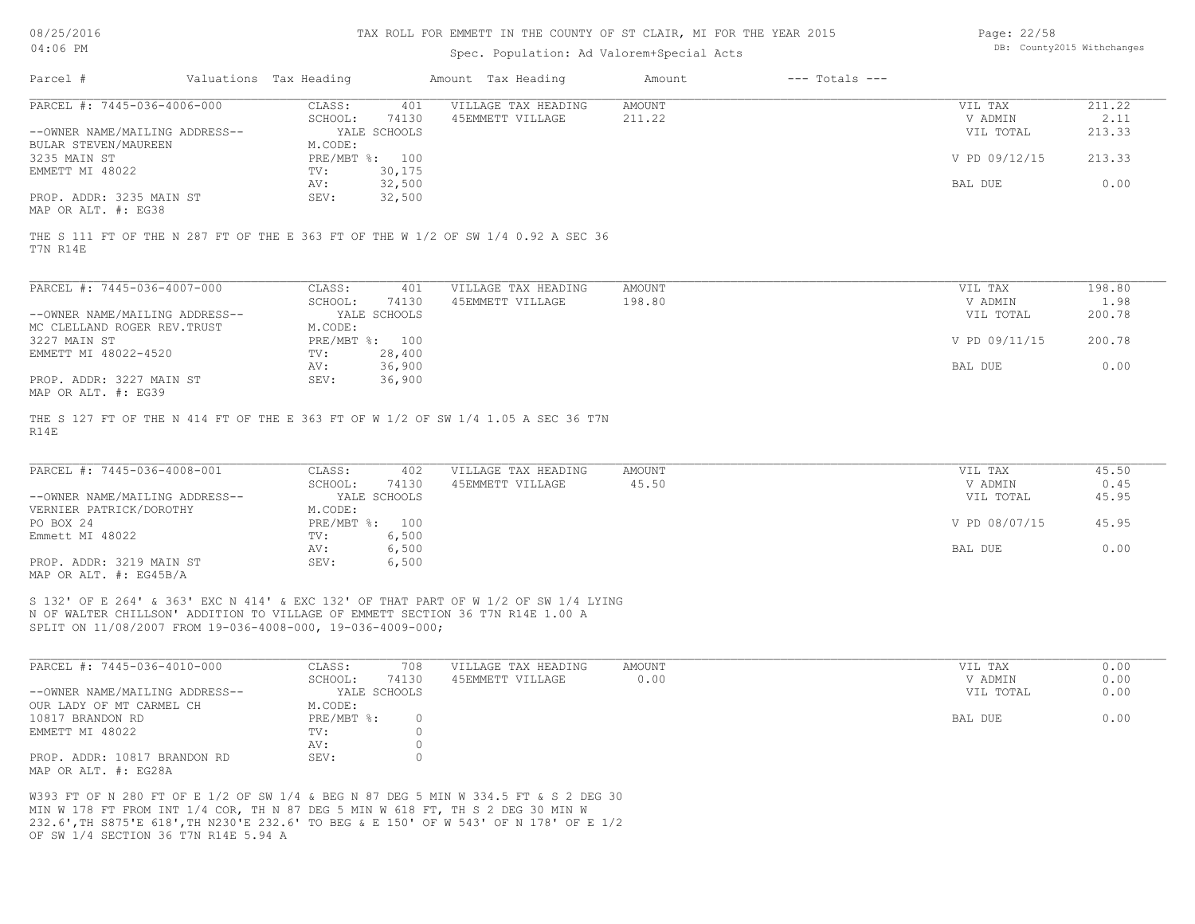#### TAX ROLL FOR EMMETT IN THE COUNTY OF ST CLAIR, MI FOR THE YEAR 2015

### Spec. Population: Ad Valorem+Special Acts

Page: 22/58 DB: County2015 Withchanges

| Parcel #                       | Valuations Tax Heading |                | Amount Tax Heading  | Amount | $---$ Totals $---$ |               |        |
|--------------------------------|------------------------|----------------|---------------------|--------|--------------------|---------------|--------|
| PARCEL #: 7445-036-4006-000    | CLASS:                 | 401            | VILLAGE TAX HEADING | AMOUNT |                    | VIL TAX       | 211.22 |
|                                | SCHOOL:                | 74130          | 45EMMETT VILLAGE    | 211.22 |                    | V ADMIN       | 2.11   |
| --OWNER NAME/MAILING ADDRESS-- |                        | YALE SCHOOLS   |                     |        |                    | VIL TOTAL     | 213.33 |
| BULAR STEVEN/MAUREEN           | M.CODE:                |                |                     |        |                    |               |        |
| 3235 MAIN ST                   |                        | PRE/MBT %: 100 |                     |        |                    | V PD 09/12/15 | 213.33 |
| EMMETT MI 48022                | TV:                    | 30,175         |                     |        |                    |               |        |
|                                | AV:                    | 32,500         |                     |        |                    | BAL DUE       | 0.00   |
| PROP. ADDR: 3235 MAIN ST       | SEV:                   | 32,500         |                     |        |                    |               |        |
| סכמה .4 חזו מתמו               |                        |                |                     |        |                    |               |        |

MAP OR ALT. #: EG38

T7N R14E THE S 111 FT OF THE N 287 FT OF THE E 363 FT OF THE W 1/2 OF SW 1/4 0.92 A SEC 36

| PARCEL #: 7445-036-4007-000    | CLASS:       | 401          | VILLAGE TAX HEADING | AMOUNT | 198.80<br>VIL TAX       |  |
|--------------------------------|--------------|--------------|---------------------|--------|-------------------------|--|
|                                | SCHOOL:      | 74130        | 45EMMETT VILLAGE    | 198.80 | 1.98<br>V ADMIN         |  |
| --OWNER NAME/MAILING ADDRESS-- |              | YALE SCHOOLS |                     |        | 200.78<br>VIL TOTAL     |  |
| MC CLELLAND ROGER REV. TRUST   | M.CODE:      |              |                     |        |                         |  |
| 3227 MAIN ST                   | $PRE/MBT$ %: | 100          |                     |        | V PD 09/11/15<br>200.78 |  |
| EMMETT MI 48022-4520           | TV:          | 28,400       |                     |        |                         |  |
|                                | AV:          | 36,900       |                     |        | 0.00<br>BAL DUE         |  |
| PROP. ADDR: 3227 MAIN ST       | SEV:         | 36,900       |                     |        |                         |  |
| MAP OR ALT. #: EG39            |              |              |                     |        |                         |  |

R14E THE S 127 FT OF THE N 414 FT OF THE E 363 FT OF W 1/2 OF SW 1/4 1.05 A SEC 36 T7N

| PARCEL #: 7445-036-4008-001    | CLASS:  | 402            | VILLAGE TAX HEADING | AMOUNT | VIL TAX       | 45.50 |
|--------------------------------|---------|----------------|---------------------|--------|---------------|-------|
|                                | SCHOOL: | 74130          | 45EMMETT VILLAGE    | 45.50  | V ADMIN       | 0.45  |
| --OWNER NAME/MAILING ADDRESS-- |         | YALE SCHOOLS   |                     |        | VIL TOTAL     | 45.95 |
| VERNIER PATRICK/DOROTHY        | M.CODE: |                |                     |        |               |       |
| PO BOX 24                      |         | PRE/MBT %: 100 |                     |        | V PD 08/07/15 | 45.95 |
| Emmett MI 48022                | TV:     | 6,500          |                     |        |               |       |
|                                | AV:     | 6,500          |                     |        | BAL DUE       | 0.00  |
| PROP. ADDR: 3219 MAIN ST       | SEV:    | 6,500          |                     |        |               |       |
| MAP OR ALT. $\#$ : EG45B/A     |         |                |                     |        |               |       |

SPLIT ON 11/08/2007 FROM 19-036-4008-000, 19-036-4009-000; N OF WALTER CHILLSON' ADDITION TO VILLAGE OF EMMETT SECTION 36 T7N R14E 1.00 A S 132' OF E 264' & 363' EXC N 414' & EXC 132' OF THAT PART OF W 1/2 OF SW 1/4 LYING

| PARCEL #: 7445-036-4010-000    | CLASS:       | 708   | VILLAGE TAX HEADING | AMOUNT | VIL TAX   | 0.00 |
|--------------------------------|--------------|-------|---------------------|--------|-----------|------|
|                                | SCHOOL:      | 74130 | 45EMMETT VILLAGE    | 0.00   | V ADMIN   | 0.00 |
| --OWNER NAME/MAILING ADDRESS-- | YALE SCHOOLS |       |                     |        | VIL TOTAL | 0.00 |
| OUR LADY OF MT CARMEL CH       | M.CODE:      |       |                     |        |           |      |
| 10817 BRANDON RD               | PRE/MBT %:   |       |                     |        | BAL DUE   | 0.00 |
| EMMETT MI 48022                | TV:          |       |                     |        |           |      |
|                                | AV:          |       |                     |        |           |      |
| PROP. ADDR: 10817 BRANDON RD   | SEV:         |       |                     |        |           |      |
| MAP OR ALT. #: EG28A           |              |       |                     |        |           |      |

OF SW 1/4 SECTION 36 T7N R14E 5.94 A 232.6',TH S875'E 618',TH N230'E 232.6' TO BEG & E 150' OF W 543' OF N 178' OF E 1/2 MIN W 178 FT FROM INT 1/4 COR, TH N 87 DEG 5 MIN W 618 FT, TH S 2 DEG 30 MIN W W393 FT OF N 280 FT OF E 1/2 OF SW 1/4 & BEG N 87 DEG 5 MIN W 334.5 FT & S 2 DEG 30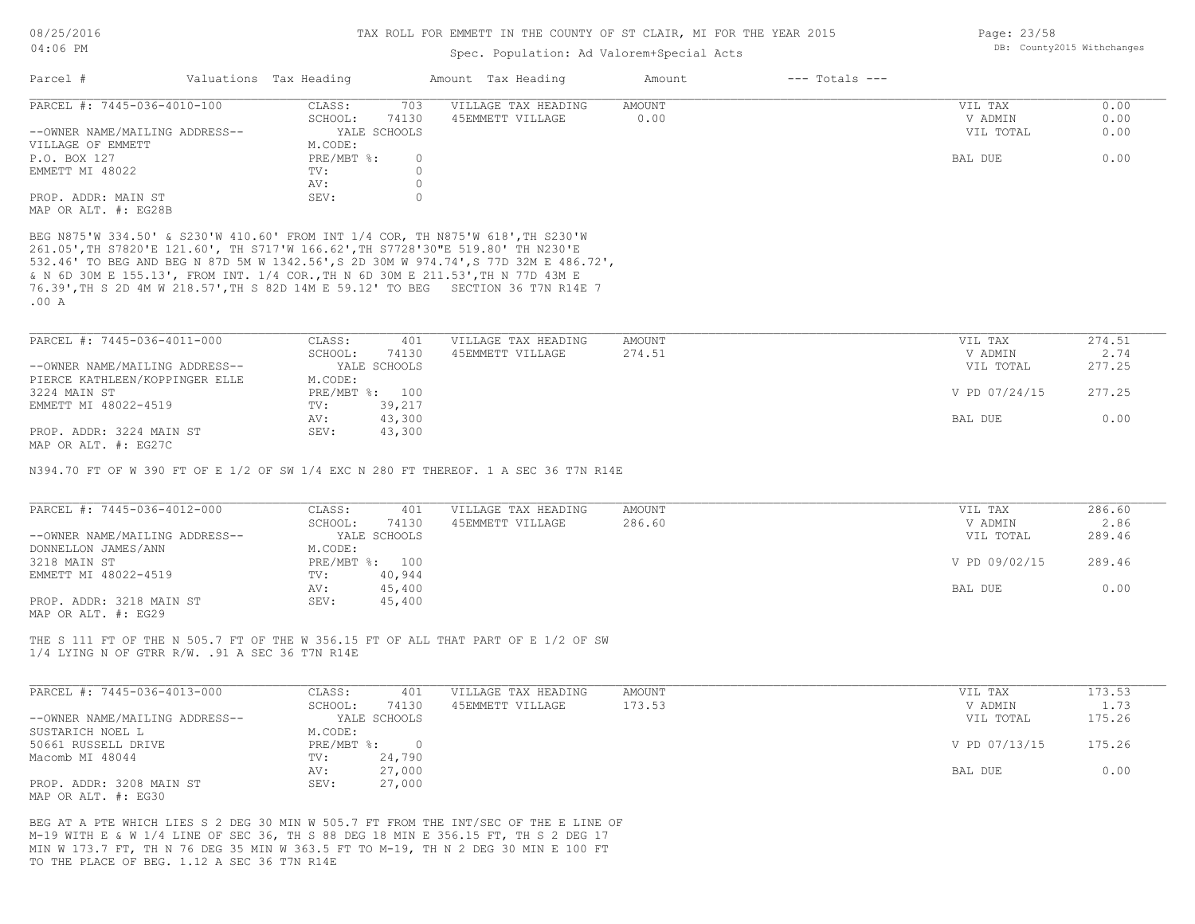### Spec. Population: Ad Valorem+Special Acts

| Parcel #                       | Valuations Tax Heading |              | Amount Tax Heading  | Amount | $---$ Totals $---$ |           |      |
|--------------------------------|------------------------|--------------|---------------------|--------|--------------------|-----------|------|
| PARCEL #: 7445-036-4010-100    | CLASS:                 | 703          | VILLAGE TAX HEADING | AMOUNT |                    | VIL TAX   | 0.00 |
|                                | SCHOOL:                | 74130        | 45EMMETT VILLAGE    | 0.00   |                    | V ADMIN   | 0.00 |
| --OWNER NAME/MAILING ADDRESS-- |                        | YALE SCHOOLS |                     |        |                    | VIL TOTAL | 0.00 |
| VILLAGE OF EMMETT              | M.CODE:                |              |                     |        |                    |           |      |
| P.O. BOX 127                   | $PRE/MBT$ %:           |              |                     |        |                    | BAL DUE   | 0.00 |
| EMMETT MI 48022                | TV:                    |              |                     |        |                    |           |      |
|                                | AV:                    |              |                     |        |                    |           |      |
| PROP. ADDR: MAIN ST            | SEV:                   |              |                     |        |                    |           |      |
| MAP OR ALT. #: EG28B           |                        |              |                     |        |                    |           |      |

.00 A 76.39',TH S 2D 4M W 218.57',TH S 82D 14M E 59.12' TO BEG SECTION 36 T7N R14E 7 & N 6D 30M E 155.13', FROM INT. 1/4 COR.,TH N 6D 30M E 211.53',TH N 77D 43M E 532.46' TO BEG AND BEG N 87D 5M W 1342.56',S 2D 30M W 974.74',S 77D 32M E 486.72', 261.05',TH S7820'E 121.60', TH S717'W 166.62',TH S7728'30"E 519.80' TH N230'E BEG N875'W 334.50' & S230'W 410.60' FROM INT 1/4 COR, TH N875'W 618',TH S230'W

| PARCEL #: 7445-036-4011-000    | CLASS:  | 401            | VILLAGE TAX HEADING | AMOUNT        | VIL TAX   | 274.51 |
|--------------------------------|---------|----------------|---------------------|---------------|-----------|--------|
|                                | SCHOOL: | 74130          | 45EMMETT VILLAGE    | 274.51        | V ADMIN   | 2.74   |
| --OWNER NAME/MAILING ADDRESS-- |         | YALE SCHOOLS   |                     |               | VIL TOTAL | 277.25 |
| PIERCE KATHLEEN/KOPPINGER ELLE | M.CODE: |                |                     |               |           |        |
| 3224 MAIN ST                   |         | PRE/MBT %: 100 |                     | V PD 07/24/15 | 277.25    |        |
| EMMETT MI 48022-4519           | TV:     | 39,217         |                     |               |           |        |
|                                | AV:     | 43,300         |                     |               | BAL DUE   | 0.00   |
| PROP. ADDR: 3224 MAIN ST       | SEV:    | 43,300         |                     |               |           |        |
| MAP OR ALT. #: EG27C           |         |                |                     |               |           |        |

N394.70 FT OF W 390 FT OF E 1/2 OF SW 1/4 EXC N 280 FT THEREOF. 1 A SEC 36 T7N R14E

| PARCEL #: 7445-036-4012-000    | CLASS:  | 401            | VILLAGE TAX HEADING | AMOUNT | VIL TAX       | 286.60 |
|--------------------------------|---------|----------------|---------------------|--------|---------------|--------|
|                                | SCHOOL: | 74130          | 45EMMETT VILLAGE    | 286.60 | V ADMIN       | 2.86   |
| --OWNER NAME/MAILING ADDRESS-- |         | YALE SCHOOLS   |                     |        | VIL TOTAL     | 289.46 |
| DONNELLON JAMES/ANN            | M.CODE: |                |                     |        |               |        |
| 3218 MAIN ST                   |         | PRE/MBT %: 100 |                     |        | V PD 09/02/15 | 289.46 |
| EMMETT MI 48022-4519           | TV:     | 40,944         |                     |        |               |        |
|                                | AV:     | 45,400         |                     |        | BAL DUE       | 0.00   |
| PROP. ADDR: 3218 MAIN ST       | SEV:    | 45,400         |                     |        |               |        |
| MAP OR ALT. #: EG29            |         |                |                     |        |               |        |

1/4 LYING N OF GTRR R/W. .91 A SEC 36 T7N R14E THE S 111 FT OF THE N 505.7 FT OF THE W 356.15 FT OF ALL THAT PART OF E 1/2 OF SW

| PARCEL #: 7445-036-4013-000    | CLASS:       | 401          | VILLAGE TAX HEADING | AMOUNT | VIL TAX       | 173.53 |
|--------------------------------|--------------|--------------|---------------------|--------|---------------|--------|
|                                | SCHOOL:      | 74130        | 45EMMETT VILLAGE    | 173.53 | V ADMIN       | 1.73   |
| --OWNER NAME/MAILING ADDRESS-- |              | YALE SCHOOLS |                     |        | VIL TOTAL     | 175.26 |
| SUSTARICH NOEL L               | M.CODE:      |              |                     |        |               |        |
| 50661 RUSSELL DRIVE            | $PRE/MBT$ %: |              |                     |        | V PD 07/13/15 | 175.26 |
| Macomb MI 48044                | TV:          | 24,790       |                     |        |               |        |
|                                | AV:          | 27,000       |                     |        | BAL DUE       | 0.00   |
| PROP. ADDR: 3208 MAIN ST       | SEV:         | 27,000       |                     |        |               |        |
| MAP OR ALT. #: EG30            |              |              |                     |        |               |        |

TO THE PLACE OF BEG. 1.12 A SEC 36 T7N R14E MIN W 173.7 FT, TH N 76 DEG 35 MIN W 363.5 FT TO M-19, TH N 2 DEG 30 MIN E 100 FT M-19 WITH E & W 1/4 LINE OF SEC 36, TH S 88 DEG 18 MIN E 356.15 FT, TH S 2 DEG 17 BEG AT A PTE WHICH LIES S 2 DEG 30 MIN W 505.7 FT FROM THE INT/SEC OF THE E LINE OF Page: 23/58 DB: County2015 Withchanges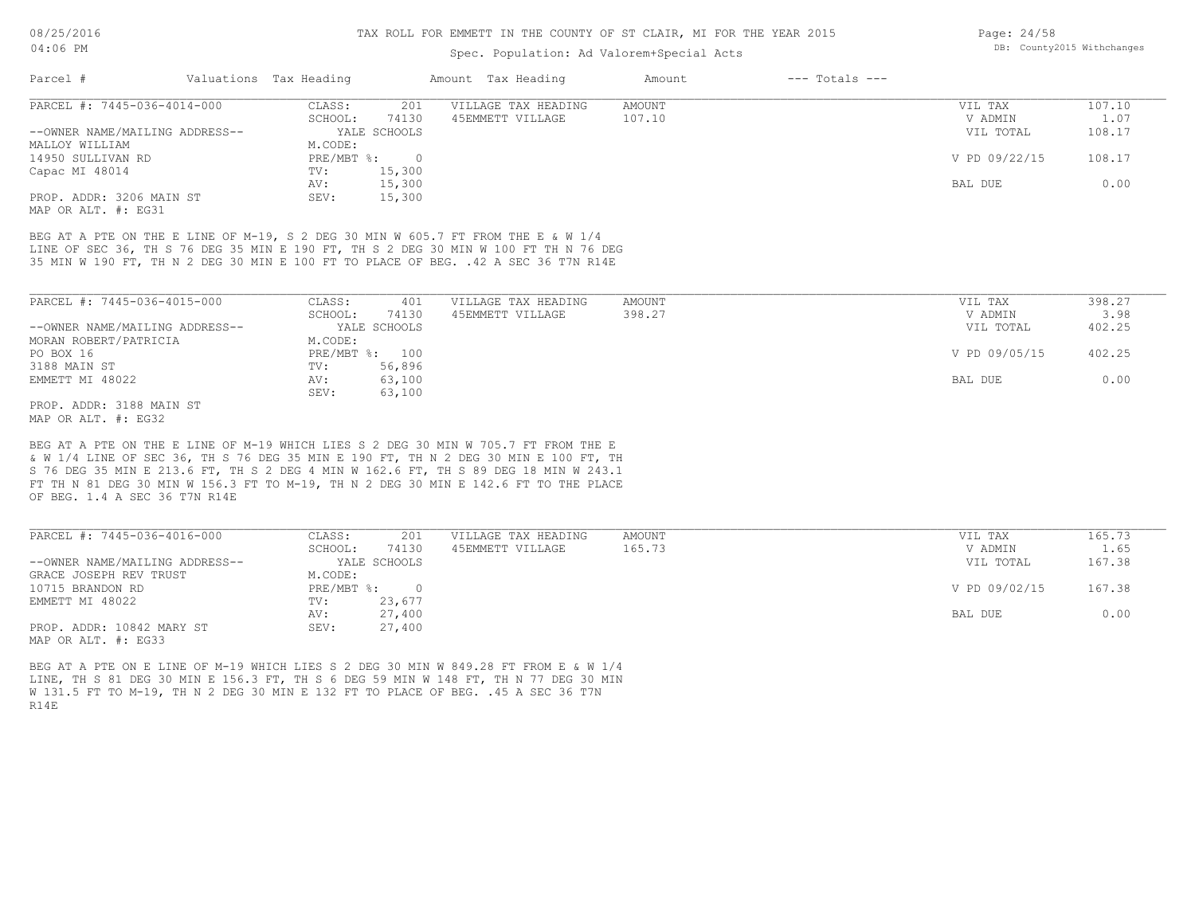#### TAX ROLL FOR EMMETT IN THE COUNTY OF ST CLAIR, MI FOR THE YEAR 2015

### Spec. Population: Ad Valorem+Special Acts

| Parcel #                       | Valuations Tax Heading |              | Amount Tax Heading  | Amount | $---$ Totals $---$ |               |        |
|--------------------------------|------------------------|--------------|---------------------|--------|--------------------|---------------|--------|
| PARCEL #: 7445-036-4014-000    | CLASS:                 | 201          | VILLAGE TAX HEADING | AMOUNT |                    | VIL TAX       | 107.10 |
|                                | SCHOOL:                | 74130        | 45EMMETT VILLAGE    | 107.10 |                    | V ADMIN       | 1.07   |
| --OWNER NAME/MAILING ADDRESS-- |                        | YALE SCHOOLS |                     |        |                    | VIL TOTAL     | 108.17 |
| MALLOY WILLIAM                 | M.CODE:                |              |                     |        |                    |               |        |
| 14950 SULLIVAN RD              | PRE/MBT %:             |              |                     |        |                    | V PD 09/22/15 | 108.17 |
| Capac MI 48014                 | TV:                    | 15,300       |                     |        |                    |               |        |
|                                | AV:                    | 15,300       |                     |        |                    | BAL DUE       | 0.00   |
| PROP. ADDR: 3206 MAIN ST       | SEV:                   | 15,300       |                     |        |                    |               |        |
|                                |                        |              |                     |        |                    |               |        |

MAP OR ALT. #: EG31

35 MIN W 190 FT, TH N 2 DEG 30 MIN E 100 FT TO PLACE OF BEG. .42 A SEC 36 T7N R14E LINE OF SEC 36, TH S 76 DEG 35 MIN E 190 FT, TH S 2 DEG 30 MIN W 100 FT TH N 76 DEG BEG AT A PTE ON THE E LINE OF M-19, S 2 DEG 30 MIN W 605.7 FT FROM THE E & W 1/4

| PARCEL #: 7445-036-4015-000    | CLASS:         | 401          | VILLAGE TAX HEADING | AMOUNT    | VIL TAX       | 398.27 |
|--------------------------------|----------------|--------------|---------------------|-----------|---------------|--------|
|                                | SCHOOL:        | 74130        | 45EMMETT VILLAGE    | 398.27    | V ADMIN       | 3.98   |
| --OWNER NAME/MAILING ADDRESS-- |                | YALE SCHOOLS |                     | VIL TOTAL | 402.25        |        |
| MORAN ROBERT/PATRICIA          | M.CODE:        |              |                     |           |               |        |
| PO BOX 16                      | PRE/MBT %: 100 |              |                     |           | V PD 09/05/15 | 402.25 |
| 3188 MAIN ST                   | TV:            | 56,896       |                     |           |               |        |
| EMMETT MI 48022                | AV:            | 63,100       |                     |           | BAL DUE       | 0.00   |
|                                | SEV:           | 63,100       |                     |           |               |        |
| PROP. ADDR: 3188 MAIN ST       |                |              |                     |           |               |        |

MAP OR ALT. #: EG32

OF BEG. 1.4 A SEC 36 T7N R14E FT TH N 81 DEG 30 MIN W 156.3 FT TO M-19, TH N 2 DEG 30 MIN E 142.6 FT TO THE PLACE S 76 DEG 35 MIN E 213.6 FT, TH S 2 DEG 4 MIN W 162.6 FT, TH S 89 DEG 18 MIN W 243.1 & W 1/4 LINE OF SEC 36, TH S 76 DEG 35 MIN E 190 FT, TH N 2 DEG 30 MIN E 100 FT, TH BEG AT A PTE ON THE E LINE OF M-19 WHICH LIES S 2 DEG 30 MIN W 705.7 FT FROM THE E

| PARCEL #: 7445-036-4016-000    | CLASS:     | 201          | VILLAGE TAX HEADING | AMOUNT | 165.73<br>VIL TAX       |
|--------------------------------|------------|--------------|---------------------|--------|-------------------------|
|                                | SCHOOL:    | 74130        | 45EMMETT VILLAGE    | 165.73 | 1.65<br>V ADMIN         |
| --OWNER NAME/MAILING ADDRESS-- |            | YALE SCHOOLS |                     |        | 167.38<br>VIL TOTAL     |
| GRACE JOSEPH REV TRUST         | M.CODE:    |              |                     |        |                         |
| 10715 BRANDON RD               | PRE/MBT %: | $\Box$       |                     |        | V PD 09/02/15<br>167.38 |
| EMMETT MI 48022                | TV:        | 23,677       |                     |        |                         |
|                                | AV:        | 27,400       |                     |        | 0.00<br>BAL DUE         |
| PROP. ADDR: 10842 MARY ST      | SEV:       | 27,400       |                     |        |                         |
| MAP OR ALT. #: EG33            |            |              |                     |        |                         |

R14E W 131.5 FT TO M-19, TH N 2 DEG 30 MIN E 132 FT TO PLACE OF BEG. .45 A SEC 36 T7N LINE, TH S 81 DEG 30 MIN E 156.3 FT, TH S 6 DEG 59 MIN W 148 FT, TH N 77 DEG 30 MIN BEG AT A PTE ON E LINE OF M-19 WHICH LIES S 2 DEG 30 MIN W 849.28 FT FROM E & W 1/4

Page: 24/58 DB: County2015 Withchanges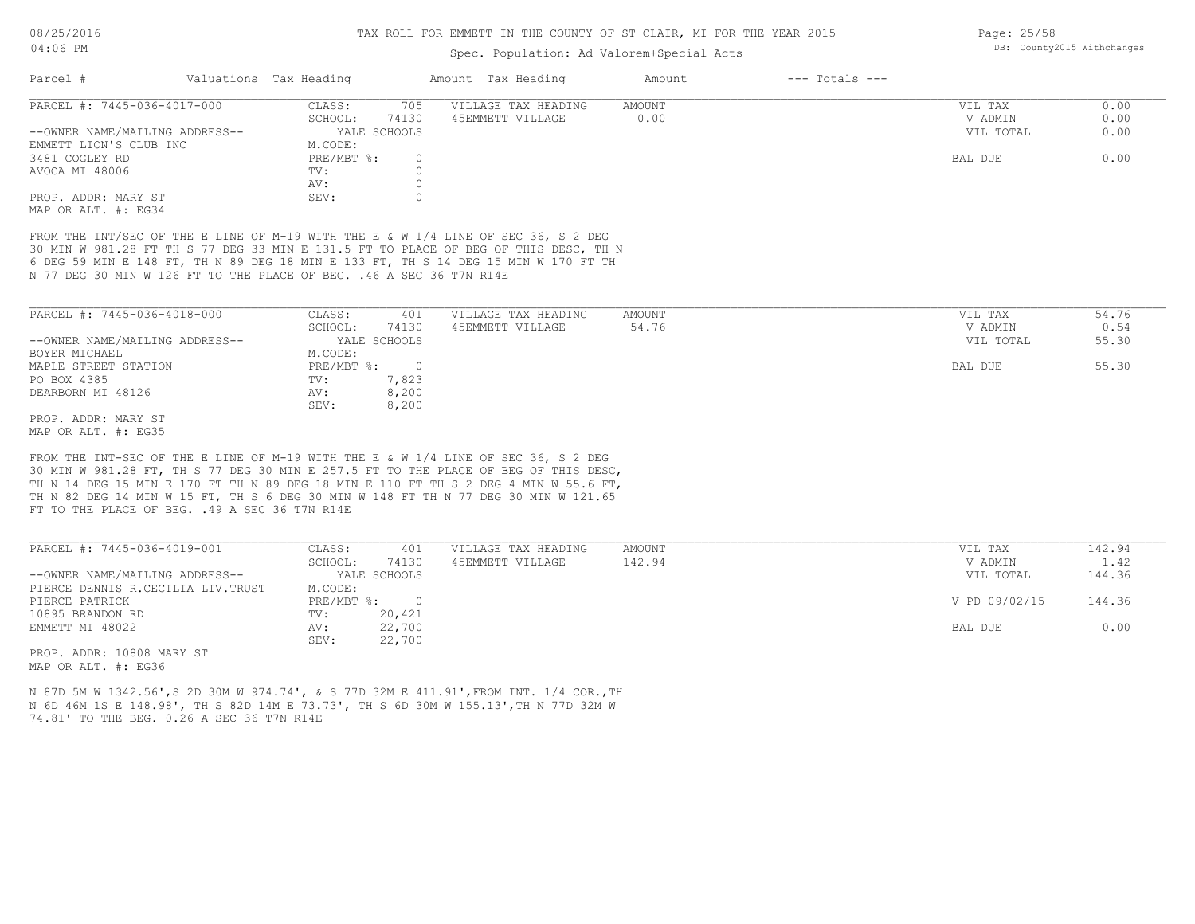### Spec. Population: Ad Valorem+Special Acts

| Parcel #                       | Valuations Tax Heading |              | Amount Tax Heading  | Amount | $---$ Totals $---$ |           |      |
|--------------------------------|------------------------|--------------|---------------------|--------|--------------------|-----------|------|
| PARCEL #: 7445-036-4017-000    | CLASS:                 | 705          | VILLAGE TAX HEADING | AMOUNT |                    | VIL TAX   | 0.00 |
|                                | SCHOOL:                | 74130        | 45EMMETT VILLAGE    | 0.00   |                    | V ADMIN   | 0.00 |
| --OWNER NAME/MAILING ADDRESS-- |                        | YALE SCHOOLS |                     |        |                    | VIL TOTAL | 0.00 |
| EMMETT LION'S CLUB INC         | M.CODE:                |              |                     |        |                    |           |      |
| 3481 COGLEY RD                 | PRE/MBT %:             |              |                     |        |                    | BAL DUE   | 0.00 |
| AVOCA MI 48006                 | TV:                    |              |                     |        |                    |           |      |
|                                | AV:                    |              |                     |        |                    |           |      |
| PROP. ADDR: MARY ST            | SEV:                   |              |                     |        |                    |           |      |
| MAP OR ALT. #: EG34            |                        |              |                     |        |                    |           |      |

N 77 DEG 30 MIN W 126 FT TO THE PLACE OF BEG. .46 A SEC 36 T7N R14E 6 DEG 59 MIN E 148 FT, TH N 89 DEG 18 MIN E 133 FT, TH S 14 DEG 15 MIN W 170 FT TH 30 MIN W 981.28 FT TH S 77 DEG 33 MIN E 131.5 FT TO PLACE OF BEG OF THIS DESC, TH N FROM THE INT/SEC OF THE E LINE OF M-19 WITH THE E & W 1/4 LINE OF SEC 36, S 2 DEG

| PARCEL #: 7445-036-4018-000    | CLASS:                    | 401          | VILLAGE TAX HEADING | AMOUNT | VIL TAX   | 54.76 |
|--------------------------------|---------------------------|--------------|---------------------|--------|-----------|-------|
|                                | SCHOOL:                   | 74130        | 45EMMETT VILLAGE    | 54.76  | V ADMIN   | 0.54  |
| --OWNER NAME/MAILING ADDRESS-- |                           | YALE SCHOOLS |                     |        | VIL TOTAL | 55.30 |
| BOYER MICHAEL                  | M.CODE:                   |              |                     |        |           |       |
| MAPLE STREET STATION           | $PRE/MBT$ $\frac{1}{6}$ : | $\Omega$     |                     |        | BAL DUE   | 55.30 |
| PO BOX 4385                    | TV:                       | 7,823        |                     |        |           |       |
| DEARBORN MI 48126              | AV:                       | 8,200        |                     |        |           |       |
|                                | SEV:                      | 8,200        |                     |        |           |       |
| PROP. ADDR: MARY ST            |                           |              |                     |        |           |       |

MAP OR ALT. #: EG35

FT TO THE PLACE OF BEG. .49 A SEC 36 T7N R14E TH N 82 DEG 14 MIN W 15 FT, TH S 6 DEG 30 MIN W 148 FT TH N 77 DEG 30 MIN W 121.65 TH N 14 DEG 15 MIN E 170 FT TH N 89 DEG 18 MIN E 110 FT TH S 2 DEG 4 MIN W 55.6 FT, 30 MIN W 981.28 FT, TH S 77 DEG 30 MIN E 257.5 FT TO THE PLACE OF BEG OF THIS DESC, FROM THE INT-SEC OF THE E LINE OF M-19 WITH THE E & W 1/4 LINE OF SEC 36, S 2 DEG

| PARCEL #: 7445-036-4019-001       | CLASS:     | 401          | VILLAGE TAX HEADING | AMOUNT | VIL TAX       | 142.94 |
|-----------------------------------|------------|--------------|---------------------|--------|---------------|--------|
|                                   | SCHOOL:    | 74130        | 45EMMETT VILLAGE    | 142.94 | V ADMIN       | 1.42   |
| --OWNER NAME/MAILING ADDRESS--    |            | YALE SCHOOLS |                     |        | VIL TOTAL     | 144.36 |
| PIERCE DENNIS R.CECILIA LIV.TRUST | M.CODE:    |              |                     |        |               |        |
| PIERCE PATRICK                    | PRE/MBT %: | $\Omega$     |                     |        | V PD 09/02/15 | 144.36 |
| 10895 BRANDON RD                  | TV:        | 20,421       |                     |        |               |        |
| EMMETT MI 48022                   | AV:        | 22,700       |                     |        | BAL DUE       | 0.00   |
|                                   | SEV:       | 22,700       |                     |        |               |        |
| mo עם גם 10000 נחחת ג' תסמת       |            |              |                     |        |               |        |

 $\_$  , and the state of the state of the state of the state of the state of the state of the state of the state of the state of the state of the state of the state of the state of the state of the state of the state of the

MAP OR ALT. #: EG36 PROP. ADDR: 10808 MARY ST

74.81' TO THE BEG. 0.26 A SEC 36 T7N R14E N 6D 46M 1S E 148.98', TH S 82D 14M E 73.73', TH S 6D 30M W 155.13',TH N 77D 32M W N 87D 5M W 1342.56',S 2D 30M W 974.74', & S 77D 32M E 411.91',FROM INT. 1/4 COR.,TH Page: 25/58 DB: County2015 Withchanges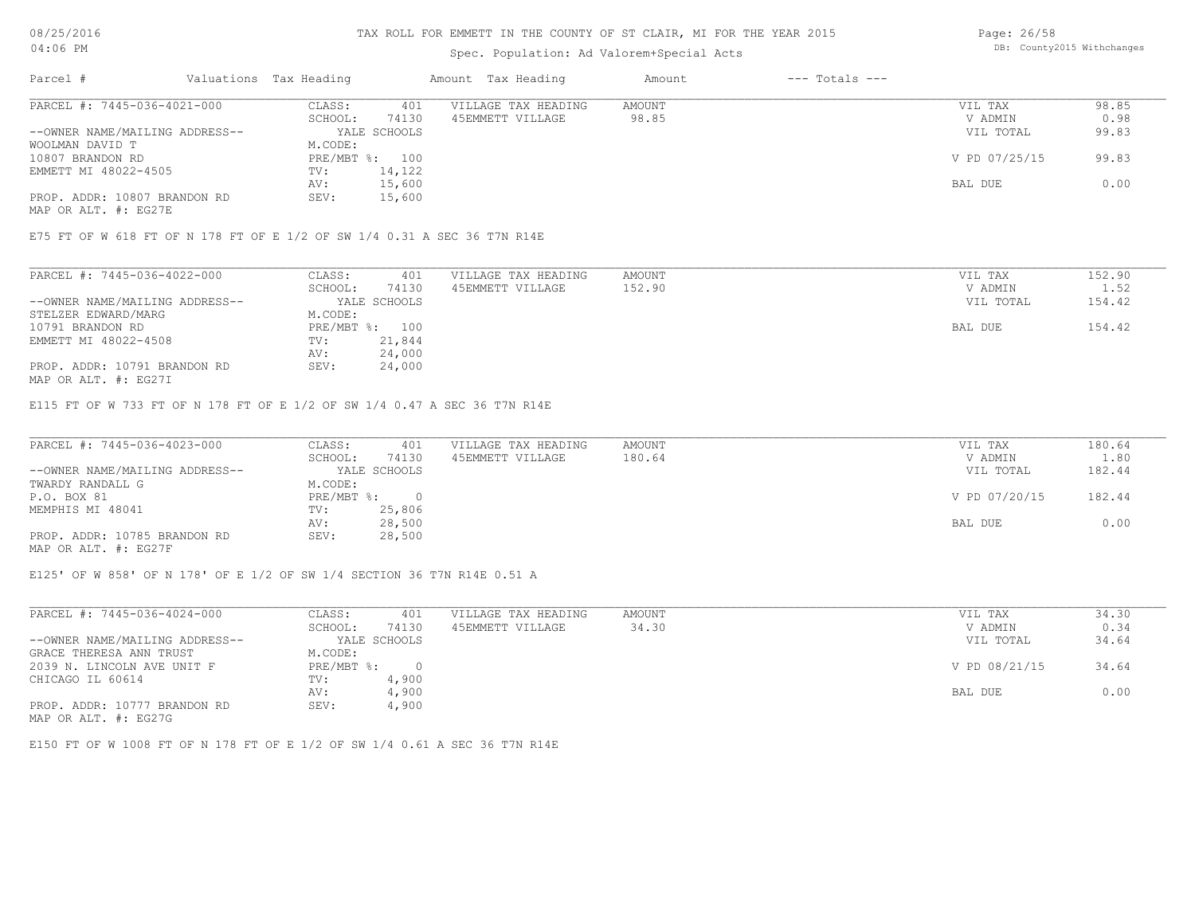### TAX ROLL FOR EMMETT IN THE COUNTY OF ST CLAIR, MI FOR THE YEAR 2015

# Spec. Population: Ad Valorem+Special Acts

Page: 26/58 DB: County2015 Withchanges

| Parcel #                       | Valuations Tax Heading |              | Amount Tax Heading  | Amount | $---$ Totals $---$ |               |       |
|--------------------------------|------------------------|--------------|---------------------|--------|--------------------|---------------|-------|
| PARCEL #: 7445-036-4021-000    | CLASS:                 | 401          | VILLAGE TAX HEADING | AMOUNT |                    | VIL TAX       | 98.85 |
|                                | SCHOOL:                | 74130        | 45EMMETT VILLAGE    | 98.85  |                    | V ADMIN       | 0.98  |
| --OWNER NAME/MAILING ADDRESS-- |                        | YALE SCHOOLS |                     |        |                    | VIL TOTAL     | 99.83 |
| WOOLMAN DAVID T                | M.CODE:                |              |                     |        |                    |               |       |
| 10807 BRANDON RD               | PRE/MBT %: 100         |              |                     |        |                    | V PD 07/25/15 | 99.83 |
| EMMETT MI 48022-4505           | TV:                    | 14,122       |                     |        |                    |               |       |
|                                | AV:                    | 15,600       |                     |        |                    | BAL DUE       | 0.00  |
| PROP. ADDR: 10807 BRANDON RD   | SEV:                   | 15,600       |                     |        |                    |               |       |
| MAP OR ALT. #: EG27E           |                        |              |                     |        |                    |               |       |

E75 FT OF W 618 FT OF N 178 FT OF E 1/2 OF SW 1/4 0.31 A SEC 36 T7N R14E

| SCHOOL:<br>74130<br>152.90<br>45EMMETT VILLAGE<br>--OWNER NAME/MAILING ADDRESS--<br>YALE SCHOOLS<br>STELZER EDWARD/MARG<br>M.CODE: | V ADMIN<br>VIL TOTAL | 1.52   |
|------------------------------------------------------------------------------------------------------------------------------------|----------------------|--------|
|                                                                                                                                    |                      |        |
|                                                                                                                                    |                      | 154.42 |
|                                                                                                                                    |                      |        |
| PRE/MBT %:<br>10791 BRANDON RD<br>100                                                                                              | BAL DUE              | 154.42 |
| 21,844<br>EMMETT MI 48022-4508<br>TV:                                                                                              |                      |        |
| 24,000<br>AV:                                                                                                                      |                      |        |
| PROP. ADDR: 10791 BRANDON RD<br>24,000<br>SEV:                                                                                     |                      |        |

MAP OR ALT. #: EG27I

E115 FT OF W 733 FT OF N 178 FT OF E 1/2 OF SW 1/4 0.47 A SEC 36 T7N R14E

| PARCEL #: 7445-036-4023-000    | CLASS:     | 401          | VILLAGE TAX HEADING | AMOUNT        | VIL TAX   | 180.64 |
|--------------------------------|------------|--------------|---------------------|---------------|-----------|--------|
|                                | SCHOOL:    | 74130        | 45EMMETT VILLAGE    | 180.64        | V ADMIN   | 1.80   |
| --OWNER NAME/MAILING ADDRESS-- |            | YALE SCHOOLS |                     |               | VIL TOTAL | 182.44 |
| TWARDY RANDALL G               | M.CODE:    |              |                     |               |           |        |
| P.O. BOX 81                    | PRE/MBT %: |              |                     | V PD 07/20/15 | 182.44    |        |
| MEMPHIS MI 48041               | TV:        | 25,806       |                     |               |           |        |
|                                | AV:        | 28,500       |                     |               | BAL DUE   | 0.00   |
| PROP. ADDR: 10785 BRANDON RD   | SEV:       | 28,500       |                     |               |           |        |
| MAP OR ALT. #: EG27F           |            |              |                     |               |           |        |

E125' OF W 858' OF N 178' OF E 1/2 OF SW 1/4 SECTION 36 T7N R14E 0.51 A

| PARCEL #: 7445-036-4024-000    | CLASS:       | 401          | VILLAGE TAX HEADING | AMOUNT | VIL TAX       | 34.30 |
|--------------------------------|--------------|--------------|---------------------|--------|---------------|-------|
|                                | SCHOOL:      | 74130        | 45EMMETT VILLAGE    | 34.30  | V ADMIN       | 0.34  |
| --OWNER NAME/MAILING ADDRESS-- |              | YALE SCHOOLS |                     |        | VIL TOTAL     | 34.64 |
| GRACE THERESA ANN TRUST        | M.CODE:      |              |                     |        |               |       |
| 2039 N. LINCOLN AVE UNIT F     | $PRE/MBT$ %: |              |                     |        | V PD 08/21/15 | 34.64 |
| CHICAGO IL 60614               | TV:          | 4,900        |                     |        |               |       |
|                                | AV:          | 4,900        |                     |        | BAL DUE       | 0.00  |
| PROP. ADDR: 10777 BRANDON RD   | SEV:         | 4,900        |                     |        |               |       |
| MAP OR ALT. #: EG27G           |              |              |                     |        |               |       |

E150 FT OF W 1008 FT OF N 178 FT OF E 1/2 OF SW 1/4 0.61 A SEC 36 T7N R14E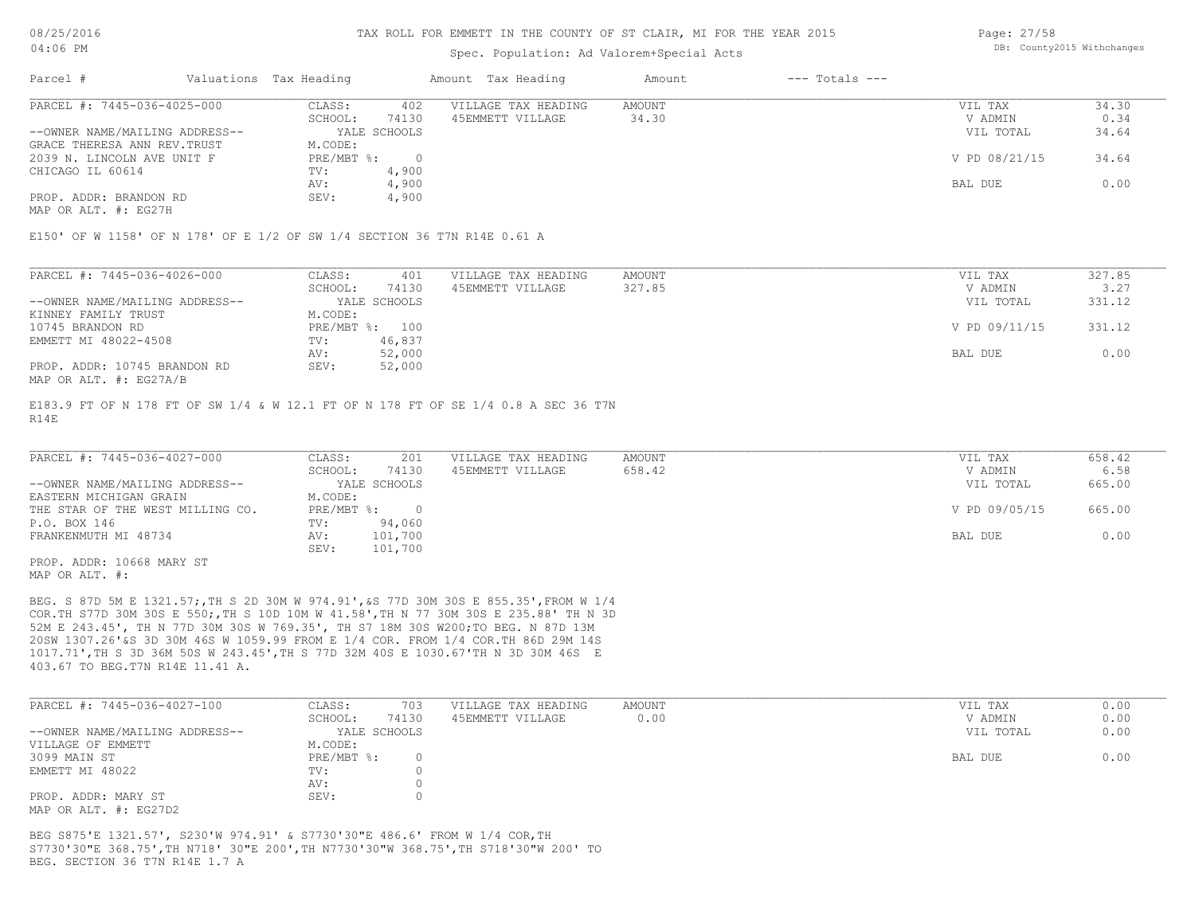### Spec. Population: Ad Valorem+Special Acts

Page: 27/58 DB: County2015 Withchanges

| Parcel #                       | Valuations Tax Heading |              | Amount Tax Heading  | Amount | $---$ Totals $---$ |               |       |
|--------------------------------|------------------------|--------------|---------------------|--------|--------------------|---------------|-------|
| PARCEL #: 7445-036-4025-000    | CLASS:                 | 402          | VILLAGE TAX HEADING | AMOUNT |                    | VIL TAX       | 34.30 |
|                                | SCHOOL:                | 74130        | 45EMMETT VILLAGE    | 34.30  |                    | V ADMIN       | 0.34  |
| --OWNER NAME/MAILING ADDRESS-- |                        | YALE SCHOOLS |                     |        |                    | VIL TOTAL     | 34.64 |
| GRACE THERESA ANN REV. TRUST   | M.CODE:                |              |                     |        |                    |               |       |
| 2039 N. LINCOLN AVE UNIT F     | PRE/MBT %:             |              |                     |        |                    | V PD 08/21/15 | 34.64 |
| CHICAGO IL 60614               | TV:                    | 4,900        |                     |        |                    |               |       |
|                                | AV:                    | 4,900        |                     |        |                    | BAL DUE       | 0.00  |
| PROP. ADDR: BRANDON RD         | SEV:                   | 4,900        |                     |        |                    |               |       |
|                                |                        |              |                     |        |                    |               |       |

MAP OR ALT. #: EG27H

E150' OF W 1158' OF N 178' OF E 1/2 OF SW 1/4 SECTION 36 T7N R14E 0.61 A

| PARCEL #: 7445-036-4026-000    | CLASS:  | 401            | VILLAGE TAX HEADING | AMOUNT    | VIL TAX       | 327.85 |
|--------------------------------|---------|----------------|---------------------|-----------|---------------|--------|
|                                | SCHOOL: | 74130          | 45EMMETT VILLAGE    | 327.85    | V ADMIN       | 3.27   |
| --OWNER NAME/MAILING ADDRESS-- |         | YALE SCHOOLS   |                     | VIL TOTAL | 331.12        |        |
| KINNEY FAMILY TRUST            | M.CODE: |                |                     |           |               |        |
| 10745 BRANDON RD               |         | PRE/MBT %: 100 |                     |           | V PD 09/11/15 | 331.12 |
| EMMETT MI 48022-4508           | TV:     | 46,837         |                     |           |               |        |
|                                | AV:     | 52,000         |                     |           | BAL DUE       | 0.00   |
| PROP. ADDR: 10745 BRANDON RD   | SEV:    | 52,000         |                     |           |               |        |
| MAP OR ALT. #: EG27A/B         |         |                |                     |           |               |        |

R14E E183.9 FT OF N 178 FT OF SW 1/4 & W 12.1 FT OF N 178 FT OF SE 1/4 0.8 A SEC 36 T7N

| PARCEL #: 7445-036-4027-000      | CLASS:  | 201          | VILLAGE TAX HEADING | AMOUNT    | VIL TAX       | 658.42 |
|----------------------------------|---------|--------------|---------------------|-----------|---------------|--------|
|                                  | SCHOOL: | 74130        | 45EMMETT VILLAGE    | 658.42    | V ADMIN       | 6.58   |
| --OWNER NAME/MAILING ADDRESS--   |         | YALE SCHOOLS |                     | VIL TOTAL | 665.00        |        |
| EASTERN MICHIGAN GRAIN           | M.CODE: |              |                     |           |               |        |
| THE STAR OF THE WEST MILLING CO. |         | PRE/MBT %:   |                     |           | V PD 09/05/15 | 665.00 |
| P.O. BOX 146                     | TV:     | 94,060       |                     |           |               |        |
| FRANKENMUTH MI 48734             | AV:     | 101,700      |                     |           | BAL DUE       | 0.00   |
|                                  | SEV:    | 101,700      |                     |           |               |        |
| PROP. ADDR: 10668 MARY ST        |         |              |                     |           |               |        |

MAP OR ALT. #:

403.67 TO BEG.T7N R14E 11.41 A. 1017.71',TH S 3D 36M 50S W 243.45',TH S 77D 32M 40S E 1030.67'TH N 3D 30M 46S E 20SW 1307.26'&S 3D 30M 46S W 1059.99 FROM E 1/4 COR. FROM 1/4 COR.TH 86D 29M 14S 52M E 243.45', TH N 77D 30M 30S W 769.35', TH S7 18M 30S W200;TO BEG. N 87D 13M COR.TH S77D 30M 30S E 550;,TH S 10D 10M W 41.58',TH N 77 30M 30S E 235.88' TH N 3D BEG. S 87D 5M E 1321.57;,TH S 2D 30M W 974.91',&S 77D 30M 30S E 855.35',FROM W 1/4

| PARCEL #: 7445-036-4027-100    | CLASS:       | 703   | VILLAGE TAX HEADING | AMOUNT    | VIL TAX | 0.00 |
|--------------------------------|--------------|-------|---------------------|-----------|---------|------|
|                                | SCHOOL:      | 74130 | 45EMMETT VILLAGE    | 0.00      | V ADMIN | 0.00 |
| --OWNER NAME/MAILING ADDRESS-- | YALE SCHOOLS |       |                     | VIL TOTAL | 0.00    |      |
| VILLAGE OF EMMETT              | M.CODE:      |       |                     |           |         |      |
| 3099 MAIN ST                   | $PRE/MBT$ %: |       |                     |           | BAL DUE | 0.00 |
| EMMETT MI 48022                | TV:          |       |                     |           |         |      |
|                                | AV:          |       |                     |           |         |      |
| PROP. ADDR: MARY ST            | SEV:         |       |                     |           |         |      |
| MAP OR ALT. #: EG27D2          |              |       |                     |           |         |      |

BEG. SECTION 36 T7N R14E 1.7 A S7730'30"E 368.75',TH N718' 30"E 200',TH N7730'30"W 368.75',TH S718'30"W 200' TO BEG S875'E 1321.57', S230'W 974.91' & S7730'30"E 486.6' FROM W 1/4 COR,TH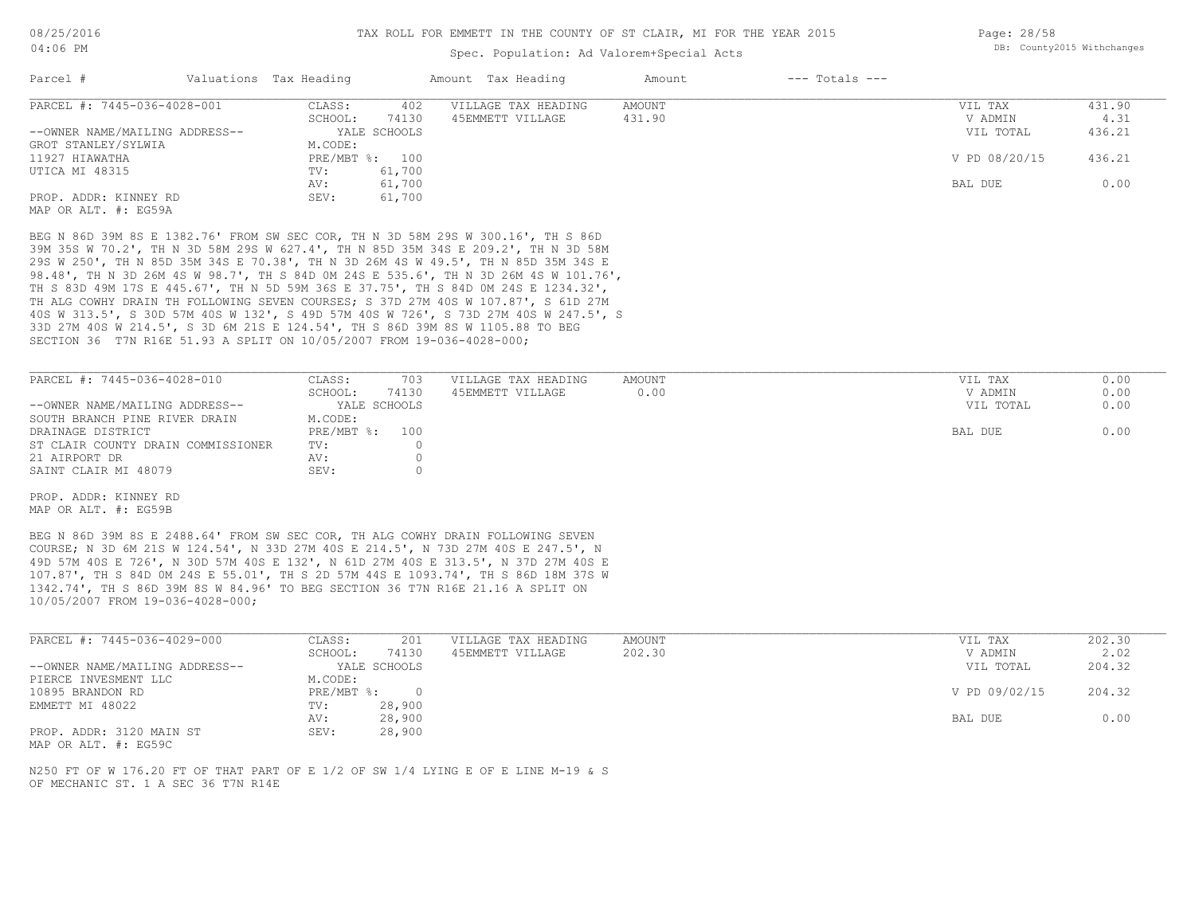### Spec. Population: Ad Valorem+Special Acts

| Parcel #                       | Valuations Tax Heading |                | Amount Tax Heading  | Amount | $---$ Totals $---$ |               |        |
|--------------------------------|------------------------|----------------|---------------------|--------|--------------------|---------------|--------|
| PARCEL #: 7445-036-4028-001    | CLASS:                 | 402            | VILLAGE TAX HEADING | AMOUNT |                    | VIL TAX       | 431.90 |
|                                | SCHOOL:                | 74130          | 45EMMETT VILLAGE    | 431.90 |                    | V ADMIN       | 4.31   |
| --OWNER NAME/MAILING ADDRESS-- |                        | YALE SCHOOLS   |                     |        |                    | VIL TOTAL     | 436.21 |
| GROT STANLEY/SYLWIA            | M.CODE:                |                |                     |        |                    |               |        |
| 11927 HIAWATHA                 |                        | PRE/MBT %: 100 |                     |        |                    | V PD 08/20/15 | 436.21 |
| UTICA MI 48315                 | TV:                    | 61,700         |                     |        |                    |               |        |
|                                | AV:                    | 61,700         |                     |        |                    | BAL DUE       | 0.00   |
| PROP. ADDR: KINNEY RD          | SEV:                   | 61,700         |                     |        |                    |               |        |
| MAP OR ALT. #: EG59A           |                        |                |                     |        |                    |               |        |

SECTION 36 T7N R16E 51.93 A SPLIT ON 10/05/2007 FROM 19-036-4028-000; 33D 27M 40S W 214.5', S 3D 6M 21S E 124.54', TH S 86D 39M 8S W 1105.88 TO BEG 40S W 313.5', S 30D 57M 40S W 132', S 49D 57M 40S W 726', S 73D 27M 40S W 247.5', S TH ALG COWHY DRAIN TH FOLLOWING SEVEN COURSES; S 37D 27M 40S W 107.87', S 61D 27M TH S 83D 49M 17S E 445.67', TH N 5D 59M 36S E 37.75', TH S 84D 0M 24S E 1234.32', 98.48', TH N 3D 26M 4S W 98.7', TH S 84D 0M 24S E 535.6', TH N 3D 26M 4S W 101.76', 29S W 250', TH N 85D 35M 34S E 70.38', TH N 3D 26M 4S W 49.5', TH N 85D 35M 34S E 39M 35S W 70.2', TH N 3D 58M 29S W 627.4', TH N 85D 35M 34S E 209.2', TH N 3D 58M BEG N 86D 39M 8S E 1382.76' FROM SW SEC COR, TH N 3D 58M 29S W 300.16', TH S 86D

| PARCEL #: 7445-036-4028-010        | CLASS:         | 703   | VILLAGE TAX HEADING | AMOUNT | VIL TAX   | 0.00 |
|------------------------------------|----------------|-------|---------------------|--------|-----------|------|
|                                    | SCHOOL:        | 74130 | 45EMMETT VILLAGE    | 0.00   | V ADMIN   | 0.00 |
| --OWNER NAME/MAILING ADDRESS--     | YALE SCHOOLS   |       |                     |        | VIL TOTAL | 0.00 |
| SOUTH BRANCH PINE RIVER DRAIN      | M.CODE:        |       |                     |        |           |      |
| DRAINAGE DISTRICT                  | PRE/MBT %: 100 |       |                     |        | BAL DUE   | 0.00 |
| ST CLAIR COUNTY DRAIN COMMISSIONER | TV:            |       |                     |        |           |      |
| 21 AIRPORT DR                      | AV:            |       |                     |        |           |      |
| SAINT CLAIR MI 48079               | SEV:           |       |                     |        |           |      |

MAP OR ALT. #: EG59B PROP. ADDR: KINNEY RD

10/05/2007 FROM 19-036-4028-000; 1342.74', TH S 86D 39M 8S W 84.96' TO BEG SECTION 36 T7N R16E 21.16 A SPLIT ON 107.87', TH S 84D 0M 24S E 55.01', TH S 2D 57M 44S E 1093.74', TH S 86D 18M 37S W 49D 57M 40S E 726', N 30D 57M 40S E 132', N 61D 27M 40S E 313.5', N 37D 27M 40S E COURSE; N 3D 6M 21S W 124.54', N 33D 27M 40S E 214.5', N 73D 27M 40S E 247.5', N BEG N 86D 39M 8S E 2488.64' FROM SW SEC COR, TH ALG COWHY DRAIN FOLLOWING SEVEN

| PARCEL #: 7445-036-4029-000    | CLASS:       | 201          | VILLAGE TAX HEADING | AMOUNT | VIL TAX       | 202.30 |
|--------------------------------|--------------|--------------|---------------------|--------|---------------|--------|
|                                | SCHOOL:      | 74130        | 45EMMETT VILLAGE    | 202.30 | V ADMIN       | 2.02   |
| --OWNER NAME/MAILING ADDRESS-- |              | YALE SCHOOLS |                     |        | VIL TOTAL     | 204.32 |
| PIERCE INVESMENT LLC           | M.CODE:      |              |                     |        |               |        |
| 10895 BRANDON RD               | $PRE/MBT$ %: | $\cap$       |                     |        | V PD 09/02/15 | 204.32 |
| EMMETT MI 48022                | TV:          | 28,900       |                     |        |               |        |
|                                | AV:          | 28,900       |                     |        | BAL DUE       | 0.00   |
| PROP. ADDR: 3120 MAIN ST       | SEV:         | 28,900       |                     |        |               |        |

MAP OR ALT. #: EG59C

OF MECHANIC ST. 1 A SEC 36 T7N R14E N250 FT OF W 176.20 FT OF THAT PART OF E 1/2 OF SW 1/4 LYING E OF E LINE M-19 & S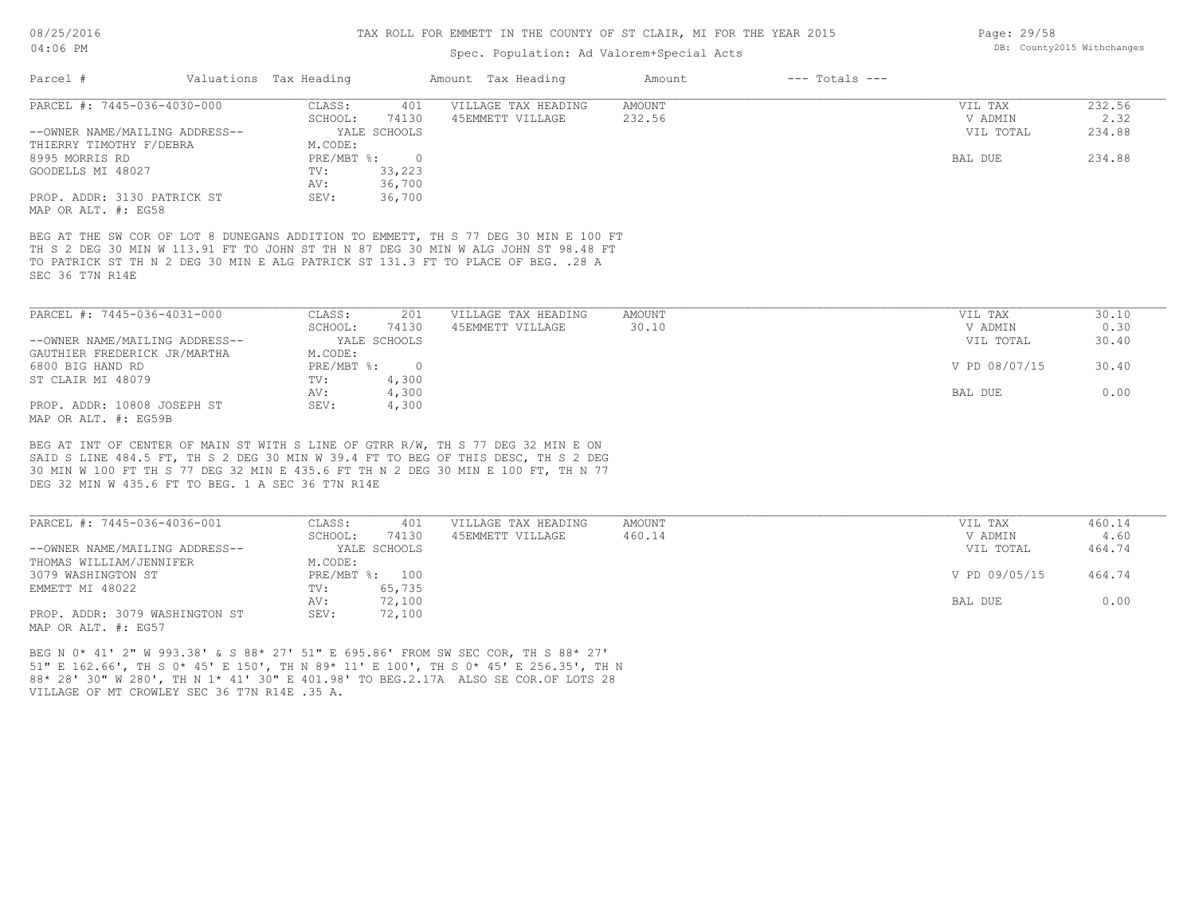#### TAX ROLL FOR EMMETT IN THE COUNTY OF ST CLAIR, MI FOR THE YEAR 2015

# Spec. Population: Ad Valorem+Special Acts

| Parcel #                       | Valuations Tax Heading    |                       | Amount Tax Heading                                                                  | Amount        | $---$ Totals $---$ |                |        |
|--------------------------------|---------------------------|-----------------------|-------------------------------------------------------------------------------------|---------------|--------------------|----------------|--------|
| PARCEL #: 7445-036-4030-000    | CLASS:                    | 401                   | VILLAGE TAX HEADING                                                                 | AMOUNT        |                    | VIL TAX        | 232.56 |
|                                | SCHOOL:                   | 74130                 | 45EMMETT VILLAGE                                                                    | 232.56        |                    | V ADMIN        | 2.32   |
| --OWNER NAME/MAILING ADDRESS-- |                           | YALE SCHOOLS          |                                                                                     |               |                    | VIL TOTAL      | 234.88 |
| THIERRY TIMOTHY F/DEBRA        | M.CODE:                   |                       |                                                                                     |               |                    |                |        |
| 8995 MORRIS RD                 | $PRE/MBT$ $\frac{1}{6}$ : |                       |                                                                                     |               |                    | BAL DUE        | 234.88 |
| GOODELLS MI 48027              | TV:                       | 33,223                |                                                                                     |               |                    |                |        |
|                                | AV:                       | 36,700                |                                                                                     |               |                    |                |        |
| PROP. ADDR: 3130 PATRICK ST    | SEV:                      | 36,700                |                                                                                     |               |                    |                |        |
| MAP OR ALT. #: EG58            |                           |                       |                                                                                     |               |                    |                |        |
|                                |                           |                       | BEG AT THE SW COR OF LOT 8 DUNEGANS ADDITION TO EMMETT, TH S 77 DEG 30 MIN E 100 FT |               |                    |                |        |
|                                |                           |                       | TH S 2 DEG 30 MIN W 113.91 FT TO JOHN ST TH N 87 DEG 30 MIN W ALG JOHN ST 98.48 FT  |               |                    |                |        |
|                                |                           |                       | TO PATRICK ST TH N 2 DEG 30 MIN E ALG PATRICK ST 131.3 FT TO PLACE OF BEG. . 28 A   |               |                    |                |        |
| SEC 36 T7N R14E                |                           |                       |                                                                                     |               |                    |                |        |
|                                |                           |                       |                                                                                     |               |                    |                |        |
|                                |                           |                       |                                                                                     |               |                    |                |        |
| 500 1021 14. 7445 626 4021 600 | CITRCT                    | $\bigcap$ $\bigcap$ 1 | $\tau$ דר התוון עגרה הי                                                             | <b>AMOUNT</b> |                    | <b>TTT mAV</b> | 20 10  |

| PARCEL #: 7445-036-4031-000    | CLASS:       | 201          | VILLAGE TAX HEADING | AMOUNT | VIL TAX       | 30.10 |
|--------------------------------|--------------|--------------|---------------------|--------|---------------|-------|
|                                | SCHOOL:      | 74130        | 45EMMETT VILLAGE    | 30.10  | V ADMIN       | 0.30  |
| --OWNER NAME/MAILING ADDRESS-- |              | YALE SCHOOLS |                     |        | VIL TOTAL     | 30.40 |
| GAUTHIER FREDERICK JR/MARTHA   | M.CODE:      |              |                     |        |               |       |
| 6800 BIG HAND RD               | $PRE/MBT$ %: |              |                     |        | V PD 08/07/15 | 30.40 |
| ST CLAIR MI 48079              | TV:          | 4,300        |                     |        |               |       |
|                                | AV:          | 4,300        |                     |        | BAL DUE       | 0.00  |
| PROP. ADDR: 10808 JOSEPH ST    | SEV:         | 4,300        |                     |        |               |       |
| MAP OR ALT. #: EG59B           |              |              |                     |        |               |       |

DEG 32 MIN W 435.6 FT TO BEG. 1 A SEC 36 T7N R14E 30 MIN W 100 FT TH S 77 DEG 32 MIN E 435.6 FT TH N 2 DEG 30 MIN E 100 FT, TH N 77 SAID S LINE 484.5 FT, TH S 2 DEG 30 MIN W 39.4 FT TO BEG OF THIS DESC, TH S 2 DEG BEG AT INT OF CENTER OF MAIN ST WITH S LINE OF GTRR R/W, TH S 77 DEG 32 MIN E ON

| PARCEL #: 7445-036-4036-001    | CLASS:  | 401            | VILLAGE TAX HEADING | AMOUNT | VIL TAX       | 460.14 |
|--------------------------------|---------|----------------|---------------------|--------|---------------|--------|
|                                | SCHOOL: | 74130          | 45EMMETT VILLAGE    | 460.14 | V ADMIN       | 4.60   |
| --OWNER NAME/MAILING ADDRESS-- |         | YALE SCHOOLS   |                     |        | VIL TOTAL     | 464.74 |
| THOMAS WILLIAM/JENNIFER        | M.CODE: |                |                     |        |               |        |
| 3079 WASHINGTON ST             |         | PRE/MBT %: 100 |                     |        | V PD 09/05/15 | 464.74 |
| EMMETT MI 48022                | TV:     | 65,735         |                     |        |               |        |
|                                | AV:     | 72,100         |                     |        | BAL DUE       | 0.00   |
| PROP. ADDR: 3079 WASHINGTON ST | SEV:    | 72,100         |                     |        |               |        |
| MAP OR ALT. #: EG57            |         |                |                     |        |               |        |

VILLAGE OF MT CROWLEY SEC 36 T7N R14E .35 A. 88\* 28' 30" W 280', TH N 1\* 41' 30" E 401.98' TO BEG.2.17A ALSO SE COR.OF LOTS 28 51" E 162.66', TH S 0\* 45' E 150', TH N 89\* 11' E 100', TH S 0\* 45' E 256.35', TH N BEG N 0\* 41' 2" W 993.38' & S 88\* 27' 51" E 695.86' FROM SW SEC COR, TH S 88\* 27'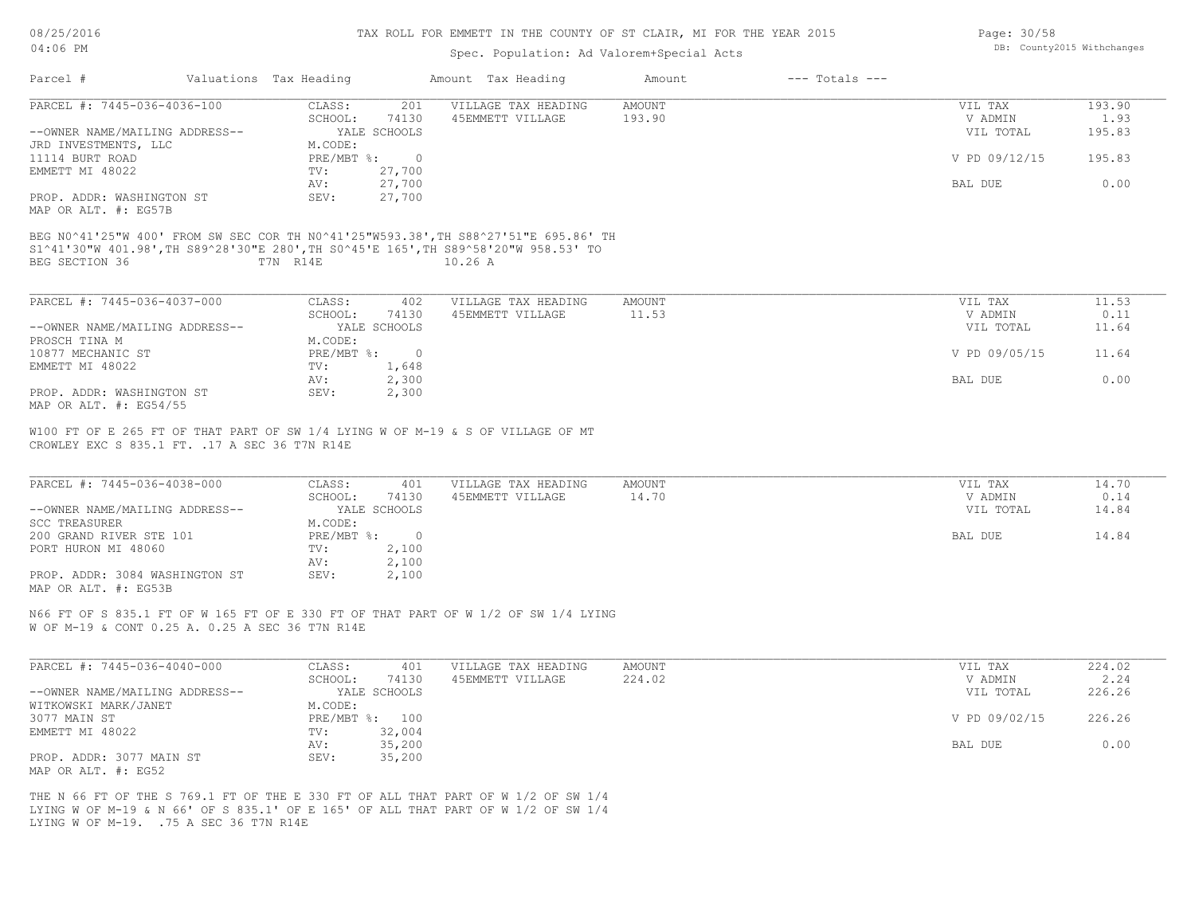#### TAX ROLL FOR EMMETT IN THE COUNTY OF ST CLAIR, MI FOR THE YEAR 2015

### Spec. Population: Ad Valorem+Special Acts

| Parcel #                                                                                                                                                                                     | Valuations Tax Heading |                | Amount Tax Heading  | Amount        | $---$ Totals $---$ |               |        |
|----------------------------------------------------------------------------------------------------------------------------------------------------------------------------------------------|------------------------|----------------|---------------------|---------------|--------------------|---------------|--------|
| PARCEL #: 7445-036-4036-100                                                                                                                                                                  | CLASS:                 | 201            | VILLAGE TAX HEADING | <b>AMOUNT</b> |                    | VIL TAX       | 193.90 |
|                                                                                                                                                                                              | SCHOOL:                | 74130          | 45EMMETT VILLAGE    | 193.90        |                    | V ADMIN       | 1.93   |
| --OWNER NAME/MAILING ADDRESS--                                                                                                                                                               |                        | YALE SCHOOLS   |                     |               |                    | VIL TOTAL     | 195.83 |
| JRD INVESTMENTS, LLC                                                                                                                                                                         | M.CODE:                |                |                     |               |                    |               |        |
| 11114 BURT ROAD                                                                                                                                                                              | PRE/MBT %:             | $\overline{0}$ |                     |               |                    | V PD 09/12/15 | 195.83 |
| EMMETT MI 48022                                                                                                                                                                              | TV:                    | 27,700         |                     |               |                    |               |        |
|                                                                                                                                                                                              | AV:                    | 27,700         |                     |               |                    | BAL DUE       | 0.00   |
| PROP. ADDR: WASHINGTON ST<br>MAP OR ALT. #: EG57B                                                                                                                                            | SEV:                   | 27,700         |                     |               |                    |               |        |
| BEG N0^41'25"W 400' FROM SW SEC COR TH N0^41'25"W593.38', TH S88^27'51"E 695.86' TH<br>S1^41'30"W 401.98', TH S89^28'30"E 280', TH S0^45'E 165', TH S89^58'20"W 958.53' TO<br>BEG SECTION 36 | T7N R14E               |                | $10.26$ A           |               |                    |               |        |
| PARCEL #: 7445-036-4037-000                                                                                                                                                                  | CLASS:                 | 402            | VILLAGE TAX HEADING | <b>AMOUNT</b> |                    | VIL TAX       | 11.53  |
|                                                                                                                                                                                              | SCHOOL:                | 74130          | 45EMMETT VILLAGE    | 11.53         |                    | V ADMIN       | 0.11   |
| --OWNER NAME/MAILING ADDRESS--                                                                                                                                                               |                        | YALE SCHOOLS   |                     |               |                    | VIL TOTAL     | 11.64  |
| PROSCH TINA M                                                                                                                                                                                | M.CODE:                |                |                     |               |                    |               |        |
| 10877 MECHANIC ST                                                                                                                                                                            | PRE/MBT %:             | $\overline{0}$ |                     |               |                    | V PD 09/05/15 | 11.64  |
| EMMETT MI 48022                                                                                                                                                                              | TV:                    | 1,648          |                     |               |                    |               |        |
|                                                                                                                                                                                              | AV:                    | 2,300          |                     |               |                    | BAL DUE       | 0.00   |
| PROP. ADDR: WASHINGTON ST                                                                                                                                                                    | SEV:                   | 2,300          |                     |               |                    |               |        |
| MAP OR ALT. #: EG54/55                                                                                                                                                                       |                        |                |                     |               |                    |               |        |
| W100 FT OF E 265 FT OF THAT PART OF SW 1/4 LYING W OF M-19 & S OF VILLAGE OF MT<br>CROWLEY EXC S 835.1 FT. . 17 A SEC 36 T7N R14E                                                            |                        |                |                     |               |                    |               |        |
| PARCEL #: 7445-036-4038-000                                                                                                                                                                  | CLASS:                 | 401            | VILLAGE TAX HEADING | <b>AMOUNT</b> |                    | VIL TAX       | 14.70  |
|                                                                                                                                                                                              | SCHOOL:                | 74130          | 45EMMETT VILLAGE    | 14.70         |                    | V ADMIN       | 0.14   |
| --OWNER NAME/MAILING ADDRESS--                                                                                                                                                               |                        | YALE SCHOOLS   |                     |               |                    | VIL TOTAL     | 14.84  |
| <b>SCC TREASURER</b>                                                                                                                                                                         | M.CODE:                |                |                     |               |                    |               |        |
| 200 GRAND RIVER STE 101                                                                                                                                                                      | PRE/MBT %:             | $\overline{0}$ |                     |               |                    | BAL DUE       | 14.84  |
| PORT HURON MI 48060                                                                                                                                                                          | TV:                    | 2,100          |                     |               |                    |               |        |
|                                                                                                                                                                                              | AV:                    | 2,100          |                     |               |                    |               |        |
| PROP. ADDR: 3084 WASHINGTON ST                                                                                                                                                               | SEV:                   | 2,100          |                     |               |                    |               |        |
|                                                                                                                                                                                              |                        |                |                     |               |                    |               |        |

MAP OR ALT. #: EG53B

W OF M-19 & CONT 0.25 A. 0.25 A SEC 36 T7N R14E N66 FT OF S 835.1 FT OF W 165 FT OF E 330 FT OF THAT PART OF W 1/2 OF SW 1/4 LYING

| PARCEL #: 7445-036-4040-000    | CLASS:  | 401            | VILLAGE TAX HEADING | AMOUNT | VIL TAX       | 224.02 |
|--------------------------------|---------|----------------|---------------------|--------|---------------|--------|
|                                | SCHOOL: | 74130          | 45EMMETT VILLAGE    | 224.02 | V ADMIN       | 2.24   |
| --OWNER NAME/MAILING ADDRESS-- |         | YALE SCHOOLS   |                     |        | VIL TOTAL     | 226.26 |
| WITKOWSKI MARK/JANET           | M.CODE: |                |                     |        |               |        |
| 3077 MAIN ST                   |         | PRE/MBT %: 100 |                     |        | V PD 09/02/15 | 226.26 |
| EMMETT MI 48022                | TV:     | 32,004         |                     |        |               |        |
|                                | AV:     | 35,200         |                     |        | BAL DUE       | 0.00   |
| PROP. ADDR: 3077 MAIN ST       | SEV:    | 35,200         |                     |        |               |        |
| MAP OR ALT. #: EG52            |         |                |                     |        |               |        |

LYING W OF M-19. .75 A SEC 36 T7N R14E LYING W OF M-19 & N 66' OF S 835.1' OF E 165' OF ALL THAT PART OF W 1/2 OF SW 1/4 THE N 66 FT OF THE S 769.1 FT OF THE E 330 FT OF ALL THAT PART OF W 1/2 OF SW 1/4 Page: 30/58 DB: County2015 Withchanges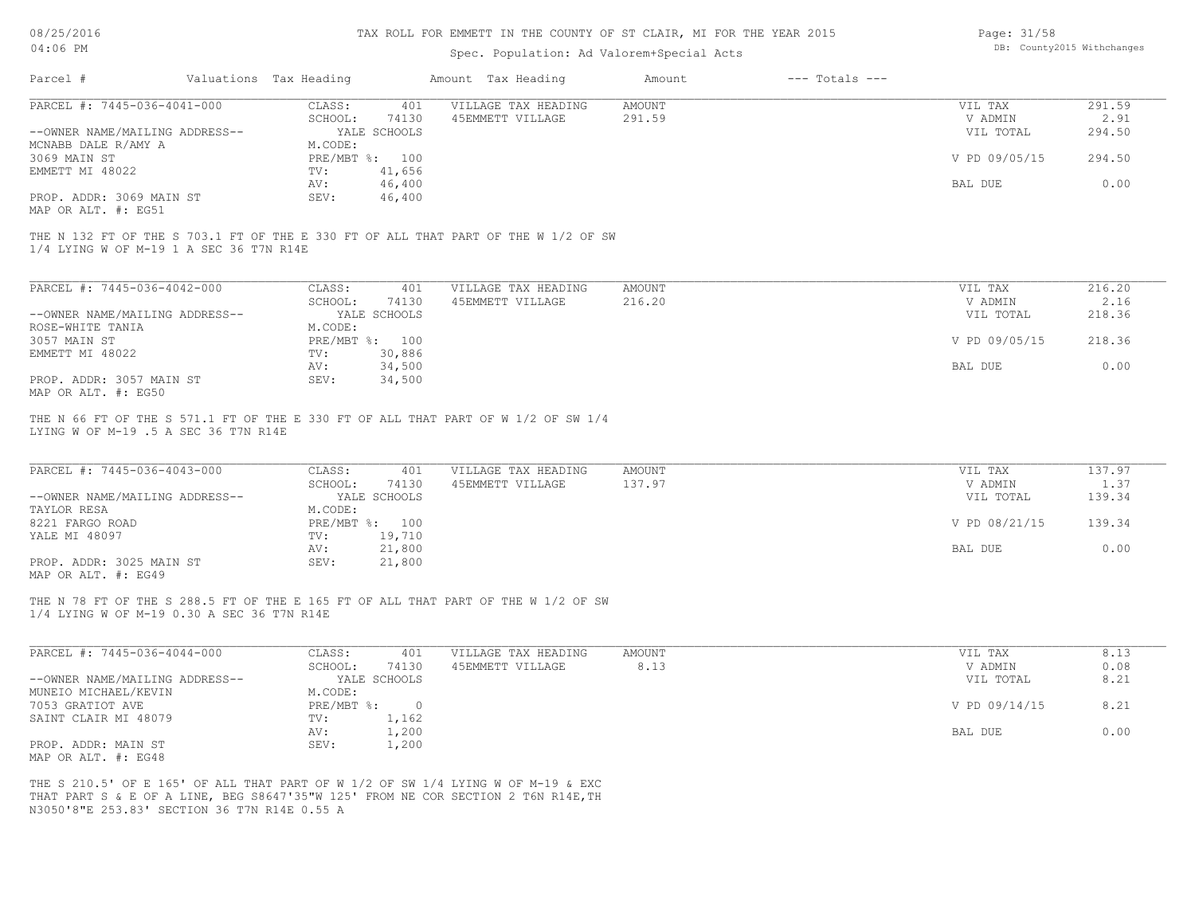# TAX ROLL FOR EMMETT IN THE COUNTY OF ST CLAIR, MI FOR THE YEAR 2015

# Spec. Population: Ad Valorem+Special Acts

| Page: 31/58 |                            |
|-------------|----------------------------|
|             | DB: County2015 Withchanges |

| Parcel #                                                                                                                        | Valuations Tax Heading            |                         | Amount Tax Heading                                                                | Amount           | $---$ Totals $---$ |                                 |                          |
|---------------------------------------------------------------------------------------------------------------------------------|-----------------------------------|-------------------------|-----------------------------------------------------------------------------------|------------------|--------------------|---------------------------------|--------------------------|
| PARCEL #: 7445-036-4041-000<br>--OWNER NAME/MAILING ADDRESS--                                                                   | CLASS:<br>SCHOOL:<br>YALE SCHOOLS | 401<br>74130            | VILLAGE TAX HEADING<br>45EMMETT VILLAGE                                           | AMOUNT<br>291.59 |                    | VIL TAX<br>V ADMIN<br>VIL TOTAL | 291.59<br>2.91<br>294.50 |
| MCNABB DALE R/AMY A                                                                                                             | M.CODE:                           |                         |                                                                                   |                  |                    |                                 |                          |
| 3069 MAIN ST<br>EMMETT MI 48022                                                                                                 | PRE/MBT %: 100<br>TV:             | 41,656                  |                                                                                   |                  |                    | V PD 09/05/15                   | 294.50                   |
| PROP. ADDR: 3069 MAIN ST<br>MAP OR ALT. #: EG51                                                                                 | AV:<br>SEV:                       | 46,400<br>46,400        |                                                                                   |                  |                    | BAL DUE                         | 0.00                     |
| THE N 132 FT OF THE S 703.1 FT OF THE E 330 FT OF ALL THAT PART OF THE W 1/2 OF SW<br>1/4 LYING W OF M-19 1 A SEC 36 T7N R14E   |                                   |                         |                                                                                   |                  |                    |                                 |                          |
| PARCEL #: 7445-036-4042-000                                                                                                     | CLASS:                            | 401                     | VILLAGE TAX HEADING                                                               | <b>AMOUNT</b>    |                    | VIL TAX                         | 216.20                   |
| --OWNER NAME/MAILING ADDRESS--                                                                                                  | SCHOOL:<br>YALE SCHOOLS           | 74130                   | 45EMMETT VILLAGE                                                                  | 216.20           |                    | V ADMIN<br>VIL TOTAL            | 2.16<br>218.36           |
| ROSE-WHITE TANIA<br>3057 MAIN ST                                                                                                | M.CODE:<br>PRE/MBT %: 100         |                         |                                                                                   |                  |                    | V PD 09/05/15                   | 218.36                   |
| EMMETT MI 48022                                                                                                                 | TV:<br>AV:                        | 30,886<br>34,500        |                                                                                   |                  |                    | BAL DUE                         | 0.00                     |
| PROP. ADDR: 3057 MAIN ST<br>MAP OR ALT. #: EG50                                                                                 | SEV:                              | 34,500                  |                                                                                   |                  |                    |                                 |                          |
| PARCEL #: 7445-036-4043-000                                                                                                     | CLASS:<br>SCHOOL:                 | 401<br>74130            | VILLAGE TAX HEADING<br>45EMMETT VILLAGE                                           | AMOUNT<br>137.97 |                    | VIL TAX<br>V ADMIN              | 137.97<br>1.37           |
| --OWNER NAME/MAILING ADDRESS--<br>TAYLOR RESA                                                                                   | YALE SCHOOLS<br>M.CODE:           |                         |                                                                                   |                  |                    | VIL TOTAL                       | 139.34                   |
| 8221 FARGO ROAD<br>YALE MI 48097                                                                                                | PRE/MBT %: 100<br>TV:             | 19,710                  |                                                                                   |                  |                    | V PD 08/21/15                   | 139.34                   |
| PROP. ADDR: 3025 MAIN ST<br>MAP OR ALT. #: EG49                                                                                 | AV:<br>SEV:                       | 21,800<br>21,800        |                                                                                   |                  |                    | BAL DUE                         | 0.00                     |
| THE N 78 FT OF THE S 288.5 FT OF THE E 165 FT OF ALL THAT PART OF THE W 1/2 OF SW<br>1/4 LYING W OF M-19 0.30 A SEC 36 T7N R14E |                                   |                         |                                                                                   |                  |                    |                                 |                          |
| PARCEL #: 7445-036-4044-000                                                                                                     | CLASS:                            | 401                     | VILLAGE TAX HEADING                                                               | AMOUNT           |                    | VIL TAX                         | 8.13                     |
| --OWNER NAME/MAILING ADDRESS--                                                                                                  | SCHOOL:<br>YALE SCHOOLS           | 74130                   | 45EMMETT VILLAGE                                                                  | 8.13             |                    | V ADMIN<br>VIL TOTAL            | 0.08<br>8.21             |
| MUNEIO MICHAEL/KEVIN<br>7053 GRATIOT AVE                                                                                        | M.CODE:<br>PRE/MBT %:             | $\overline{0}$          |                                                                                   |                  |                    | V PD 09/14/15                   | 8.21                     |
| SAINT CLAIR MI 48079<br>PROP. ADDR: MAIN ST                                                                                     | TV:<br>AV:<br>SEV:                | 1,162<br>1,200<br>1,200 |                                                                                   |                  |                    | BAL DUE                         | 0.00                     |
| MAP OR ALT. #: EG48                                                                                                             |                                   |                         |                                                                                   |                  |                    |                                 |                          |
|                                                                                                                                 |                                   |                         | THE S 210.5' OF E 165' OF ALL THAT PART OF W 1/2 OF SW 1/4 LYING W OF M-19 & EXC  |                  |                    |                                 |                          |
| N3050'8"E 253.83' SECTION 36 T7N R14E 0.55 A                                                                                    |                                   |                         | THAT PART S & E OF A LINE, BEG S8647'35"W 125' FROM NE COR SECTION 2 T6N R14E, TH |                  |                    |                                 |                          |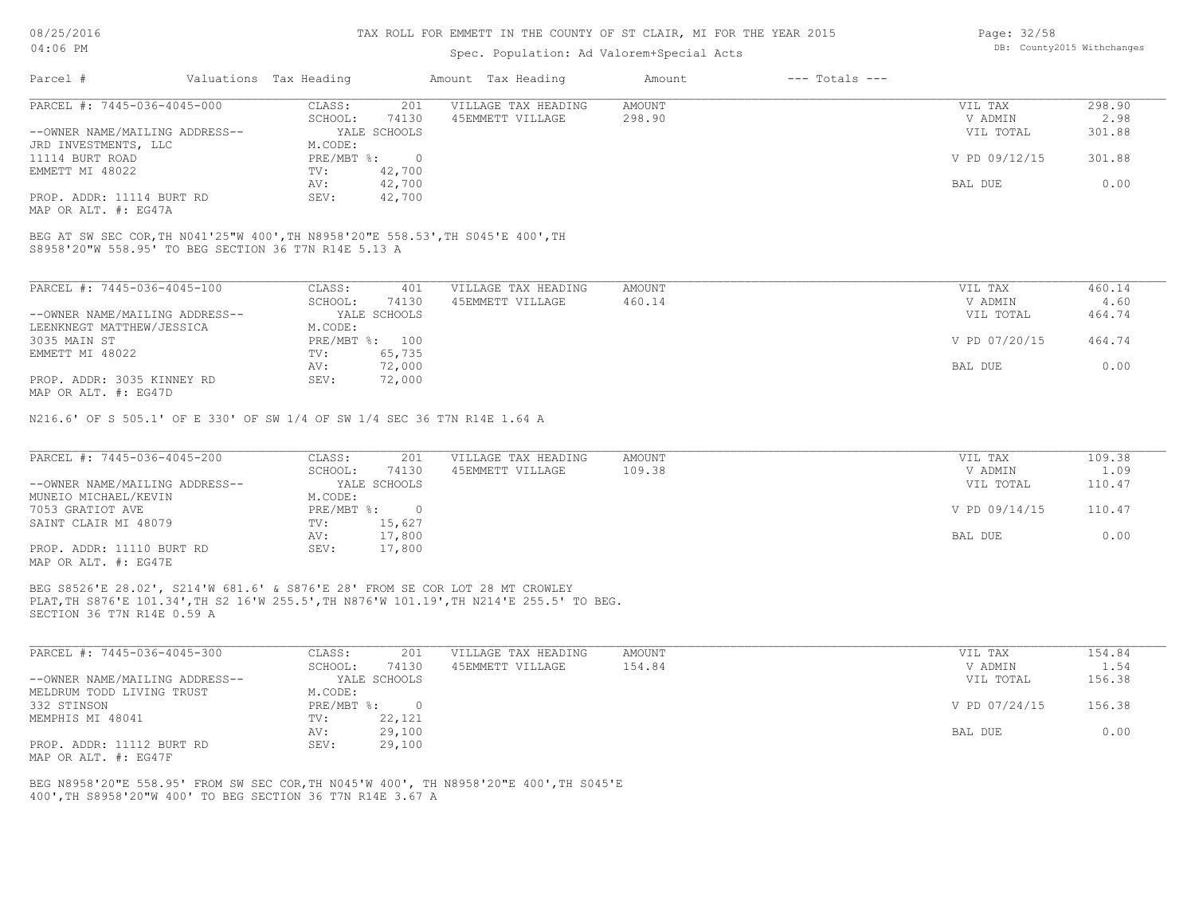### Spec. Population: Ad Valorem+Special Acts

| 298.90                  |
|-------------------------|
| 2.98                    |
| 301.88                  |
|                         |
| V PD 09/12/15<br>301.88 |
|                         |
| 0.00                    |
|                         |

S8958'20"W 558.95' TO BEG SECTION 36 T7N R14E 5.13 A BEG AT SW SEC COR,TH N041'25"W 400',TH N8958'20"E 558.53',TH S045'E 400',TH

PROP. ADDR: 11114 BURT RD SEV: 42,700

| PARCEL #: 7445-036-4045-100                           | CLASS:  | 401            | VILLAGE TAX HEADING | AMOUNT | VIL TAX       | 460.14 |
|-------------------------------------------------------|---------|----------------|---------------------|--------|---------------|--------|
|                                                       | SCHOOL: | 74130          | 45EMMETT VILLAGE    | 460.14 | V ADMIN       | 4.60   |
| --OWNER NAME/MAILING ADDRESS--                        |         | YALE SCHOOLS   |                     |        | VIL TOTAL     | 464.74 |
| LEENKNEGT MATTHEW/JESSICA                             | M.CODE: |                |                     |        |               |        |
| 3035 MAIN ST                                          |         | PRE/MBT %: 100 |                     |        | V PD 07/20/15 | 464.74 |
| EMMETT MI 48022                                       | TV:     | 65,735         |                     |        |               |        |
|                                                       | AV:     | 72,000         |                     |        | BAL DUE       | 0.00   |
| PROP. ADDR: 3035 KINNEY RD                            | SEV:    | 72,000         |                     |        |               |        |
| $\cdots$ $\cdots$ $\cdots$ $\cdots$ $\cdots$ $\cdots$ |         |                |                     |        |               |        |

MAP OR ALT. #: EG47D

MAP OR ALT. #: EG47A

N216.6' OF S 505.1' OF E 330' OF SW 1/4 OF SW 1/4 SEC 36 T7N R14E 1.64 A

| PARCEL #: 7445-036-4045-200    | CLASS:<br>201    | VILLAGE TAX HEADING | AMOUNT | VIL TAX       | 109.38 |
|--------------------------------|------------------|---------------------|--------|---------------|--------|
|                                | 74130<br>SCHOOL: | 45EMMETT VILLAGE    | 109.38 | V ADMIN       | 1.09   |
| --OWNER NAME/MAILING ADDRESS-- | YALE SCHOOLS     |                     |        | VIL TOTAL     | 110.47 |
| MUNEIO MICHAEL/KEVIN           | M.CODE:          |                     |        |               |        |
| 7053 GRATIOT AVE               | PRE/MBT %:       |                     |        | V PD 09/14/15 | 110.47 |
| SAINT CLAIR MI 48079           | 15,627<br>TV:    |                     |        |               |        |
|                                | 17,800<br>AV:    |                     |        | BAL DUE       | 0.00   |
| PROP. ADDR: 11110 BURT RD      | 17,800<br>SEV:   |                     |        |               |        |
| $\frac{1}{2}$                  |                  |                     |        |               |        |

MAP OR ALT. #: EG47E

SECTION 36 T7N R14E 0.59 A PLAT,TH S876'E 101.34',TH S2 16'W 255.5',TH N876'W 101.19',TH N214'E 255.5' TO BEG. BEG S8526'E 28.02', S214'W 681.6' & S876'E 28' FROM SE COR LOT 28 MT CROWLEY

| PARCEL #: 7445-036-4045-300    | CLASS:                    | 201          | VILLAGE TAX HEADING | AMOUNT | VIL TAX       | 154.84 |
|--------------------------------|---------------------------|--------------|---------------------|--------|---------------|--------|
|                                | SCHOOL:                   | 74130        | 45EMMETT VILLAGE    | 154.84 | V ADMIN       | 1.54   |
| --OWNER NAME/MAILING ADDRESS-- |                           | YALE SCHOOLS |                     |        | VIL TOTAL     | 156.38 |
| MELDRUM TODD LIVING TRUST      | M.CODE:                   |              |                     |        |               |        |
| 332 STINSON                    | $PRE/MBT$ $\frac{1}{6}$ : | $\Omega$     |                     |        | V PD 07/24/15 | 156.38 |
| MEMPHIS MI 48041               | TV:                       | 22,121       |                     |        |               |        |
|                                | AV:                       | 29,100       |                     |        | BAL DUE       | 0.00   |
| PROP. ADDR: 11112 BURT RD      | SEV:                      | 29,100       |                     |        |               |        |
| MAP OR ALT. #: EG47F           |                           |              |                     |        |               |        |

 $\_$  , and the state of the state of the state of the state of the state of the state of the state of the state of the state of the state of the state of the state of the state of the state of the state of the state of the

400',TH S8958'20"W 400' TO BEG SECTION 36 T7N R14E 3.67 A BEG N8958'20"E 558.95' FROM SW SEC COR,TH N045'W 400', TH N8958'20"E 400',TH S045'E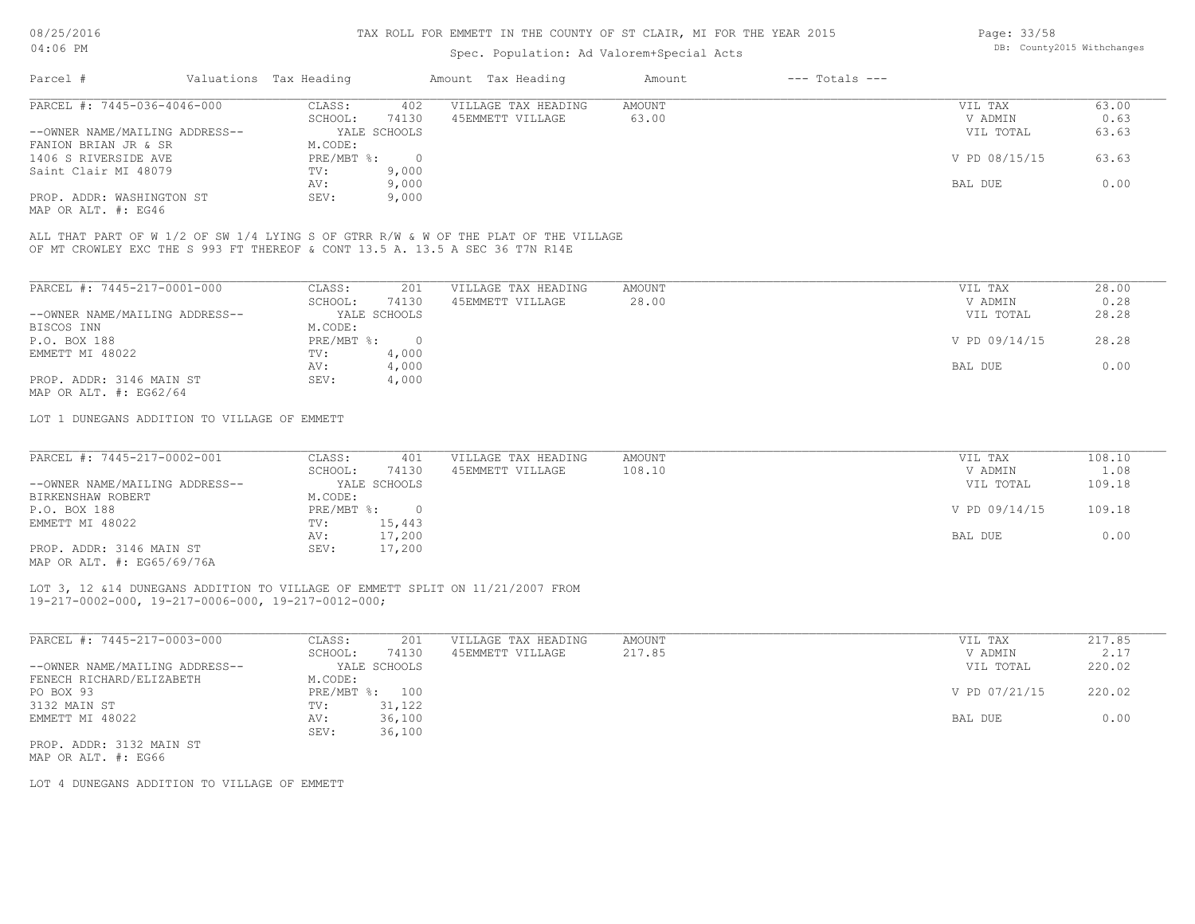# Spec. Population: Ad Valorem+Special Acts

| Page: 33/58 |                            |
|-------------|----------------------------|
|             | DB: County2015 Withchanges |

| Parcel #                       | Valuations Tax Heading |              | Amount Tax Heading  | Amount | $---$ Totals $---$ |               |       |
|--------------------------------|------------------------|--------------|---------------------|--------|--------------------|---------------|-------|
| PARCEL #: 7445-036-4046-000    | CLASS:                 | 402          | VILLAGE TAX HEADING | AMOUNT |                    | VIL TAX       | 63.00 |
|                                | SCHOOL:                | 74130        | 45EMMETT VILLAGE    | 63.00  |                    | V ADMIN       | 0.63  |
| --OWNER NAME/MAILING ADDRESS-- |                        | YALE SCHOOLS |                     |        |                    | VIL TOTAL     | 63.63 |
| FANION BRIAN JR & SR           | M.CODE:                |              |                     |        |                    |               |       |
| 1406 S RIVERSIDE AVE           | PRE/MBT %:             |              |                     |        |                    | V PD 08/15/15 | 63.63 |
| Saint Clair MI 48079           | TV:                    | 9,000        |                     |        |                    |               |       |
|                                | AV:                    | 9,000        |                     |        |                    | BAL DUE       | 0.00  |
| PROP. ADDR: WASHINGTON ST      | SEV:                   | 9,000        |                     |        |                    |               |       |
|                                |                        |              |                     |        |                    |               |       |

MAP OR ALT. #: EG46

OF MT CROWLEY EXC THE S 993 FT THEREOF & CONT 13.5 A. 13.5 A SEC 36 T7N R14E ALL THAT PART OF W 1/2 OF SW 1/4 LYING S OF GTRR R/W & W OF THE PLAT OF THE VILLAGE

| PARCEL #: 7445-217-0001-000    | CLASS:     | 201          | VILLAGE TAX HEADING | AMOUNT | 28.00<br>VIL TAX       |
|--------------------------------|------------|--------------|---------------------|--------|------------------------|
|                                | SCHOOL:    | 74130        | 45EMMETT VILLAGE    | 28.00  | 0.28<br>V ADMIN        |
| --OWNER NAME/MAILING ADDRESS-- |            | YALE SCHOOLS |                     |        | 28.28<br>VIL TOTAL     |
| BISCOS INN                     | M.CODE:    |              |                     |        |                        |
| P.O. BOX 188                   | PRE/MBT %: |              |                     |        | V PD 09/14/15<br>28.28 |
| EMMETT MI 48022                | TV:        | 4,000        |                     |        |                        |
|                                | AV:        | 4,000        |                     |        | 0.00<br>BAL DUE        |
| PROP. ADDR: 3146 MAIN ST       | SEV:       | 4,000        |                     |        |                        |
| MAP OR ALT. $\#$ : EG62/64     |            |              |                     |        |                        |

LOT 1 DUNEGANS ADDITION TO VILLAGE OF EMMETT

| PARCEL #: 7445-217-0002-001    | CLASS:       | 401          | VILLAGE TAX HEADING | AMOUNT | VIL TAX       | 108.10 |
|--------------------------------|--------------|--------------|---------------------|--------|---------------|--------|
|                                | SCHOOL:      | 74130        | 45EMMETT VILLAGE    | 108.10 | V ADMIN       | 1.08   |
| --OWNER NAME/MAILING ADDRESS-- |              | YALE SCHOOLS |                     |        | VIL TOTAL     | 109.18 |
| BIRKENSHAW ROBERT              | M.CODE:      |              |                     |        |               |        |
| P.O. BOX 188                   | $PRE/MBT$ %: |              |                     |        | V PD 09/14/15 | 109.18 |
| EMMETT MI 48022                | TV:          | 15,443       |                     |        |               |        |
|                                | AV:          | 17,200       |                     |        | BAL DUE       | 0.00   |
| PROP. ADDR: 3146 MAIN ST       | SEV:         | 17,200       |                     |        |               |        |
|                                |              |              |                     |        |               |        |

MAP OR ALT. #: EG65/69/76A

19-217-0002-000, 19-217-0006-000, 19-217-0012-000; LOT 3, 12 &14 DUNEGANS ADDITION TO VILLAGE OF EMMETT SPLIT ON 11/21/2007 FROM

| PARCEL #: 7445-217-0003-000    | CLASS:       | 201          | VILLAGE TAX HEADING | AMOUNT | VIL TAX       | 217.85 |
|--------------------------------|--------------|--------------|---------------------|--------|---------------|--------|
|                                | SCHOOL:      | 74130        | 45EMMETT VILLAGE    | 217.85 | V ADMIN       | 2.17   |
| --OWNER NAME/MAILING ADDRESS-- |              | YALE SCHOOLS |                     |        | VIL TOTAL     | 220.02 |
| FENECH RICHARD/ELIZABETH       | M.CODE:      |              |                     |        |               |        |
| PO BOX 93                      | $PRE/MBT$ %: | 100          |                     |        | V PD 07/21/15 | 220.02 |
| 3132 MAIN ST                   | TV:          | 31,122       |                     |        |               |        |
| EMMETT MI 48022                | AV:          | 36,100       |                     |        | BAL DUE       | 0.00   |
|                                | SEV:         | 36,100       |                     |        |               |        |
| PROP. ADDR: 3132 MAIN ST       |              |              |                     |        |               |        |

MAP OR ALT. #: EG66

LOT 4 DUNEGANS ADDITION TO VILLAGE OF EMMETT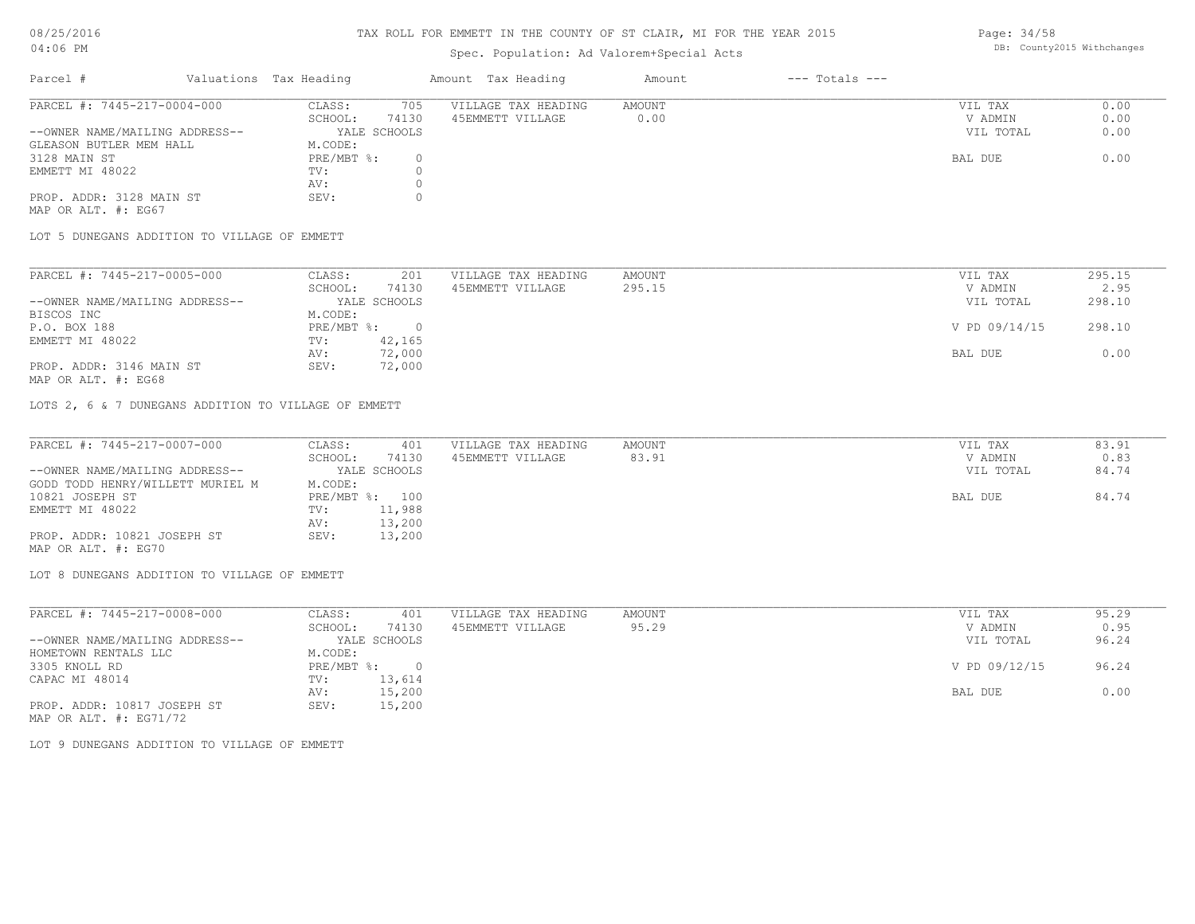# Spec. Population: Ad Valorem+Special Acts

Page: 34/58 DB: County2015 Withchanges

| Parcel #                       | Valuations Tax Heading |              | Amount Tax Heading  | Amount | $---$ Totals $---$ |           |      |
|--------------------------------|------------------------|--------------|---------------------|--------|--------------------|-----------|------|
| PARCEL #: 7445-217-0004-000    | CLASS:                 | 705          | VILLAGE TAX HEADING | AMOUNT |                    | VIL TAX   | 0.00 |
|                                | SCHOOL:                | 74130        | 45EMMETT VILLAGE    | 0.00   |                    | V ADMIN   | 0.00 |
| --OWNER NAME/MAILING ADDRESS-- |                        | YALE SCHOOLS |                     |        |                    | VIL TOTAL | 0.00 |
| GLEASON BUTLER MEM HALL        | M.CODE:                |              |                     |        |                    |           |      |
| 3128 MAIN ST                   | PRE/MBT %:             |              |                     |        |                    | BAL DUE   | 0.00 |
| EMMETT MI 48022                | TV:                    |              |                     |        |                    |           |      |
|                                | AV:                    |              |                     |        |                    |           |      |
| PROP. ADDR: 3128 MAIN ST       | SEV:                   |              |                     |        |                    |           |      |
| MAP OR ALT. #: EG67            |                        |              |                     |        |                    |           |      |

LOT 5 DUNEGANS ADDITION TO VILLAGE OF EMMETT

| PARCEL #: 7445-217-0005-000    | CLASS:     | 201          | VILLAGE TAX HEADING | AMOUNT | VIL TAX       | 295.15 |
|--------------------------------|------------|--------------|---------------------|--------|---------------|--------|
|                                | SCHOOL:    | 74130        | 45EMMETT VILLAGE    | 295.15 | V ADMIN       | 2.95   |
| --OWNER NAME/MAILING ADDRESS-- |            | YALE SCHOOLS |                     |        | VIL TOTAL     | 298.10 |
| BISCOS INC                     | M.CODE:    |              |                     |        |               |        |
| P.O. BOX 188                   | PRE/MBT %: |              |                     |        | V PD 09/14/15 | 298.10 |
| EMMETT MI 48022                | TV:        | 42,165       |                     |        |               |        |
|                                | AV:        | 72,000       |                     |        | BAL DUE       | 0.00   |
| PROP. ADDR: 3146 MAIN ST       | SEV:       | 72,000       |                     |        |               |        |
| MAP OR ALT. #: EG68            |            |              |                     |        |               |        |

LOTS 2, 6 & 7 DUNEGANS ADDITION TO VILLAGE OF EMMETT

| PARCEL #: 7445-217-0007-000      | CLASS:  | 401            | VILLAGE TAX HEADING | AMOUNT | VIL TAX   | 83.91 |
|----------------------------------|---------|----------------|---------------------|--------|-----------|-------|
|                                  | SCHOOL: | 74130          | 45EMMETT VILLAGE    | 83.91  | V ADMIN   | 0.83  |
| --OWNER NAME/MAILING ADDRESS--   |         | YALE SCHOOLS   |                     |        | VIL TOTAL | 84.74 |
| GODD TODD HENRY/WILLETT MURIEL M | M.CODE: |                |                     |        |           |       |
| 10821 JOSEPH ST                  |         | PRE/MBT %: 100 |                     |        | BAL DUE   | 84.74 |
| EMMETT MI 48022                  | TV:     | 11,988         |                     |        |           |       |
|                                  | AV:     | 13,200         |                     |        |           |       |
| PROP. ADDR: 10821 JOSEPH ST      | SEV:    | 13,200         |                     |        |           |       |
| MAP OR ALT. #: EG70              |         |                |                     |        |           |       |

LOT 8 DUNEGANS ADDITION TO VILLAGE OF EMMETT

| PARCEL #: 7445-217-0008-000    | CLASS:     | 401          | VILLAGE TAX HEADING | AMOUNT | 95.29<br>VIL TAX       |
|--------------------------------|------------|--------------|---------------------|--------|------------------------|
|                                | SCHOOL:    | 74130        | 45EMMETT VILLAGE    | 95.29  | 0.95<br>V ADMIN        |
| --OWNER NAME/MAILING ADDRESS-- |            | YALE SCHOOLS |                     |        | 96.24<br>VIL TOTAL     |
| HOMETOWN RENTALS LLC           | M.CODE:    |              |                     |        |                        |
| 3305 KNOLL RD                  | PRE/MBT %: |              |                     |        | V PD 09/12/15<br>96.24 |
| CAPAC MI 48014                 | TV:        | 13,614       |                     |        |                        |
|                                | AV:        | 15,200       |                     |        | 0.00<br>BAL DUE        |
| PROP. ADDR: 10817 JOSEPH ST    | SEV:       | 15,200       |                     |        |                        |
| MAP OR ALT. $\#$ : EG71/72     |            |              |                     |        |                        |

LOT 9 DUNEGANS ADDITION TO VILLAGE OF EMMETT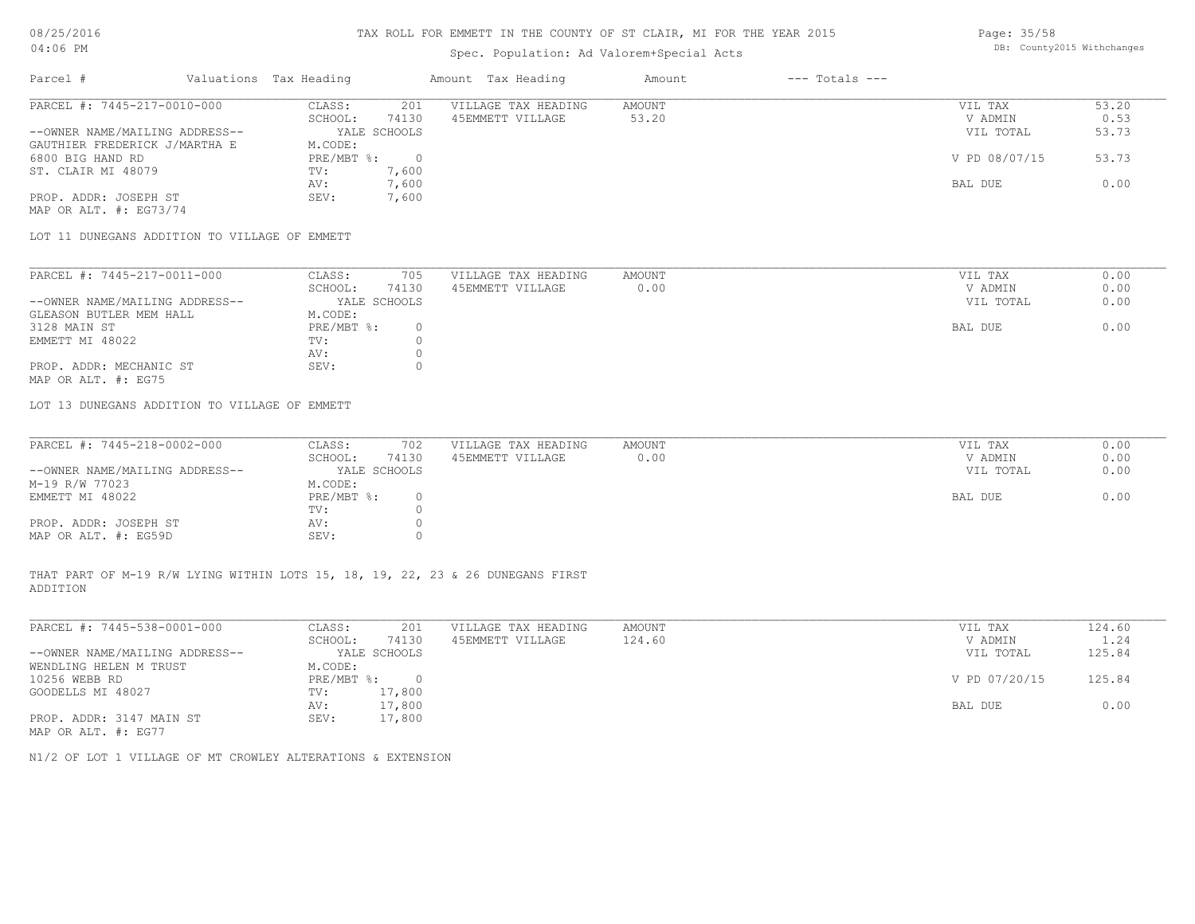# Spec. Population: Ad Valorem+Special Acts

Page: 35/58 DB: County2015 Withchanges

| Parcel #                       | Valuations Tax Heading |              | Amount Tax Heading  | Amount | $---$ Totals $---$ |               |       |
|--------------------------------|------------------------|--------------|---------------------|--------|--------------------|---------------|-------|
| PARCEL #: 7445-217-0010-000    | CLASS:                 | 201          | VILLAGE TAX HEADING | AMOUNT |                    | VIL TAX       | 53.20 |
|                                | SCHOOL:                | 74130        | 45EMMETT VILLAGE    | 53.20  |                    | V ADMIN       | 0.53  |
| --OWNER NAME/MAILING ADDRESS-- |                        | YALE SCHOOLS |                     |        |                    | VIL TOTAL     | 53.73 |
| GAUTHIER FREDERICK J/MARTHA E  | M.CODE:                |              |                     |        |                    |               |       |
| 6800 BIG HAND RD               | PRE/MBT %:             |              |                     |        |                    | V PD 08/07/15 | 53.73 |
| ST. CLAIR MI 48079             | TV:                    | 7,600        |                     |        |                    |               |       |
|                                | AV:                    | 7,600        |                     |        |                    | BAL DUE       | 0.00  |
| PROP. ADDR: JOSEPH ST          | SEV:                   | 7,600        |                     |        |                    |               |       |
| MAP OR ALT. $\#$ : EG73/74     |                        |              |                     |        |                    |               |       |

LOT 11 DUNEGANS ADDITION TO VILLAGE OF EMMETT

| PARCEL #: 7445-217-0011-000    | CLASS:     | 705          | VILLAGE TAX HEADING | AMOUNT | VIL TAX   | 0.00 |
|--------------------------------|------------|--------------|---------------------|--------|-----------|------|
|                                | SCHOOL:    | 74130        | 45EMMETT VILLAGE    | 0.00   | V ADMIN   | 0.00 |
| --OWNER NAME/MAILING ADDRESS-- |            | YALE SCHOOLS |                     |        | VIL TOTAL | 0.00 |
| GLEASON BUTLER MEM HALL        | M.CODE:    |              |                     |        |           |      |
| 3128 MAIN ST                   | PRE/MBT %: |              |                     |        | BAL DUE   | 0.00 |
| EMMETT MI 48022                | TV:        |              |                     |        |           |      |
|                                | AV:        |              |                     |        |           |      |
| PROP. ADDR: MECHANIC ST        | SEV:       |              |                     |        |           |      |
| MAP OR ALT. #: EG75            |            |              |                     |        |           |      |

LOT 13 DUNEGANS ADDITION TO VILLAGE OF EMMETT

| PARCEL #: 7445-218-0002-000    | CLASS:       | 702   | VILLAGE TAX HEADING | AMOUNT | VIL TAX   | 0.00 |
|--------------------------------|--------------|-------|---------------------|--------|-----------|------|
|                                | SCHOOL:      | 74130 | 45EMMETT VILLAGE    | 0.00   | V ADMIN   | 0.00 |
| --OWNER NAME/MAILING ADDRESS-- | YALE SCHOOLS |       |                     |        | VIL TOTAL | 0.00 |
| M-19 R/W 77023                 | M.CODE:      |       |                     |        |           |      |
| EMMETT MI 48022                | $PRE/MBT$ %: |       |                     |        | BAL DUE   | 0.00 |
|                                | TV:          |       |                     |        |           |      |
| PROP. ADDR: JOSEPH ST          | AV:          |       |                     |        |           |      |
| MAP OR ALT. #: EG59D           | SEV:         |       |                     |        |           |      |

ADDITION THAT PART OF M-19 R/W LYING WITHIN LOTS 15, 18, 19, 22, 23 & 26 DUNEGANS FIRST

| PARCEL #: 7445-538-0001-000    | CLASS:       | 201          | VILLAGE TAX HEADING | AMOUNT | VIL TAX       | 124.60 |
|--------------------------------|--------------|--------------|---------------------|--------|---------------|--------|
|                                | SCHOOL:      | 74130        | 45EMMETT VILLAGE    | 124.60 | V ADMIN       | 1.24   |
| --OWNER NAME/MAILING ADDRESS-- |              | YALE SCHOOLS |                     |        | VIL TOTAL     | 125.84 |
| WENDLING HELEN M TRUST         | M.CODE:      |              |                     |        |               |        |
| 10256 WEBB RD                  | $PRE/MBT$ %: |              |                     |        | V PD 07/20/15 | 125.84 |
| GOODELLS MI 48027              | TV:          | 17,800       |                     |        |               |        |
|                                | AV:          | 17,800       |                     |        | BAL DUE       | 0.00   |
| PROP. ADDR: 3147 MAIN ST       | SEV:         | 17,800       |                     |        |               |        |
| MAP OR ALT. #: EG77            |              |              |                     |        |               |        |

N1/2 OF LOT 1 VILLAGE OF MT CROWLEY ALTERATIONS & EXTENSION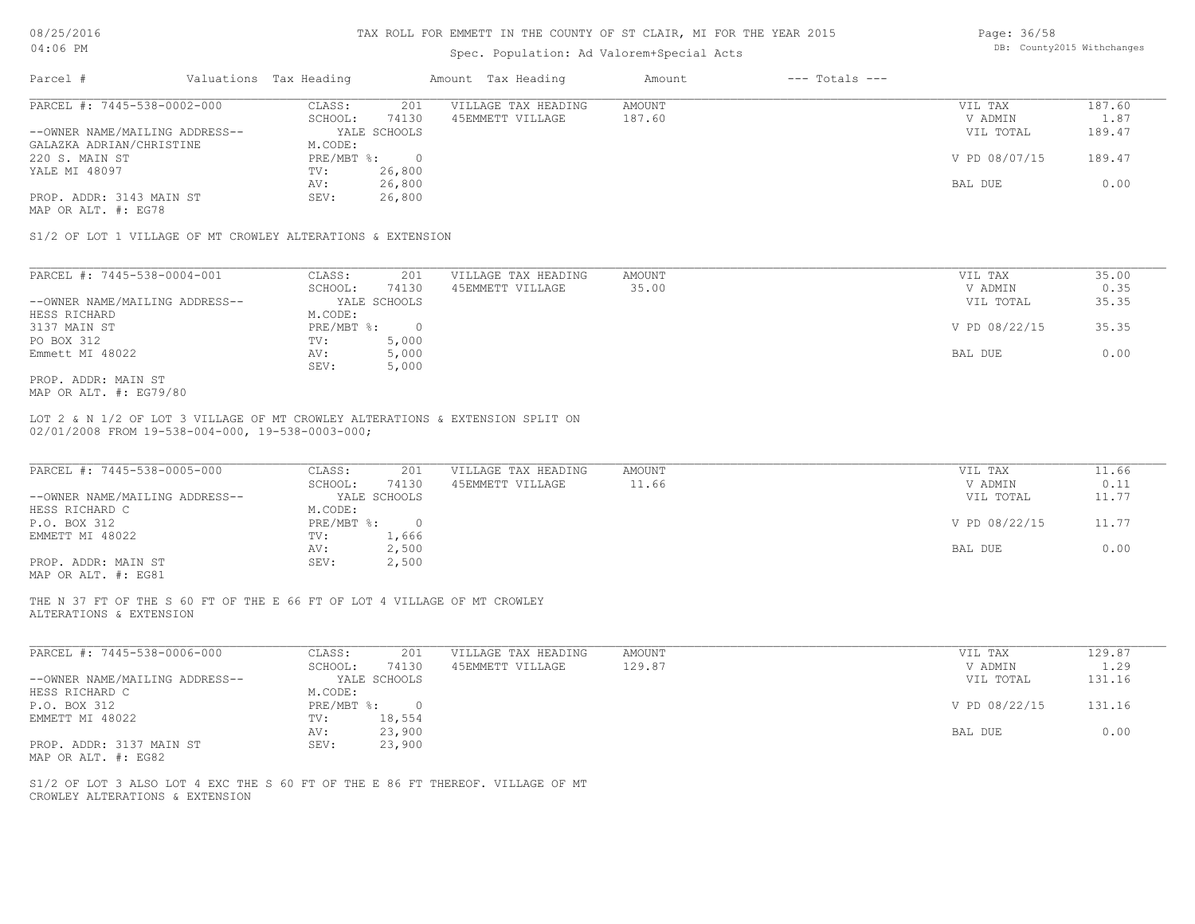08/25/2016

# TAX ROLL FOR EMMETT IN THE COUNTY OF ST CLAIR, MI FOR THE YEAR 2015

Page: 36/58

| U8/Z5/ZUI6<br>04:06 PM                                                                                                            |                               | TAX ROLL FOR EMMETT IN THE COUNTY OF ST CLAIR, MI FOR THE YEAR 2015<br>Spec. Population: Ad Valorem+Special Acts |               |                    |               |        |  |  |  |
|-----------------------------------------------------------------------------------------------------------------------------------|-------------------------------|------------------------------------------------------------------------------------------------------------------|---------------|--------------------|---------------|--------|--|--|--|
| Parcel #                                                                                                                          | Valuations Tax Heading        | Amount Tax Heading                                                                                               | Amount        | $---$ Totals $---$ |               |        |  |  |  |
| PARCEL #: 7445-538-0002-000                                                                                                       | CLASS:<br>201                 | VILLAGE TAX HEADING                                                                                              | <b>AMOUNT</b> |                    | VIL TAX       | 187.60 |  |  |  |
|                                                                                                                                   | SCHOOL:<br>74130              | 45EMMETT VILLAGE                                                                                                 | 187.60        |                    | V ADMIN       | 1.87   |  |  |  |
| --OWNER NAME/MAILING ADDRESS--                                                                                                    | YALE SCHOOLS<br>M.CODE:       |                                                                                                                  |               |                    | VIL TOTAL     | 189.47 |  |  |  |
| GALAZKA ADRIAN/CHRISTINE<br>220 S. MAIN ST                                                                                        | PRE/MBT %:<br>$\sim$ 0        |                                                                                                                  |               |                    | V PD 08/07/15 | 189.47 |  |  |  |
| YALE MI 48097                                                                                                                     | 26,800<br>TV:                 |                                                                                                                  |               |                    |               |        |  |  |  |
|                                                                                                                                   | 26,800<br>AV:                 |                                                                                                                  |               |                    | BAL DUE       | 0.00   |  |  |  |
| PROP. ADDR: 3143 MAIN ST<br>MAP OR ALT. #: EG78                                                                                   | 26,800<br>SEV:                |                                                                                                                  |               |                    |               |        |  |  |  |
| S1/2 OF LOT 1 VILLAGE OF MT CROWLEY ALTERATIONS & EXTENSION                                                                       |                               |                                                                                                                  |               |                    |               |        |  |  |  |
| PARCEL #: 7445-538-0004-001                                                                                                       | CLASS:<br>201                 | VILLAGE TAX HEADING                                                                                              | <b>AMOUNT</b> |                    | VIL TAX       | 35.00  |  |  |  |
|                                                                                                                                   | SCHOOL:<br>74130              | 45EMMETT VILLAGE                                                                                                 | 35.00         |                    | V ADMIN       | 0.35   |  |  |  |
| --OWNER NAME/MAILING ADDRESS--                                                                                                    | YALE SCHOOLS                  |                                                                                                                  |               |                    | VIL TOTAL     | 35.35  |  |  |  |
| HESS RICHARD                                                                                                                      | M.CODE:                       |                                                                                                                  |               |                    |               |        |  |  |  |
| 3137 MAIN ST                                                                                                                      | PRE/MBT %:<br>$\overline{0}$  |                                                                                                                  |               |                    | V PD 08/22/15 | 35.35  |  |  |  |
| PO BOX 312                                                                                                                        | 5,000<br>TV:                  |                                                                                                                  |               |                    |               |        |  |  |  |
| Emmett MI 48022                                                                                                                   | 5,000<br>AV:                  |                                                                                                                  |               |                    | BAL DUE       | 0.00   |  |  |  |
|                                                                                                                                   | 5,000<br>SEV:                 |                                                                                                                  |               |                    |               |        |  |  |  |
| PROP. ADDR: MAIN ST<br>MAP OR ALT. #: EG79/80                                                                                     |                               |                                                                                                                  |               |                    |               |        |  |  |  |
| LOT 2 & N 1/2 OF LOT 3 VILLAGE OF MT CROWLEY ALTERATIONS & EXTENSION SPLIT ON<br>02/01/2008 FROM 19-538-004-000, 19-538-0003-000; |                               |                                                                                                                  |               |                    |               |        |  |  |  |
| PARCEL #: 7445-538-0005-000                                                                                                       | CLASS:<br>201                 | VILLAGE TAX HEADING                                                                                              | <b>AMOUNT</b> |                    | VIL TAX       | 11.66  |  |  |  |
|                                                                                                                                   | SCHOOL:<br>74130              | 45EMMETT VILLAGE                                                                                                 | 11.66         |                    | V ADMIN       | 0.11   |  |  |  |
| --OWNER NAME/MAILING ADDRESS--                                                                                                    | YALE SCHOOLS                  |                                                                                                                  |               |                    | VIL TOTAL     | 11.77  |  |  |  |
| HESS RICHARD C                                                                                                                    | M.CODE:                       |                                                                                                                  |               |                    |               |        |  |  |  |
| P.O. BOX 312                                                                                                                      | PRE/MBT %:                    | $\overline{0}$                                                                                                   |               |                    | V PD 08/22/15 | 11.77  |  |  |  |
| EMMETT MI 48022                                                                                                                   | TV:<br>1,666                  |                                                                                                                  |               |                    | BAL DUE       | 0.00   |  |  |  |
| PROP. ADDR: MAIN ST                                                                                                               | 2,500<br>AV:<br>2,500<br>SEV: |                                                                                                                  |               |                    |               |        |  |  |  |
| MAP OR ALT. #: EG81                                                                                                               |                               |                                                                                                                  |               |                    |               |        |  |  |  |
|                                                                                                                                   |                               |                                                                                                                  |               |                    |               |        |  |  |  |
|                                                                                                                                   |                               |                                                                                                                  |               |                    |               |        |  |  |  |

ALTERATIONS & EXTENSION THE N 37 FT OF THE S 60 FT OF THE E 66 FT OF LOT 4 VILLAGE OF MT CROWLEY

| PARCEL #: 7445-538-0006-000    | CLASS:       | 201          | VILLAGE TAX HEADING | AMOUNT | VIL TAX       | 129.87 |
|--------------------------------|--------------|--------------|---------------------|--------|---------------|--------|
|                                | SCHOOL:      | 74130        | 45EMMETT VILLAGE    | 129.87 | V ADMIN       | 1.29   |
| --OWNER NAME/MAILING ADDRESS-- |              | YALE SCHOOLS |                     |        | VIL TOTAL     | 131.16 |
| HESS RICHARD C                 | M.CODE:      |              |                     |        |               |        |
| P.O. BOX 312                   | $PRE/MBT$ %: |              |                     |        | V PD 08/22/15 | 131.16 |
| EMMETT MI 48022                | TV:          | 18,554       |                     |        |               |        |
|                                | AV:          | 23,900       |                     |        | BAL DUE       | 0.00   |
| PROP. ADDR: 3137 MAIN ST       | SEV:         | 23,900       |                     |        |               |        |
| MAP OR ALT. #: EG82            |              |              |                     |        |               |        |

 $\_$  , and the state of the state of the state of the state of the state of the state of the state of the state of the state of the state of the state of the state of the state of the state of the state of the state of the

CROWLEY ALTERATIONS & EXTENSION S1/2 OF LOT 3 ALSO LOT 4 EXC THE S 60 FT OF THE E 86 FT THEREOF. VILLAGE OF MT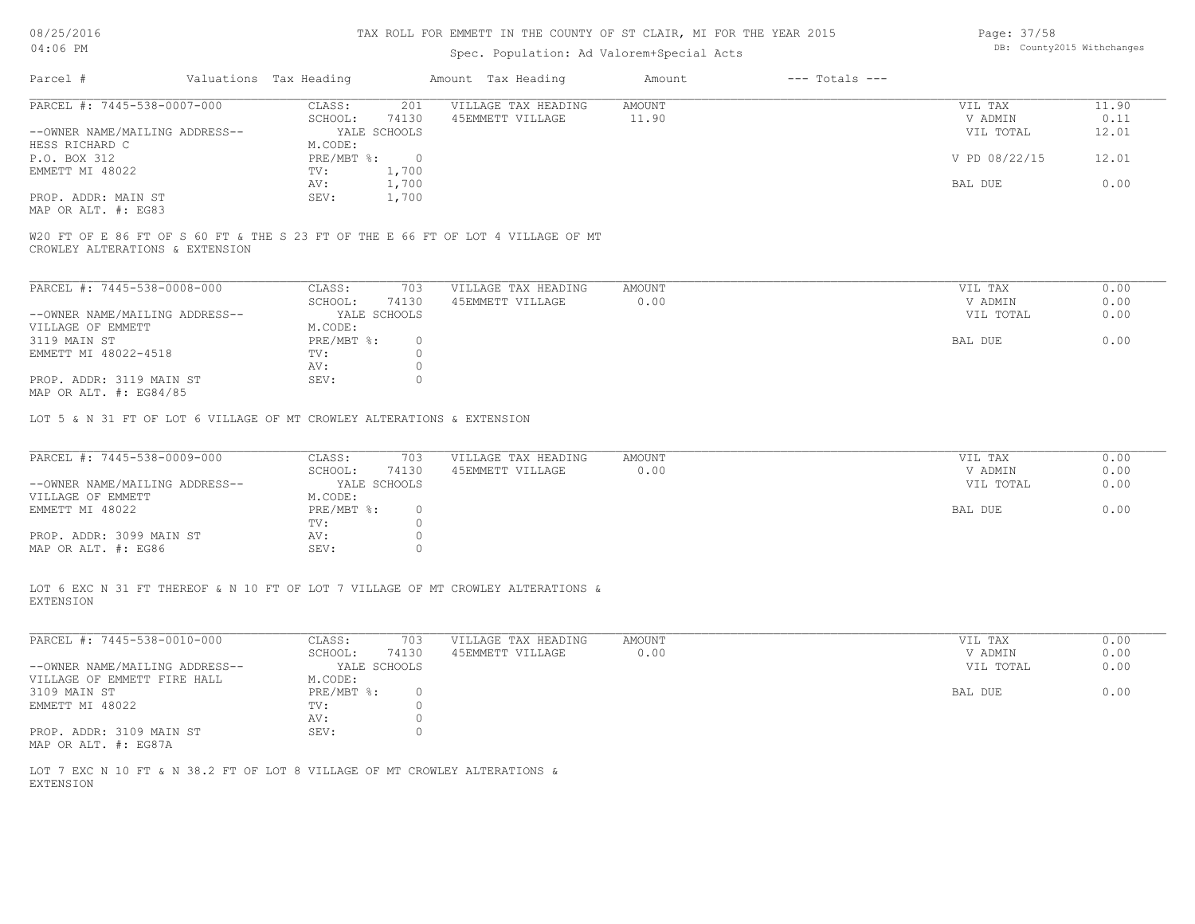#### TAX ROLL FOR EMMETT IN THE COUNTY OF ST CLAIR, MI FOR THE YEAR 2015

# Spec. Population: Ad Valorem+Special Acts

Page: 37/58 DB: County2015 Withchanges

| Parcel #                       | Valuations Tax Heading    |              | Amount Tax Heading  | Amount | $---$ Totals $---$ |               |       |
|--------------------------------|---------------------------|--------------|---------------------|--------|--------------------|---------------|-------|
| PARCEL #: 7445-538-0007-000    | CLASS:                    | 201          | VILLAGE TAX HEADING | AMOUNT |                    | VIL TAX       | 11.90 |
|                                | SCHOOL:                   | 74130        | 45EMMETT VILLAGE    | 11.90  |                    | V ADMIN       | 0.11  |
| --OWNER NAME/MAILING ADDRESS-- |                           | YALE SCHOOLS |                     |        |                    | VIL TOTAL     | 12.01 |
| HESS RICHARD C                 | M.CODE:                   |              |                     |        |                    |               |       |
| P.O. BOX 312                   | $PRE/MBT$ $\frac{1}{6}$ : |              |                     |        |                    | V PD 08/22/15 | 12.01 |
| EMMETT MI 48022                | TV:                       | 1,700        |                     |        |                    |               |       |
|                                | AV:                       | 1,700        |                     |        |                    | BAL DUE       | 0.00  |
| PROP. ADDR: MAIN ST            | SEV:                      | 1,700        |                     |        |                    |               |       |
| כפריה . 4 חזו תר תומא          |                           |              |                     |        |                    |               |       |

MAP OR ALT. #: EG83

CROWLEY ALTERATIONS & EXTENSION W20 FT OF E 86 FT OF S 60 FT & THE S 23 FT OF THE E 66 FT OF LOT 4 VILLAGE OF MT

| PARCEL #: 7445-538-0008-000    | CLASS:     | 703          | VILLAGE TAX HEADING | AMOUNT | VIL TAX   | 0.00 |
|--------------------------------|------------|--------------|---------------------|--------|-----------|------|
|                                | SCHOOL:    | 74130        | 45EMMETT VILLAGE    | 0.00   | V ADMIN   | 0.00 |
| --OWNER NAME/MAILING ADDRESS-- |            | YALE SCHOOLS |                     |        | VIL TOTAL | 0.00 |
| VILLAGE OF EMMETT              | M.CODE:    |              |                     |        |           |      |
| 3119 MAIN ST                   | PRE/MBT %: |              |                     |        | BAL DUE   | 0.00 |
| EMMETT MI 48022-4518           | TV:        |              |                     |        |           |      |
|                                | AV:        |              |                     |        |           |      |
| PROP. ADDR: 3119 MAIN ST       | SEV:       |              |                     |        |           |      |
| $\frac{1}{2}$                  |            |              |                     |        |           |      |

MAP OR ALT. #: EG84/85

LOT 5 & N 31 FT OF LOT 6 VILLAGE OF MT CROWLEY ALTERATIONS & EXTENSION

| PARCEL #: 7445-538-0009-000    | CLASS:       | 703   | VILLAGE TAX HEADING | AMOUNT | VIL TAX   | 0.00 |
|--------------------------------|--------------|-------|---------------------|--------|-----------|------|
|                                | SCHOOL:      | 74130 | 45EMMETT VILLAGE    | 0.00   | V ADMIN   | 0.00 |
| --OWNER NAME/MAILING ADDRESS-- | YALE SCHOOLS |       |                     |        | VIL TOTAL | 0.00 |
| VILLAGE OF EMMETT              | M.CODE:      |       |                     |        |           |      |
| EMMETT MI 48022                | $PRE/MBT$ %: |       |                     |        | BAL DUE   | 0.00 |
|                                | TV:          |       |                     |        |           |      |
| PROP. ADDR: 3099 MAIN ST       | AV:          |       |                     |        |           |      |
| MAP OR ALT. #: EG86            | SEV:         |       |                     |        |           |      |

EXTENSION LOT 6 EXC N 31 FT THEREOF & N 10 FT OF LOT 7 VILLAGE OF MT CROWLEY ALTERATIONS &

|         | 703    |                            |                     |           | 0.00    |
|---------|--------|----------------------------|---------------------|-----------|---------|
| SCHOOL: | 74130  | 45EMMETT VILLAGE           | 0.00                | V ADMIN   | 0.00    |
|         |        |                            |                     | VIL TOTAL | 0.00    |
| M.CODE: |        |                            |                     |           |         |
|         |        |                            |                     | BAL DUE   | 0.00    |
| TV:     |        |                            |                     |           |         |
| AV:     |        |                            |                     |           |         |
| SEV:    |        |                            |                     |           |         |
|         | CLASS: | YALE SCHOOLS<br>PRE/MBT %: | VILLAGE TAX HEADING | AMOUNT    | VIL TAX |

MAP OR ALT. #: EG87A

EXTENSION LOT 7 EXC N 10 FT & N 38.2 FT OF LOT 8 VILLAGE OF MT CROWLEY ALTERATIONS &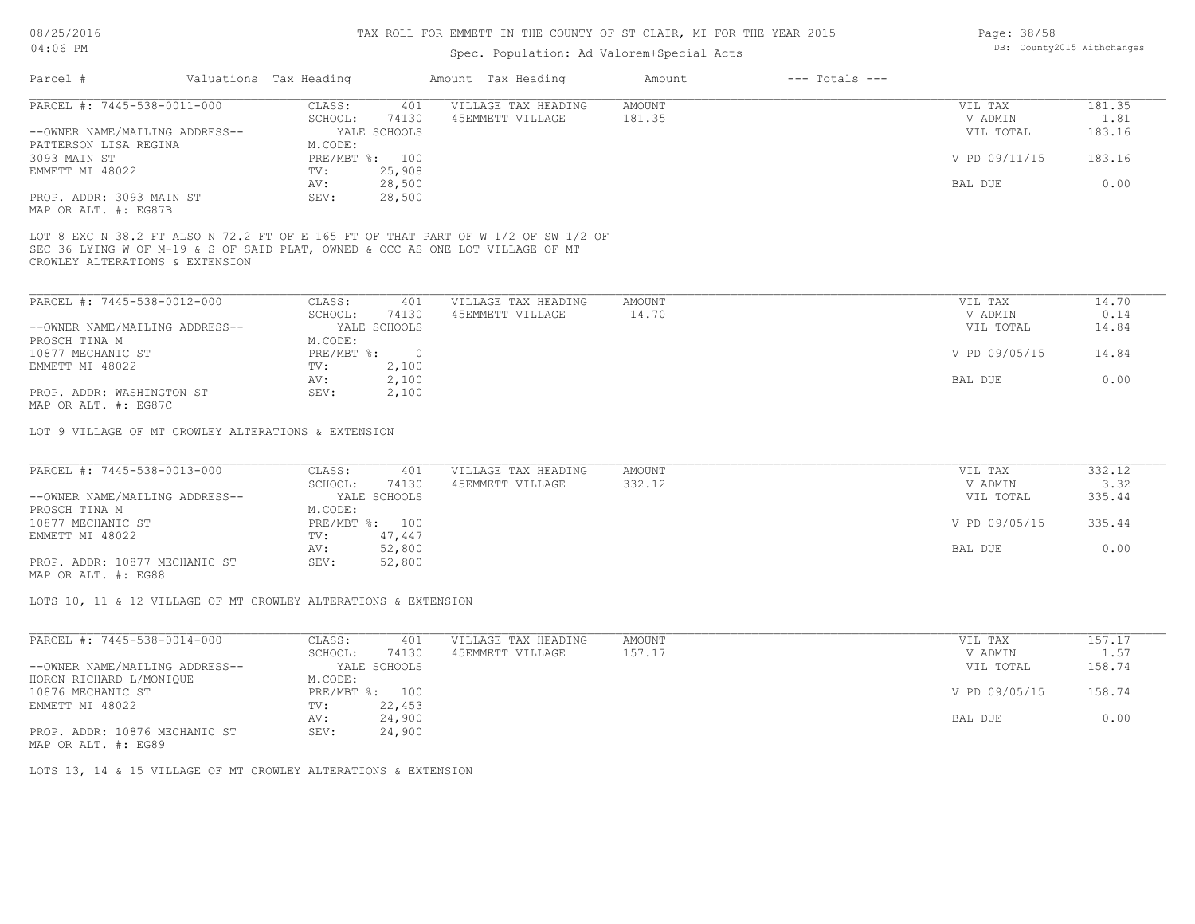#### TAX ROLL FOR EMMETT IN THE COUNTY OF ST CLAIR, MI FOR THE YEAR 2015

# Spec. Population: Ad Valorem+Special Acts

| Parcel #                       | Valuations Tax Heading |              | Amount Tax Heading  | Amount | $---$ Totals $---$ |               |        |
|--------------------------------|------------------------|--------------|---------------------|--------|--------------------|---------------|--------|
| PARCEL #: 7445-538-0011-000    | CLASS:                 | 401          | VILLAGE TAX HEADING | AMOUNT |                    | VIL TAX       | 181.35 |
|                                | SCHOOL:                | 74130        | 45EMMETT VILLAGE    | 181.35 |                    | V ADMIN       | 1.81   |
| --OWNER NAME/MAILING ADDRESS-- |                        | YALE SCHOOLS |                     |        |                    | VIL TOTAL     | 183.16 |
| PATTERSON LISA REGINA          | M.CODE:                |              |                     |        |                    |               |        |
| 3093 MAIN ST                   | PRE/MBT %: 100         |              |                     |        |                    | V PD 09/11/15 | 183.16 |
| EMMETT MI 48022                | TV:                    | 25,908       |                     |        |                    |               |        |
|                                | AV:                    | 28,500       |                     |        |                    | BAL DUE       | 0.00   |
| PROP. ADDR: 3093 MAIN ST       | SEV:                   | 28,500       |                     |        |                    |               |        |
| MAP OR ALT. #: EG87B           |                        |              |                     |        |                    |               |        |

CROWLEY ALTERATIONS & EXTENSION SEC 36 LYING W OF M-19 & S OF SAID PLAT, OWNED & OCC AS ONE LOT VILLAGE OF MT LOT 8 EXC N 38.2 FT ALSO N 72.2 FT OF E 165 FT OF THAT PART OF W 1/2 OF SW 1/2 OF

| PARCEL #: 7445-538-0012-000    | CLASS:       | 401          | VILLAGE TAX HEADING | AMOUNT | VIL TAX       | 14.70 |
|--------------------------------|--------------|--------------|---------------------|--------|---------------|-------|
|                                | SCHOOL:      | 74130        | 45EMMETT VILLAGE    | 14.70  | V ADMIN       | 0.14  |
| --OWNER NAME/MAILING ADDRESS-- |              | YALE SCHOOLS |                     |        | VIL TOTAL     | 14.84 |
| PROSCH TINA M                  | M.CODE:      |              |                     |        |               |       |
| 10877 MECHANIC ST              | $PRE/MBT$ %: |              |                     |        | V PD 09/05/15 | 14.84 |
| EMMETT MI 48022                | TV:          | 2,100        |                     |        |               |       |
|                                | AV:          | 2,100        |                     |        | BAL DUE       | 0.00  |
| PROP. ADDR: WASHINGTON ST      | SEV:         | 2,100        |                     |        |               |       |
| MAP OR ALT. #: EG87C           |              |              |                     |        |               |       |

LOT 9 VILLAGE OF MT CROWLEY ALTERATIONS & EXTENSION

| PARCEL #: 7445-538-0013-000    | CLASS:  | 401            | VILLAGE TAX HEADING | AMOUNT | VIL TAX       | 332.12 |
|--------------------------------|---------|----------------|---------------------|--------|---------------|--------|
|                                | SCHOOL: | 74130          | 45EMMETT VILLAGE    | 332.12 | V ADMIN       | 3.32   |
| --OWNER NAME/MAILING ADDRESS-- |         | YALE SCHOOLS   |                     |        | VIL TOTAL     | 335.44 |
| PROSCH TINA M                  | M.CODE: |                |                     |        |               |        |
| 10877 MECHANIC ST              |         | PRE/MBT %: 100 |                     |        | V PD 09/05/15 | 335.44 |
| EMMETT MI 48022                | TV:     | 47,447         |                     |        |               |        |
|                                | AV:     | 52,800         |                     |        | BAL DUE       | 0.00   |
| PROP. ADDR: 10877 MECHANIC ST  | SEV:    | 52,800         |                     |        |               |        |
|                                |         |                |                     |        |               |        |

MAP OR ALT. #: EG88

LOTS 10, 11 & 12 VILLAGE OF MT CROWLEY ALTERATIONS & EXTENSION

| PARCEL #: 7445-538-0014-000    | CLASS:     | 401          | VILLAGE TAX HEADING | AMOUNT | VIL TAX       | 157.17 |
|--------------------------------|------------|--------------|---------------------|--------|---------------|--------|
|                                | SCHOOL:    | 74130        | 45EMMETT VILLAGE    | 157.17 | V ADMIN       | 1.57   |
| --OWNER NAME/MAILING ADDRESS-- |            | YALE SCHOOLS |                     |        | VIL TOTAL     | 158.74 |
| HORON RICHARD L/MONIQUE        | M.CODE:    |              |                     |        |               |        |
| 10876 MECHANIC ST              | PRE/MBT %: | 100          |                     |        | V PD 09/05/15 | 158.74 |
| EMMETT MI 48022                | TV:        | 22,453       |                     |        |               |        |
|                                | AV:        | 24,900       |                     |        | BAL DUE       | 0.00   |
| PROP. ADDR: 10876 MECHANIC ST  | SEV:       | 24,900       |                     |        |               |        |

MAP OR ALT. #: EG89

LOTS 13, 14 & 15 VILLAGE OF MT CROWLEY ALTERATIONS & EXTENSION

Page: 38/58 DB: County2015 Withchanges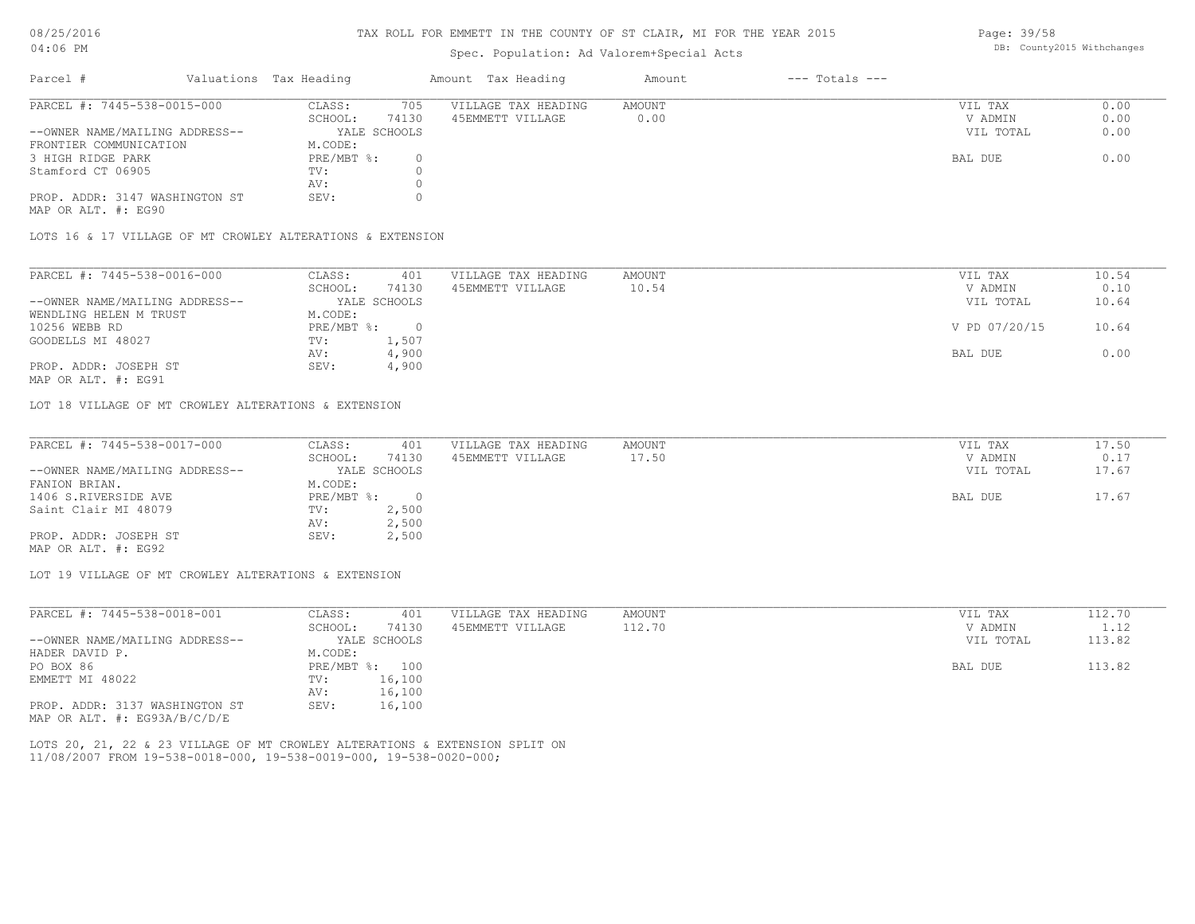#### TAX ROLL FOR EMMETT IN THE COUNTY OF ST CLAIR, MI FOR THE YEAR 2015

# Spec. Population: Ad Valorem+Special Acts

| Parcel #                       | Valuations Tax Heading |              | Amount Tax Heading  | Amount | $---$ Totals $---$ |           |      |
|--------------------------------|------------------------|--------------|---------------------|--------|--------------------|-----------|------|
| PARCEL #: 7445-538-0015-000    | CLASS:                 | 705          | VILLAGE TAX HEADING | AMOUNT |                    | VIL TAX   | 0.00 |
|                                | SCHOOL:                | 74130        | 45EMMETT VILLAGE    | 0.00   |                    | V ADMIN   | 0.00 |
| --OWNER NAME/MAILING ADDRESS-- |                        | YALE SCHOOLS |                     |        |                    | VIL TOTAL | 0.00 |
| FRONTIER COMMUNICATION         | M.CODE:                |              |                     |        |                    |           |      |
| 3 HIGH RIDGE PARK              | $PRE/MBT$ %:           |              |                     |        |                    | BAL DUE   | 0.00 |
| Stamford CT 06905              | TV:                    |              |                     |        |                    |           |      |
|                                | AV:                    |              |                     |        |                    |           |      |
| PROP. ADDR: 3147 WASHINGTON ST | SEV:                   |              |                     |        |                    |           |      |
|                                |                        |              |                     |        |                    |           |      |

MAP OR ALT. #: EG90

LOTS 16 & 17 VILLAGE OF MT CROWLEY ALTERATIONS & EXTENSION

| PARCEL #: 7445-538-0016-000    | CLASS:       | 401          | VILLAGE TAX HEADING | AMOUNT | VIL TAX       | 10.54 |
|--------------------------------|--------------|--------------|---------------------|--------|---------------|-------|
|                                | SCHOOL:      | 74130        | 45EMMETT VILLAGE    | 10.54  | V ADMIN       | 0.10  |
| --OWNER NAME/MAILING ADDRESS-- |              | YALE SCHOOLS |                     |        | VIL TOTAL     | 10.64 |
| WENDLING HELEN M TRUST         | M.CODE:      |              |                     |        |               |       |
| 10256 WEBB RD                  | $PRE/MBT$ %: |              |                     |        | V PD 07/20/15 | 10.64 |
| GOODELLS MI 48027              | TV:          | 1,507        |                     |        |               |       |
|                                | AV:          | 4,900        |                     |        | BAL DUE       | 0.00  |
| PROP. ADDR: JOSEPH ST          | SEV:         | 4,900        |                     |        |               |       |
| MAP OR ALT. #: EG91            |              |              |                     |        |               |       |

LOT 18 VILLAGE OF MT CROWLEY ALTERATIONS & EXTENSION

| PARCEL #: 7445-538-0017-000    | CLASS:     | 401          | VILLAGE TAX HEADING | AMOUNT | VIL TAX   | 17.50 |
|--------------------------------|------------|--------------|---------------------|--------|-----------|-------|
|                                | SCHOOL:    | 74130        | 45EMMETT VILLAGE    | 17.50  | V ADMIN   | 0.17  |
| --OWNER NAME/MAILING ADDRESS-- |            | YALE SCHOOLS |                     |        | VIL TOTAL | 17.67 |
| FANION BRIAN.                  | M.CODE:    |              |                     |        |           |       |
| 1406 S.RIVERSIDE AVE           | PRE/MBT %: |              |                     |        | BAL DUE   | 17.67 |
| Saint Clair MI 48079           | TV:        | 2,500        |                     |        |           |       |
|                                | AV:        | 2,500        |                     |        |           |       |
| PROP. ADDR: JOSEPH ST          | SEV:       | 2,500        |                     |        |           |       |
| MAP OR ALT. #: EG92            |            |              |                     |        |           |       |

LOT 19 VILLAGE OF MT CROWLEY ALTERATIONS & EXTENSION

| PARCEL #: 7445-538-0018-001      | CLASS:       | 401          | VILLAGE TAX HEADING | AMOUNT | VIL TAX   | 112.70 |
|----------------------------------|--------------|--------------|---------------------|--------|-----------|--------|
|                                  | SCHOOL:      | 74130        | 45EMMETT VILLAGE    | 112.70 | V ADMIN   | 1.12   |
| --OWNER NAME/MAILING ADDRESS--   |              | YALE SCHOOLS |                     |        | VIL TOTAL | 113.82 |
| HADER DAVID P.                   | M.CODE:      |              |                     |        |           |        |
| PO BOX 86                        | $PRE/MBT$ %: | 100          |                     |        | BAL DUE   | 113.82 |
| EMMETT MI 48022                  | TV:          | 16,100       |                     |        |           |        |
|                                  | AV:          | 16,100       |                     |        |           |        |
| PROP. ADDR: 3137 WASHINGTON ST   | SEV:         | 16,100       |                     |        |           |        |
| MAP OR ALT. $\#$ : EG93A/B/C/D/E |              |              |                     |        |           |        |

11/08/2007 FROM 19-538-0018-000, 19-538-0019-000, 19-538-0020-000; LOTS 20, 21, 22 & 23 VILLAGE OF MT CROWLEY ALTERATIONS & EXTENSION SPLIT ON Page: 39/58 DB: County2015 Withchanges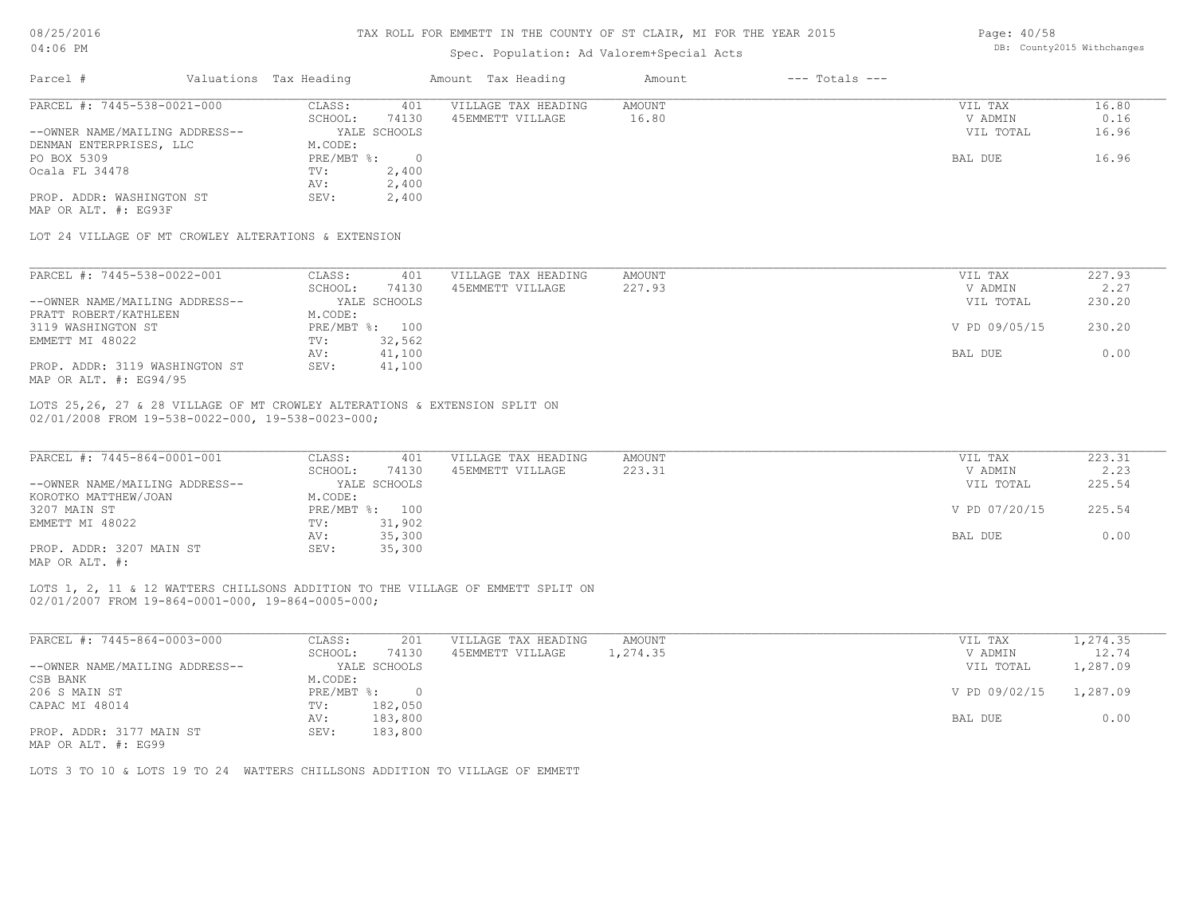### TAX ROLL FOR EMMETT IN THE COUNTY OF ST CLAIR, MI FOR THE YEAR 2015

# Spec. Population: Ad Valorem+Special Acts

Page: 40/58 DB: County2015 Withchanges

|                                                                                                                                      |                        |                              | spec. Population: Ad valorem+special Acts |                        |                    |                                 |                        |
|--------------------------------------------------------------------------------------------------------------------------------------|------------------------|------------------------------|-------------------------------------------|------------------------|--------------------|---------------------------------|------------------------|
| Parcel #                                                                                                                             | Valuations Tax Heading |                              | Amount Tax Heading                        | Amount                 | $---$ Totals $---$ |                                 |                        |
| PARCEL #: 7445-538-0021-000<br>--OWNER NAME/MAILING ADDRESS--                                                                        | CLASS:<br>SCHOOL:      | 401<br>74130<br>YALE SCHOOLS | VILLAGE TAX HEADING<br>45EMMETT VILLAGE   | <b>AMOUNT</b><br>16.80 |                    | VIL TAX<br>V ADMIN<br>VIL TOTAL | 16.80<br>0.16<br>16.96 |
| DENMAN ENTERPRISES, LLC                                                                                                              | M.CODE:                |                              |                                           |                        |                    |                                 |                        |
| PO BOX 5309                                                                                                                          | $PRE/MBT$ %:           | $\overline{0}$               |                                           |                        |                    | BAL DUE                         | 16.96                  |
| Ocala FL 34478                                                                                                                       | TV:                    | 2,400                        |                                           |                        |                    |                                 |                        |
|                                                                                                                                      | AV:                    | 2,400                        |                                           |                        |                    |                                 |                        |
| PROP. ADDR: WASHINGTON ST                                                                                                            | SEV:                   | 2,400                        |                                           |                        |                    |                                 |                        |
| MAP OR ALT. #: EG93F                                                                                                                 |                        |                              |                                           |                        |                    |                                 |                        |
| LOT 24 VILLAGE OF MT CROWLEY ALTERATIONS & EXTENSION                                                                                 |                        |                              |                                           |                        |                    |                                 |                        |
| PARCEL #: 7445-538-0022-001                                                                                                          | CLASS:                 | 401                          | VILLAGE TAX HEADING                       | AMOUNT                 |                    | VIL TAX                         | 227.93                 |
|                                                                                                                                      | SCHOOL:                | 74130                        | 45EMMETT VILLAGE                          | 227.93                 |                    | V ADMIN                         | 2.27                   |
| --OWNER NAME/MAILING ADDRESS--                                                                                                       |                        | YALE SCHOOLS                 |                                           |                        |                    | VIL TOTAL                       | 230.20                 |
| PRATT ROBERT/KATHLEEN                                                                                                                | M.CODE:                |                              |                                           |                        |                    |                                 |                        |
| 3119 WASHINGTON ST                                                                                                                   | PRE/MBT %: 100         |                              |                                           |                        |                    | V PD 09/05/15                   | 230.20                 |
| EMMETT MI 48022                                                                                                                      | TV:                    | 32,562                       |                                           |                        |                    |                                 |                        |
|                                                                                                                                      | AV:                    | 41,100                       |                                           |                        |                    | BAL DUE                         | 0.00                   |
| PROP. ADDR: 3119 WASHINGTON ST<br>MAP OR ALT. #: EG94/95                                                                             | SEV:                   | 41,100                       |                                           |                        |                    |                                 |                        |
|                                                                                                                                      |                        |                              |                                           |                        |                    |                                 |                        |
| LOTS 25,26, 27 & 28 VILLAGE OF MT CROWLEY ALTERATIONS & EXTENSION SPLIT ON<br>02/01/2008 FROM 19-538-0022-000, 19-538-0023-000;      |                        |                              |                                           |                        |                    |                                 |                        |
| PARCEL #: 7445-864-0001-001                                                                                                          | CLASS:                 | 401                          | VILLAGE TAX HEADING                       | AMOUNT                 |                    | VIL TAX                         | 223.31                 |
|                                                                                                                                      | SCHOOL:                | 74130                        | 45EMMETT VILLAGE                          | 223.31                 |                    | V ADMIN                         | 2.23                   |
| --OWNER NAME/MAILING ADDRESS--                                                                                                       |                        | YALE SCHOOLS                 |                                           |                        |                    | VIL TOTAL                       | 225.54                 |
| KOROTKO MATTHEW/JOAN                                                                                                                 | M.CODE:                |                              |                                           |                        |                    |                                 |                        |
| 3207 MAIN ST                                                                                                                         | PRE/MBT %: 100         |                              |                                           |                        |                    | V PD 07/20/15                   | 225.54                 |
| EMMETT MI 48022                                                                                                                      | TV:                    | 31,902                       |                                           |                        |                    |                                 |                        |
|                                                                                                                                      | AV:                    | 35,300                       |                                           |                        |                    | BAL DUE                         | 0.00                   |
| PROP. ADDR: 3207 MAIN ST<br>MAP OR ALT. #:                                                                                           | SEV:                   | 35,300                       |                                           |                        |                    |                                 |                        |
| LOTS 1, 2, 11 & 12 WATTERS CHILLSONS ADDITION TO THE VILLAGE OF EMMETT SPLIT ON<br>02/01/2007 FROM 19-864-0001-000, 19-864-0005-000; |                        |                              |                                           |                        |                    |                                 |                        |
|                                                                                                                                      |                        |                              |                                           |                        |                    |                                 |                        |
| PARCEL #: 7445-864-0003-000                                                                                                          | CLASS:                 | 201                          | VILLAGE TAX HEADING                       | AMOUNT                 |                    | VIL TAX                         | 1,274.35               |
|                                                                                                                                      | SCHOOL:                | 74130                        | 45EMMETT VILLAGE                          | 1,274.35               |                    | V ADMIN                         | 12.74                  |
| --OWNER NAME/MAILING ADDRESS--                                                                                                       |                        | YALE SCHOOLS                 |                                           |                        |                    | VIL TOTAL                       | 1,287.09               |
| CSB BANK                                                                                                                             | M.CODE:                |                              |                                           |                        |                    |                                 |                        |
| 206 S MAIN ST                                                                                                                        | $PRE/MBT$ $\div$ 0     |                              |                                           |                        |                    | V PD 09/02/15                   | 1,287.09               |
| CAPAC MI 48014                                                                                                                       | TV:                    | 182,050                      |                                           |                        |                    |                                 |                        |
| PROP. ADDR: 3177 MAIN ST                                                                                                             | AV:<br>SEV:            | 183,800<br>183,800           |                                           |                        |                    | BAL DUE                         | 0.00                   |
| MAP OR ALT. #: EG99                                                                                                                  |                        |                              |                                           |                        |                    |                                 |                        |
| LOTS 3 TO 10 & LOTS 19 TO 24 WATTERS CHILLSONS ADDITION TO VILLAGE OF EMMETT                                                         |                        |                              |                                           |                        |                    |                                 |                        |
|                                                                                                                                      |                        |                              |                                           |                        |                    |                                 |                        |
|                                                                                                                                      |                        |                              |                                           |                        |                    |                                 |                        |
|                                                                                                                                      |                        |                              |                                           |                        |                    |                                 |                        |
|                                                                                                                                      |                        |                              |                                           |                        |                    |                                 |                        |
|                                                                                                                                      |                        |                              |                                           |                        |                    |                                 |                        |
|                                                                                                                                      |                        |                              |                                           |                        |                    |                                 |                        |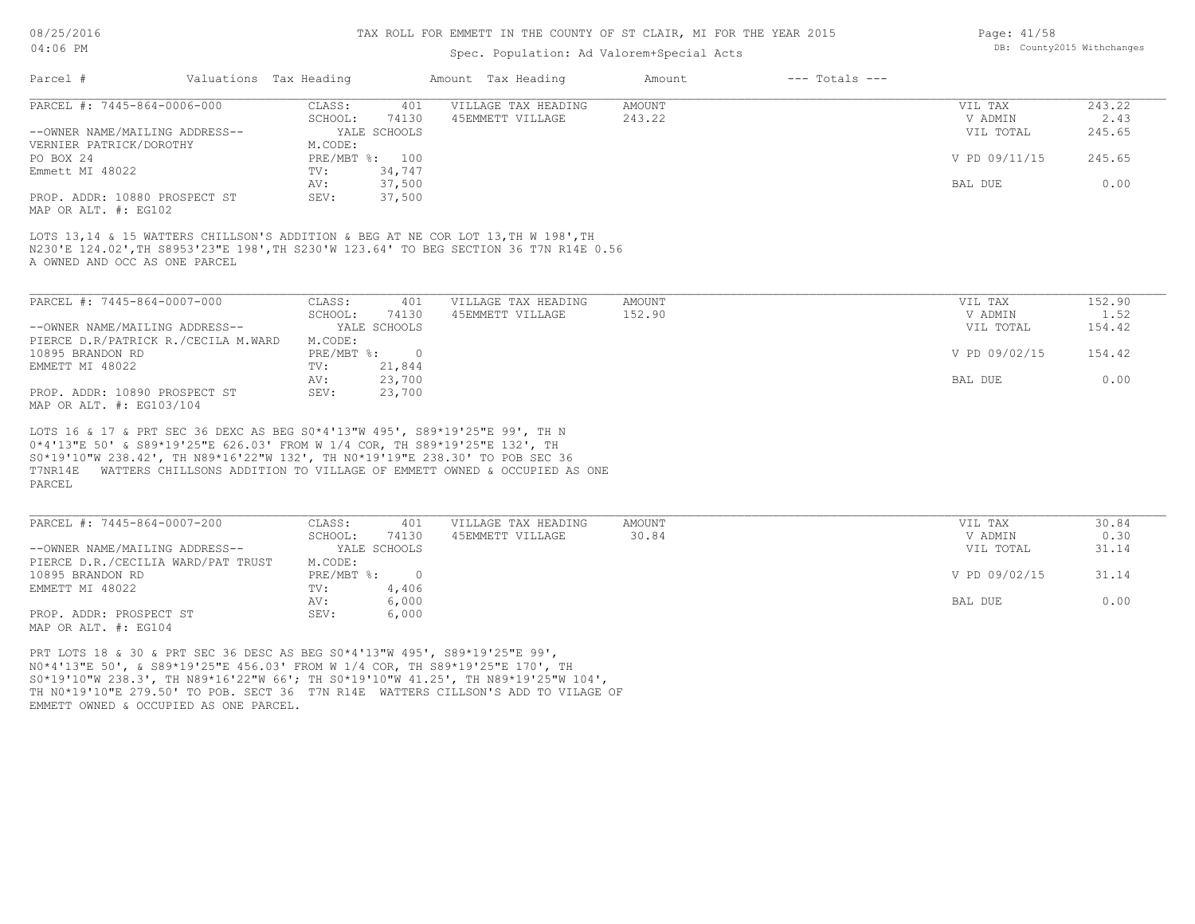#### TAX ROLL FOR EMMETT IN THE COUNTY OF ST CLAIR, MI FOR THE YEAR 2015

### Spec. Population: Ad Valorem+Special Acts

| Page: 41/58 |                            |
|-------------|----------------------------|
|             | DB: County2015 Withchanges |

| Parcel #                                                                                                                                                                                                                                                                                                                               | Valuations Tax Heading |        | Amount Tax Heading  | Amount | $---$ Totals $---$ |               |        |
|----------------------------------------------------------------------------------------------------------------------------------------------------------------------------------------------------------------------------------------------------------------------------------------------------------------------------------------|------------------------|--------|---------------------|--------|--------------------|---------------|--------|
| PARCEL #: 7445-864-0006-000                                                                                                                                                                                                                                                                                                            | CLASS:                 | 401    | VILLAGE TAX HEADING | AMOUNT |                    | VIL TAX       | 243.22 |
|                                                                                                                                                                                                                                                                                                                                        | SCHOOL:                | 74130  | 45EMMETT VILLAGE    | 243.22 |                    | V ADMIN       | 2.43   |
| --OWNER NAME/MAILING ADDRESS--                                                                                                                                                                                                                                                                                                         | YALE SCHOOLS           |        |                     |        |                    | VIL TOTAL     | 245.65 |
| VERNIER PATRICK/DOROTHY                                                                                                                                                                                                                                                                                                                | M.CODE:                |        |                     |        |                    |               |        |
| PO BOX 24                                                                                                                                                                                                                                                                                                                              | PRE/MBT %: 100         |        |                     |        |                    | V PD 09/11/15 | 245.65 |
| Emmett MI 48022                                                                                                                                                                                                                                                                                                                        | TV:                    | 34,747 |                     |        |                    |               |        |
|                                                                                                                                                                                                                                                                                                                                        | AV:                    | 37,500 |                     |        |                    | BAL DUE       | 0.00   |
| PROP. ADDR: 10880 PROSPECT ST<br>MAP OR ALT. #: EG102                                                                                                                                                                                                                                                                                  | SEV:                   | 37,500 |                     |        |                    |               |        |
| LOTS 13,14 & 15 WATTERS CHILLSON'S ADDITION & BEG AT NE COR LOT 13, TH W 198', TH<br>N230'E 124.02', TH S8953'23"E 198', TH S230'W 123.64' TO BEG SECTION 36 T7N R14E 0.56<br>A OWNED AND OCC AS ONE PARCEL                                                                                                                            |                        |        |                     |        |                    |               |        |
| PARCEL #: 7445-864-0007-000                                                                                                                                                                                                                                                                                                            | CLASS:                 | 401    | VILLAGE TAX HEADING | AMOUNT |                    | VIL TAX       | 152.90 |
|                                                                                                                                                                                                                                                                                                                                        | SCHOOL:                | 74130  | 45EMMETT VILLAGE    | 152.90 |                    | V ADMIN       | 1.52   |
| --OWNER NAME/MAILING ADDRESS--                                                                                                                                                                                                                                                                                                         | YALE SCHOOLS           |        |                     |        |                    | VIL TOTAL     | 154.42 |
| PIERCE D.R/PATRICK R./CECILA M.WARD                                                                                                                                                                                                                                                                                                    | M.CODE:                |        |                     |        |                    |               |        |
| 10895 BRANDON RD                                                                                                                                                                                                                                                                                                                       | PRE/MBT %: 0           |        |                     |        |                    | V PD 09/02/15 | 154.42 |
| EMMETT MI 48022                                                                                                                                                                                                                                                                                                                        | TV:                    | 21,844 |                     |        |                    |               |        |
|                                                                                                                                                                                                                                                                                                                                        | AV:                    | 23,700 |                     |        |                    | BAL DUE       | 0.00   |
| PROP. ADDR: 10890 PROSPECT ST<br>MAP OR ALT. #: EG103/104                                                                                                                                                                                                                                                                              | SEV:                   | 23,700 |                     |        |                    |               |        |
| LOTS 16 & 17 & PRT SEC 36 DEXC AS BEG S0*4'13"W 495', S89*19'25"E 99', TH N<br>0*4'13"E 50' & S89*19'25"E 626.03' FROM W 1/4 COR, TH S89*19'25"E 132', TH<br>S0*19'10"W 238.42', TH N89*16'22"W 132', TH N0*19'19"E 238.30' TO POB SEC 36<br>T7NR14E WATTERS CHILLSONS ADDITION TO VILLAGE OF EMMETT OWNED & OCCUPIED AS ONE<br>PARCEL |                        |        |                     |        |                    |               |        |
| PARCEL #: 7445-864-0007-200                                                                                                                                                                                                                                                                                                            | CLASS:                 | 401    | VILLAGE TAX HEADING | AMOUNT |                    | VIL TAX       | 30.84  |
|                                                                                                                                                                                                                                                                                                                                        | SCHOOL:                | 74130  | 45EMMETT VILLAGE    | 30.84  |                    | V ADMIN       | 0.30   |
| --OWNER NAME/MAILING ADDRESS--                                                                                                                                                                                                                                                                                                         | YALE SCHOOLS           |        |                     |        |                    | VIL TOTAL     | 31.14  |
| PIERCE D.R./CECILIA WARD/PAT TRUST                                                                                                                                                                                                                                                                                                     | M.CODE:                |        |                     |        |                    |               |        |
| 10895 BRANDON RD                                                                                                                                                                                                                                                                                                                       | PRE/MBT %: 0           |        |                     |        |                    | V PD 09/02/15 | 31.14  |
| EMMETT MI 48022                                                                                                                                                                                                                                                                                                                        | TV:                    | 4,406  |                     |        |                    |               |        |
|                                                                                                                                                                                                                                                                                                                                        | AV:                    | 6,000  |                     |        |                    | BAL DUE       | 0.00   |
| PROP. ADDR: PROSPECT ST                                                                                                                                                                                                                                                                                                                | SEV:                   | 6,000  |                     |        |                    |               |        |

MAP OR ALT. #: EG104

EMMETT OWNED & OCCUPIED AS ONE PARCEL. TH N0\*19'10"E 279.50' TO POB. SECT 36 T7N R14E WATTERS CILLSON'S ADD TO VILAGE OF S0\*19'10"W 238.3', TH N89\*16'22"W 66'; TH S0\*19'10"W 41.25', TH N89\*19'25"W 104', N0\*4'13"E 50', & S89\*19'25"E 456.03' FROM W 1/4 COR, TH S89\*19'25"E 170', TH PRT LOTS 18 & 30 & PRT SEC 36 DESC AS BEG S0\*4'13"W 495', S89\*19'25"E 99',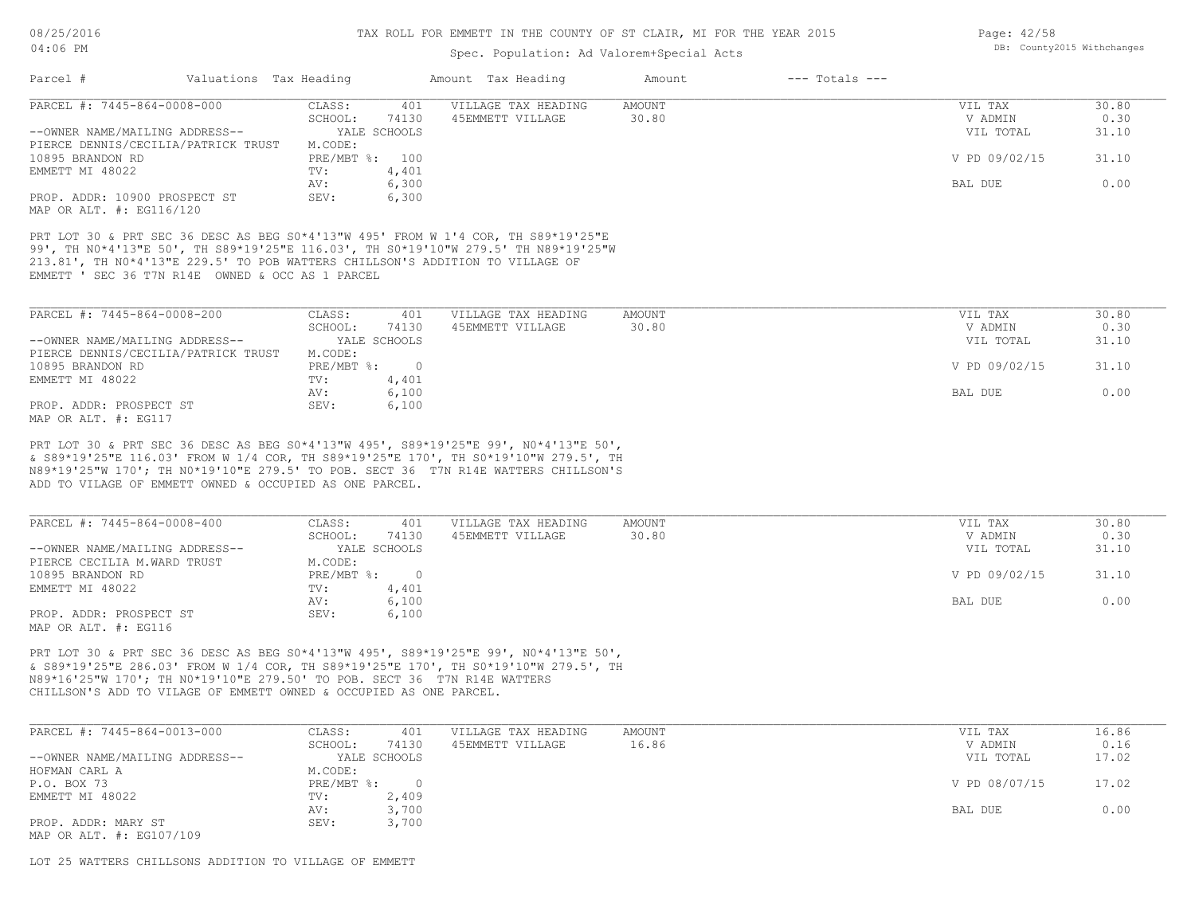### Spec. Population: Ad Valorem+Special Acts

| Parcel #<br>Valuations Tax Heading                                                                                                                                                                                                                       |                                | Amount Tax Heading  | Amount | $---$ Totals $---$ |               |       |
|----------------------------------------------------------------------------------------------------------------------------------------------------------------------------------------------------------------------------------------------------------|--------------------------------|---------------------|--------|--------------------|---------------|-------|
| PARCEL #: 7445-864-0008-000                                                                                                                                                                                                                              | 401<br>CLASS:                  | VILLAGE TAX HEADING | AMOUNT |                    | VIL TAX       | 30.80 |
|                                                                                                                                                                                                                                                          | 74130<br>SCHOOL:               | 45EMMETT VILLAGE    | 30.80  |                    | V ADMIN       | 0.30  |
| --OWNER NAME/MAILING ADDRESS--                                                                                                                                                                                                                           | YALE SCHOOLS                   |                     |        |                    | VIL TOTAL     | 31.10 |
| PIERCE DENNIS/CECILIA/PATRICK TRUST                                                                                                                                                                                                                      | M.CODE:                        |                     |        |                    |               |       |
| 10895 BRANDON RD                                                                                                                                                                                                                                         | PRE/MBT %: 100                 |                     |        |                    | V PD 09/02/15 | 31.10 |
| EMMETT MI 48022                                                                                                                                                                                                                                          | TV:<br>4,401                   |                     |        |                    |               |       |
|                                                                                                                                                                                                                                                          | 6,300<br>AV:                   |                     |        |                    | BAL DUE       | 0.00  |
| PROP. ADDR: 10900 PROSPECT ST                                                                                                                                                                                                                            | 6,300<br>SEV:                  |                     |        |                    |               |       |
| MAP OR ALT. #: EG116/120                                                                                                                                                                                                                                 |                                |                     |        |                    |               |       |
| PRT LOT 30 & PRT SEC 36 DESC AS BEG S0*4'13"W 495' FROM W 1'4 COR, TH S89*19'25"E<br>99', TH NO*4'13"E 50', TH S89*19'25"E 116.03', TH SO*19'10"W 279.5' TH N89*19'25"W<br>213.81', TH NO*4'13"E 229.5' TO POB WATTERS CHILLSON'S ADDITION TO VILLAGE OF |                                |                     |        |                    |               |       |
| EMMETT ' SEC 36 T7N R14E OWNED & OCC AS 1 PARCEL                                                                                                                                                                                                         |                                |                     |        |                    |               |       |
| PARCEL #: 7445-864-0008-200                                                                                                                                                                                                                              | 401<br>CLASS:                  | VILLAGE TAX HEADING | AMOUNT |                    | VIL TAX       | 30.80 |
|                                                                                                                                                                                                                                                          | 74130<br>SCHOOL:               | 45EMMETT VILLAGE    | 30.80  |                    | V ADMIN       | 0.30  |
| --OWNER NAME/MAILING ADDRESS--                                                                                                                                                                                                                           | YALE SCHOOLS                   |                     |        |                    | VIL TOTAL     | 31.10 |
| PIERCE DENNIS/CECILIA/PATRICK TRUST                                                                                                                                                                                                                      | M.CODE:                        |                     |        |                    |               |       |
| 10895 BRANDON RD                                                                                                                                                                                                                                         | $\overline{0}$<br>$PRE/MBT$ %: |                     |        |                    | V PD 09/02/15 | 31.10 |
| EMMETT MI 48022                                                                                                                                                                                                                                          | 4,401<br>TV:                   |                     |        |                    |               |       |
|                                                                                                                                                                                                                                                          | 6,100<br>AV:                   |                     |        |                    | BAL DUE       | 0.00  |
| PROP. ADDR: PROSPECT ST                                                                                                                                                                                                                                  | 6,100<br>SEV:                  |                     |        |                    |               |       |

ADD TO VILAGE OF EMMETT OWNED & OCCUPIED AS ONE PARCEL. N89\*19'25"W 170'; TH N0\*19'10"E 279.5' TO POB. SECT 36 T7N R14E WATTERS CHILLSON'S & S89\*19'25"E 116.03' FROM W 1/4 COR, TH S89\*19'25"E 170', TH S0\*19'10"W 279.5', TH PRT LOT 30 & PRT SEC 36 DESC AS BEG S0\*4'13"W 495', S89\*19'25"E 99', N0\*4'13"E 50',

| PARCEL #: 7445-864-0008-400    | CLASS:       | 401          | VILLAGE TAX HEADING | AMOUNT | VIL TAX       | 30.80 |
|--------------------------------|--------------|--------------|---------------------|--------|---------------|-------|
|                                | SCHOOL:      | 74130        | 45EMMETT VILLAGE    | 30.80  | V ADMIN       | 0.30  |
| --OWNER NAME/MAILING ADDRESS-- |              | YALE SCHOOLS |                     |        | VIL TOTAL     | 31.10 |
| PIERCE CECILIA M.WARD TRUST    | M.CODE:      |              |                     |        |               |       |
| 10895 BRANDON RD               | $PRE/MBT$ %: |              |                     |        | V PD 09/02/15 | 31.10 |
| EMMETT MI 48022                | TV:          | 4,401        |                     |        |               |       |
|                                | AV:          | 6,100        |                     |        | BAL DUE       | 0.00  |
| PROP. ADDR: PROSPECT ST        | SEV:         | 6,100        |                     |        |               |       |
| MAP OR ALT. #: EG116           |              |              |                     |        |               |       |

CHILLSON'S ADD TO VILAGE OF EMMETT OWNED & OCCUPIED AS ONE PARCEL. N89\*16'25"W 170'; TH N0\*19'10"E 279.50' TO POB. SECT 36 T7N R14E WATTERS & S89\*19'25"E 286.03' FROM W 1/4 COR, TH S89\*19'25"E 170', TH S0\*19'10"W 279.5', TH PRT LOT 30 & PRT SEC 36 DESC AS BEG S0\*4'13"W 495', S89\*19'25"E 99', N0\*4'13"E 50',

| PARCEL #: 7445-864-0013-000    | CLASS:     | 401          | VILLAGE TAX HEADING | AMOUNT | VIL TAX       | 16.86 |
|--------------------------------|------------|--------------|---------------------|--------|---------------|-------|
|                                | SCHOOL:    | 74130        | 45EMMETT VILLAGE    | 16.86  | V ADMIN       | 0.16  |
| --OWNER NAME/MAILING ADDRESS-- |            | YALE SCHOOLS |                     |        | VIL TOTAL     | 17.02 |
| HOFMAN CARL A                  | M.CODE:    |              |                     |        |               |       |
| P.O. BOX 73                    | PRE/MBT %: |              |                     |        | V PD 08/07/15 | 17.02 |
| EMMETT MI 48022                | TV:        | 2,409        |                     |        |               |       |
|                                | AV:        | 3,700        |                     |        | BAL DUE       | 0.00  |
| PROP. ADDR: MARY ST            | SEV:       | 3,700        |                     |        |               |       |
| MAP OR ALT. #: EG107/109       |            |              |                     |        |               |       |

LOT 25 WATTERS CHILLSONS ADDITION TO VILLAGE OF EMMETT

Page: 42/58 DB: County2015 Withchanges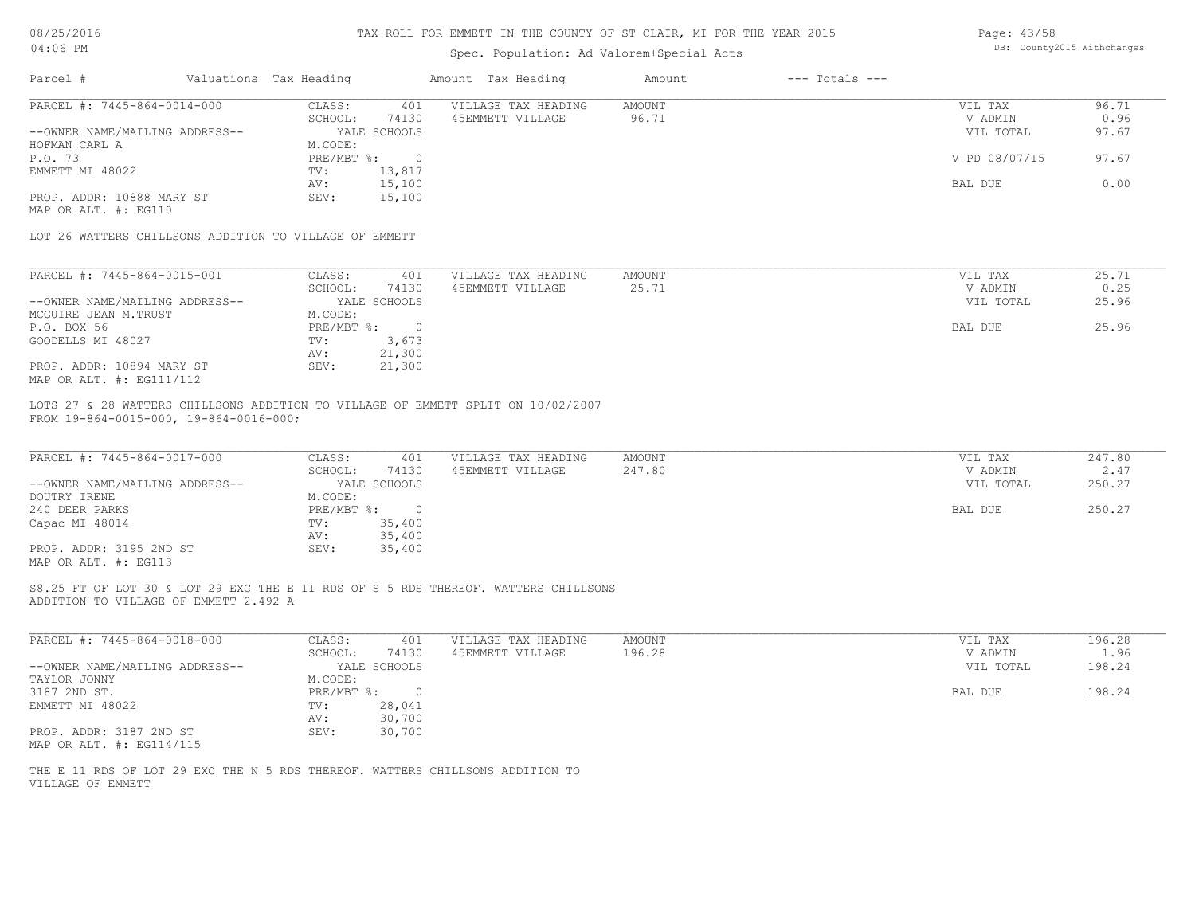08/25/2016

### TAX ROLL FOR EMMETT IN THE COUNTY OF ST CLAIR, MI FOR THE YEAR 2015

Page: 43/58

| 04:06 PM                                          |                        |                                                        | Spec. Population: Ad Valorem+Special Acts                                          |                              |                    | DB: County2015 Withchanges |
|---------------------------------------------------|------------------------|--------------------------------------------------------|------------------------------------------------------------------------------------|------------------------------|--------------------|----------------------------|
| Parcel #                                          | Valuations Tax Heading |                                                        | Amount Tax Heading                                                                 | $---$ Totals $---$<br>Amount |                    |                            |
| PARCEL #: 7445-864-0014-000                       |                        | CLASS:<br>401                                          | VILLAGE TAX HEADING                                                                | AMOUNT                       | VIL TAX            | 96.71                      |
|                                                   |                        | SCHOOL:<br>74130                                       | 45EMMETT VILLAGE                                                                   | 96.71                        | V ADMIN            | 0.96                       |
| --OWNER NAME/MAILING ADDRESS--                    |                        | YALE SCHOOLS                                           |                                                                                    |                              | VIL TOTAL          | 97.67                      |
| HOFMAN CARL A                                     |                        | M.CODE:                                                |                                                                                    |                              |                    |                            |
| P.O. 73                                           |                        | PRE/MBT %: 0                                           |                                                                                    |                              | V PD 08/07/15      | 97.67                      |
| EMMETT MI 48022                                   |                        | 13,817<br>TV:                                          |                                                                                    |                              |                    |                            |
|                                                   |                        | AV:<br>15,100                                          |                                                                                    |                              | BAL DUE            | 0.00                       |
| PROP. ADDR: 10888 MARY ST<br>MAP OR ALT. #: EG110 |                        | 15,100<br>SEV:                                         |                                                                                    |                              |                    |                            |
|                                                   |                        | LOT 26 WATTERS CHILLSONS ADDITION TO VILLAGE OF EMMETT |                                                                                    |                              |                    |                            |
| PARCEL #: 7445-864-0015-001                       |                        | CLASS:<br>401                                          | VILLAGE TAX HEADING                                                                | AMOUNT                       | VIL TAX            | 25.71                      |
|                                                   |                        | SCHOOL:<br>74130                                       | 45EMMETT VILLAGE                                                                   | 25.71                        | V ADMIN            | 0.25                       |
| --OWNER NAME/MAILING ADDRESS--                    |                        | YALE SCHOOLS                                           |                                                                                    |                              | VIL TOTAL          | 25.96                      |
| MCGUIRE JEAN M.TRUST                              |                        | M.CODE:                                                |                                                                                    |                              |                    |                            |
|                                                   |                        |                                                        |                                                                                    |                              |                    | 25.96                      |
| P.O. BOX 56                                       |                        | $PRE/MBT$ $\frac{1}{6}$ :<br>$\overline{0}$            |                                                                                    |                              | BAL DUE            |                            |
| GOODELLS MI 48027                                 |                        | TV:<br>3,673                                           |                                                                                    |                              |                    |                            |
|                                                   |                        | 21,300<br>AV:                                          |                                                                                    |                              |                    |                            |
| PROP. ADDR: 10894 MARY ST                         |                        | SEV:<br>21,300                                         |                                                                                    |                              |                    |                            |
| MAP OR ALT. #: EG111/112                          |                        |                                                        |                                                                                    |                              |                    |                            |
| PARCEL #: 7445-864-0017-000                       |                        | CLASS:<br>401<br>SCHOOL:<br>74130                      | VILLAGE TAX HEADING<br>45EMMETT VILLAGE                                            | AMOUNT<br>247.80             | VIL TAX<br>V ADMIN | 247.80<br>2.47             |
| --OWNER NAME/MAILING ADDRESS--                    |                        | YALE SCHOOLS                                           |                                                                                    |                              | VIL TOTAL          | 250.27                     |
| DOUTRY IRENE                                      |                        | M.CODE:                                                |                                                                                    |                              |                    |                            |
|                                                   |                        |                                                        |                                                                                    |                              |                    | 250.27                     |
| 240 DEER PARKS                                    |                        | $PRE/MBT$ $\div$ 0                                     |                                                                                    |                              | BAL DUE            |                            |
| Capac MI 48014                                    |                        | 35,400<br>TV:                                          |                                                                                    |                              |                    |                            |
|                                                   |                        | 35,400<br>AV:                                          |                                                                                    |                              |                    |                            |
| PROP. ADDR: 3195 2ND ST<br>MAP OR ALT. #: EG113   |                        | 35,400<br>SEV:                                         |                                                                                    |                              |                    |                            |
| ADDITION TO VILLAGE OF EMMETT 2.492 A             |                        |                                                        | S8.25 FT OF LOT 30 & LOT 29 EXC THE E 11 RDS OF S 5 RDS THEREOF. WATTERS CHILLSONS |                              |                    |                            |
| PARCEL #: 7445-864-0018-000                       |                        | CLASS:<br>401                                          | VILLAGE TAX HEADING                                                                | AMOUNT                       | VIL TAX            | 196.28                     |
|                                                   |                        | SCHOOL:<br>74130                                       | 45EMMETT VILLAGE                                                                   | 196.28                       | V ADMIN            | 1.96                       |
| --OWNER NAME/MAILING ADDRESS--                    |                        | YALE SCHOOLS                                           |                                                                                    |                              | VIL TOTAL          | 198.24                     |
| TAYLOR JONNY                                      |                        | M.CODE:                                                |                                                                                    |                              |                    |                            |
| 3187 2ND ST.                                      |                        | $PRE/MBT$ %:<br>$\overline{0}$                         |                                                                                    |                              | BAL DUE            | 198.24                     |
| EMMETT MI 48022                                   |                        | 28,041<br>TV:                                          |                                                                                    |                              |                    |                            |
|                                                   |                        | AV: 30,700                                             |                                                                                    |                              |                    |                            |
| PROP. ADDR: 3187 2ND ST                           |                        | 30,700<br>SEV:                                         |                                                                                    |                              |                    |                            |
| MAP OR ALT. #: EG114/115                          |                        |                                                        |                                                                                    |                              |                    |                            |
|                                                   |                        |                                                        |                                                                                    |                              |                    |                            |
| VILLAGE OF EMMETT                                 |                        |                                                        | THE E 11 RDS OF LOT 29 EXC THE N 5 RDS THEREOF. WATTERS CHILLSONS ADDITION TO      |                              |                    |                            |
|                                                   |                        |                                                        |                                                                                    |                              |                    |                            |
|                                                   |                        |                                                        |                                                                                    |                              |                    |                            |
|                                                   |                        |                                                        |                                                                                    |                              |                    |                            |
|                                                   |                        |                                                        |                                                                                    |                              |                    |                            |
|                                                   |                        |                                                        |                                                                                    |                              |                    |                            |
|                                                   |                        |                                                        |                                                                                    |                              |                    |                            |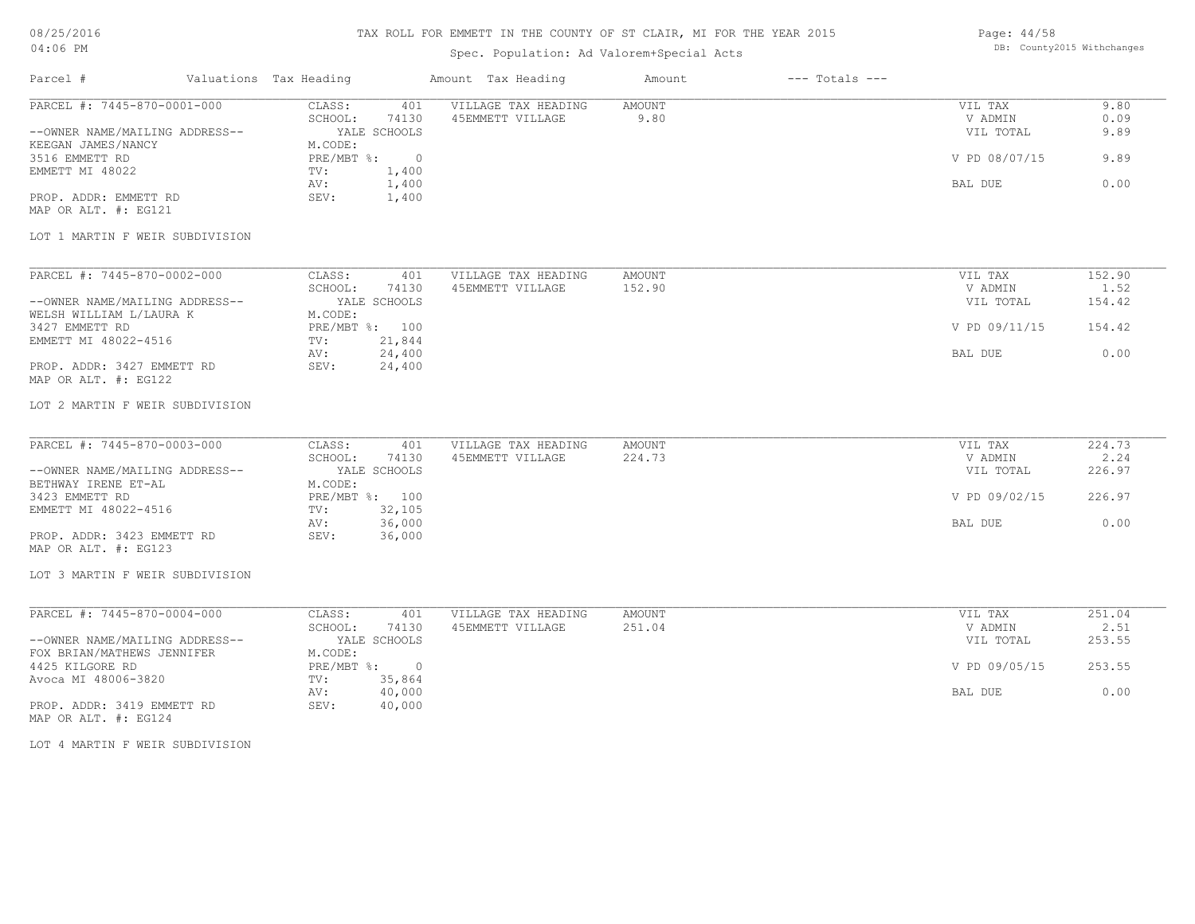### TAX ROLL FOR EMMETT IN THE COUNTY OF ST CLAIR, MI FOR THE YEAR 2015

# Spec. Population: Ad Valorem+Special Acts

Page: 44/58 DB: County2015 Withchanges

| Parcel # Valuations Tax Heading                                                                                                                                                                              |                                                                                                                               | Amount Tax Heading                      | Amount           | $---$ Totals $---$ |                                                             |                                      |
|--------------------------------------------------------------------------------------------------------------------------------------------------------------------------------------------------------------|-------------------------------------------------------------------------------------------------------------------------------|-----------------------------------------|------------------|--------------------|-------------------------------------------------------------|--------------------------------------|
| PARCEL #: 7445-870-0001-000<br>--OWNER NAME/MAILING ADDRESS--<br>KEEGAN JAMES/NANCY<br>3516 EMMETT RD<br>EMMETT MI 48022<br>PROP. ADDR: EMMETT RD<br>MAP OR ALT. #: EG121<br>LOT 1 MARTIN F WEIR SUBDIVISION | CLASS:<br>401<br>SCHOOL:<br>74130<br>YALE SCHOOLS<br>M.CODE:<br>PRE/MBT %: 0<br>TV:<br>1,400<br>1,400<br>AV:<br>1,400<br>SEV: | VILLAGE TAX HEADING<br>45EMMETT VILLAGE | AMOUNT<br>9.80   |                    | VIL TAX<br>V ADMIN<br>VIL TOTAL<br>V PD 08/07/15<br>BAL DUE | 9.80<br>0.09<br>9.89<br>9.89<br>0.00 |
| PARCEL #: 7445-870-0002-000                                                                                                                                                                                  | CLASS:<br>401                                                                                                                 | VILLAGE TAX HEADING                     | AMOUNT           |                    | VIL TAX                                                     | 152.90                               |
| --OWNER NAME/MAILING ADDRESS--                                                                                                                                                                               | SCHOOL:<br>74130<br>YALE SCHOOLS                                                                                              | 45EMMETT VILLAGE                        | 152.90           |                    | V ADMIN<br>VIL TOTAL                                        | 1.52<br>154.42                       |
| WELSH WILLIAM L/LAURA K<br>3427 EMMETT RD<br>EMMETT MI 48022-4516                                                                                                                                            | M.CODE:<br>PRE/MBT %: 100<br>21,844<br>TV:                                                                                    |                                         |                  |                    | V PD 09/11/15                                               | 154.42                               |
| PROP. ADDR: 3427 EMMETT RD<br>MAP OR ALT. #: EG122                                                                                                                                                           | 24,400<br>AV:<br>SEV: 24,400                                                                                                  |                                         |                  |                    | BAL DUE                                                     | 0.00                                 |
| LOT 2 MARTIN F WEIR SUBDIVISION                                                                                                                                                                              |                                                                                                                               |                                         |                  |                    |                                                             |                                      |
| PARCEL #: 7445-870-0003-000                                                                                                                                                                                  | CLASS:<br>401<br>SCHOOL: 74130                                                                                                | VILLAGE TAX HEADING<br>45EMMETT VILLAGE | AMOUNT<br>224.73 |                    | VIL TAX<br>V ADMIN                                          | $\overline{224.73}$<br>2.24          |
| --OWNER NAME/MAILING ADDRESS--<br>BETHWAY IRENE ET-AL                                                                                                                                                        | YALE SCHOOLS<br>M.CODE:                                                                                                       |                                         |                  |                    | VIL TOTAL                                                   | 226.97                               |
| 3423 EMMETT RD<br>EMMETT MI 48022-4516                                                                                                                                                                       | PRE/MBT %: 100<br>TV: 32, 105<br>36,000<br>AV:                                                                                |                                         |                  |                    | V PD 09/02/15<br>BAL DUE                                    | 226.97<br>0.00                       |
| PROP. ADDR: 3423 EMMETT RD<br>MAP OR ALT. #: EG123                                                                                                                                                           | 36,000<br>SEV:                                                                                                                |                                         |                  |                    |                                                             |                                      |
| LOT 3 MARTIN F WEIR SUBDIVISION                                                                                                                                                                              |                                                                                                                               |                                         |                  |                    |                                                             |                                      |
| PARCEL #: 7445-870-0004-000                                                                                                                                                                                  | CLASS:<br>401<br>SCHOOL: 74130                                                                                                | VILLAGE TAX HEADING<br>45EMMETT VILLAGE | AMOUNT<br>251.04 |                    | VIL TAX<br>V ADMIN                                          | 251.04<br>2.51                       |
| --OWNER NAME/MAILING ADDRESS--<br>FOX BRIAN/MATHEWS JENNIFER                                                                                                                                                 | YALE SCHOOLS<br>M.CODE:                                                                                                       |                                         |                  |                    | VIL TOTAL                                                   | 253.55                               |
| 4425 KILGORE RD<br>Avoca MI 48006-3820                                                                                                                                                                       | PRE/MBT %: 0<br>TV: 35,864                                                                                                    |                                         |                  |                    | V PD 09/05/15                                               | 253.55                               |
| PROP. ADDR: 3419 EMMETT RD<br>MAP OR ALT. #: EG124                                                                                                                                                           | 40,000<br>AV:<br>SEV: 40,000                                                                                                  |                                         |                  |                    | BAL DUE                                                     | 0.00                                 |
| LOT 4 MARTIN F WEIR SUBDIVISION                                                                                                                                                                              |                                                                                                                               |                                         |                  |                    |                                                             |                                      |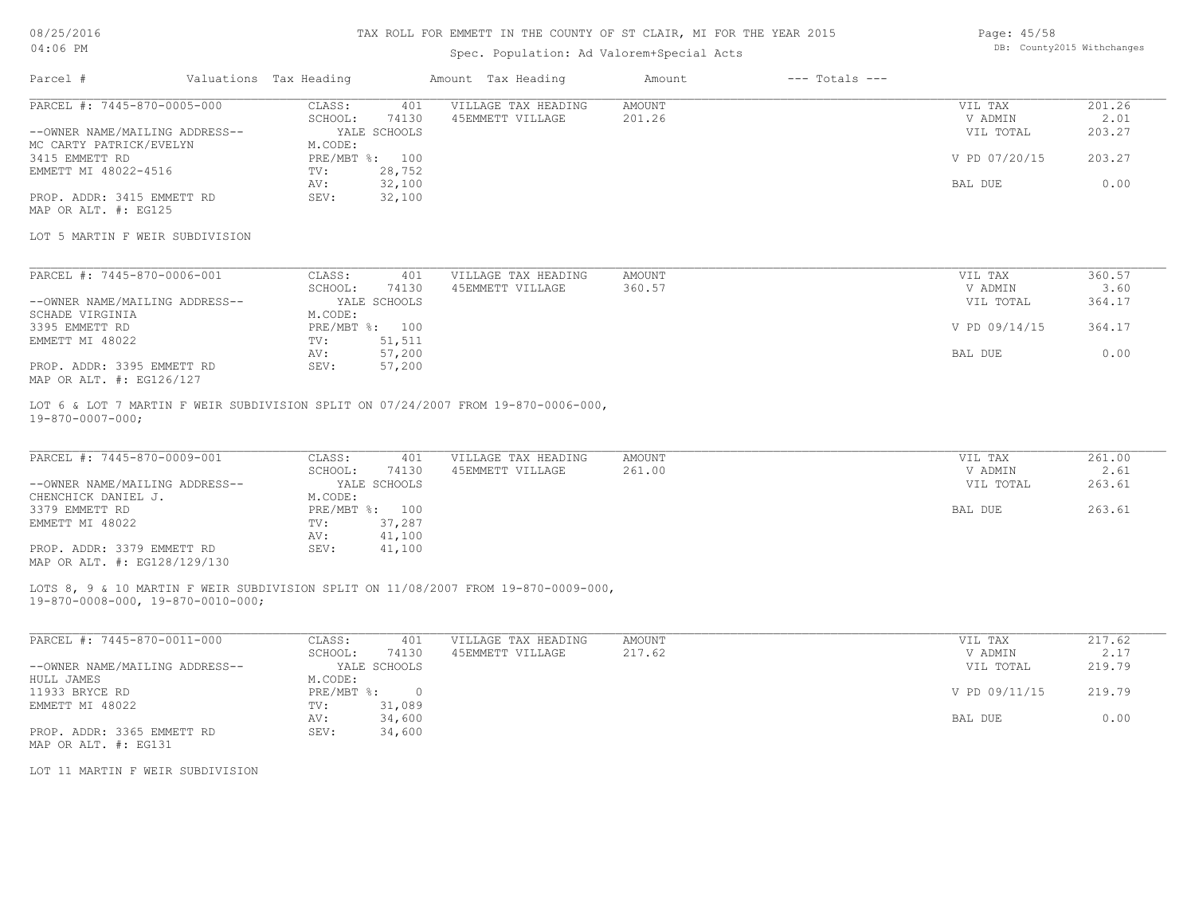08/25/2016

### TAX ROLL FOR EMMETT IN THE COUNTY OF ST CLAIR, MI FOR THE YEAR 2015

Page: 45/58 DB: County2015 Withchanges

| 04:06 PM                                           |                                         |                        | DB: County2015 Withchanges<br>Spec. Population: Ad Valorem+Special Acts            |               |                    |               |        |
|----------------------------------------------------|-----------------------------------------|------------------------|------------------------------------------------------------------------------------|---------------|--------------------|---------------|--------|
| Parcel #                                           |                                         | Valuations Tax Heading | Amount Tax Heading                                                                 | Amount        | $---$ Totals $---$ |               |        |
| PARCEL #: 7445-870-0005-000                        |                                         | CLASS:                 | VILLAGE TAX HEADING<br>401                                                         | <b>AMOUNT</b> |                    | VIL TAX       | 201.26 |
|                                                    |                                         | SCHOOL:<br>74130       | 45EMMETT VILLAGE                                                                   | 201.26        |                    | V ADMIN       | 2.01   |
| --OWNER NAME/MAILING ADDRESS--                     |                                         | YALE SCHOOLS           |                                                                                    |               |                    | VIL TOTAL     | 203.27 |
| MC CARTY PATRICK/EVELYN                            |                                         | M.CODE:                |                                                                                    |               |                    |               |        |
| 3415 EMMETT RD                                     |                                         | PRE/MBT %: 100         |                                                                                    |               |                    | V PD 07/20/15 | 203.27 |
| EMMETT MI 48022-4516                               |                                         | 28,752<br>TV:          |                                                                                    |               |                    |               |        |
|                                                    |                                         | 32,100<br>AV:          |                                                                                    |               |                    | BAL DUE       | 0.00   |
| PROP. ADDR: 3415 EMMETT RD<br>MAP OR ALT. #: EG125 |                                         | SEV:<br>32,100         |                                                                                    |               |                    |               |        |
|                                                    |                                         |                        |                                                                                    |               |                    |               |        |
| LOT 5 MARTIN F WEIR SUBDIVISION                    |                                         |                        |                                                                                    |               |                    |               |        |
| PARCEL #: 7445-870-0006-001                        |                                         | CLASS:                 | 401<br>VILLAGE TAX HEADING                                                         | AMOUNT        |                    | VIL TAX       | 360.57 |
|                                                    |                                         | 74130<br>SCHOOL:       | 45EMMETT VILLAGE                                                                   | 360.57        |                    | V ADMIN       | 3.60   |
| --OWNER NAME/MAILING ADDRESS--                     |                                         | YALE SCHOOLS           |                                                                                    |               |                    | VIL TOTAL     | 364.17 |
| SCHADE VIRGINIA                                    |                                         | M.CODE:                |                                                                                    |               |                    |               |        |
| 3395 EMMETT RD                                     |                                         | PRE/MBT %: 100         |                                                                                    |               |                    | V PD 09/14/15 | 364.17 |
| EMMETT MI 48022                                    |                                         | TV:<br>51,511          |                                                                                    |               |                    |               |        |
|                                                    |                                         | 57,200<br>AV:          |                                                                                    |               |                    | BAL DUE       | 0.00   |
| PROP. ADDR: 3395 EMMETT RD                         |                                         | 57,200<br>SEV:         |                                                                                    |               |                    |               |        |
| MAP OR ALT. #: EG126/127                           |                                         |                        |                                                                                    |               |                    |               |        |
| $19 - 870 - 0007 - 000$ ;                          |                                         |                        | LOT 6 & LOT 7 MARTIN F WEIR SUBDIVISION SPLIT ON 07/24/2007 FROM 19-870-0006-000,  |               |                    |               |        |
| PARCEL #: 7445-870-0009-001                        |                                         | CLASS:                 | VILLAGE TAX HEADING<br>401                                                         | <b>AMOUNT</b> |                    | VIL TAX       | 261.00 |
|                                                    |                                         | SCHOOL:<br>74130       | 45EMMETT VILLAGE                                                                   | 261.00        |                    | V ADMIN       | 2.61   |
| --OWNER NAME/MAILING ADDRESS--                     |                                         | YALE SCHOOLS           |                                                                                    |               |                    | VIL TOTAL     | 263.61 |
| CHENCHICK DANIEL J.                                |                                         | M.CODE:                |                                                                                    |               |                    |               |        |
| 3379 EMMETT RD                                     |                                         | PRE/MBT %: 100         |                                                                                    |               |                    | BAL DUE       | 263.61 |
| EMMETT MI 48022                                    |                                         | 37,287<br>TV:          |                                                                                    |               |                    |               |        |
|                                                    |                                         | AV:<br>41,100          |                                                                                    |               |                    |               |        |
| PROP. ADDR: 3379 EMMETT RD                         |                                         | SEV:<br>41,100         |                                                                                    |               |                    |               |        |
| MAP OR ALT. #: EG128/129/130                       |                                         |                        |                                                                                    |               |                    |               |        |
|                                                    | $19-870-0008-000$ , $19-870-0010-000$ ; |                        | LOTS 8, 9 & 10 MARTIN F WEIR SUBDIVISION SPLIT ON 11/08/2007 FROM 19-870-0009-000, |               |                    |               |        |
| PARCEL #: 7445-870-0011-000                        |                                         | CLASS:                 | 401<br>VILLAGE TAX HEADING                                                         | <b>AMOUNT</b> |                    | VIL TAX       | 217.62 |
|                                                    |                                         | 74130<br>SCHOOL:       | 45EMMETT VILLAGE                                                                   | 217.62        |                    | V ADMIN       | 2.17   |
| $--$ OWNER NAME/MATIING ADDRESS-                   |                                         | VALE SCHOOLS           |                                                                                    |               |                    | VII. TOTAL    | 219 79 |

| --OWNER NAME/MAILING ADDRESS-- |              | YALE SCHOOLS | VIL TOTAL     | 219.79 |
|--------------------------------|--------------|--------------|---------------|--------|
| HULL JAMES                     | M.CODE:      |              |               |        |
| 11933 BRYCE RD                 | $PRE/MBT$ %: |              | V PD 09/11/15 | 219.79 |
| EMMETT MI 48022                | TV:          | 31,089       |               |        |
|                                | AV:          | 34,600       | BAL DUE       | 0.00   |
| PROP. ADDR: 3365 EMMETT RD     | SEV:         | 34,600       |               |        |
| MAP OR ALT. #: EG131           |              |              |               |        |

LOT 11 MARTIN F WEIR SUBDIVISION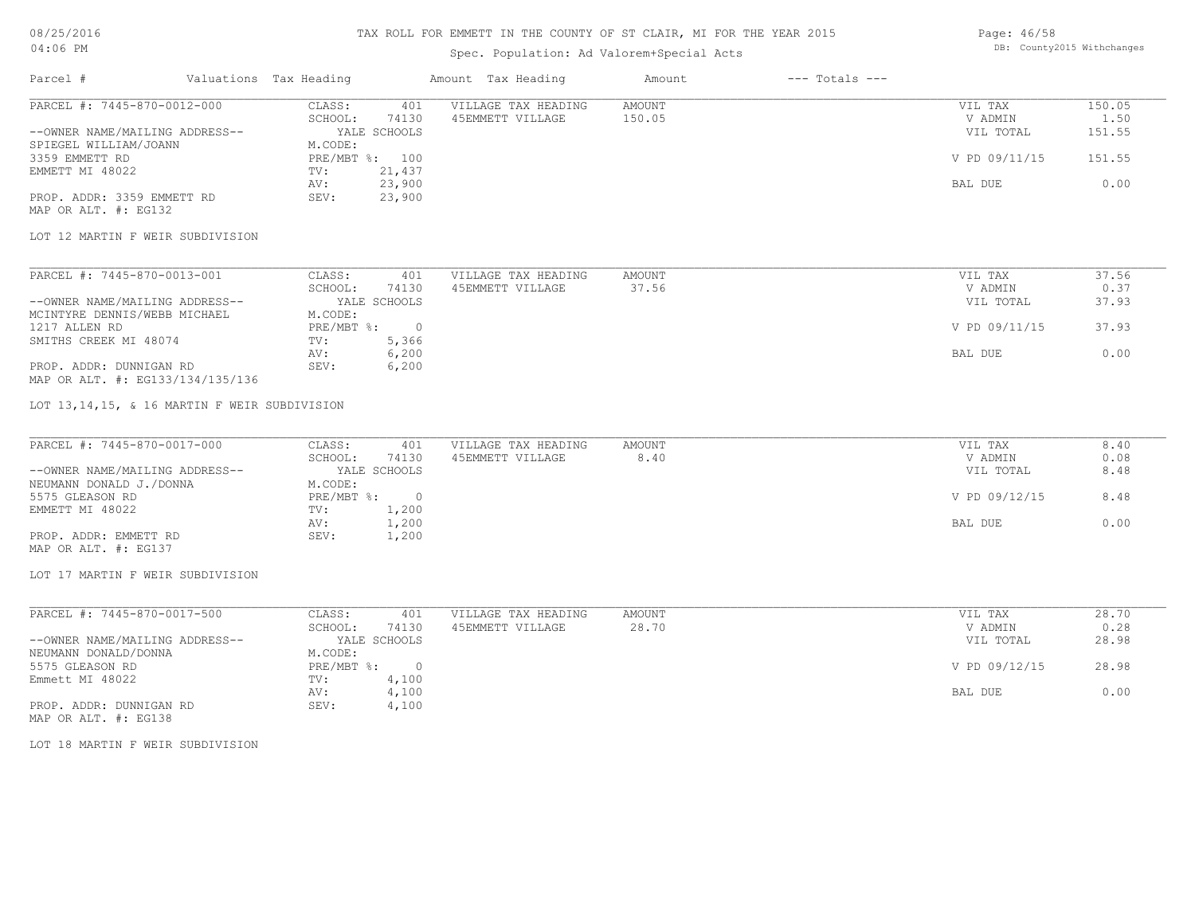### TAX ROLL FOR EMMETT IN THE COUNTY OF ST CLAIR, MI FOR THE YEAR 2015

# Spec. Population: Ad Valorem+Special Acts

| Parcel #                       | Valuations Tax Heading |              | Amount Tax Heading  | Amount | $---$ Totals $---$ |               |        |
|--------------------------------|------------------------|--------------|---------------------|--------|--------------------|---------------|--------|
| PARCEL #: 7445-870-0012-000    | CLASS:                 | 401          | VILLAGE TAX HEADING | AMOUNT |                    | VIL TAX       | 150.05 |
|                                | SCHOOL:                | 74130        | 45EMMETT VILLAGE    | 150.05 |                    | V ADMIN       | 1.50   |
| --OWNER NAME/MAILING ADDRESS-- |                        | YALE SCHOOLS |                     |        |                    | VIL TOTAL     | 151.55 |
| SPIEGEL WILLIAM/JOANN          | M.CODE:                |              |                     |        |                    |               |        |
| 3359 EMMETT RD                 | PRE/MBT %: 100         |              |                     |        |                    | V PD 09/11/15 | 151.55 |
| EMMETT MI 48022                | TV:                    | 21,437       |                     |        |                    |               |        |
|                                | AV:                    | 23,900       |                     |        |                    | BAL DUE       | 0.00   |
| PROP. ADDR: 3359 EMMETT RD     | SEV:                   | 23,900       |                     |        |                    |               |        |

MAP OR ALT. #: EG132

#### LOT 12 MARTIN F WEIR SUBDIVISION

| PARCEL #: 7445-870-0013-001      | CLASS:     | 401          | VILLAGE TAX HEADING | AMOUNT |         | VIL TAX       | 37.56 |
|----------------------------------|------------|--------------|---------------------|--------|---------|---------------|-------|
|                                  | SCHOOL:    | 74130        | 45EMMETT VILLAGE    | 37.56  |         | V ADMIN       | 0.37  |
| --OWNER NAME/MAILING ADDRESS--   |            | YALE SCHOOLS |                     |        |         | VIL TOTAL     | 37.93 |
| MCINTYRE DENNIS/WEBB MICHAEL     | M.CODE:    |              |                     |        |         |               |       |
| 1217 ALLEN RD                    | PRE/MBT %: |              |                     |        |         | V PD 09/11/15 | 37.93 |
| SMITHS CREEK MI 48074            | TV:        | 5,366        |                     |        |         |               |       |
|                                  | AV:        | 6,200        |                     |        | BAL DUE |               | 0.00  |
| PROP. ADDR: DUNNIGAN RD          | SEV:       | 6,200        |                     |        |         |               |       |
| MAP OR ALT. #: EG133/134/135/136 |            |              |                     |        |         |               |       |

#### LOT 13,14,15, & 16 MARTIN F WEIR SUBDIVISION

| PARCEL #: 7445-870-0017-000    | CLASS:     | 401          | VILLAGE TAX HEADING | AMOUNT    | VIL TAX       | 8.40 |
|--------------------------------|------------|--------------|---------------------|-----------|---------------|------|
|                                | SCHOOL:    | 74130        | 45EMMETT VILLAGE    | 8.40      | V ADMIN       | 0.08 |
| --OWNER NAME/MAILING ADDRESS-- |            | YALE SCHOOLS |                     | VIL TOTAL | 8.48          |      |
| NEUMANN DONALD J./DONNA        | M.CODE:    |              |                     |           |               |      |
| 5575 GLEASON RD                | PRE/MBT %: |              |                     |           | V PD 09/12/15 | 8.48 |
| EMMETT MI 48022                | TV:        | 1,200        |                     |           |               |      |
|                                | AV:        | 1,200        |                     |           | BAL DUE       | 0.00 |
| PROP. ADDR: EMMETT RD          | SEV:       | 1,200        |                     |           |               |      |
| MAP OR ALT. #: EG137           |            |              |                     |           |               |      |

LOT 17 MARTIN F WEIR SUBDIVISION

| PARCEL #: 7445-870-0017-500    | CLASS:     | 401          | VILLAGE TAX HEADING | AMOUNT | VIL TAX       | 28.70 |
|--------------------------------|------------|--------------|---------------------|--------|---------------|-------|
|                                | SCHOOL:    | 74130        | 45EMMETT VILLAGE    | 28.70  | V ADMIN       | 0.28  |
| --OWNER NAME/MAILING ADDRESS-- |            | YALE SCHOOLS |                     |        | VIL TOTAL     | 28.98 |
| NEUMANN DONALD/DONNA           | M.CODE:    |              |                     |        |               |       |
| 5575 GLEASON RD                | PRE/MBT %: |              |                     |        | V PD 09/12/15 | 28.98 |
| Emmett MI 48022                | TV:        | 4,100        |                     |        |               |       |
|                                | AV:        | 4,100        |                     |        | BAL DUE       | 0.00  |
| PROP. ADDR: DUNNIGAN RD        | SEV:       | 4,100        |                     |        |               |       |

MAP OR ALT. #: EG138

LOT 18 MARTIN F WEIR SUBDIVISION

Page: 46/58 DB: County2015 Withchanges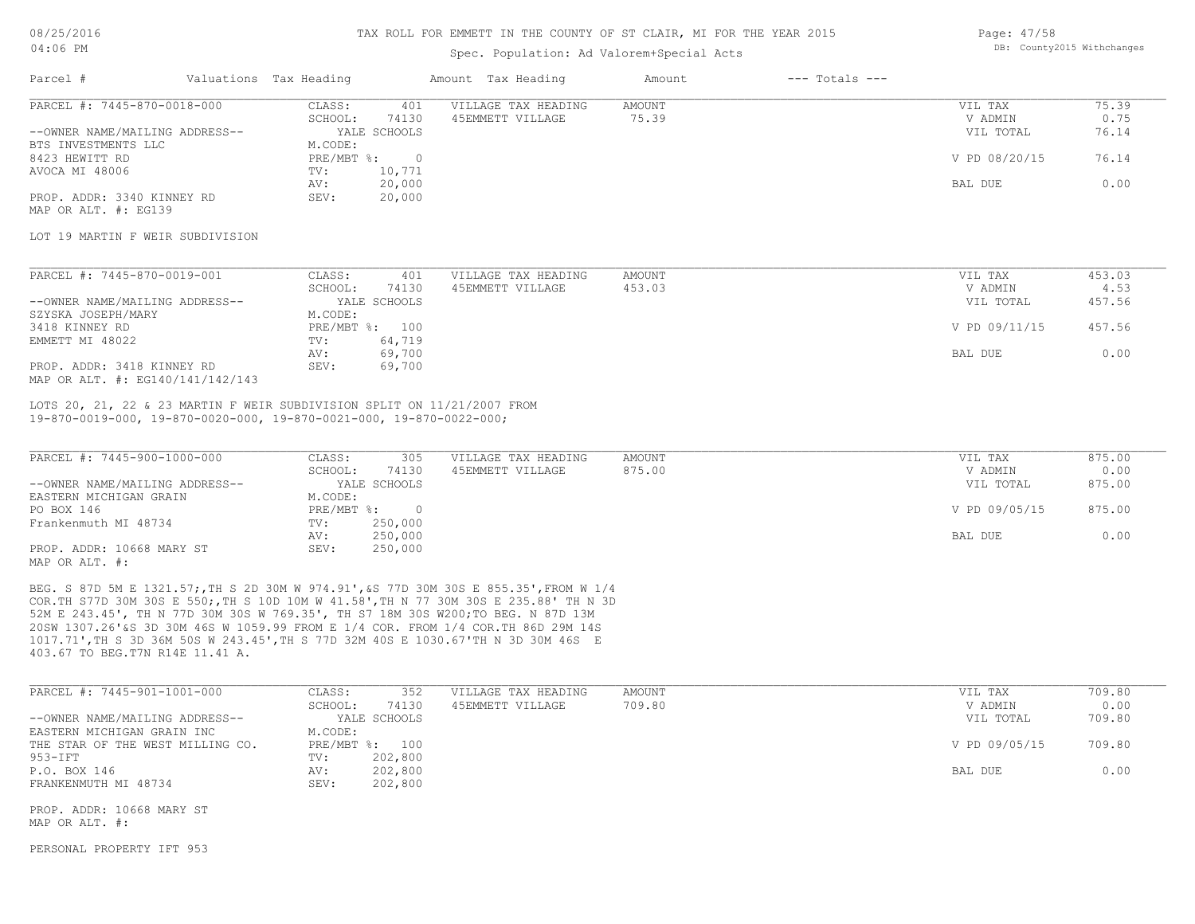#### TAX ROLL FOR EMMETT IN THE COUNTY OF ST CLAIR, MI FOR THE YEAR 2015

### Spec. Population: Ad Valorem+Special Acts

Page: 47/58 DB: County2015 Withchanges

| Parcel #                                                                                  | Valuations Tax Heading       | Amount Tax Heading  | Amount        | $---$ Totals $---$ |               |        |
|-------------------------------------------------------------------------------------------|------------------------------|---------------------|---------------|--------------------|---------------|--------|
| PARCEL #: 7445-870-0018-000                                                               | CLASS:<br>401                | VILLAGE TAX HEADING | <b>AMOUNT</b> |                    | VIL TAX       | 75.39  |
|                                                                                           | SCHOOL:<br>74130             | 45EMMETT VILLAGE    | 75.39         |                    | V ADMIN       | 0.75   |
| --OWNER NAME/MAILING ADDRESS--                                                            | YALE SCHOOLS                 |                     |               |                    | VIL TOTAL     | 76.14  |
| BTS INVESTMENTS LLC                                                                       | M.CODE:                      |                     |               |                    |               |        |
| 8423 HEWITT RD                                                                            | PRE/MBT %:<br>$\overline{0}$ |                     |               |                    | V PD 08/20/15 | 76.14  |
| AVOCA MI 48006                                                                            | 10,771<br>TV:                |                     |               |                    |               |        |
|                                                                                           | 20,000<br>AV:                |                     |               |                    | BAL DUE       | 0.00   |
| PROP. ADDR: 3340 KINNEY RD                                                                | 20,000<br>SEV:               |                     |               |                    |               |        |
| MAP OR ALT. #: EG139                                                                      |                              |                     |               |                    |               |        |
| LOT 19 MARTIN F WEIR SUBDIVISION                                                          |                              |                     |               |                    |               |        |
|                                                                                           |                              |                     |               |                    |               |        |
| PARCEL #: 7445-870-0019-001                                                               | CLASS:<br>401                | VILLAGE TAX HEADING | AMOUNT        |                    | VIL TAX       | 453.03 |
|                                                                                           | SCHOOL:<br>74130             | 45EMMETT VILLAGE    | 453.03        |                    | V ADMIN       | 4.53   |
| --OWNER NAME/MAILING ADDRESS--                                                            | YALE SCHOOLS                 |                     |               |                    | VIL TOTAL     | 457.56 |
| SZYSKA JOSEPH/MARY                                                                        | M.CODE:                      |                     |               |                    |               |        |
| 3418 KINNEY RD                                                                            | PRE/MBT %: 100               |                     |               |                    | V PD 09/11/15 | 457.56 |
| EMMETT MI 48022                                                                           | 64,719<br>TV:                |                     |               |                    |               |        |
|                                                                                           | 69,700<br>AV:                |                     |               |                    | BAL DUE       | 0.00   |
| PROP. ADDR: 3418 KINNEY RD                                                                | SEV:<br>69,700               |                     |               |                    |               |        |
| MAP OR ALT. #: EG140/141/142/143                                                          |                              |                     |               |                    |               |        |
| LOTS 20, 21, 22 & 23 MARTIN F WEIR SUBDIVISION SPLIT ON 11/21/2007 FROM                   |                              |                     |               |                    |               |        |
| $19-870-0019-000$ , $19-870-0020-000$ , $19-870-0021-000$ , $19-870-0022-000$ ;           |                              |                     |               |                    |               |        |
|                                                                                           |                              |                     |               |                    |               |        |
| PARCEL #: 7445-900-1000-000                                                               | CLASS:<br>305                | VILLAGE TAX HEADING | AMOUNT        |                    | VIL TAX       | 875.00 |
|                                                                                           | SCHOOL:<br>74130             | 45EMMETT VILLAGE    | 875.00        |                    | V ADMIN       | 0.00   |
| --OWNER NAME/MAILING ADDRESS--                                                            | YALE SCHOOLS                 |                     |               |                    | VIL TOTAL     | 875.00 |
| EASTERN MICHIGAN GRAIN                                                                    | M.CODE:                      |                     |               |                    |               |        |
| PO BOX 146                                                                                | PRE/MBT %: 0                 |                     |               |                    | V PD 09/05/15 | 875.00 |
| Frankenmuth MI 48734                                                                      | 250,000<br>TV:               |                     |               |                    |               |        |
|                                                                                           | 250,000<br>AV:               |                     |               |                    | BAL DUE       | 0.00   |
| PROP. ADDR: 10668 MARY ST                                                                 | 250,000<br>SEV:              |                     |               |                    |               |        |
| MAP OR ALT. #:                                                                            |                              |                     |               |                    |               |        |
| BEG. S 87D 5M E 1321.57; TH S 2D 30M W 974.91', &S 77D 30M 30S E 855.35', FROM W 1/4      |                              |                     |               |                    |               |        |
| COR. TH S77D 30M 30S E 550; TH S 10D 10M W 41.58', TH N 77 30M 30S E 235.88' TH N 3D      |                              |                     |               |                    |               |        |
| 52M E 243.45', TH N 77D 30M 30S W 769.35', TH S7 18M 30S W200; TO BEG. N 87D 13M          |                              |                     |               |                    |               |        |
| 200 $\mu$ 1207 261 to 200 200 160 $\mu$ 1050 00 FDOM F 1/1 COD FDOM 1/1 COD FULLO 200 110 |                              |                     |               |                    |               |        |

403.67 TO BEG.T7N R14E 11.41 A. 1017.71',TH S 3D 36M 50S W 243.45',TH S 77D 32M 40S E 1030.67'TH N 3D 30M 46S E 20SW 1307.26'&S 3D 30M 46S W 1059.99 FROM E 1/4 COR. FROM 1/4 COR.TH 86D 29M 14S

| PARCEL #: 7445-901-1001-000      | CLASS:  | 352            | VILLAGE TAX HEADING | AMOUNT    | VIL TAX       | 709.80 |
|----------------------------------|---------|----------------|---------------------|-----------|---------------|--------|
|                                  | SCHOOL: | 74130          | 45EMMETT VILLAGE    | 709.80    | V ADMIN       | 0.00   |
| --OWNER NAME/MAILING ADDRESS--   |         | YALE SCHOOLS   |                     | VIL TOTAL | 709.80        |        |
| EASTERN MICHIGAN GRAIN INC       | M.CODE: |                |                     |           |               |        |
| THE STAR OF THE WEST MILLING CO. |         | PRE/MBT %: 100 |                     |           | V PD 09/05/15 | 709.80 |
| 953-IFT                          | TV:     | 202,800        |                     |           |               |        |
| P.O. BOX 146                     | AV:     | 202,800        |                     |           | BAL DUE       | 0.00   |
| FRANKENMUTH MI 48734             | SEV:    | 202,800        |                     |           |               |        |

MAP OR ALT. #: PROP. ADDR: 10668 MARY ST

PERSONAL PROPERTY IFT 953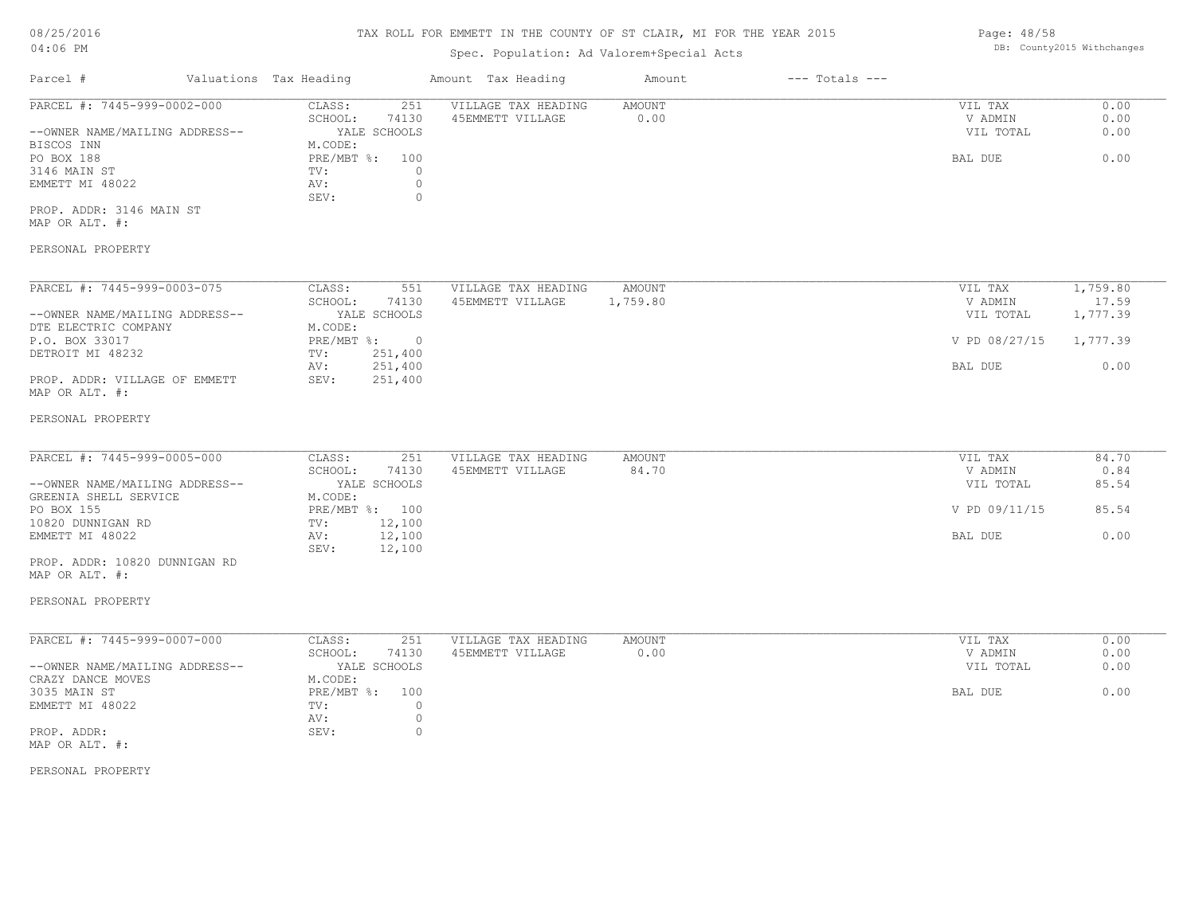# TAX ROLL FOR EMMETT IN THE COUNTY OF ST CLAIR, MI FOR THE YEAR 2015

# Spec. Population: Ad Valorem+Special Acts

|                                    |                   | ppos. reparation. na varefollippocrat noce |               |                    |               |          |
|------------------------------------|-------------------|--------------------------------------------|---------------|--------------------|---------------|----------|
| Valuations Tax Heading<br>Parcel # |                   | Amount Tax Heading                         | Amount        | $---$ Totals $---$ |               |          |
| PARCEL #: 7445-999-0002-000        | CLASS:<br>251     | VILLAGE TAX HEADING                        | AMOUNT        |                    | VIL TAX       | 0.00     |
|                                    | 74130<br>SCHOOL:  | 45EMMETT VILLAGE                           | 0.00          |                    | V ADMIN       | 0.00     |
| --OWNER NAME/MAILING ADDRESS--     | YALE SCHOOLS      |                                            |               |                    | VIL TOTAL     | 0.00     |
| BISCOS INN                         | M.CODE:           |                                            |               |                    |               |          |
| PO BOX 188                         | PRE/MBT %:<br>100 |                                            |               |                    | BAL DUE       | 0.00     |
| 3146 MAIN ST                       | TV:<br>0          |                                            |               |                    |               |          |
| EMMETT MI 48022                    | 0<br>AV:          |                                            |               |                    |               |          |
|                                    | SEV:<br>$\Omega$  |                                            |               |                    |               |          |
| PROP. ADDR: 3146 MAIN ST           |                   |                                            |               |                    |               |          |
| MAP OR ALT. #:                     |                   |                                            |               |                    |               |          |
| PERSONAL PROPERTY                  |                   |                                            |               |                    |               |          |
| PARCEL #: 7445-999-0003-075        | CLASS:<br>551     | VILLAGE TAX HEADING                        | AMOUNT        |                    | VIL TAX       | 1,759.80 |
|                                    | SCHOOL:<br>74130  | 45EMMETT VILLAGE                           | 1,759.80      |                    | V ADMIN       | 17.59    |
| --OWNER NAME/MAILING ADDRESS--     | YALE SCHOOLS      |                                            |               |                    | VIL TOTAL     | 1,777.39 |
| DTE ELECTRIC COMPANY               | M.CODE:           |                                            |               |                    |               |          |
| P.O. BOX 33017                     | PRE/MBT %: 0      |                                            |               |                    | V PD 08/27/15 | 1,777.39 |
| DETROIT MI 48232                   | 251,400<br>TV:    |                                            |               |                    |               |          |
|                                    | 251,400<br>AV:    |                                            |               |                    | BAL DUE       | 0.00     |
| PROP. ADDR: VILLAGE OF EMMETT      | 251,400<br>SEV:   |                                            |               |                    |               |          |
| MAP OR ALT. #:                     |                   |                                            |               |                    |               |          |
| PERSONAL PROPERTY                  |                   |                                            |               |                    |               |          |
|                                    |                   |                                            |               |                    |               |          |
| PARCEL #: 7445-999-0005-000        | CLASS:<br>251     | VILLAGE TAX HEADING                        | <b>AMOUNT</b> |                    | VIL TAX       | 84.70    |
|                                    | 74130<br>SCHOOL:  | 45EMMETT VILLAGE                           | 84.70         |                    | V ADMIN       | 0.84     |
| --OWNER NAME/MAILING ADDRESS--     | YALE SCHOOLS      |                                            |               |                    | VIL TOTAL     | 85.54    |
| GREENIA SHELL SERVICE              | M.CODE:           |                                            |               |                    |               |          |

| --OWNER NAME/MAILING ADDRESS- |              | CULVUD GULLI |  | ATH TATHT     | 00.04 |
|-------------------------------|--------------|--------------|--|---------------|-------|
| GREENIA SHELL SERVICE         | M.CODE:      |              |  |               |       |
| PO BOX 155                    | $PRE/MBT$ %: | 100          |  | V PD 09/11/15 | 85.54 |
| 10820 DUNNIGAN RD             | TV:          | 12,100       |  |               |       |
| EMMETT MI 48022               | AV:          | 12,100       |  | BAL DUE       | J.OO  |
|                               | SEV:         | 12,100       |  |               |       |
|                               |              |              |  |               |       |

MAP OR ALT. #: PROP. ADDR: 10820 DUNNIGAN RD

### PERSONAL PROPERTY

| PARCEL #: 7445-999-0007-000    | CLASS:       | 251          | VILLAGE TAX HEADING | AMOUNT | VIL TAX<br>0.00   |
|--------------------------------|--------------|--------------|---------------------|--------|-------------------|
|                                | SCHOOL:      | 74130        | 45EMMETT VILLAGE    | 0.00   | 0.00<br>V ADMIN   |
| --OWNER NAME/MAILING ADDRESS-- |              | YALE SCHOOLS |                     |        | 0.00<br>VIL TOTAL |
| CRAZY DANCE MOVES              | M.CODE:      |              |                     |        |                   |
| 3035 MAIN ST                   | $PRE/MBT$ %: | 100          |                     |        | 0.00<br>BAL DUE   |
| EMMETT MI 48022                | TV:          |              |                     |        |                   |
|                                | AV:          |              |                     |        |                   |
| PROP. ADDR:                    | SEV:         |              |                     |        |                   |
| MAP OR ALT. #:                 |              |              |                     |        |                   |

PERSONAL PROPERTY

Page: 48/58 DB: County2015 Withchanges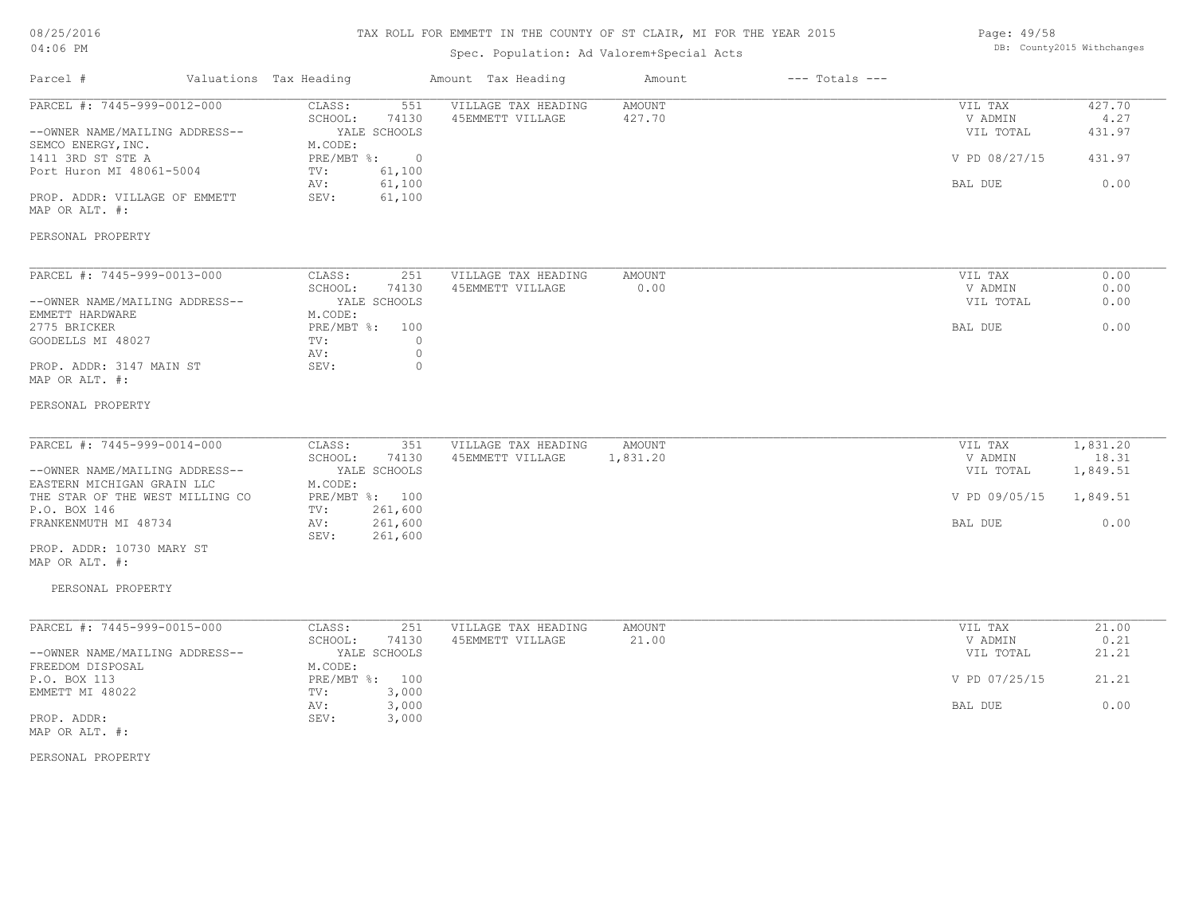# TAX ROLL FOR EMMETT IN THE COUNTY OF ST CLAIR, MI FOR THE YEAR 2015

# Spec. Population: Ad Valorem+Special Acts

| Page: 49/58 |                            |
|-------------|----------------------------|
|             | DB: County2015 Withchanges |

| Parcel #                                        | Valuations Tax Heading                | Amount Tax Heading  | Amount   | $---$ Totals $---$ |                      |                |
|-------------------------------------------------|---------------------------------------|---------------------|----------|--------------------|----------------------|----------------|
| PARCEL #: 7445-999-0012-000                     | CLASS:<br>551                         | VILLAGE TAX HEADING | AMOUNT   |                    | VIL TAX              | 427.70         |
| --OWNER NAME/MAILING ADDRESS--                  | SCHOOL:<br>74130<br>YALE SCHOOLS      | 45EMMETT VILLAGE    | 427.70   |                    | V ADMIN<br>VIL TOTAL | 4.27<br>431.97 |
| SEMCO ENERGY, INC.                              | M.CODE:                               |                     |          |                    |                      |                |
| 1411 3RD ST STE A                               | PRE/MBT %:<br>$\overline{0}$          |                     |          |                    | V PD 08/27/15        | 431.97         |
| Port Huron MI 48061-5004                        | 61,100<br>TV:                         |                     |          |                    |                      |                |
|                                                 | 61,100<br>AV:                         |                     |          |                    | BAL DUE              | 0.00           |
| PROP. ADDR: VILLAGE OF EMMETT<br>MAP OR ALT. #: | 61,100<br>SEV:                        |                     |          |                    |                      |                |
| PERSONAL PROPERTY                               |                                       |                     |          |                    |                      |                |
| PARCEL #: 7445-999-0013-000                     | CLASS:<br>251                         | VILLAGE TAX HEADING | AMOUNT   |                    | VIL TAX              | 0.00           |
|                                                 | SCHOOL:<br>74130                      | 45EMMETT VILLAGE    | 0.00     |                    | V ADMIN              | 0.00           |
| --OWNER NAME/MAILING ADDRESS--                  | YALE SCHOOLS                          |                     |          |                    | VIL TOTAL            | 0.00           |
| EMMETT HARDWARE                                 | M.CODE:                               |                     |          |                    |                      |                |
| 2775 BRICKER                                    | PRE/MBT %: 100                        |                     |          |                    | BAL DUE              | 0.00           |
| GOODELLS MI 48027                               | $\circ$<br>TV:                        |                     |          |                    |                      |                |
| PROP. ADDR: 3147 MAIN ST                        | $\mathbb O$<br>AV:<br>$\circ$<br>SEV: |                     |          |                    |                      |                |
| MAP OR ALT. #:                                  |                                       |                     |          |                    |                      |                |
| PERSONAL PROPERTY                               |                                       |                     |          |                    |                      |                |
| PARCEL #: 7445-999-0014-000                     | CLASS:<br>351                         | VILLAGE TAX HEADING | AMOUNT   |                    | VIL TAX              | 1,831.20       |
|                                                 | SCHOOL:<br>74130                      | 45EMMETT VILLAGE    | 1,831.20 |                    | V ADMIN              | 18.31          |
| --OWNER NAME/MAILING ADDRESS--                  | YALE SCHOOLS                          |                     |          |                    | VIL TOTAL            | 1,849.51       |
| EASTERN MICHIGAN GRAIN LLC                      | M.CODE:                               |                     |          |                    |                      |                |
| THE STAR OF THE WEST MILLING CO                 | PRE/MBT %: 100                        |                     |          |                    | V PD 09/05/15        | 1,849.51       |
| P.O. BOX 146                                    | 261,600<br>TV:                        |                     |          |                    |                      |                |
| FRANKENMUTH MI 48734                            | 261,600<br>AV:                        |                     |          |                    | BAL DUE              | 0.00           |
|                                                 | SEV:<br>261,600                       |                     |          |                    |                      |                |
| PROP. ADDR: 10730 MARY ST<br>MAP OR ALT. #:     |                                       |                     |          |                    |                      |                |
|                                                 |                                       |                     |          |                    |                      |                |
| PERSONAL PROPERTY                               |                                       |                     |          |                    |                      |                |
| PARCEL #: 7445-999-0015-000                     | CLASS:<br>251                         | VILLAGE TAX HEADING | AMOUNT   |                    | VIL TAX              | 21.00          |
|                                                 | SCHOOL:<br>74130                      | 45EMMETT VILLAGE    | 21.00    |                    | V ADMIN              | 0.21           |
| --OWNER NAME/MAILING ADDRESS--                  | YALE SCHOOLS                          |                     |          |                    | VIL TOTAL            | 21.21          |
| FREEDOM DISPOSAL                                | M.CODE:                               |                     |          |                    |                      |                |
| P.O. BOX 113                                    | PRE/MBT %: 100                        |                     |          |                    | V PD 07/25/15        | 21.21          |
| EMMETT MI 48022                                 | TV:<br>3,000<br>3,000<br>AV:          |                     |          |                    | BAL DUE              | 0.00           |
| PROP. ADDR:                                     | SEV:<br>3,000                         |                     |          |                    |                      |                |
| MAP OR ALT. #:                                  |                                       |                     |          |                    |                      |                |
|                                                 |                                       |                     |          |                    |                      |                |

PERSONAL PROPERTY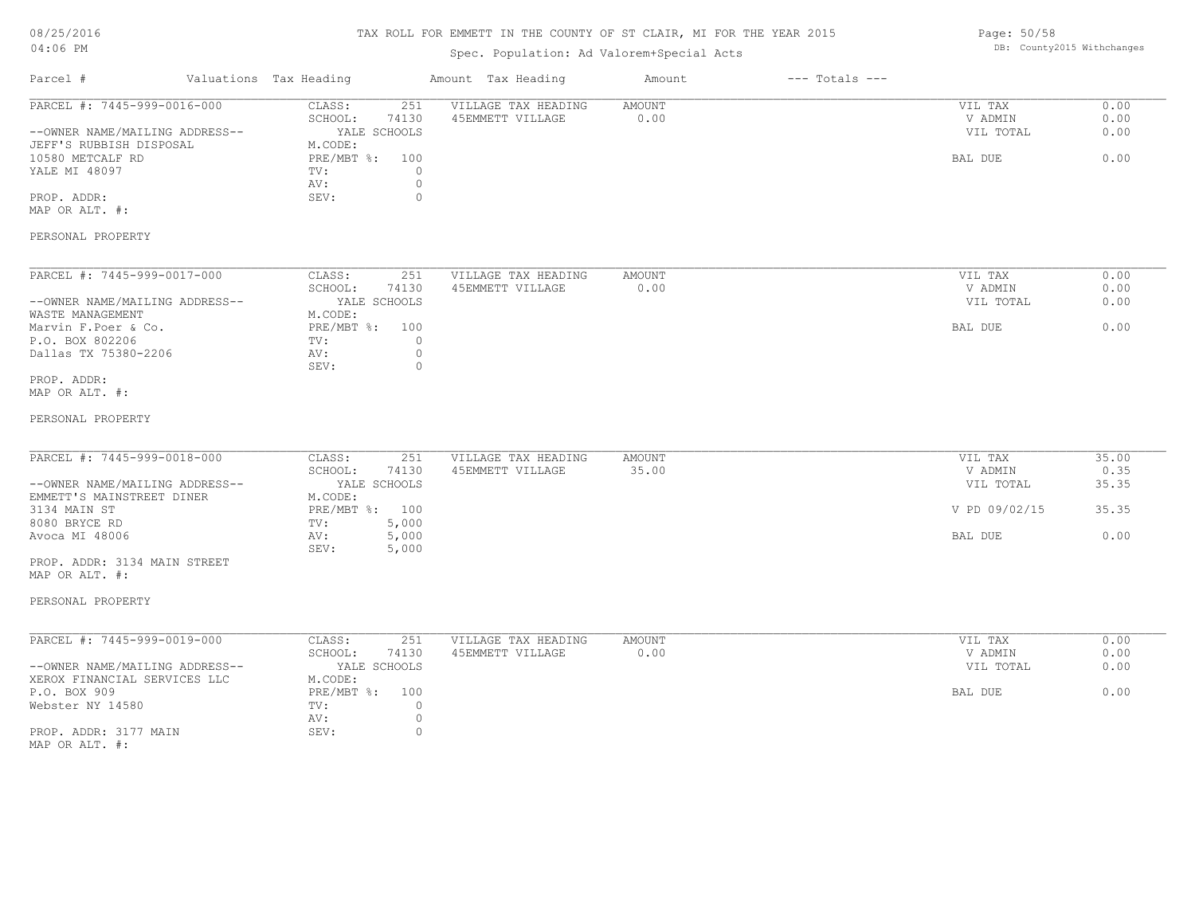# TAX ROLL FOR EMMETT IN THE COUNTY OF ST CLAIR, MI FOR THE YEAR 2015

# Spec. Population: Ad Valorem+Special Acts

| Parcel #                                                                                                                                                                                                             | Valuations Tax Heading                                                                                                          | Amount Tax Heading                                                              | Amount                | $---$ Totals $---$ |                                                             |                                         |
|----------------------------------------------------------------------------------------------------------------------------------------------------------------------------------------------------------------------|---------------------------------------------------------------------------------------------------------------------------------|---------------------------------------------------------------------------------|-----------------------|--------------------|-------------------------------------------------------------|-----------------------------------------|
| PARCEL #: 7445-999-0016-000<br>--OWNER NAME/MAILING ADDRESS--<br>JEFF'S RUBBISH DISPOSAL<br>10580 METCALF RD<br>YALE MI 48097<br>PROP. ADDR:<br>MAP OR ALT. #:                                                       | 251<br>CLASS:<br>SCHOOL:<br>74130<br>YALE SCHOOLS<br>M.CODE:<br>PRE/MBT %: 100<br>TV:<br>AV:<br>SEV:                            | VILLAGE TAX HEADING<br>45EMMETT VILLAGE<br>$\circ$<br>$\circ$<br>$\circ$        | <b>AMOUNT</b><br>0.00 |                    | VIL TAX<br>V ADMIN<br>VIL TOTAL<br>BAL DUE                  | 0.00<br>0.00<br>0.00<br>0.00            |
| PERSONAL PROPERTY                                                                                                                                                                                                    |                                                                                                                                 |                                                                                 |                       |                    |                                                             |                                         |
| PARCEL #: 7445-999-0017-000<br>--OWNER NAME/MAILING ADDRESS--<br>WASTE MANAGEMENT<br>Marvin F.Poer & Co.<br>P.O. BOX 802206<br>Dallas TX 75380-2206                                                                  | 251<br>CLASS:<br>SCHOOL:<br>74130<br>YALE SCHOOLS<br>M.CODE:<br>PRE/MBT %: 100<br>TV:<br>AV:<br>SEV:                            | VILLAGE TAX HEADING<br>45EMMETT VILLAGE<br>$\overline{0}$<br>$\circ$<br>$\circ$ | AMOUNT<br>0.00        |                    | VIL TAX<br>V ADMIN<br>VIL TOTAL<br>BAL DUE                  | 0.00<br>0.00<br>0.00<br>0.00            |
| PROP. ADDR:<br>MAP OR ALT. #:<br>PERSONAL PROPERTY                                                                                                                                                                   |                                                                                                                                 |                                                                                 |                       |                    |                                                             |                                         |
| PARCEL #: 7445-999-0018-000<br>--OWNER NAME/MAILING ADDRESS--<br>EMMETT'S MAINSTREET DINER<br>3134 MAIN ST<br>8080 BRYCE RD<br>Avoca MI 48006<br>PROP. ADDR: 3134 MAIN STREET<br>MAP OR ALT. #:<br>PERSONAL PROPERTY | 251<br>CLASS:<br>SCHOOL:<br>74130<br>YALE SCHOOLS<br>M.CODE:<br>PRE/MBT %: 100<br>TV:<br>5,000<br>5,000<br>AV:<br>SEV:<br>5,000 | VILLAGE TAX HEADING<br>45EMMETT VILLAGE                                         | AMOUNT<br>35.00       |                    | VIL TAX<br>V ADMIN<br>VIL TOTAL<br>V PD 09/02/15<br>BAL DUE | 35.00<br>0.35<br>35.35<br>35.35<br>0.00 |
| PARCEL #: 7445-999-0019-000<br>--OWNER NAME/MAILING ADDRESS--<br>XEROX FINANCIAL SERVICES LLC<br>P.O. BOX 909<br>Webster NY 14580<br>PROP. ADDR: 3177 MAIN<br>MAP OR ALT. #:                                         | 251<br>CLASS:<br>SCHOOL:<br>74130<br>YALE SCHOOLS<br>M.CODE:<br>PRE/MBT %: 100<br>$\text{TV}$ :<br>AV:<br>SEV:                  | VILLAGE TAX HEADING<br>45EMMETT VILLAGE<br>$\circ$<br>$\circ$<br>$\circ$        | AMOUNT<br>0.00        |                    | VIL TAX<br>V ADMIN<br>VIL TOTAL<br>BAL DUE                  | 0.00<br>0.00<br>0.00<br>0.00            |

Page: 50/58 DB: County2015 Withchanges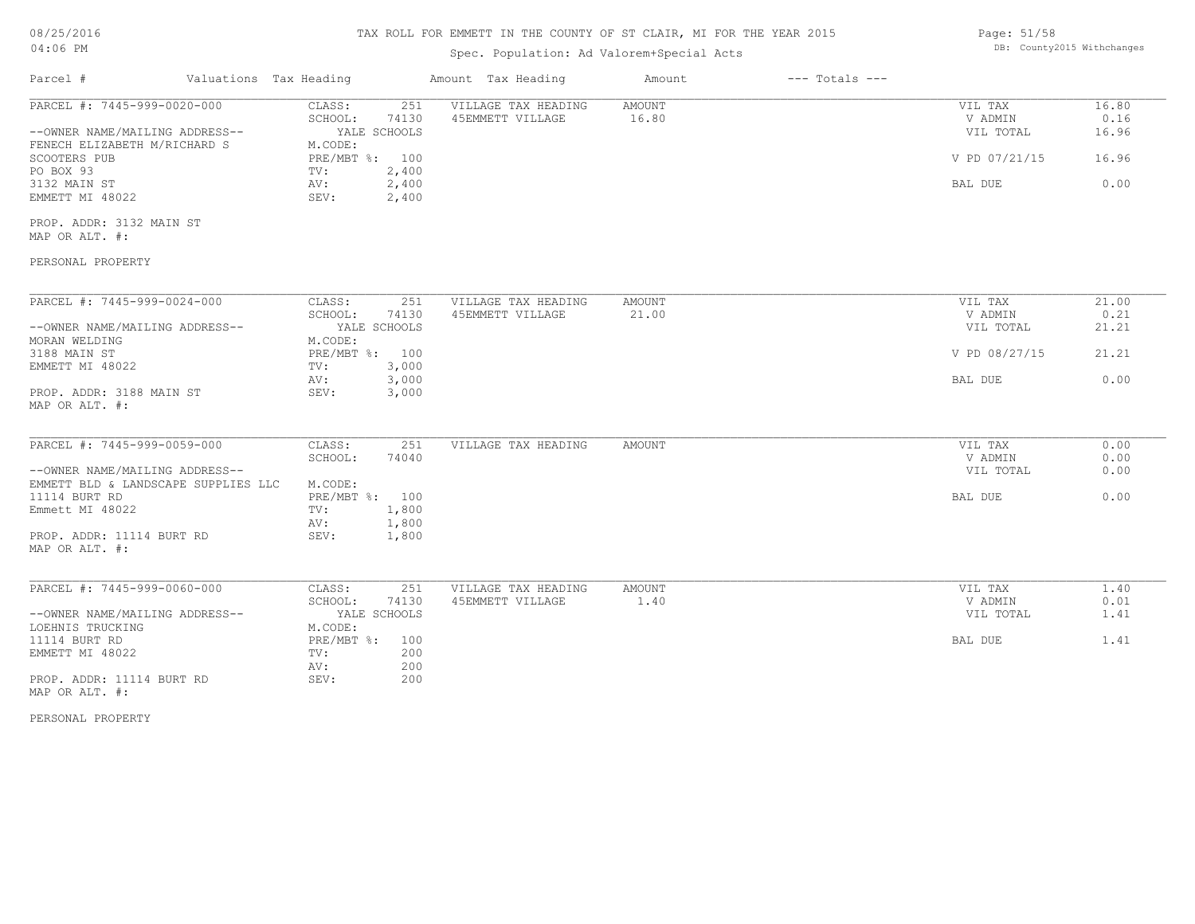# TAX ROLL FOR EMMETT IN THE COUNTY OF ST CLAIR, MI FOR THE YEAR 2015

# Spec. Population: Ad Valorem+Special Acts

Page: 51/58 DB: County2015 Withchanges

| Parcel #                                                       | Valuations Tax Heading            | Amount Tax Heading                      | Amount                 | $---$ Totals $---$ |               |
|----------------------------------------------------------------|-----------------------------------|-----------------------------------------|------------------------|--------------------|---------------|
| PARCEL #: 7445-999-0020-000                                    | 251<br>CLASS:<br>74130<br>SCHOOL: | VILLAGE TAX HEADING<br>45EMMETT VILLAGE | <b>AMOUNT</b><br>16.80 | VIL TAX<br>V ADMIN | 16.80<br>0.16 |
| --OWNER NAME/MAILING ADDRESS--<br>FENECH ELIZABETH M/RICHARD S | YALE SCHOOLS<br>M.CODE:           |                                         |                        | VIL TOTAL          | 16.96         |
| SCOOTERS PUB                                                   | PRE/MBT %: 100                    |                                         |                        | V PD 07/21/15      | 16.96         |
| PO BOX 93                                                      | 2,400<br>TV:                      |                                         |                        |                    |               |
| 3132 MAIN ST                                                   | 2,400<br>AV:                      |                                         |                        | BAL DUE            | 0.00          |
| EMMETT MI 48022                                                | SEV:<br>2,400                     |                                         |                        |                    |               |
| PROP. ADDR: 3132 MAIN ST                                       |                                   |                                         |                        |                    |               |
| MAP OR ALT. #:                                                 |                                   |                                         |                        |                    |               |
| PERSONAL PROPERTY                                              |                                   |                                         |                        |                    |               |
|                                                                |                                   |                                         |                        |                    |               |
| PARCEL #: 7445-999-0024-000                                    | CLASS:<br>251<br>74130<br>SCHOOL: | VILLAGE TAX HEADING<br>45EMMETT VILLAGE | AMOUNT<br>21.00        | VIL TAX<br>V ADMIN | 21.00<br>0.21 |
| --OWNER NAME/MAILING ADDRESS--                                 | YALE SCHOOLS                      |                                         |                        | VIL TOTAL          | 21.21         |
| MORAN WELDING                                                  | M.CODE:                           |                                         |                        |                    |               |
| 3188 MAIN ST                                                   | PRE/MBT %: 100                    |                                         |                        | V PD 08/27/15      | 21.21         |
| EMMETT MI 48022                                                | 3,000<br>TV:                      |                                         |                        |                    |               |
|                                                                | 3,000<br>AV:                      |                                         |                        | BAL DUE            | 0.00          |
| PROP. ADDR: 3188 MAIN ST<br>MAP OR ALT. #:                     | SEV:<br>3,000                     |                                         |                        |                    |               |
| PARCEL #: 7445-999-0059-000                                    | CLASS:<br>251                     | VILLAGE TAX HEADING                     | AMOUNT                 | VIL TAX            | 0.00          |
|                                                                | SCHOOL:<br>74040                  |                                         |                        | V ADMIN            | 0.00          |
| --OWNER NAME/MAILING ADDRESS--                                 |                                   |                                         |                        | VIL TOTAL          | 0.00          |
| EMMETT BLD & LANDSCAPE SUPPLIES LLC                            | M.CODE:                           |                                         |                        |                    |               |
| 11114 BURT RD                                                  | PRE/MBT %: 100                    |                                         |                        | BAL DUE            | 0.00          |
| Emmett MI 48022                                                | 1,800<br>TV:                      |                                         |                        |                    |               |
|                                                                | 1,800<br>AV:                      |                                         |                        |                    |               |
| PROP. ADDR: 11114 BURT RD<br>MAP OR ALT. #:                    | SEV:<br>1,800                     |                                         |                        |                    |               |
|                                                                |                                   |                                         |                        |                    |               |
| PARCEL #: 7445-999-0060-000                                    | CLASS:<br>251                     | VILLAGE TAX HEADING                     | AMOUNT                 | VIL TAX            | 1.40          |
|                                                                | SCHOOL:<br>74130                  | 45EMMETT VILLAGE                        | 1.40                   | V ADMIN            | 0.01          |
| --OWNER NAME/MAILING ADDRESS--                                 | YALE SCHOOLS                      |                                         |                        | VIL TOTAL          | 1.41          |
| LOEHNIS TRUCKING                                               | M.CODE:                           |                                         |                        |                    |               |
| 11114 BURT RD<br>EMMETT MI 48022                               | PRE/MBT %:<br>100<br>TV:<br>200   |                                         |                        | BAL DUE            | 1.41          |
|                                                                | AV:<br>200                        |                                         |                        |                    |               |
| PROP. ADDR: 11114 BURT RD                                      | SEV:<br>200                       |                                         |                        |                    |               |
| MAP OR ALT. #:                                                 |                                   |                                         |                        |                    |               |

PERSONAL PROPERTY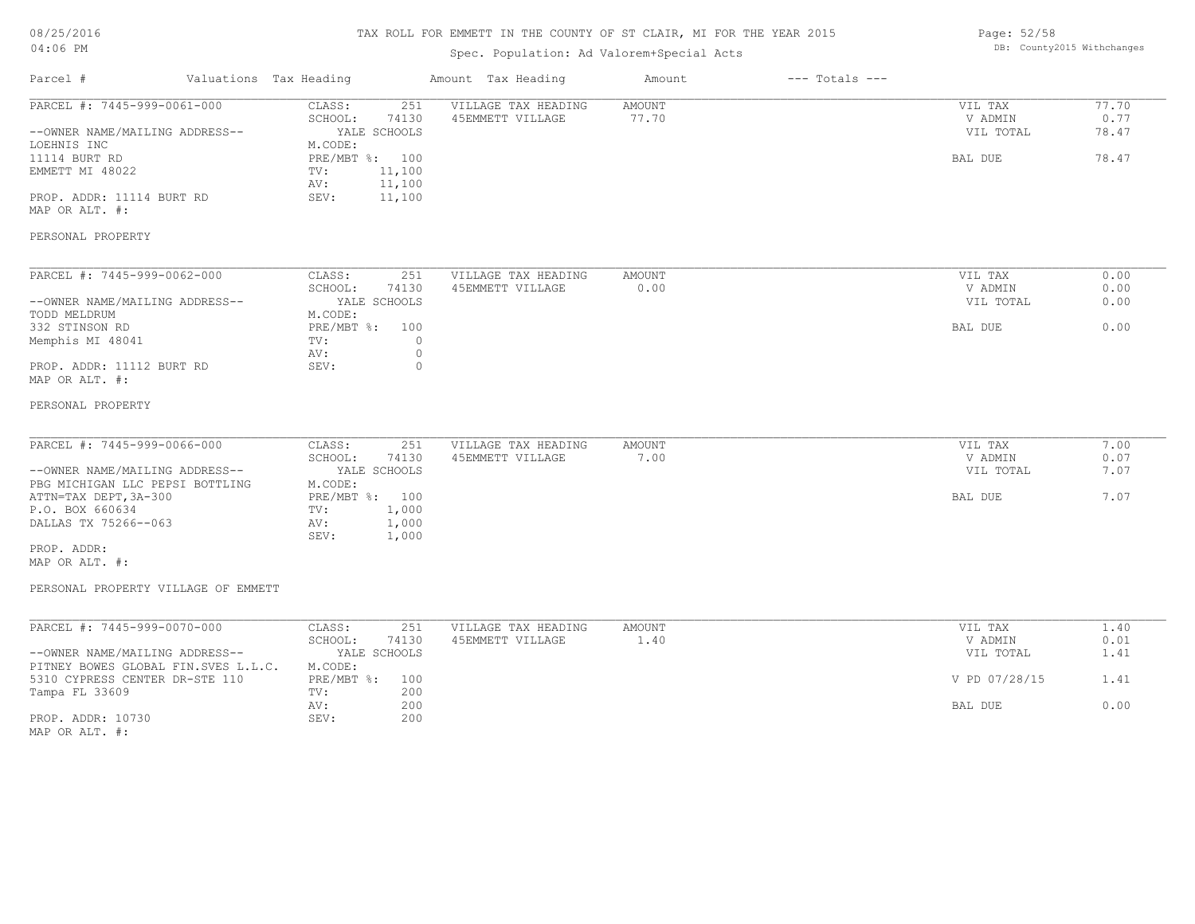# 08/25/2016

### TAX ROLL FOR EMMETT IN THE COUNTY OF ST CLAIR, MI FOR THE YEAR 2015

| Page: 52/58 |                            |
|-------------|----------------------------|
|             | DB: County2015 Withchanges |

| 04:06 PM                                                                                                         |                                                                                                                  | Spec. Population: Ad Valorem+Special Acts |                              |                                            | DB: County2015 Withchanges      |
|------------------------------------------------------------------------------------------------------------------|------------------------------------------------------------------------------------------------------------------|-------------------------------------------|------------------------------|--------------------------------------------|---------------------------------|
| Parcel #<br>Valuations Tax Heading                                                                               |                                                                                                                  | Amount Tax Heading                        | Amount<br>$---$ Totals $---$ |                                            |                                 |
| PARCEL #: 7445-999-0061-000<br>--OWNER NAME/MAILING ADDRESS--<br>LOEHNIS INC<br>11114 BURT RD<br>EMMETT MI 48022 | CLASS:<br>251<br>SCHOOL:<br>74130<br>YALE SCHOOLS<br>M.CODE:<br>PRE/MBT %: 100<br>11,100<br>TV:<br>11,100<br>AV: | VILLAGE TAX HEADING<br>45EMMETT VILLAGE   | <b>AMOUNT</b><br>77.70       | VIL TAX<br>V ADMIN<br>VIL TOTAL<br>BAL DUE | 77.70<br>0.77<br>78.47<br>78.47 |
| PROP. ADDR: 11114 BURT RD<br>MAP OR ALT. #:<br>PERSONAL PROPERTY                                                 | 11,100<br>SEV:                                                                                                   |                                           |                              |                                            |                                 |
|                                                                                                                  |                                                                                                                  |                                           |                              |                                            |                                 |
| PARCEL #: 7445-999-0062-000<br>--OWNER NAME/MAILING ADDRESS--<br>TODD MELDRUM                                    | CLASS:<br>251<br>SCHOOL:<br>74130<br>YALE SCHOOLS<br>M.CODE:                                                     | VILLAGE TAX HEADING<br>45EMMETT VILLAGE   | <b>AMOUNT</b><br>0.00        | VIL TAX<br>V ADMIN<br>VIL TOTAL            | 0.00<br>0.00<br>0.00            |
| 332 STINSON RD<br>Memphis MI 48041                                                                               | $PRE/MBT$ $\div$<br>100<br>$\circ$<br>TV:<br>$\circ$<br>AV:                                                      |                                           |                              | BAL DUE                                    | 0.00                            |
| PROP. ADDR: 11112 BURT RD<br>MAP OR ALT. #:                                                                      | $\circ$<br>SEV:                                                                                                  |                                           |                              |                                            |                                 |
| PERSONAL PROPERTY                                                                                                |                                                                                                                  |                                           |                              |                                            |                                 |
| PARCEL #: 7445-999-0066-000<br>--OWNER NAME/MAILING ADDRESS--                                                    | CLASS:<br>251<br>SCHOOL:<br>74130<br>YALE SCHOOLS                                                                | VILLAGE TAX HEADING<br>45EMMETT VILLAGE   | <b>AMOUNT</b><br>7.00        | VIL TAX<br>V ADMIN<br>VIL TOTAL            | 7.00<br>0.07<br>7.07            |
| PBG MICHIGAN LLC PEPSI BOTTLING<br>ATTN=TAX DEPT, 3A-300<br>P.O. BOX 660634<br>DALLAS TX 75266--063              | M.CODE:<br>PRE/MBT %: 100<br>1,000<br>TV:<br>1,000<br>AV:<br>SEV:<br>1,000                                       |                                           |                              | BAL DUE                                    | 7.07                            |
| PROP. ADDR:<br>MAP OR ALT. #:                                                                                    |                                                                                                                  |                                           |                              |                                            |                                 |
| PERSONAL PROPERTY VILLAGE OF EMMETT                                                                              |                                                                                                                  |                                           |                              |                                            |                                 |
| PARCEL #: 7445-999-0070-000                                                                                      | CLASS:<br>251                                                                                                    | VILLAGE TAX HEADING                       | <b>AMOUNT</b>                | VIL TAX                                    | 1.40                            |
| --OWNER NAME/MAILING ADDRESS--<br>PITNEY BOWES GLOBAL FIN.SVES L.L.C.                                            | SCHOOL:<br>74130<br>YALE SCHOOLS<br>M.CODE:                                                                      | 45EMMETT VILLAGE                          | 1.40                         | V ADMIN<br>VIL TOTAL                       | 0.01<br>1.41                    |
| 5310 CYPRESS CENTER DR-STE 110<br>Tampa FL 33609                                                                 | PRE/MBT %:<br>100<br>200<br>TV:                                                                                  |                                           |                              | V PD 07/28/15                              | 1.41                            |
| PROP. ADDR: 10730<br>MAP OR ALT. #:                                                                              | 200<br>AV:<br>200<br>SEV:                                                                                        |                                           |                              | BAL DUE                                    | 0.00                            |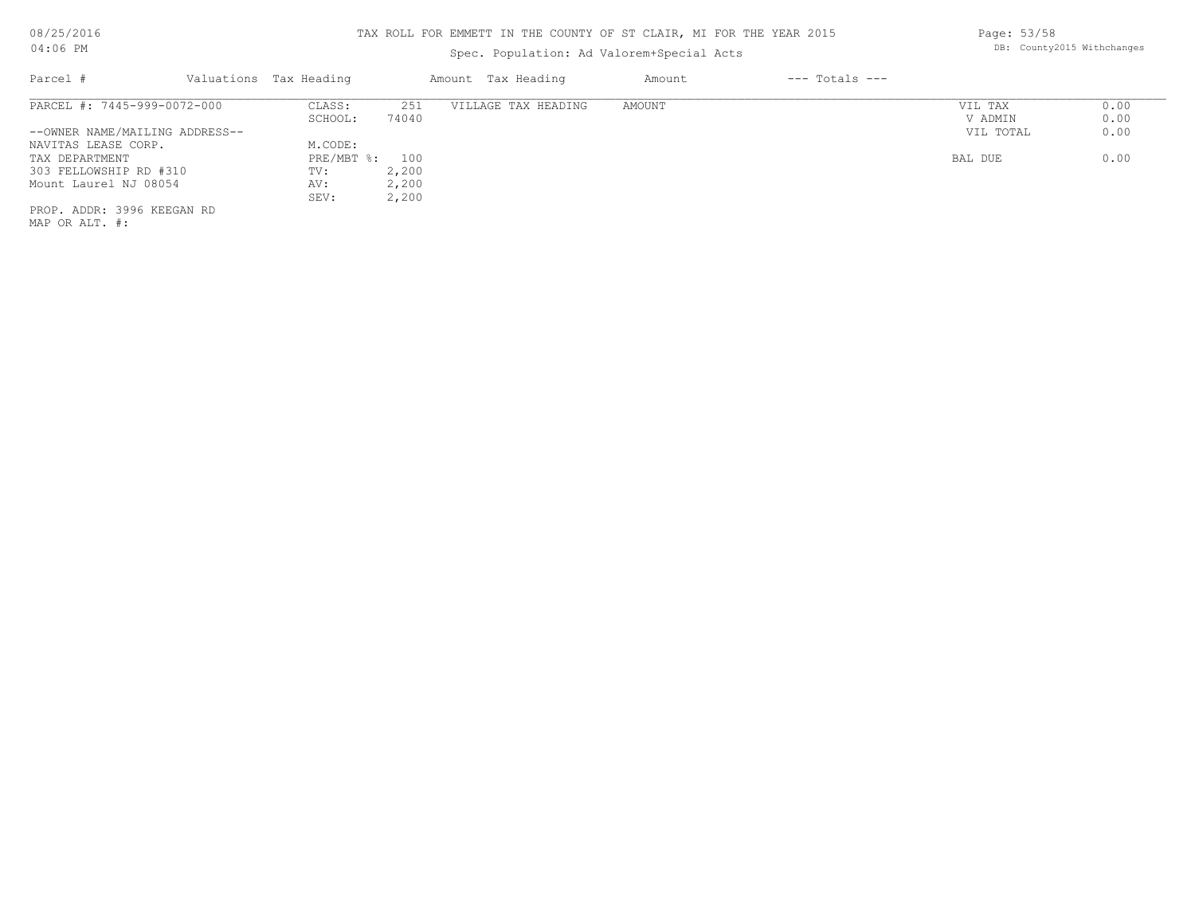# Spec. Population: Ad Valorem+Special Acts

| Parcel #                       | Valuations Tax Heading |       | Amount Tax Heading  | Amount | $---$ Totals $---$ |           |      |
|--------------------------------|------------------------|-------|---------------------|--------|--------------------|-----------|------|
| PARCEL #: 7445-999-0072-000    | CLASS:                 | 251   | VILLAGE TAX HEADING | AMOUNT |                    | VIL TAX   | 0.00 |
|                                | SCHOOL:                | 74040 |                     |        |                    | V ADMIN   | 0.00 |
| --OWNER NAME/MAILING ADDRESS-- |                        |       |                     |        |                    | VIL TOTAL | 0.00 |
| NAVITAS LEASE CORP.            | M.CODE:                |       |                     |        |                    |           |      |
| TAX DEPARTMENT                 | PRE/MBT %: 100         |       |                     |        |                    | BAL DUE   | 0.00 |
| 303 FELLOWSHIP RD #310         | TV:                    | 2,200 |                     |        |                    |           |      |
| Mount Laurel NJ 08054          | AV:                    | 2,200 |                     |        |                    |           |      |
|                                | SEV:                   | 2,200 |                     |        |                    |           |      |
| PROP. ADDR: 3996 KEEGAN RD     |                        |       |                     |        |                    |           |      |
|                                |                        |       |                     |        |                    |           |      |

MAP OR ALT. #:

Page: 53/58 DB: County2015 Withchanges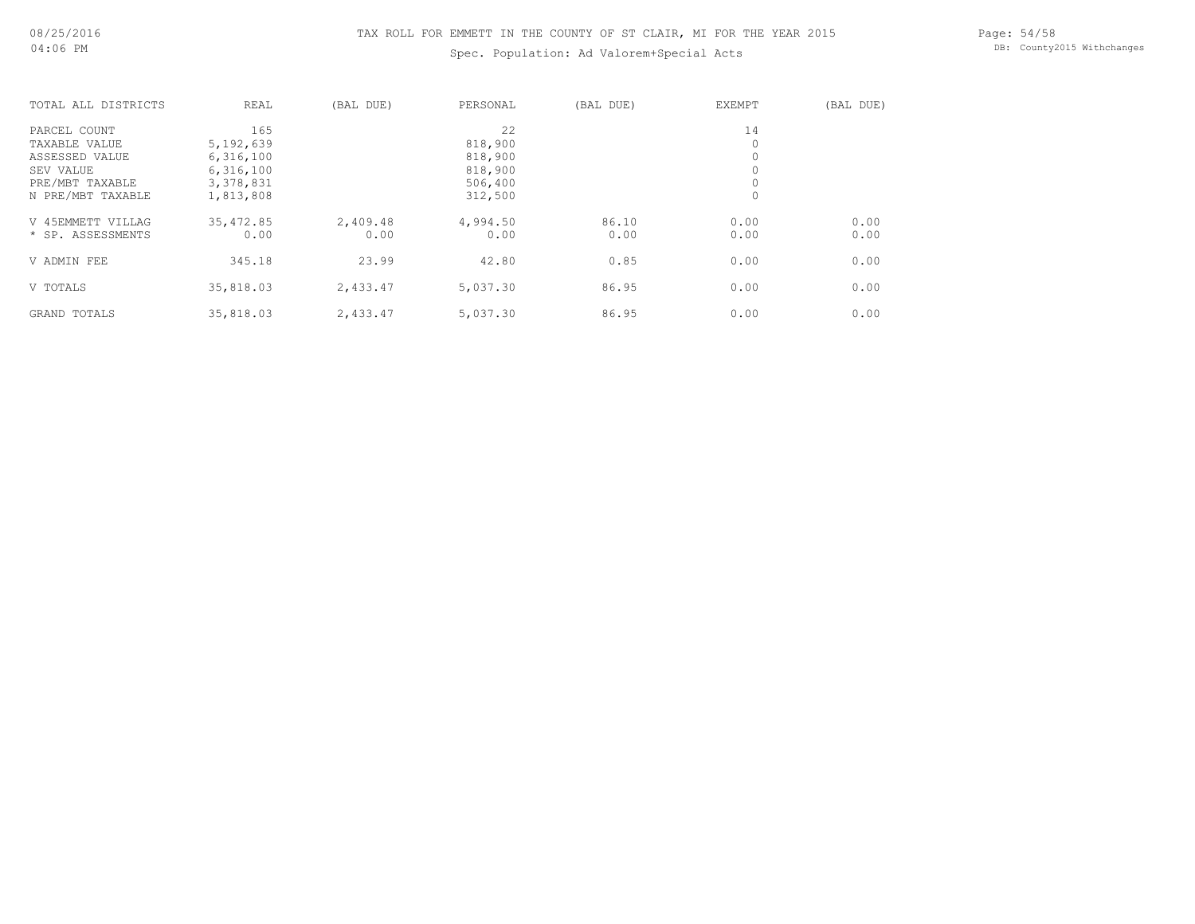# Spec. Population: Ad Valorem+Special Acts

Page: 54/58 DB: County2015 Withchanges

| TOTAL ALL DISTRICTS | REAL      | (BAL DUE) | PERSONAL | (BAL DUE) | <b>EXEMPT</b> | (BAL DUE) |
|---------------------|-----------|-----------|----------|-----------|---------------|-----------|
| PARCEL COUNT        | 165       |           | 22       |           | 14            |           |
| TAXABLE VALUE       | 5,192,639 |           | 818,900  |           | 0             |           |
| ASSESSED VALUE      | 6,316,100 |           | 818,900  |           | 0             |           |
| SEV VALUE           | 6,316,100 |           | 818,900  |           | 0             |           |
| PRE/MBT TAXABLE     | 3,378,831 |           | 506,400  |           | 0             |           |
| N PRE/MBT TAXABLE   | 1,813,808 |           | 312,500  |           | 0             |           |
| V 45EMMETT VILLAG   | 35,472.85 | 2,409.48  | 4,994.50 | 86.10     | 0.00          | 0.00      |
| * SP. ASSESSMENTS   | 0.00      | 0.00      | 0.00     | 0.00      | 0.00          | 0.00      |
| V ADMIN FEE         | 345.18    | 23.99     | 42.80    | 0.85      | 0.00          | 0.00      |
| V TOTALS            | 35,818.03 | 2,433.47  | 5,037.30 | 86.95     | 0.00          | 0.00      |
| GRAND TOTALS        | 35,818.03 | 2,433.47  | 5,037.30 | 86.95     | 0.00          | 0.00      |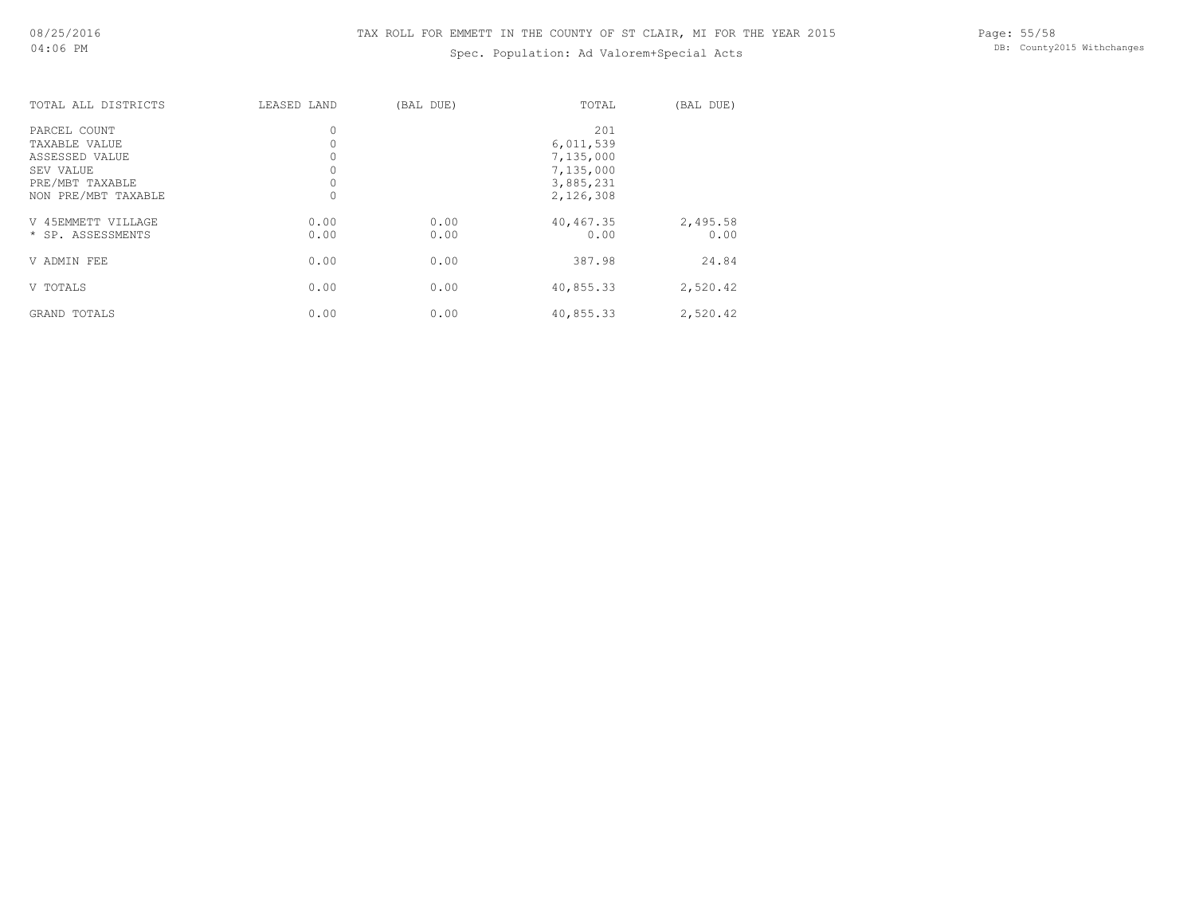# Spec. Population: Ad Valorem+Special Acts

| TOTAL ALL DISTRICTS | LEASED LAND | (BAL DUE) | TOTAL     | (BAL DUE) |
|---------------------|-------------|-----------|-----------|-----------|
| PARCEL COUNT        | $\circ$     |           | 201       |           |
| TAXABLE VALUE       | 0           |           | 6,011,539 |           |
| ASSESSED VALUE      | $\circ$     |           | 7,135,000 |           |
| SEV VALUE           | $\circ$     |           | 7,135,000 |           |
| PRE/MBT TAXABLE     | 0           |           | 3,885,231 |           |
| NON PRE/MBT TAXABLE | $\circ$     |           | 2,126,308 |           |
| V 45EMMETT VILLAGE  | 0.00        | 0.00      | 40,467.35 | 2,495.58  |
| * SP. ASSESSMENTS   | 0.00        | 0.00      | 0.00      | 0.00      |
| V ADMIN FEE         | 0.00        | 0.00      | 387.98    | 24.84     |
| V TOTALS            | 0.00        | 0.00      | 40,855.33 | 2,520.42  |
| <b>GRAND TOTALS</b> | 0.00        | 0.00      | 40,855.33 | 2,520.42  |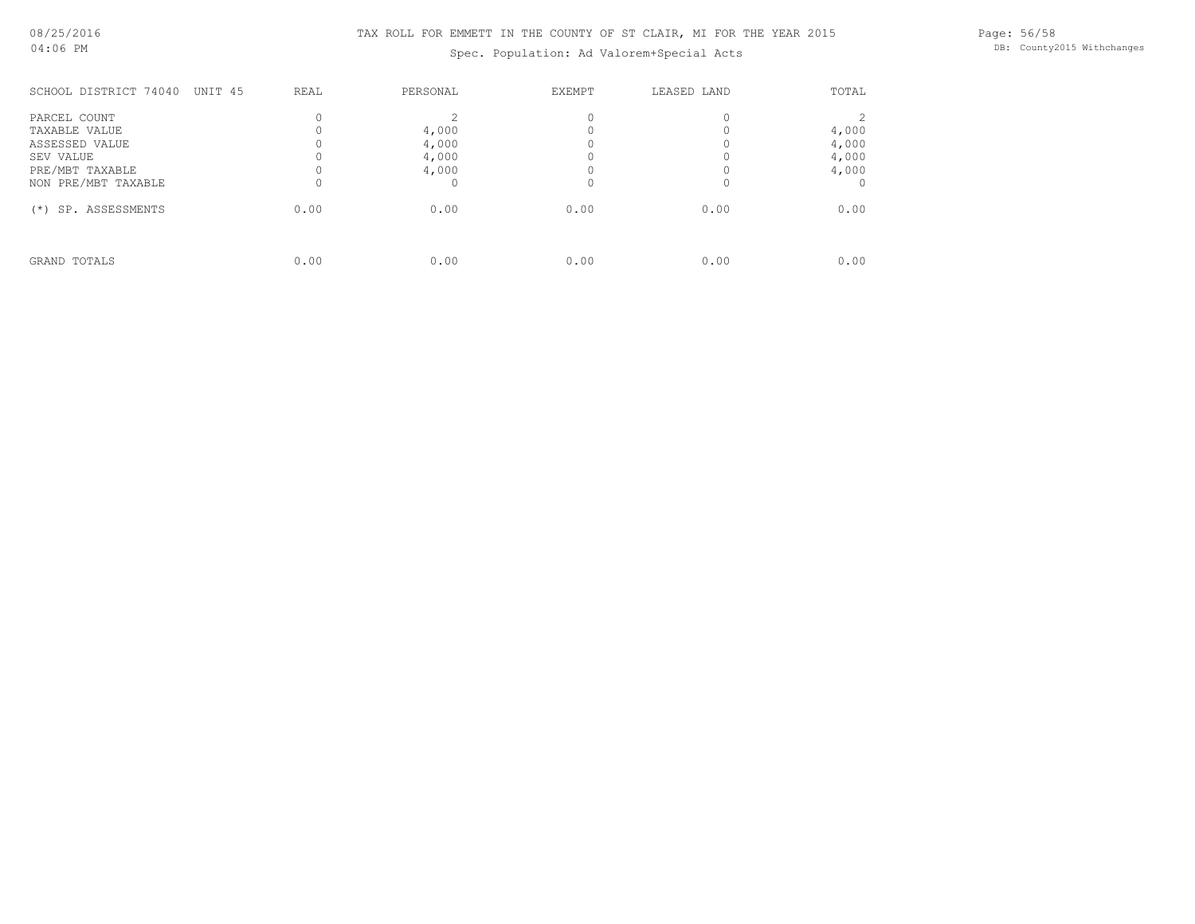Spec. Population: Ad Valorem+Special Acts

Page: 56/58 DB: County2015 Withchanges

| SCHOOL DISTRICT 74040                                                           | UNIT 45<br>REAL | PERSONAL                         | <b>EXEMPT</b> | LEASED LAND | TOTAL                            |
|---------------------------------------------------------------------------------|-----------------|----------------------------------|---------------|-------------|----------------------------------|
| PARCEL COUNT<br>TAXABLE VALUE<br>ASSESSED VALUE<br>SEV VALUE<br>PRE/MBT TAXABLE |                 | 4,000<br>4,000<br>4,000<br>4,000 |               |             | 4,000<br>4,000<br>4,000<br>4,000 |
| NON PRE/MBT TAXABLE                                                             |                 |                                  |               |             |                                  |
| SP. ASSESSMENTS<br>$(* )$                                                       | 0.00            | 0.00                             | 0.00          | 0.00        | 0.00                             |
| GRAND TOTALS                                                                    | 0.00            | 0.00                             | 0.00          | 0.00        | 0.00                             |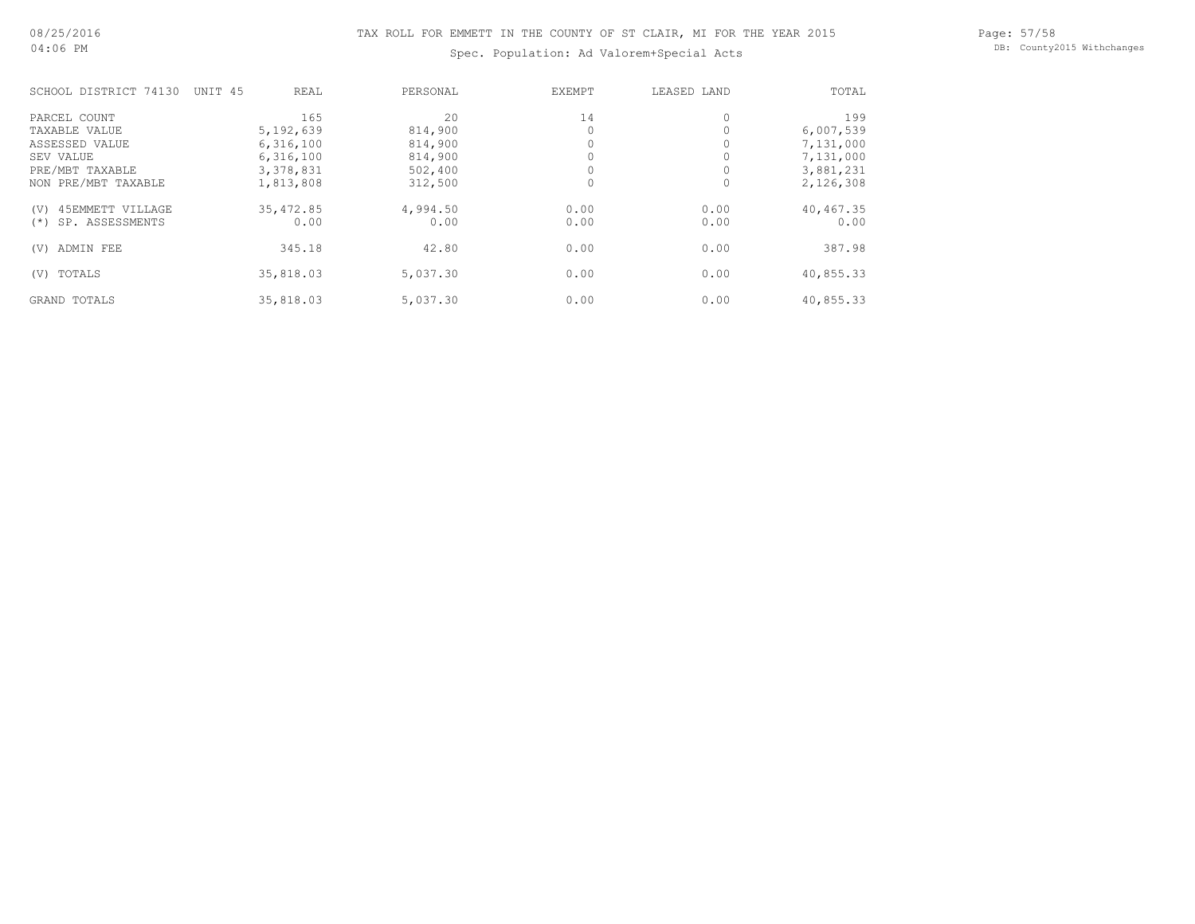Spec. Population: Ad Valorem+Special Acts

Page: 57/58 DB: County2015 Withchanges

| SCHOOL DISTRICT 74130     | UNIT <sub>45</sub> | REAL        | PERSONAL | EXEMPT | LEASED LAND | TOTAL     |
|---------------------------|--------------------|-------------|----------|--------|-------------|-----------|
| PARCEL COUNT              |                    | 165         | 2.0      | 14     | 0           | 199       |
| TAXABLE VALUE             |                    | 5, 192, 639 | 814,900  |        |             | 6,007,539 |
| ASSESSED VALUE            |                    | 6,316,100   | 814,900  |        |             | 7,131,000 |
| SEV VALUE                 |                    | 6,316,100   | 814,900  |        |             | 7,131,000 |
| PRE/MBT TAXABLE           |                    | 3,378,831   | 502,400  |        |             | 3,881,231 |
| NON PRE/MBT TAXABLE       |                    | 1,813,808   | 312,500  |        | 0           | 2,126,308 |
| 45EMMETT VILLAGE<br>(V)   |                    | 35,472.85   | 4,994.50 | 0.00   | 0.00        | 40,467.35 |
| SP. ASSESSMENTS<br>$(* )$ |                    | 0.00        | 0.00     | 0.00   | 0.00        | 0.00      |
| ADMIN FEE<br>(V)          |                    | 345.18      | 42.80    | 0.00   | 0.00        | 387.98    |
| TOTALS<br>(V)             |                    | 35,818.03   | 5,037.30 | 0.00   | 0.00        | 40,855.33 |
| GRAND TOTALS              |                    | 35,818.03   | 5,037.30 | 0.00   | 0.00        | 40,855.33 |